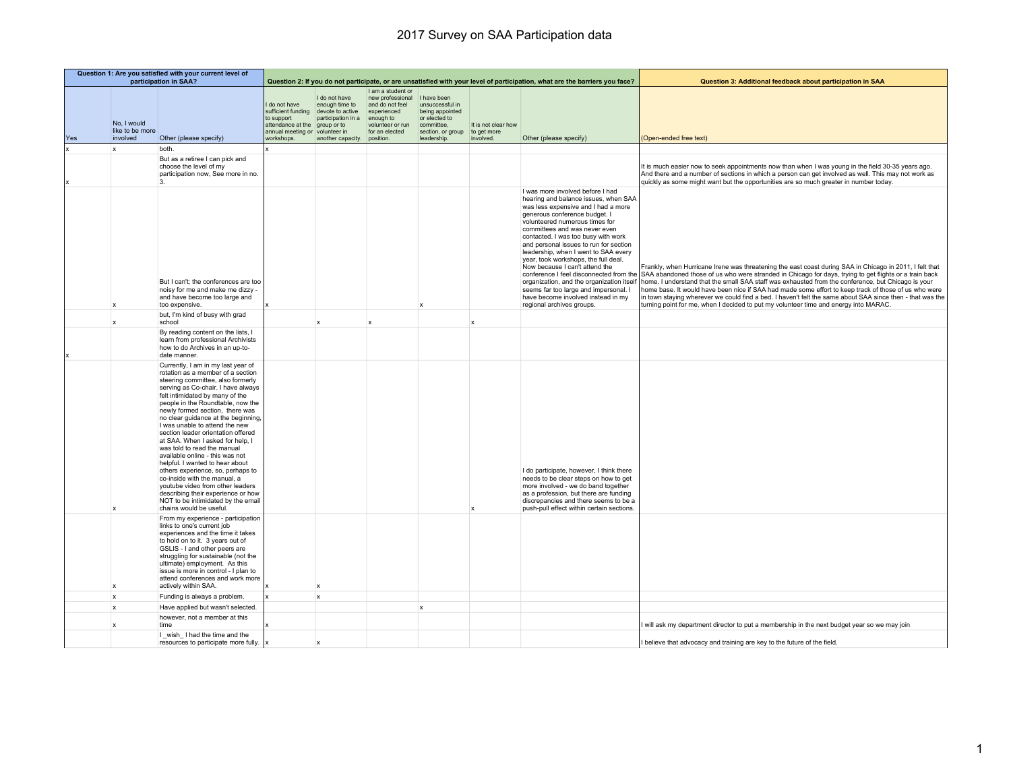|     |                                            | Question 1: Are you satisfied with your current level of<br>participation in SAA?                                                                                                                                                                                                                                                                                                                                                                                                                                                                                                                                                                                                                                                                                           |                                                                                                              |                                                                                                                             | Question 2: If you do not participate, or are unsatisfied with your level of participation, what are the barriers you face?            |                                                                                                       |                                                 | Question 3: Additional feedback about participation in SAA                                                                                                                                                                                                                                                                                                                                                                                                                                                                         |                                                                                                                                                                                                                                                                                                                                                                                                                                                                                                                                                                                                                                                                                                                          |
|-----|--------------------------------------------|-----------------------------------------------------------------------------------------------------------------------------------------------------------------------------------------------------------------------------------------------------------------------------------------------------------------------------------------------------------------------------------------------------------------------------------------------------------------------------------------------------------------------------------------------------------------------------------------------------------------------------------------------------------------------------------------------------------------------------------------------------------------------------|--------------------------------------------------------------------------------------------------------------|-----------------------------------------------------------------------------------------------------------------------------|----------------------------------------------------------------------------------------------------------------------------------------|-------------------------------------------------------------------------------------------------------|-------------------------------------------------|------------------------------------------------------------------------------------------------------------------------------------------------------------------------------------------------------------------------------------------------------------------------------------------------------------------------------------------------------------------------------------------------------------------------------------------------------------------------------------------------------------------------------------|--------------------------------------------------------------------------------------------------------------------------------------------------------------------------------------------------------------------------------------------------------------------------------------------------------------------------------------------------------------------------------------------------------------------------------------------------------------------------------------------------------------------------------------------------------------------------------------------------------------------------------------------------------------------------------------------------------------------------|
| Yes | No, I would<br>like to be more<br>involved | Other (please specify)                                                                                                                                                                                                                                                                                                                                                                                                                                                                                                                                                                                                                                                                                                                                                      | I do not have<br>to support<br>attendance at the group or to<br>annual meeting or volunteer in<br>workshops. | I do not have<br>enough time to<br>sufficient funding devote to active<br>participation in a<br>another capacity. position. | I am a student or<br>new professional I have been<br>and do not feel<br>experienced<br>enough to<br>volunteer or run<br>for an elected | unsuccessful in<br>being appointed<br>or elected to<br>committee.<br>section, or group<br>leadership. | It is not clear how<br>to get more<br>involved. | Other (please specify)                                                                                                                                                                                                                                                                                                                                                                                                                                                                                                             | (Open-ended free text)                                                                                                                                                                                                                                                                                                                                                                                                                                                                                                                                                                                                                                                                                                   |
|     | $\mathbf{x}$                               | both.                                                                                                                                                                                                                                                                                                                                                                                                                                                                                                                                                                                                                                                                                                                                                                       |                                                                                                              |                                                                                                                             |                                                                                                                                        |                                                                                                       |                                                 |                                                                                                                                                                                                                                                                                                                                                                                                                                                                                                                                    |                                                                                                                                                                                                                                                                                                                                                                                                                                                                                                                                                                                                                                                                                                                          |
|     |                                            | But as a retiree I can pick and<br>choose the level of my<br>participation now, See more in no.                                                                                                                                                                                                                                                                                                                                                                                                                                                                                                                                                                                                                                                                             |                                                                                                              |                                                                                                                             |                                                                                                                                        |                                                                                                       |                                                 |                                                                                                                                                                                                                                                                                                                                                                                                                                                                                                                                    | It is much easier now to seek appointments now than when I was young in the field 30-35 years ago.<br>And there and a number of sections in which a person can get involved as well. This may not work as<br>quickly as some might want but the opportunities are so much greater in number today.                                                                                                                                                                                                                                                                                                                                                                                                                       |
|     |                                            | But I can't; the conferences are too<br>noisy for me and make me dizzy -<br>and have become too large and<br>too expensive.                                                                                                                                                                                                                                                                                                                                                                                                                                                                                                                                                                                                                                                 |                                                                                                              |                                                                                                                             |                                                                                                                                        |                                                                                                       |                                                 | I was more involved before I had<br>hearing and balance issues, when SAA<br>was less expensive and I had a more<br>generous conference budget. I<br>volunteered numerous times for<br>committees and was never even<br>contacted. I was too busy with work<br>and personal issues to run for section<br>leadership, when I went to SAA every<br>year, took workshops, the full deal.<br>Now because I can't attend the<br>seems far too large and impersonal. I<br>have become involved instead in my<br>regional archives groups. | Frankly, when Hurricane Irene was threatening the east coast during SAA in Chicago in 2011, I felt that<br>conference I feel disconnected from the SAA abandoned those of us who were stranded in Chicago for days, trying to get flights or a train back<br>organization, and the organization itself   home. I understand that the small SAA staff was exhausted from the conference, but Chicago is your<br>home base. It would have been nice if SAA had made some effort to keep track of those of us who were<br>in town staying wherever we could find a bed. I haven't felt the same about SAA since then - that was the<br>turning point for me, when I decided to put my volunteer time and energy into MARAC. |
|     | X                                          | but, I'm kind of busy with grad<br>school                                                                                                                                                                                                                                                                                                                                                                                                                                                                                                                                                                                                                                                                                                                                   |                                                                                                              | $\boldsymbol{\mathsf{x}}$                                                                                                   | $\mathbf x$                                                                                                                            |                                                                                                       | $\boldsymbol{\mathsf{x}}$                       |                                                                                                                                                                                                                                                                                                                                                                                                                                                                                                                                    |                                                                                                                                                                                                                                                                                                                                                                                                                                                                                                                                                                                                                                                                                                                          |
|     |                                            | By reading content on the lists, I<br>learn from professional Archivists<br>how to do Archives in an up-to-<br>date manner.                                                                                                                                                                                                                                                                                                                                                                                                                                                                                                                                                                                                                                                 |                                                                                                              |                                                                                                                             |                                                                                                                                        |                                                                                                       |                                                 |                                                                                                                                                                                                                                                                                                                                                                                                                                                                                                                                    |                                                                                                                                                                                                                                                                                                                                                                                                                                                                                                                                                                                                                                                                                                                          |
|     | x                                          | Currently, I am in my last year of<br>rotation as a member of a section<br>steering committee, also formerly<br>serving as Co-chair. I have always<br>felt intimidated by many of the<br>people in the Roundtable, now the<br>newly formed section, there was<br>no clear guidance at the beginning,<br>I was unable to attend the new<br>section leader orientation offered<br>at SAA. When I asked for help, I<br>was told to read the manual<br>available online - this was not<br>helpful. I wanted to hear about<br>others experience, so, perhaps to<br>co-inside with the manual, a<br>voutube video from other leaders<br>describing their experience or how<br>NOT to be intimidated by the email<br>chains would be useful.<br>From my experience - participation |                                                                                                              |                                                                                                                             |                                                                                                                                        |                                                                                                       | $\boldsymbol{\mathsf{x}}$                       | I do participate, however, I think there<br>needs to be clear steps on how to get<br>more involved - we do band together<br>as a profession, but there are funding<br>discrepancies and there seems to be a<br>push-pull effect within certain sections.                                                                                                                                                                                                                                                                           |                                                                                                                                                                                                                                                                                                                                                                                                                                                                                                                                                                                                                                                                                                                          |
|     | ×                                          | links to one's current job<br>experiences and the time it takes<br>to hold on to it. 3 years out of<br>GSLIS - I and other peers are<br>struggling for sustainable (not the<br>ultimate) employment. As this<br>issue is more in control - I plan to<br>attend conferences and work more<br>actively within SAA.                                                                                                                                                                                                                                                                                                                                                                                                                                                            |                                                                                                              | $\mathbf{x}$                                                                                                                |                                                                                                                                        |                                                                                                       |                                                 |                                                                                                                                                                                                                                                                                                                                                                                                                                                                                                                                    |                                                                                                                                                                                                                                                                                                                                                                                                                                                                                                                                                                                                                                                                                                                          |
|     | x                                          | Funding is always a problem.                                                                                                                                                                                                                                                                                                                                                                                                                                                                                                                                                                                                                                                                                                                                                |                                                                                                              | $\mathsf{x}$                                                                                                                |                                                                                                                                        |                                                                                                       |                                                 |                                                                                                                                                                                                                                                                                                                                                                                                                                                                                                                                    |                                                                                                                                                                                                                                                                                                                                                                                                                                                                                                                                                                                                                                                                                                                          |
|     | $\mathsf x$                                | Have applied but wasn't selected.                                                                                                                                                                                                                                                                                                                                                                                                                                                                                                                                                                                                                                                                                                                                           |                                                                                                              |                                                                                                                             |                                                                                                                                        | $\boldsymbol{\mathsf{x}}$                                                                             |                                                 |                                                                                                                                                                                                                                                                                                                                                                                                                                                                                                                                    |                                                                                                                                                                                                                                                                                                                                                                                                                                                                                                                                                                                                                                                                                                                          |
|     | $\boldsymbol{\mathsf{x}}$                  | however, not a member at this<br>time                                                                                                                                                                                                                                                                                                                                                                                                                                                                                                                                                                                                                                                                                                                                       |                                                                                                              |                                                                                                                             |                                                                                                                                        |                                                                                                       |                                                 |                                                                                                                                                                                                                                                                                                                                                                                                                                                                                                                                    | I will ask my department director to put a membership in the next budget year so we may join                                                                                                                                                                                                                                                                                                                                                                                                                                                                                                                                                                                                                             |
|     |                                            | I wish I had the time and the<br>resources to participate more fully. $\vert x \vert$                                                                                                                                                                                                                                                                                                                                                                                                                                                                                                                                                                                                                                                                                       |                                                                                                              | $\mathbf x$                                                                                                                 |                                                                                                                                        |                                                                                                       |                                                 |                                                                                                                                                                                                                                                                                                                                                                                                                                                                                                                                    | I believe that advocacy and training are key to the future of the field.                                                                                                                                                                                                                                                                                                                                                                                                                                                                                                                                                                                                                                                 |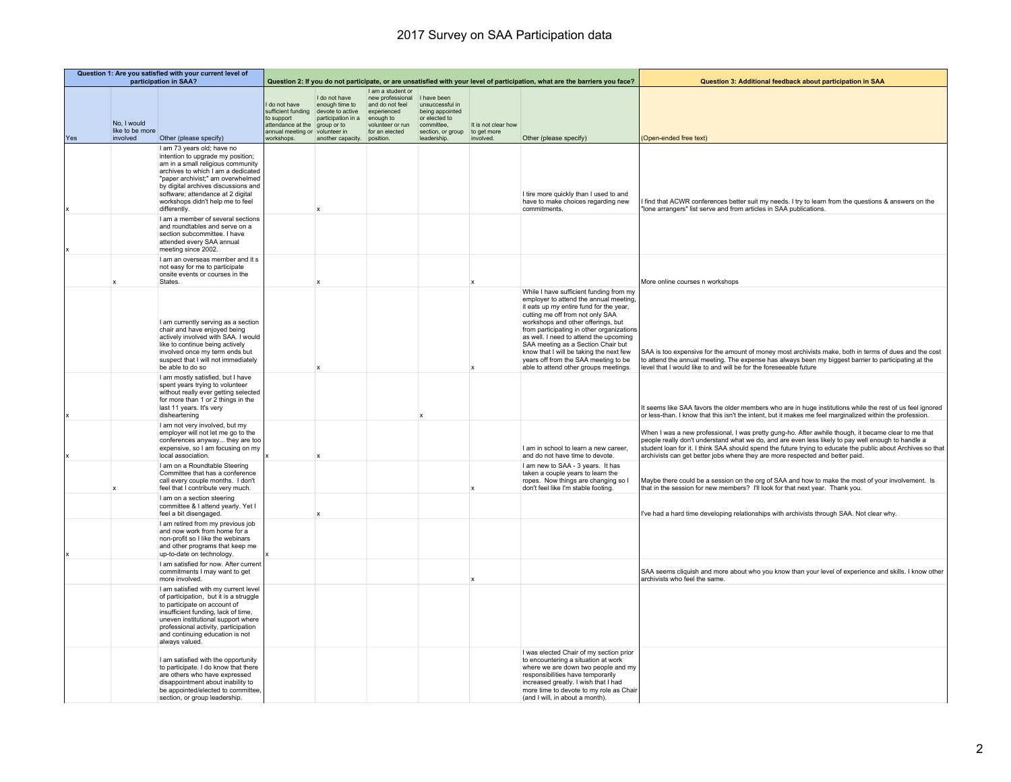|     | Question 1: Are you satisfied with your current level of<br>participation in SAA? |                                                                                                                                                                                                                                                                                                                 |                                                                                                                      |                                                                                                                         |                                                                                                                            |                                                                                                                      |                                                 | Question 2: If you do not participate, or are unsatisfied with your level of participation, what are the barriers you face?                                                                                                                                                                                                                                                                                                                                     | Question 3: Additional feedback about participation in SAA                                                                                                                                                                                                                                                                                                                                                  |
|-----|-----------------------------------------------------------------------------------|-----------------------------------------------------------------------------------------------------------------------------------------------------------------------------------------------------------------------------------------------------------------------------------------------------------------|----------------------------------------------------------------------------------------------------------------------|-------------------------------------------------------------------------------------------------------------------------|----------------------------------------------------------------------------------------------------------------------------|----------------------------------------------------------------------------------------------------------------------|-------------------------------------------------|-----------------------------------------------------------------------------------------------------------------------------------------------------------------------------------------------------------------------------------------------------------------------------------------------------------------------------------------------------------------------------------------------------------------------------------------------------------------|-------------------------------------------------------------------------------------------------------------------------------------------------------------------------------------------------------------------------------------------------------------------------------------------------------------------------------------------------------------------------------------------------------------|
| Yes | No, I would<br>like to be more<br>involved                                        | Other (please specify)                                                                                                                                                                                                                                                                                          | do not have<br>sufficient funding<br>to support<br>attendance at the<br>annual meeting or volunteer in<br>workshops. | I do not have<br>enough time to<br>devote to active<br>participation in a<br>group or to<br>another capacity. position. | I am a student or<br>new professional<br>and do not feel<br>experienced<br>enough to<br>volunteer or run<br>for an elected | I have been<br>unsuccessful in<br>being appointed<br>or elected to<br>committee,<br>section, or group<br>leadership. | It is not clear how<br>to get more<br>involved. | Other (please specify)                                                                                                                                                                                                                                                                                                                                                                                                                                          | (Open-ended free text)                                                                                                                                                                                                                                                                                                                                                                                      |
| Ιx  |                                                                                   | I am 73 years old; have no<br>intention to upgrade my position;<br>am in a small religious community<br>archives to which I am a dedicated<br>"paper archivist;" am overwhelmed<br>by digital archives discussions and<br>software; attendance at 2 digital<br>workshops didn't help me to feel<br>differently. |                                                                                                                      |                                                                                                                         |                                                                                                                            |                                                                                                                      |                                                 | I tire more quickly than I used to and<br>have to make choices regarding new<br>commitments.                                                                                                                                                                                                                                                                                                                                                                    | find that ACWR conferences better suit my needs. I try to learn from the questions & answers on the<br>"Ione arrangers" list serve and from articles in SAA publications.                                                                                                                                                                                                                                   |
| Ιx  |                                                                                   | I am a member of several sections<br>and roundtables and serve on a<br>section subcommittee. I have<br>attended every SAA annual<br>meeting since 2002.                                                                                                                                                         |                                                                                                                      |                                                                                                                         |                                                                                                                            |                                                                                                                      |                                                 |                                                                                                                                                                                                                                                                                                                                                                                                                                                                 |                                                                                                                                                                                                                                                                                                                                                                                                             |
|     | $\boldsymbol{\mathsf{x}}$                                                         | I am an overseas member and it s<br>not easy for me to participate<br>onsite events or courses in the<br>States.                                                                                                                                                                                                |                                                                                                                      |                                                                                                                         |                                                                                                                            |                                                                                                                      |                                                 |                                                                                                                                                                                                                                                                                                                                                                                                                                                                 | More online courses n workshops                                                                                                                                                                                                                                                                                                                                                                             |
|     |                                                                                   | I am currently serving as a section<br>chair and have enjoyed being<br>actively involved with SAA. I would<br>like to continue being actively<br>involved once my term ends but<br>suspect that I will not immediately<br>be able to do so                                                                      |                                                                                                                      |                                                                                                                         |                                                                                                                            |                                                                                                                      |                                                 | While I have sufficient funding from my<br>employer to attend the annual meeting,<br>it eats up my entire fund for the year,<br>cutting me off from not only SAA<br>workshops and other offerings, but<br>from participating in other organizations<br>as well. I need to attend the upcoming<br>SAA meeting as a Section Chair but<br>know that I will be taking the next few<br>years off from the SAA meeting to be<br>able to attend other groups meetings. | SAA is too expensive for the amount of money most archivists make, both in terms of dues and the cost<br>to attend the annual meeting. The expense has always been my biggest barrier to participating at the<br>level that I would like to and will be for the foreseeable future                                                                                                                          |
| l x |                                                                                   | I am mostly satisfied, but I have<br>spent years trying to volunteer<br>without really ever getting selected<br>for more than 1 or 2 things in the<br>last 11 years. It's very<br>disheartening                                                                                                                 |                                                                                                                      |                                                                                                                         |                                                                                                                            |                                                                                                                      |                                                 |                                                                                                                                                                                                                                                                                                                                                                                                                                                                 | It seems like SAA favors the older members who are in huge institutions while the rest of us feel ignored<br>or less-than. I know that this isn't the intent, but it makes me feel marginalized within the profession.                                                                                                                                                                                      |
| lx  |                                                                                   | I am not very involved, but my<br>employer will not let me go to the<br>conferences anyway they are too<br>expensive, so I am focusing on my<br>local association.                                                                                                                                              |                                                                                                                      | $\mathbf{x}$                                                                                                            |                                                                                                                            |                                                                                                                      |                                                 | I am in school to learn a new career,<br>and do not have time to devote.                                                                                                                                                                                                                                                                                                                                                                                        | When I was a new professional, I was pretty gung-ho. After awhile though, it became clear to me that<br>people really don't understand what we do, and are even less likely to pay well enough to handle a<br>student loan for it. I think SAA should spend the future trying to educate the public about Archives so that<br>archivists can get better jobs where they are more respected and better paid. |
|     |                                                                                   | I am on a Roundtable Steering<br>Committee that has a conference<br>call every couple months. I don't<br>feel that I contribute very much.                                                                                                                                                                      |                                                                                                                      |                                                                                                                         |                                                                                                                            |                                                                                                                      |                                                 | I am new to SAA - 3 years. It has<br>taken a couple years to learn the<br>ropes. Now things are changing so I<br>don't feel like I'm stable footing.                                                                                                                                                                                                                                                                                                            | Maybe there could be a session on the org of SAA and how to make the most of your involvement. Is<br>that in the session for new members? I'll look for that next year. Thank you.                                                                                                                                                                                                                          |
|     |                                                                                   | I am on a section steering<br>committee & I attend yearly. Yet I<br>feel a bit disengaged.                                                                                                                                                                                                                      |                                                                                                                      |                                                                                                                         |                                                                                                                            |                                                                                                                      |                                                 |                                                                                                                                                                                                                                                                                                                                                                                                                                                                 | I've had a hard time developing relationships with archivists through SAA. Not clear why.                                                                                                                                                                                                                                                                                                                   |
|     |                                                                                   | I am retired from my previous job<br>and now work from home for a<br>non-profit so I like the webinars<br>and other programs that keep me<br>up-to-date on technology.                                                                                                                                          |                                                                                                                      |                                                                                                                         |                                                                                                                            |                                                                                                                      |                                                 |                                                                                                                                                                                                                                                                                                                                                                                                                                                                 |                                                                                                                                                                                                                                                                                                                                                                                                             |
|     |                                                                                   | I am satisfied for now. After current<br>commitments I may want to get<br>more involved.                                                                                                                                                                                                                        |                                                                                                                      |                                                                                                                         |                                                                                                                            |                                                                                                                      |                                                 |                                                                                                                                                                                                                                                                                                                                                                                                                                                                 | SAA seems cliquish and more about who you know than your level of experience and skills. I know other<br>archivists who feel the same.                                                                                                                                                                                                                                                                      |
|     |                                                                                   | I am satisfied with my current level<br>of participation, but it is a struggle<br>to participate on account of<br>insufficient funding, lack of time,<br>uneven institutional support where<br>professional activity, participation<br>and continuing education is not<br>always valued.                        |                                                                                                                      |                                                                                                                         |                                                                                                                            |                                                                                                                      |                                                 |                                                                                                                                                                                                                                                                                                                                                                                                                                                                 |                                                                                                                                                                                                                                                                                                                                                                                                             |
|     |                                                                                   | I am satisfied with the opportunity<br>to participate. I do know that there<br>are others who have expressed<br>disappointment about inability to<br>be appointed/elected to committee,<br>section, or group leadership.                                                                                        |                                                                                                                      |                                                                                                                         |                                                                                                                            |                                                                                                                      |                                                 | I was elected Chair of my section prior<br>to encountering a situation at work<br>where we are down two people and my<br>responsibilities have temporarily<br>increased greatly. I wish that I had<br>more time to devote to my role as Chair<br>(and I will, in about a month).                                                                                                                                                                                |                                                                                                                                                                                                                                                                                                                                                                                                             |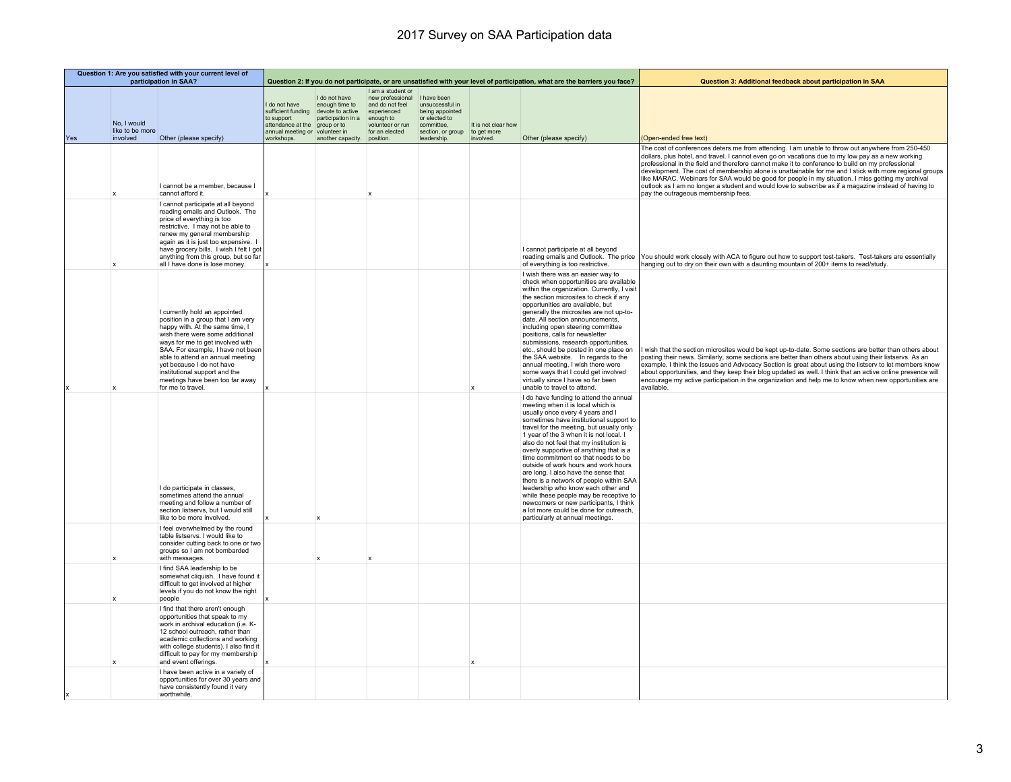|     |                                            | Question 1: Are you satisfied with your current level of<br>participation in SAA?                                                                                                                                                                                                                                                                                            |                                                                                                                        |                                                                                                               | Question 2: If you do not participate, or are unsatisfied with your level of participation, what are the barriers you face?             |                                                                                                                      |                                                 | Question 3: Additional feedback about participation in SAA                                                                                                                                                                                                                                                                                                                                                                                                                                                                                                                                                                                                                                                        |                                                                                                                                                                                                                                                                                                                                                                                                                                                                                                                                                                                                                                                                          |
|-----|--------------------------------------------|------------------------------------------------------------------------------------------------------------------------------------------------------------------------------------------------------------------------------------------------------------------------------------------------------------------------------------------------------------------------------|------------------------------------------------------------------------------------------------------------------------|---------------------------------------------------------------------------------------------------------------|-----------------------------------------------------------------------------------------------------------------------------------------|----------------------------------------------------------------------------------------------------------------------|-------------------------------------------------|-------------------------------------------------------------------------------------------------------------------------------------------------------------------------------------------------------------------------------------------------------------------------------------------------------------------------------------------------------------------------------------------------------------------------------------------------------------------------------------------------------------------------------------------------------------------------------------------------------------------------------------------------------------------------------------------------------------------|--------------------------------------------------------------------------------------------------------------------------------------------------------------------------------------------------------------------------------------------------------------------------------------------------------------------------------------------------------------------------------------------------------------------------------------------------------------------------------------------------------------------------------------------------------------------------------------------------------------------------------------------------------------------------|
| Yes | No, I would<br>like to be more<br>involved | Other (please specify)                                                                                                                                                                                                                                                                                                                                                       | I do not have<br>sufficient funding<br>to support<br>attendance at the<br>annual meeting or volunteer in<br>workshops. | I do not have<br>enough time to<br>devote to active<br>participation in a<br>group or to<br>another capacity. | I am a student or<br>new professional<br>and do not feel<br>experienced<br>enough to<br>volunteer or run<br>for an elected<br>position. | I have been<br>unsuccessful in<br>being appointed<br>or elected to<br>committee.<br>section, or group<br>leadership. | It is not clear how<br>to get more<br>involved. | Other (please specify)                                                                                                                                                                                                                                                                                                                                                                                                                                                                                                                                                                                                                                                                                            | (Open-ended free text)                                                                                                                                                                                                                                                                                                                                                                                                                                                                                                                                                                                                                                                   |
|     |                                            | I cannot be a member, because I<br>cannot afford it.                                                                                                                                                                                                                                                                                                                         |                                                                                                                        |                                                                                                               |                                                                                                                                         |                                                                                                                      |                                                 |                                                                                                                                                                                                                                                                                                                                                                                                                                                                                                                                                                                                                                                                                                                   | The cost of conferences deters me from attending. I am unable to throw out anywhere from 250-450<br>dollars, plus hotel, and travel. I cannot even go on vacations due to my low pay as a new working<br>professional in the field and therefore cannot make it to conference to build on my professional<br>development. The cost of membership alone is unattainable for me and I stick with more regional groups<br>like MARAC. Webinars for SAA would be good for people in my situation. I miss getting my archival<br>outlook as I am no longer a student and would love to subscribe as if a magazine instead of having to<br>pay the outrageous membership fees. |
|     |                                            | I cannot participate at all beyond<br>reading emails and Outlook. The<br>price of everything is too<br>restrictive. I may not be able to<br>renew my general membership<br>again as it is just too expensive. I<br>have grocery bills. I wish I felt I got<br>anything from this group, but so far<br>all I have done is lose money.                                         |                                                                                                                        |                                                                                                               |                                                                                                                                         |                                                                                                                      |                                                 | I cannot participate at all beyond<br>reading emails and Outlook. The price<br>of everything is too restrictive.                                                                                                                                                                                                                                                                                                                                                                                                                                                                                                                                                                                                  | You should work closely with ACA to figure out how to support test-takers. Test-takers are essentially<br>hanging out to dry on their own with a daunting mountain of 200+ items to read/study.                                                                                                                                                                                                                                                                                                                                                                                                                                                                          |
|     |                                            | I currently hold an appointed<br>position in a group that I am very<br>happy with. At the same time, I<br>wish there were some additional<br>ways for me to get involved with<br>SAA. For example, I have not been<br>able to attend an annual meeting<br>yet because I do not have<br>institutional support and the<br>meetings have been too far away<br>for me to travel. |                                                                                                                        |                                                                                                               |                                                                                                                                         |                                                                                                                      |                                                 | I wish there was an easier way to<br>check when opportunities are available<br>within the organization. Currently, I visit<br>the section microsites to check if any<br>opportunities are available, but<br>generally the microsites are not up-to-<br>date. All section announcements,<br>including open steering committee<br>positions, calls for newsletter<br>submissions, research opportunities,<br>etc., should be posted in one place on<br>the SAA website. In regards to the<br>annual meeting, I wish there were<br>some ways that I could get involved<br>virtually since I have so far been<br>unable to travel to attend.                                                                          | wish that the section microsites would be kept up-to-date. Some sections are better than others about<br>posting their news. Similarly, some sections are better than others about using their listservs. As an<br>example, I think the Issues and Advocacy Section is great about using the listserv to let members know<br>about opportunities, and they keep their blog updated as well. I think that an active online presence will<br>encourage my active participation in the organization and help me to know when new opportunities are<br>available.                                                                                                            |
|     |                                            | I do participate in classes,<br>sometimes attend the annual<br>meeting and follow a number of<br>section listservs, but I would still<br>like to be more involved.                                                                                                                                                                                                           |                                                                                                                        | $\mathbf{x}$                                                                                                  |                                                                                                                                         |                                                                                                                      |                                                 | I do have funding to attend the annual<br>meeting when it is local which is<br>usually once every 4 years and I<br>sometimes have institutional support to<br>travel for the meeting, but usually only<br>1 year of the 3 when it is not local. I<br>also do not feel that my institution is<br>overly supportive of anything that is a<br>time commitment so that needs to be<br>outside of work hours and work hours<br>are long. I also have the sense that<br>there is a network of people within SAA<br>leadership who know each other and<br>while these people may be receptive to<br>newcomers or new participants, I think<br>a lot more could be done for outreach,<br>particularly at annual meetings. |                                                                                                                                                                                                                                                                                                                                                                                                                                                                                                                                                                                                                                                                          |
|     |                                            | I feel overwhelmed by the round<br>table listservs. I would like to<br>consider cutting back to one or two<br>groups so I am not bombarded<br>with messages.                                                                                                                                                                                                                 |                                                                                                                        | $\mathbf x$                                                                                                   |                                                                                                                                         |                                                                                                                      |                                                 |                                                                                                                                                                                                                                                                                                                                                                                                                                                                                                                                                                                                                                                                                                                   |                                                                                                                                                                                                                                                                                                                                                                                                                                                                                                                                                                                                                                                                          |
|     |                                            | I find SAA leadership to be<br>somewhat cliquish. I have found it<br>difficult to get involved at higher<br>levels if you do not know the right<br>people                                                                                                                                                                                                                    |                                                                                                                        |                                                                                                               |                                                                                                                                         |                                                                                                                      |                                                 |                                                                                                                                                                                                                                                                                                                                                                                                                                                                                                                                                                                                                                                                                                                   |                                                                                                                                                                                                                                                                                                                                                                                                                                                                                                                                                                                                                                                                          |
|     |                                            | I find that there aren't enough<br>opportunities that speak to my<br>work in archival education (i.e. K-<br>12 school outreach, rather than<br>academic collections and working<br>with college students). I also find it<br>difficult to pay for my membership<br>and event offerings.                                                                                      |                                                                                                                        |                                                                                                               |                                                                                                                                         |                                                                                                                      |                                                 |                                                                                                                                                                                                                                                                                                                                                                                                                                                                                                                                                                                                                                                                                                                   |                                                                                                                                                                                                                                                                                                                                                                                                                                                                                                                                                                                                                                                                          |
|     |                                            | I have been active in a variety of<br>opportunities for over 30 years and<br>have consistently found it very<br>worthwhile.                                                                                                                                                                                                                                                  |                                                                                                                        |                                                                                                               |                                                                                                                                         |                                                                                                                      |                                                 |                                                                                                                                                                                                                                                                                                                                                                                                                                                                                                                                                                                                                                                                                                                   |                                                                                                                                                                                                                                                                                                                                                                                                                                                                                                                                                                                                                                                                          |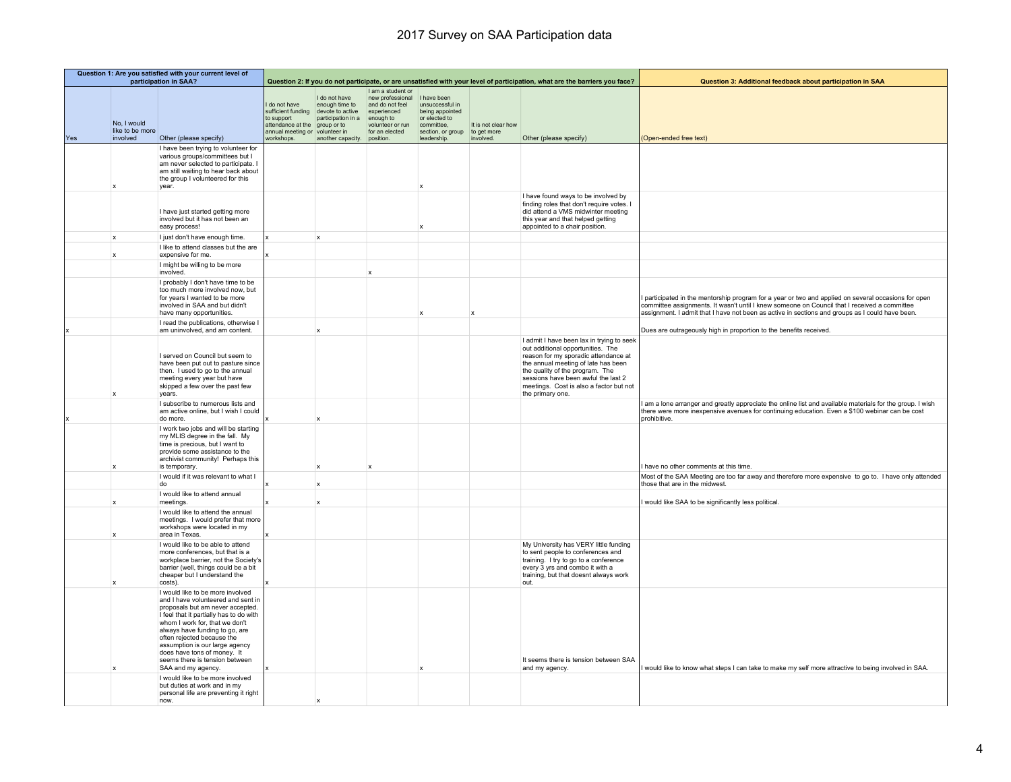|     | Question 1: Are you satisfied with your current level of<br>participation in SAA? |                                                                                                                                                                                                                                                                                                                                                                                  |                                                                                                                      |                                                                                                                                   |                                                                                                               |                                                                                                                      |                                                 | Question 2: If you do not participate, or are unsatisfied with your level of participation, what are the barriers you face?                                                                                                                                                                            | Question 3: Additional feedback about participation in SAA                                                                                                                                                                                                                                              |
|-----|-----------------------------------------------------------------------------------|----------------------------------------------------------------------------------------------------------------------------------------------------------------------------------------------------------------------------------------------------------------------------------------------------------------------------------------------------------------------------------|----------------------------------------------------------------------------------------------------------------------|-----------------------------------------------------------------------------------------------------------------------------------|---------------------------------------------------------------------------------------------------------------|----------------------------------------------------------------------------------------------------------------------|-------------------------------------------------|--------------------------------------------------------------------------------------------------------------------------------------------------------------------------------------------------------------------------------------------------------------------------------------------------------|---------------------------------------------------------------------------------------------------------------------------------------------------------------------------------------------------------------------------------------------------------------------------------------------------------|
| Yes | No, I would<br>like to be more<br>involved                                        | Other (please specify)                                                                                                                                                                                                                                                                                                                                                           | do not have<br>sufficient funding<br>to support<br>attendance at the<br>annual meeting or volunteer in<br>workshops. | I do not have<br>enough time to<br>devote to active<br>participation in a enough to<br>group or to<br>another capacity. position. | I am a student or<br>new professional<br>and do not feel<br>experienced<br>volunteer or run<br>for an elected | I have been<br>unsuccessful in<br>being appointed<br>or elected to<br>committee.<br>section, or group<br>leadership. | It is not clear how<br>to get more<br>involved. | Other (please specify)                                                                                                                                                                                                                                                                                 | (Open-ended free text)                                                                                                                                                                                                                                                                                  |
|     | $\boldsymbol{\mathsf{x}}$                                                         | I have been trying to volunteer for<br>various groups/committees but I<br>am never selected to participate. I<br>am still waiting to hear back about<br>the group I volunteered for this<br>year.                                                                                                                                                                                |                                                                                                                      |                                                                                                                                   |                                                                                                               |                                                                                                                      |                                                 |                                                                                                                                                                                                                                                                                                        |                                                                                                                                                                                                                                                                                                         |
|     |                                                                                   | I have just started getting more<br>involved but it has not been an<br>easy process!                                                                                                                                                                                                                                                                                             |                                                                                                                      |                                                                                                                                   |                                                                                                               |                                                                                                                      |                                                 | I have found ways to be involved by<br>finding roles that don't require votes. I<br>did attend a VMS midwinter meeting<br>this year and that helped getting<br>appointed to a chair position.                                                                                                          |                                                                                                                                                                                                                                                                                                         |
|     | x                                                                                 | I just don't have enough time.                                                                                                                                                                                                                                                                                                                                                   |                                                                                                                      | $\mathbf{x}$                                                                                                                      |                                                                                                               |                                                                                                                      |                                                 |                                                                                                                                                                                                                                                                                                        |                                                                                                                                                                                                                                                                                                         |
|     | $\mathbf x$                                                                       | I like to attend classes but the are<br>expensive for me.                                                                                                                                                                                                                                                                                                                        |                                                                                                                      |                                                                                                                                   |                                                                                                               |                                                                                                                      |                                                 |                                                                                                                                                                                                                                                                                                        |                                                                                                                                                                                                                                                                                                         |
|     |                                                                                   | I might be willing to be more                                                                                                                                                                                                                                                                                                                                                    |                                                                                                                      |                                                                                                                                   |                                                                                                               |                                                                                                                      |                                                 |                                                                                                                                                                                                                                                                                                        |                                                                                                                                                                                                                                                                                                         |
|     |                                                                                   | involved.                                                                                                                                                                                                                                                                                                                                                                        |                                                                                                                      |                                                                                                                                   |                                                                                                               |                                                                                                                      |                                                 |                                                                                                                                                                                                                                                                                                        |                                                                                                                                                                                                                                                                                                         |
|     |                                                                                   | I probably I don't have time to be<br>too much more involved now, but<br>for years I wanted to be more<br>involved in SAA and but didn't<br>have many opportunities                                                                                                                                                                                                              |                                                                                                                      |                                                                                                                                   |                                                                                                               |                                                                                                                      |                                                 |                                                                                                                                                                                                                                                                                                        | I participated in the mentorship program for a year or two and applied on several occasions for open<br>committee assignments. It wasn't until I knew someone on Council that I received a committee<br>assignment. I admit that I have not been as active in sections and groups as I could have been. |
|     |                                                                                   | I read the publications, otherwise I<br>am uninvolved, and am content.                                                                                                                                                                                                                                                                                                           |                                                                                                                      | $\mathbf{x}$                                                                                                                      |                                                                                                               |                                                                                                                      |                                                 |                                                                                                                                                                                                                                                                                                        | Dues are outrageously high in proportion to the benefits received                                                                                                                                                                                                                                       |
|     |                                                                                   | I served on Council but seem to<br>have been put out to pasture since<br>then. I used to go to the annual<br>meeting every year but have<br>skipped a few over the past few<br>years.                                                                                                                                                                                            |                                                                                                                      |                                                                                                                                   |                                                                                                               |                                                                                                                      |                                                 | I admit I have been lax in trying to seek<br>out additional opportunities. The<br>reason for my sporadic attendance at<br>the annual meeting of late has been<br>the quality of the program. The<br>sessions have been awful the last 2<br>meetings. Cost is also a factor but not<br>the primary one. |                                                                                                                                                                                                                                                                                                         |
| Ιx  |                                                                                   | I subscribe to numerous lists and<br>am active online, but I wish I could<br>do more.                                                                                                                                                                                                                                                                                            |                                                                                                                      | $\mathbf{x}$                                                                                                                      |                                                                                                               |                                                                                                                      |                                                 |                                                                                                                                                                                                                                                                                                        | I am a lone arranger and greatly appreciate the online list and available materials for the group. I wish<br>there were more inexpensive avenues for continuing education. Even a \$100 webinar can be cost<br>prohibitive.                                                                             |
|     | X                                                                                 | I work two jobs and will be starting<br>my MLIS degree in the fall. My<br>time is precious, but I want to<br>provide some assistance to the<br>archivist community! Perhaps this<br>is temporary.                                                                                                                                                                                |                                                                                                                      | $\boldsymbol{\mathsf{x}}$                                                                                                         |                                                                                                               |                                                                                                                      |                                                 |                                                                                                                                                                                                                                                                                                        | have no other comments at this time.                                                                                                                                                                                                                                                                    |
|     |                                                                                   | I would if it was relevant to what I<br>do                                                                                                                                                                                                                                                                                                                                       |                                                                                                                      | $\mathbf x$                                                                                                                       |                                                                                                               |                                                                                                                      |                                                 |                                                                                                                                                                                                                                                                                                        | Most of the SAA Meeting are too far away and therefore more expensive to go to. I have only attended<br>those that are in the midwest.                                                                                                                                                                  |
|     |                                                                                   | I would like to attend annual                                                                                                                                                                                                                                                                                                                                                    |                                                                                                                      |                                                                                                                                   |                                                                                                               |                                                                                                                      |                                                 |                                                                                                                                                                                                                                                                                                        |                                                                                                                                                                                                                                                                                                         |
|     | $\pmb{\times}$<br>X                                                               | meetings.<br>I would like to attend the annual<br>meetings. I would prefer that more<br>workshops were located in my<br>area in Texas.                                                                                                                                                                                                                                           |                                                                                                                      | $\boldsymbol{\mathsf{x}}$                                                                                                         |                                                                                                               |                                                                                                                      |                                                 |                                                                                                                                                                                                                                                                                                        | I would like SAA to be significantly less political                                                                                                                                                                                                                                                     |
|     |                                                                                   | I would like to be able to attend<br>more conferences, but that is a<br>workplace barrier, not the Society's<br>barrier (well, things could be a bit<br>cheaper but I understand the<br>costs).                                                                                                                                                                                  |                                                                                                                      |                                                                                                                                   |                                                                                                               |                                                                                                                      |                                                 | My University has VERY little funding<br>to sent people to conferences and<br>training. I try to go to a conference<br>every 3 yrs and combo it with a<br>training, but that doesnt always work<br>out.                                                                                                |                                                                                                                                                                                                                                                                                                         |
|     |                                                                                   | I would like to be more involved<br>and I have volunteered and sent in<br>proposals but am never accepted.<br>I feel that it partially has to do with<br>whom I work for, that we don't<br>always have funding to go, are<br>often rejected because the<br>assumption is our large agency<br>does have tons of money. It<br>seems there is tension between<br>SAA and my agency. |                                                                                                                      |                                                                                                                                   |                                                                                                               |                                                                                                                      |                                                 | It seems there is tension between SAA<br>and my agency.                                                                                                                                                                                                                                                | I would like to know what steps I can take to make my self more attractive to being involved in SAA.                                                                                                                                                                                                    |
|     |                                                                                   | I would like to be more involved<br>but duties at work and in my<br>personal life are preventing it right<br>now.                                                                                                                                                                                                                                                                |                                                                                                                      |                                                                                                                                   |                                                                                                               |                                                                                                                      |                                                 |                                                                                                                                                                                                                                                                                                        |                                                                                                                                                                                                                                                                                                         |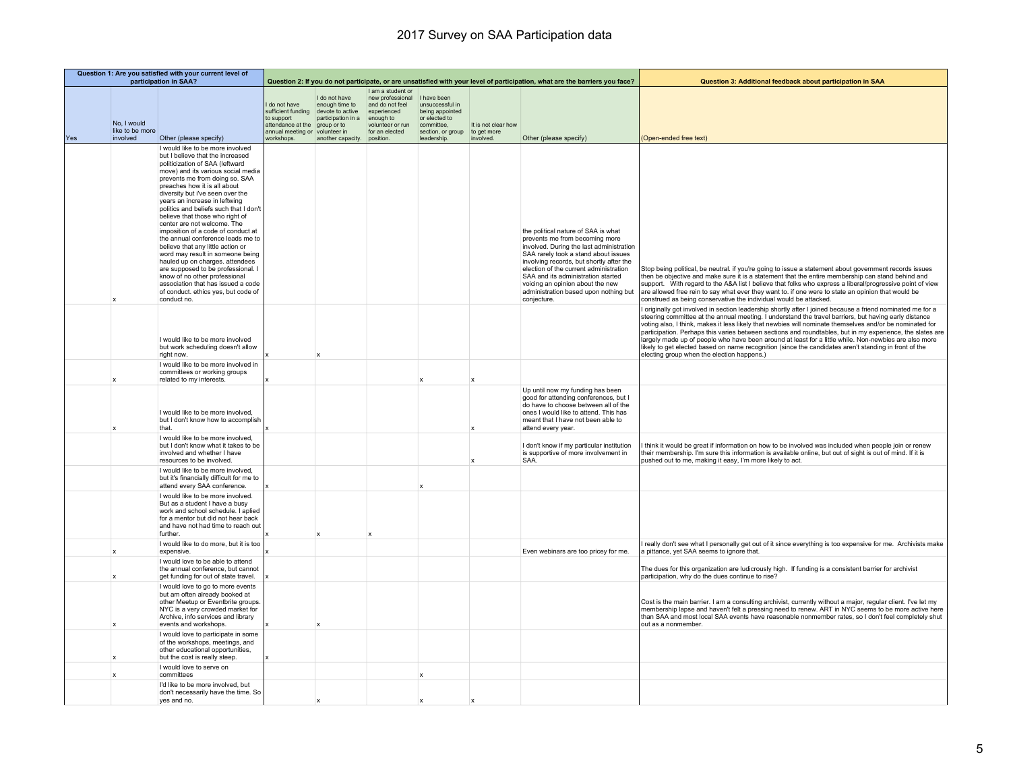|     | Question 1: Are you satisfied with your current level of<br>participation in SAA? |                                                                                                                                                                                                                                                                                                                                                                                                                                                                                                                                                                                                                                                                                                                                                            |                                                                                                                        |                                                                                                                         |                                                                                                                            |                                                                                                                      |                                                 | Question 2: If you do not participate, or are unsatisfied with your level of participation, what are the barriers you face?                                                                                                                                                                                                                                                       | Question 3: Additional feedback about participation in SAA                                                                                                                                                                                                                                                                                                                                                                                                                                                                                                                                                                                                                                                 |
|-----|-----------------------------------------------------------------------------------|------------------------------------------------------------------------------------------------------------------------------------------------------------------------------------------------------------------------------------------------------------------------------------------------------------------------------------------------------------------------------------------------------------------------------------------------------------------------------------------------------------------------------------------------------------------------------------------------------------------------------------------------------------------------------------------------------------------------------------------------------------|------------------------------------------------------------------------------------------------------------------------|-------------------------------------------------------------------------------------------------------------------------|----------------------------------------------------------------------------------------------------------------------------|----------------------------------------------------------------------------------------------------------------------|-------------------------------------------------|-----------------------------------------------------------------------------------------------------------------------------------------------------------------------------------------------------------------------------------------------------------------------------------------------------------------------------------------------------------------------------------|------------------------------------------------------------------------------------------------------------------------------------------------------------------------------------------------------------------------------------------------------------------------------------------------------------------------------------------------------------------------------------------------------------------------------------------------------------------------------------------------------------------------------------------------------------------------------------------------------------------------------------------------------------------------------------------------------------|
| Yes | No, I would<br>like to be more<br>involved                                        | Other (please specify)                                                                                                                                                                                                                                                                                                                                                                                                                                                                                                                                                                                                                                                                                                                                     | I do not have<br>sufficient funding<br>to support<br>attendance at the<br>annual meeting or volunteer in<br>workshops. | I do not have<br>enough time to<br>devote to active<br>participation in a<br>group or to<br>another capacity. position. | I am a student or<br>new professional<br>and do not feel<br>experienced<br>enough to<br>volunteer or run<br>for an elected | I have been<br>unsuccessful in<br>being appointed<br>or elected to<br>committee,<br>section, or group<br>leadership. | It is not clear how<br>to get more<br>involved. | Other (please specify)                                                                                                                                                                                                                                                                                                                                                            | (Open-ended free text)                                                                                                                                                                                                                                                                                                                                                                                                                                                                                                                                                                                                                                                                                     |
|     |                                                                                   | I would like to be more involved<br>but I believe that the increased<br>politicization of SAA (leftward<br>move) and its various social media<br>prevents me from doing so. SAA<br>preaches how it is all about<br>diversity but i've seen over the<br>years an increase in leftwing<br>politics and beliefs such that I don't<br>believe that those who right of<br>center are not welcome. The<br>imposition of a code of conduct at<br>the annual conference leads me to<br>believe that any little action or<br>word may result in someone being<br>hauled up on charges. attendees<br>are supposed to be professional. I<br>know of no other professional<br>association that has issued a code<br>of conduct. ethics yes, but code of<br>conduct no. |                                                                                                                        |                                                                                                                         |                                                                                                                            |                                                                                                                      |                                                 | the political nature of SAA is what<br>prevents me from becoming more<br>involved. During the last administration<br>SAA rarely took a stand about issues<br>involving records, but shortly after the<br>election of the current administration<br>SAA and its administration started<br>voicing an opinion about the new<br>administration based upon nothing but<br>conjecture. | Stop being political, be neutral. if you're going to issue a statement about government records issues<br>then be objective and make sure it is a statement that the entire membership can stand behind and<br>support. With regard to the A&A list I believe that folks who express a liberal/progressive point of view<br>are allowed free rein to say what ever they want to. if one were to state an opinion that would be<br>construed as being conservative the individual would be attacked.                                                                                                                                                                                                        |
|     |                                                                                   | I would like to be more involved<br>but work scheduling doesn't allow<br>right now.                                                                                                                                                                                                                                                                                                                                                                                                                                                                                                                                                                                                                                                                        |                                                                                                                        |                                                                                                                         |                                                                                                                            |                                                                                                                      |                                                 |                                                                                                                                                                                                                                                                                                                                                                                   | originally got involved in section leadership shortly after I joined because a friend nominated me for a<br>steering committee at the annual meeting. I understand the travel barriers, but having early distance<br>voting also, I think, makes it less likely that newbies will nominate themselves and/or be nominated for<br>participation. Perhaps this varies between sections and roundtables, but in my experience, the slates are<br>largely made up of people who have been around at least for a little while. Non-newbies are also more<br>likely to get elected based on name recognition (since the candidates aren't standing in front of the<br>electing group when the election happens.) |
|     | $\boldsymbol{\mathsf{x}}$                                                         | I would like to be more involved in<br>committees or working groups<br>related to my interests.                                                                                                                                                                                                                                                                                                                                                                                                                                                                                                                                                                                                                                                            |                                                                                                                        |                                                                                                                         |                                                                                                                            |                                                                                                                      | $\mathbf x$                                     |                                                                                                                                                                                                                                                                                                                                                                                   |                                                                                                                                                                                                                                                                                                                                                                                                                                                                                                                                                                                                                                                                                                            |
|     |                                                                                   | I would like to be more involved,<br>but I don't know how to accomplish<br>that.                                                                                                                                                                                                                                                                                                                                                                                                                                                                                                                                                                                                                                                                           |                                                                                                                        |                                                                                                                         |                                                                                                                            |                                                                                                                      |                                                 | Up until now my funding has been<br>good for attending conferences, but I<br>do have to choose between all of the<br>ones I would like to attend. This has<br>meant that I have not been able to<br>attend every year.                                                                                                                                                            |                                                                                                                                                                                                                                                                                                                                                                                                                                                                                                                                                                                                                                                                                                            |
|     |                                                                                   | I would like to be more involved,<br>but I don't know what it takes to be<br>involved and whether I have<br>resources to be involved.                                                                                                                                                                                                                                                                                                                                                                                                                                                                                                                                                                                                                      |                                                                                                                        |                                                                                                                         |                                                                                                                            |                                                                                                                      |                                                 | I don't know if my particular institution<br>is supportive of more involvement in<br>SAA.                                                                                                                                                                                                                                                                                         | think it would be great if information on how to be involved was included when people join or renew<br>their membership. I'm sure this information is available online, but out of sight is out of mind. If it is<br>pushed out to me, making it easy, I'm more likely to act.                                                                                                                                                                                                                                                                                                                                                                                                                             |
|     |                                                                                   | I would like to be more involved,<br>but it's financially difficult for me to<br>attend every SAA conference.                                                                                                                                                                                                                                                                                                                                                                                                                                                                                                                                                                                                                                              |                                                                                                                        |                                                                                                                         |                                                                                                                            |                                                                                                                      |                                                 |                                                                                                                                                                                                                                                                                                                                                                                   |                                                                                                                                                                                                                                                                                                                                                                                                                                                                                                                                                                                                                                                                                                            |
|     |                                                                                   | I would like to be more involved.<br>But as a student I have a busy<br>work and school schedule. I aplied<br>for a mentor but did not hear back<br>and have not had time to reach out<br>further                                                                                                                                                                                                                                                                                                                                                                                                                                                                                                                                                           |                                                                                                                        |                                                                                                                         |                                                                                                                            |                                                                                                                      |                                                 |                                                                                                                                                                                                                                                                                                                                                                                   |                                                                                                                                                                                                                                                                                                                                                                                                                                                                                                                                                                                                                                                                                                            |
|     | x                                                                                 | I would like to do more, but it is too<br>expensive                                                                                                                                                                                                                                                                                                                                                                                                                                                                                                                                                                                                                                                                                                        |                                                                                                                        |                                                                                                                         |                                                                                                                            |                                                                                                                      |                                                 | Even webinars are too pricey for me.                                                                                                                                                                                                                                                                                                                                              | really don't see what I personally get out of it since everything is too expensive for me. Archivists make<br>a pittance, yet SAA seems to ignore that.                                                                                                                                                                                                                                                                                                                                                                                                                                                                                                                                                    |
|     | X                                                                                 | I would love to be able to attend<br>the annual conference, but cannot<br>get funding for out of state travel.                                                                                                                                                                                                                                                                                                                                                                                                                                                                                                                                                                                                                                             |                                                                                                                        |                                                                                                                         |                                                                                                                            |                                                                                                                      |                                                 |                                                                                                                                                                                                                                                                                                                                                                                   | The dues for this organization are ludicrously high. If funding is a consistent barrier for archivist<br>participation, why do the dues continue to rise?                                                                                                                                                                                                                                                                                                                                                                                                                                                                                                                                                  |
|     | x                                                                                 | I would love to go to more events<br>but am often already booked at<br>other Meetup or Eventbrite groups.<br>NYC is a very crowded market for<br>Archive, info services and library<br>events and workshops.                                                                                                                                                                                                                                                                                                                                                                                                                                                                                                                                               |                                                                                                                        | $\boldsymbol{\mathsf{x}}$                                                                                               |                                                                                                                            |                                                                                                                      |                                                 |                                                                                                                                                                                                                                                                                                                                                                                   | Cost is the main barrier. I am a consulting archivist, currently without a major, regular client. I've let my<br>membership lapse and haven't felt a pressing need to renew. ART in NYC seems to be more active here<br>than SAA and most local SAA events have reasonable nonmember rates, so I don't feel completely shut<br>out as a nonmember.                                                                                                                                                                                                                                                                                                                                                         |
|     | X                                                                                 | I would love to participate in some<br>of the workshops, meetings, and<br>other educational opportunities,<br>but the cost is really steep.                                                                                                                                                                                                                                                                                                                                                                                                                                                                                                                                                                                                                |                                                                                                                        |                                                                                                                         |                                                                                                                            |                                                                                                                      |                                                 |                                                                                                                                                                                                                                                                                                                                                                                   |                                                                                                                                                                                                                                                                                                                                                                                                                                                                                                                                                                                                                                                                                                            |
|     | X                                                                                 | I would love to serve on<br>committees                                                                                                                                                                                                                                                                                                                                                                                                                                                                                                                                                                                                                                                                                                                     |                                                                                                                        |                                                                                                                         |                                                                                                                            |                                                                                                                      |                                                 |                                                                                                                                                                                                                                                                                                                                                                                   |                                                                                                                                                                                                                                                                                                                                                                                                                                                                                                                                                                                                                                                                                                            |
|     |                                                                                   | I'd like to be more involved, but<br>don't necessarily have the time. So<br>yes and no.                                                                                                                                                                                                                                                                                                                                                                                                                                                                                                                                                                                                                                                                    |                                                                                                                        |                                                                                                                         |                                                                                                                            |                                                                                                                      |                                                 |                                                                                                                                                                                                                                                                                                                                                                                   |                                                                                                                                                                                                                                                                                                                                                                                                                                                                                                                                                                                                                                                                                                            |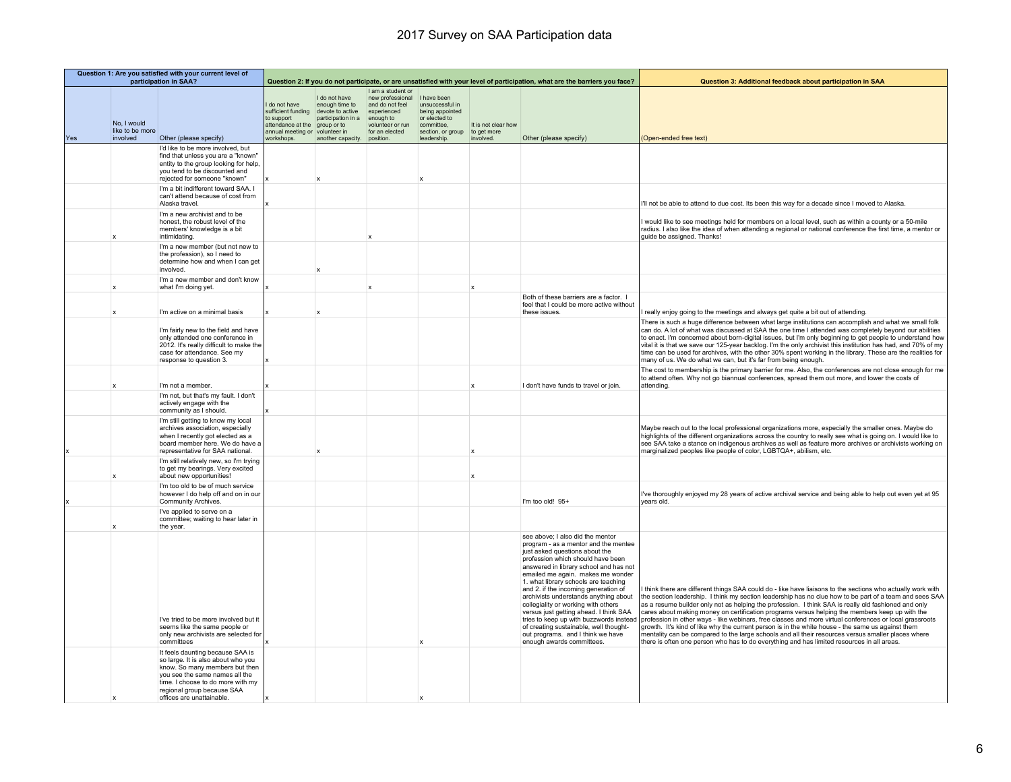|     | Question 1: Are you satisfied with your current level of<br>participation in SAA? |                                                                                                                                                                                                                                            |                                                                                                                        |                                                                                                                         | Question 2: If you do not participate, or are unsatisfied with your level of participation, what are the barriers you face? |                                                                                                                      |                                                 | Question 3: Additional feedback about participation in SAA                                                                                                                                                                                                                                                                                                                                                                                                                                                                                                                                      |                                                                                                                                                                                                                                                                                                                                                                                                                                                                                                                                                                                                                                                                                                                                                                                                                                                    |
|-----|-----------------------------------------------------------------------------------|--------------------------------------------------------------------------------------------------------------------------------------------------------------------------------------------------------------------------------------------|------------------------------------------------------------------------------------------------------------------------|-------------------------------------------------------------------------------------------------------------------------|-----------------------------------------------------------------------------------------------------------------------------|----------------------------------------------------------------------------------------------------------------------|-------------------------------------------------|-------------------------------------------------------------------------------------------------------------------------------------------------------------------------------------------------------------------------------------------------------------------------------------------------------------------------------------------------------------------------------------------------------------------------------------------------------------------------------------------------------------------------------------------------------------------------------------------------|----------------------------------------------------------------------------------------------------------------------------------------------------------------------------------------------------------------------------------------------------------------------------------------------------------------------------------------------------------------------------------------------------------------------------------------------------------------------------------------------------------------------------------------------------------------------------------------------------------------------------------------------------------------------------------------------------------------------------------------------------------------------------------------------------------------------------------------------------|
| Yes | No, I would<br>like to be more<br>involved                                        | Other (please specify)                                                                                                                                                                                                                     | I do not have<br>sufficient funding<br>to support<br>attendance at the<br>annual meeting or volunteer in<br>workshops. | I do not have<br>enough time to<br>devote to active<br>participation in a<br>group or to<br>another capacity. position. | I am a student or<br>new professional<br>and do not feel<br>experienced<br>enough to<br>volunteer or run<br>for an elected  | I have been<br>unsuccessful in<br>being appointed<br>or elected to<br>committee.<br>section, or group<br>leadership. | It is not clear how<br>to get more<br>involved. | Other (please specify)                                                                                                                                                                                                                                                                                                                                                                                                                                                                                                                                                                          | (Open-ended free text)                                                                                                                                                                                                                                                                                                                                                                                                                                                                                                                                                                                                                                                                                                                                                                                                                             |
|     |                                                                                   | I'd like to be more involved, but<br>find that unless you are a "known"<br>entity to the group looking for help,<br>you tend to be discounted and<br>rejected for someone "known"                                                          |                                                                                                                        |                                                                                                                         |                                                                                                                             |                                                                                                                      |                                                 |                                                                                                                                                                                                                                                                                                                                                                                                                                                                                                                                                                                                 |                                                                                                                                                                                                                                                                                                                                                                                                                                                                                                                                                                                                                                                                                                                                                                                                                                                    |
|     |                                                                                   | I'm a bit indifferent toward SAA. I<br>can't attend because of cost from<br>Alaska travel.                                                                                                                                                 |                                                                                                                        |                                                                                                                         |                                                                                                                             |                                                                                                                      |                                                 |                                                                                                                                                                                                                                                                                                                                                                                                                                                                                                                                                                                                 | I'll not be able to attend to due cost. Its been this way for a decade since I moved to Alaska.                                                                                                                                                                                                                                                                                                                                                                                                                                                                                                                                                                                                                                                                                                                                                    |
|     |                                                                                   | I'm a new archivist and to be<br>honest, the robust level of the<br>members' knowledge is a bit<br>intimidating.                                                                                                                           |                                                                                                                        |                                                                                                                         |                                                                                                                             |                                                                                                                      |                                                 |                                                                                                                                                                                                                                                                                                                                                                                                                                                                                                                                                                                                 | I would like to see meetings held for members on a local level, such as within a county or a 50-mile<br>radius. I also like the idea of when attending a regional or national conference the first time, a mentor or<br>guide be assigned. Thanks!                                                                                                                                                                                                                                                                                                                                                                                                                                                                                                                                                                                                 |
|     |                                                                                   | I'm a new member (but not new to<br>the profession), so I need to<br>determine how and when I can get<br>involved                                                                                                                          |                                                                                                                        |                                                                                                                         |                                                                                                                             |                                                                                                                      |                                                 |                                                                                                                                                                                                                                                                                                                                                                                                                                                                                                                                                                                                 |                                                                                                                                                                                                                                                                                                                                                                                                                                                                                                                                                                                                                                                                                                                                                                                                                                                    |
|     | $\mathbf{x}$                                                                      | I'm a new member and don't know<br>what I'm doing yet.                                                                                                                                                                                     |                                                                                                                        |                                                                                                                         | $\mathbf{x}$                                                                                                                |                                                                                                                      | $\mathbf{x}$                                    |                                                                                                                                                                                                                                                                                                                                                                                                                                                                                                                                                                                                 |                                                                                                                                                                                                                                                                                                                                                                                                                                                                                                                                                                                                                                                                                                                                                                                                                                                    |
|     |                                                                                   |                                                                                                                                                                                                                                            |                                                                                                                        |                                                                                                                         |                                                                                                                             |                                                                                                                      |                                                 | Both of these barriers are a factor. I<br>feel that I could be more active without                                                                                                                                                                                                                                                                                                                                                                                                                                                                                                              |                                                                                                                                                                                                                                                                                                                                                                                                                                                                                                                                                                                                                                                                                                                                                                                                                                                    |
|     | X                                                                                 | I'm active on a minimal basis<br>I'm fairly new to the field and have<br>only attended one conference in<br>2012. It's really difficult to make the<br>case for attendance. See my<br>response to question 3.                              |                                                                                                                        |                                                                                                                         |                                                                                                                             |                                                                                                                      |                                                 | these issues.                                                                                                                                                                                                                                                                                                                                                                                                                                                                                                                                                                                   | really enjoy going to the meetings and always get quite a bit out of attending.<br>There is such a huge difference between what large institutions can accomplish and what we small folk<br>can do. A lot of what was discussed at SAA the one time I attended was completely beyond our abilities<br>to enact. I'm concerned about born-digital issues, but I'm only beginning to get people to understand how<br>vital it is that we save our 125-year backlog. I'm the only archivist this institution has had, and 70% of my<br>time can be used for archives, with the other 30% spent working in the library. These are the realities for<br>many of us. We do what we can, but it's far from being enough.                                                                                                                                  |
|     | x                                                                                 | I'm not a member.                                                                                                                                                                                                                          |                                                                                                                        |                                                                                                                         |                                                                                                                             |                                                                                                                      | $\mathbf x$                                     | I don't have funds to travel or join.                                                                                                                                                                                                                                                                                                                                                                                                                                                                                                                                                           | The cost to membership is the primary barrier for me. Also, the conferences are not close enough for me<br>to attend often. Why not go biannual conferences, spread them out more, and lower the costs of<br>attending.                                                                                                                                                                                                                                                                                                                                                                                                                                                                                                                                                                                                                            |
|     |                                                                                   | I'm not, but that's my fault. I don't<br>actively engage with the<br>community as I should.                                                                                                                                                |                                                                                                                        |                                                                                                                         |                                                                                                                             |                                                                                                                      |                                                 |                                                                                                                                                                                                                                                                                                                                                                                                                                                                                                                                                                                                 |                                                                                                                                                                                                                                                                                                                                                                                                                                                                                                                                                                                                                                                                                                                                                                                                                                                    |
|     |                                                                                   | I'm still getting to know my local<br>archives association, especially<br>when I recently got elected as a<br>board member here. We do have a<br>representative for SAA national.                                                          |                                                                                                                        |                                                                                                                         |                                                                                                                             |                                                                                                                      |                                                 |                                                                                                                                                                                                                                                                                                                                                                                                                                                                                                                                                                                                 | Maybe reach out to the local professional organizations more, especially the smaller ones. Maybe do<br>highlights of the different organizations across the country to really see what is going on. I would like to<br>see SAA take a stance on indigenous archives as well as feature more archives or archivists working on<br>marginalized peoples like people of color, LGBTQA+, abilism, etc.                                                                                                                                                                                                                                                                                                                                                                                                                                                 |
|     |                                                                                   | I'm still relatively new, so I'm trying<br>to get my bearings. Very excited<br>about new opportunities!                                                                                                                                    |                                                                                                                        |                                                                                                                         |                                                                                                                             |                                                                                                                      |                                                 |                                                                                                                                                                                                                                                                                                                                                                                                                                                                                                                                                                                                 |                                                                                                                                                                                                                                                                                                                                                                                                                                                                                                                                                                                                                                                                                                                                                                                                                                                    |
|     |                                                                                   | I'm too old to be of much service<br>however I do help off and on in our<br>Community Archives.                                                                                                                                            |                                                                                                                        |                                                                                                                         |                                                                                                                             |                                                                                                                      |                                                 | I'm too old! 95+                                                                                                                                                                                                                                                                                                                                                                                                                                                                                                                                                                                | I've thoroughly enjoyed my 28 years of active archival service and being able to help out even yet at 95<br>vears old.                                                                                                                                                                                                                                                                                                                                                                                                                                                                                                                                                                                                                                                                                                                             |
|     |                                                                                   | I've applied to serve on a<br>committee; waiting to hear later in<br>the year.                                                                                                                                                             |                                                                                                                        |                                                                                                                         |                                                                                                                             |                                                                                                                      |                                                 |                                                                                                                                                                                                                                                                                                                                                                                                                                                                                                                                                                                                 |                                                                                                                                                                                                                                                                                                                                                                                                                                                                                                                                                                                                                                                                                                                                                                                                                                                    |
|     |                                                                                   | I've tried to be more involved but it<br>seems like the same people or<br>only new archivists are selected for<br>committees                                                                                                               |                                                                                                                        |                                                                                                                         |                                                                                                                             |                                                                                                                      |                                                 | see above: I also did the mentor<br>program - as a mentor and the mentee<br>just asked questions about the<br>profession which should have been<br>answered in library school and has not<br>emailed me again. makes me wonder<br>1. what library schools are teaching<br>and 2. if the incoming generation of<br>archivists understands anything about<br>collegiality or working with others<br>versus just getting ahead. I think SAA<br>tries to keep up with buzzwords instead<br>of creating sustainable, well thought-<br>out programs. and I think we have<br>enough awards committees. | think there are different things SAA could do - like have liaisons to the sections who actually work with<br>the section leadership. I think my section leadership has no clue how to be part of a team and sees SAA<br>as a resume builder only not as helping the profession. I think SAA is really old fashioned and only<br>cares about making money on certification programs versus helping the members keep up with the<br>profession in other ways - like webinars, free classes and more virtual conferences or local grassroots<br>growth. It's kind of like why the current person is in the white house - the same us against them<br>mentality can be compared to the large schools and all their resources versus smaller places where<br>there is often one person who has to do everything and has limited resources in all areas. |
|     |                                                                                   | It feels daunting because SAA is<br>so large. It is also about who you<br>know. So many members but then<br>you see the same names all the<br>time. I choose to do more with my<br>regional group because SAA<br>offices are unattainable. |                                                                                                                        |                                                                                                                         |                                                                                                                             |                                                                                                                      |                                                 |                                                                                                                                                                                                                                                                                                                                                                                                                                                                                                                                                                                                 |                                                                                                                                                                                                                                                                                                                                                                                                                                                                                                                                                                                                                                                                                                                                                                                                                                                    |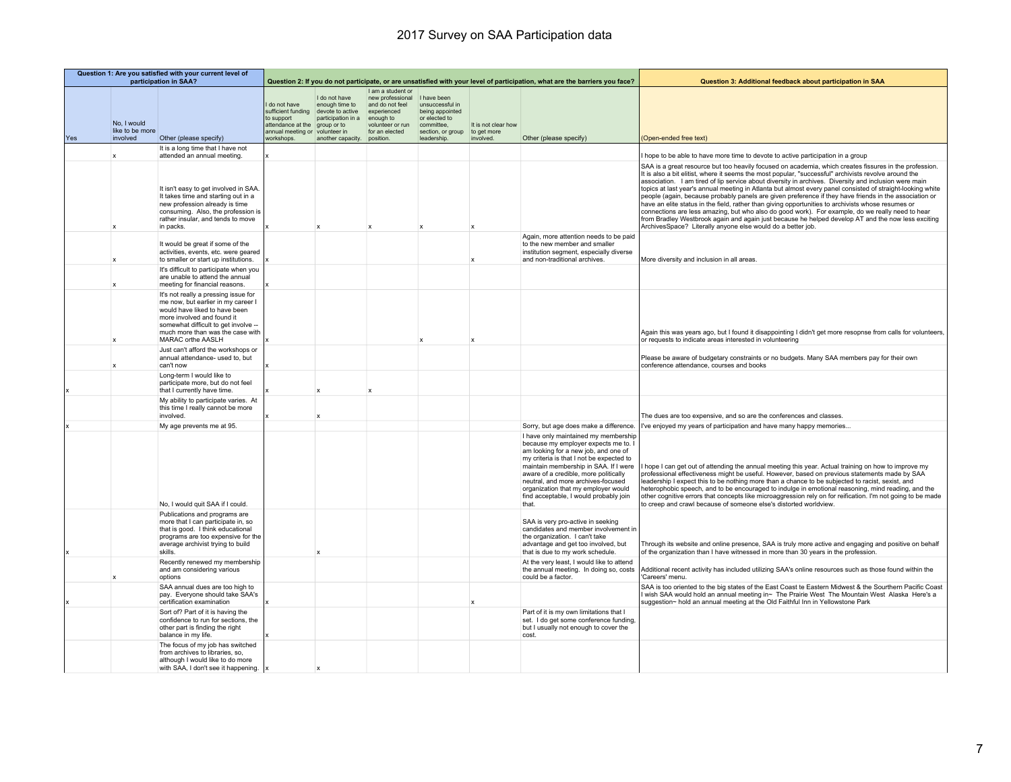|     |                                            | Question 1: Are you satisfied with your current level of<br>participation in SAA?                                                                                                                                                          |                                                                                                            |                                                                                                                   |                                                                                                                                                    |                                                                                                       |                                                 | Question 3: Additional feedback about participation in SAA                                                                                                                                                                                                                                                                                                                         |                                                                                                                                                                                                                                                                                                                                                                                                                                                                                                                                                                                                                                                                                                                                                                                                                                                                                                                                 |
|-----|--------------------------------------------|--------------------------------------------------------------------------------------------------------------------------------------------------------------------------------------------------------------------------------------------|------------------------------------------------------------------------------------------------------------|-------------------------------------------------------------------------------------------------------------------|----------------------------------------------------------------------------------------------------------------------------------------------------|-------------------------------------------------------------------------------------------------------|-------------------------------------------------|------------------------------------------------------------------------------------------------------------------------------------------------------------------------------------------------------------------------------------------------------------------------------------------------------------------------------------------------------------------------------------|---------------------------------------------------------------------------------------------------------------------------------------------------------------------------------------------------------------------------------------------------------------------------------------------------------------------------------------------------------------------------------------------------------------------------------------------------------------------------------------------------------------------------------------------------------------------------------------------------------------------------------------------------------------------------------------------------------------------------------------------------------------------------------------------------------------------------------------------------------------------------------------------------------------------------------|
| Yes | No. I would<br>like to be more<br>involved | Other (please specify)                                                                                                                                                                                                                     | do not have<br>to support<br>attendance at the group or to<br>annual meeting or volunteer in<br>workshops. | I do not have<br>enough time to<br>sufficient funding devote to active<br>participation in a<br>another capacity. | I am a student or<br>new professional<br>and do not feel<br>experienced<br>enough to<br>volunteer or run committee.<br>for an elected<br>position. | I have been<br>unsuccessful in<br>being appointed<br>or elected to<br>section, or group<br>leadership | It is not clear how<br>to get more<br>involved. | Question 2: If you do not participate, or are unsatisfied with your level of participation, what are the barriers you face?<br>Other (please specify)                                                                                                                                                                                                                              | (Open-ended free text)                                                                                                                                                                                                                                                                                                                                                                                                                                                                                                                                                                                                                                                                                                                                                                                                                                                                                                          |
|     | x                                          | It is a long time that I have not<br>attended an annual meeting.                                                                                                                                                                           |                                                                                                            |                                                                                                                   |                                                                                                                                                    |                                                                                                       |                                                 |                                                                                                                                                                                                                                                                                                                                                                                    | I hope to be able to have more time to devote to active participation in a group                                                                                                                                                                                                                                                                                                                                                                                                                                                                                                                                                                                                                                                                                                                                                                                                                                                |
|     | x                                          | It isn't easy to get involved in SAA.<br>It takes time and starting out in a<br>new profession already is time<br>consuming. Also, the profession is<br>rather insular, and tends to move<br>in packs.                                     |                                                                                                            | $\mathbf{x}$                                                                                                      | $\mathbf{x}$                                                                                                                                       |                                                                                                       | X                                               |                                                                                                                                                                                                                                                                                                                                                                                    | SAA is a great resource but too heavily focused on academia, which creates fissures in the profession.<br>It is also a bit elitist, where it seems the most popular, "successful" archivists revolve around the<br>association. I am tired of lip service about diversity in archives. Diversity and inclusion were main<br>topics at last year's annual meeting in Atlanta but almost every panel consisted of straight-looking white<br>people (again, because probably panels are given preference if they have friends in the association or<br>have an elite status in the field, rather than giving opportunities to archivists whose resumes or<br>connections are less amazing, but who also do good work). For example, do we really need to hear<br>from Bradley Westbrook again and again just because he helped develop AT and the now less exciting<br>ArchivesSpace? Literally anyone else would do a better job. |
|     | x                                          | It would be great if some of the<br>activities, events, etc. were geared<br>to smaller or start up institutions.                                                                                                                           |                                                                                                            |                                                                                                                   |                                                                                                                                                    |                                                                                                       |                                                 | Again, more attention needs to be paid<br>to the new member and smaller<br>institution segment, especially diverse<br>and non-traditional archives.                                                                                                                                                                                                                                | More diversity and inclusion in all areas.                                                                                                                                                                                                                                                                                                                                                                                                                                                                                                                                                                                                                                                                                                                                                                                                                                                                                      |
|     | X                                          | It's difficult to participate when you<br>are unable to attend the annual<br>meeting for financial reasons.                                                                                                                                |                                                                                                            |                                                                                                                   |                                                                                                                                                    |                                                                                                       |                                                 |                                                                                                                                                                                                                                                                                                                                                                                    |                                                                                                                                                                                                                                                                                                                                                                                                                                                                                                                                                                                                                                                                                                                                                                                                                                                                                                                                 |
|     | $\mathbf x$                                | It's not really a pressing issue for<br>me now, but earlier in my career I<br>would have liked to have been<br>more involved and found it<br>somewhat difficult to get involve --<br>much more than was the case with<br>MARAC orthe AASLH |                                                                                                            |                                                                                                                   |                                                                                                                                                    |                                                                                                       | $\mathbf{x}$                                    |                                                                                                                                                                                                                                                                                                                                                                                    | Again this was years ago, but I found it disappointing I didn't get more resopnse from calls for volunteers,<br>or requests to indicate areas interested in volunteering                                                                                                                                                                                                                                                                                                                                                                                                                                                                                                                                                                                                                                                                                                                                                        |
|     | x                                          | Just can't afford the workshops or<br>annual attendance- used to, but<br>can't now                                                                                                                                                         |                                                                                                            |                                                                                                                   |                                                                                                                                                    |                                                                                                       |                                                 |                                                                                                                                                                                                                                                                                                                                                                                    | Please be aware of budgetary constraints or no budgets. Many SAA members pay for their own<br>conference attendance, courses and books                                                                                                                                                                                                                                                                                                                                                                                                                                                                                                                                                                                                                                                                                                                                                                                          |
|     |                                            | Long-term I would like to<br>participate more, but do not feel<br>that I currently have time.                                                                                                                                              |                                                                                                            |                                                                                                                   |                                                                                                                                                    |                                                                                                       |                                                 |                                                                                                                                                                                                                                                                                                                                                                                    |                                                                                                                                                                                                                                                                                                                                                                                                                                                                                                                                                                                                                                                                                                                                                                                                                                                                                                                                 |
|     |                                            | My ability to participate varies. At<br>this time I really cannot be more<br>involved.                                                                                                                                                     |                                                                                                            | $\mathbf x$                                                                                                       |                                                                                                                                                    |                                                                                                       |                                                 |                                                                                                                                                                                                                                                                                                                                                                                    | The dues are too expensive, and so are the conferences and classes.                                                                                                                                                                                                                                                                                                                                                                                                                                                                                                                                                                                                                                                                                                                                                                                                                                                             |
|     |                                            | My age prevents me at 95.                                                                                                                                                                                                                  |                                                                                                            |                                                                                                                   |                                                                                                                                                    |                                                                                                       |                                                 | Sorry, but age does make a difference.                                                                                                                                                                                                                                                                                                                                             | I've enjoyed my years of participation and have many happy memories                                                                                                                                                                                                                                                                                                                                                                                                                                                                                                                                                                                                                                                                                                                                                                                                                                                             |
|     |                                            | No, I would quit SAA if I could.                                                                                                                                                                                                           |                                                                                                            |                                                                                                                   |                                                                                                                                                    |                                                                                                       |                                                 | I have only maintained my membership<br>because my employer expects me to. I<br>am looking for a new job, and one of<br>my criteria is that I not be expected to<br>maintain membership in SAA. If I were<br>aware of a credible, more politically<br>neutral, and more archives-focused<br>organization that my employer would<br>find acceptable, I would probably join<br>that. | hope I can get out of attending the annual meeting this year. Actual training on how to improve my<br>professional effectiveness might be useful. However, based on previous statements made by SAA<br>leadership I expect this to be nothing more than a chance to be subjected to racist, sexist, and<br>heterophobic speech, and to be encouraged to indulge in emotional reasoning, mind reading, and the<br>other cognitive errors that concepts like microaggression rely on for reification. I'm not going to be made<br>to creep and crawl because of someone else's distorted worldview.                                                                                                                                                                                                                                                                                                                               |
|     |                                            | Publications and programs are<br>more that I can participate in, so<br>that is good. I think educational<br>programs are too expensive for the<br>average archivist trying to build<br><b>skills</b>                                       |                                                                                                            |                                                                                                                   |                                                                                                                                                    |                                                                                                       |                                                 | SAA is very pro-active in seeking<br>candidates and member involvement in<br>the organization. I can't take<br>advantage and get too involved, but<br>that is due to my work schedule.                                                                                                                                                                                             | Through its website and online presence, SAA is truly more active and engaging and positive on behalf<br>of the organization than I have witnessed in more than 30 years in the profession.                                                                                                                                                                                                                                                                                                                                                                                                                                                                                                                                                                                                                                                                                                                                     |
|     | $\mathbf x$                                | Recently renewed my membership<br>and am considering various<br>options                                                                                                                                                                    |                                                                                                            |                                                                                                                   |                                                                                                                                                    |                                                                                                       |                                                 | At the very least, I would like to attend<br>the annual meeting. In doing so, costs<br>could be a factor.                                                                                                                                                                                                                                                                          | Additional recent activity has included utilizing SAA's online resources such as those found within the<br>'Careers' menu.                                                                                                                                                                                                                                                                                                                                                                                                                                                                                                                                                                                                                                                                                                                                                                                                      |
|     |                                            | SAA annual dues are too high to<br>pay. Everyone should take SAA's<br>certification examination                                                                                                                                            |                                                                                                            |                                                                                                                   |                                                                                                                                                    |                                                                                                       |                                                 |                                                                                                                                                                                                                                                                                                                                                                                    | SAA is too oriented to the big states of the East Coast te Eastern Midwest & the Sourthern Pacific Coast<br>I wish SAA would hold an annual meeting in~ The Prairie West The Mountain West Alaska Here's a<br>suggestion~ hold an annual meeting at the Old Faithful Inn in Yellowstone Park                                                                                                                                                                                                                                                                                                                                                                                                                                                                                                                                                                                                                                    |
|     |                                            | Sort of? Part of it is having the<br>confidence to run for sections, the<br>other part is finding the right<br>balance in my life.                                                                                                         |                                                                                                            |                                                                                                                   |                                                                                                                                                    |                                                                                                       |                                                 | Part of it is my own limitations that I<br>set. I do get some conference funding,<br>but I usually not enough to cover the<br>cost.                                                                                                                                                                                                                                                |                                                                                                                                                                                                                                                                                                                                                                                                                                                                                                                                                                                                                                                                                                                                                                                                                                                                                                                                 |
|     |                                            | The focus of my job has switched<br>from archives to libraries, so,<br>although I would like to do more<br>with SAA, I don't see it happening.                                                                                             |                                                                                                            | $\mathbf x$                                                                                                       |                                                                                                                                                    |                                                                                                       |                                                 |                                                                                                                                                                                                                                                                                                                                                                                    |                                                                                                                                                                                                                                                                                                                                                                                                                                                                                                                                                                                                                                                                                                                                                                                                                                                                                                                                 |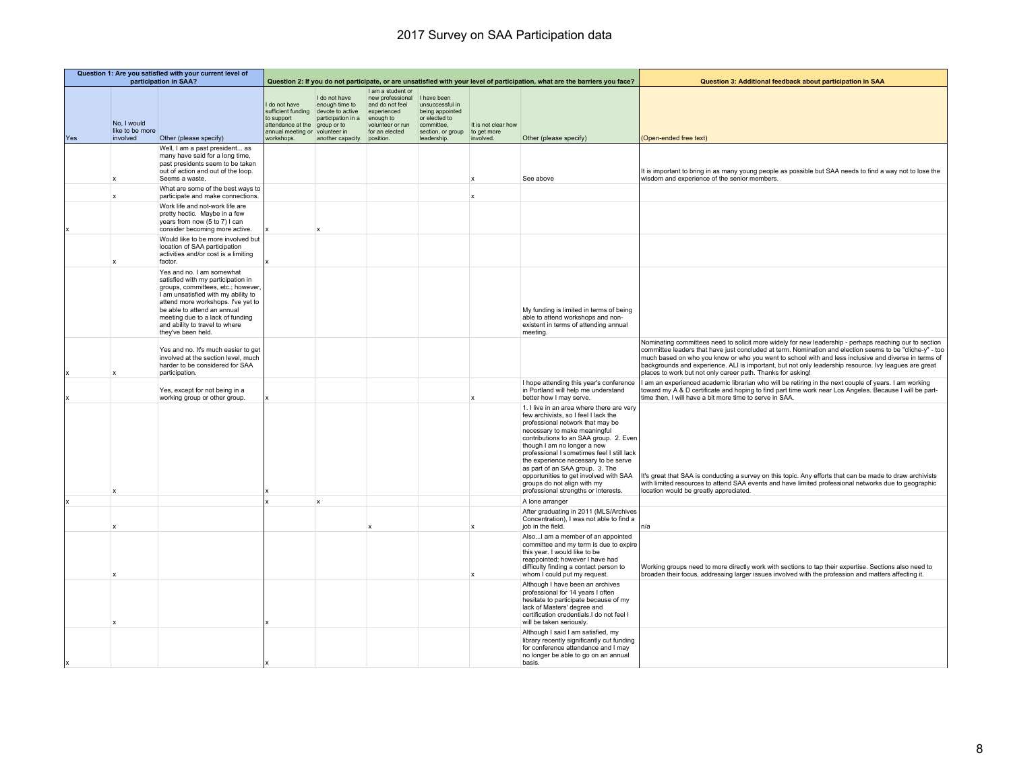|     |                                            | Question 1: Are you satisfied with your current level of<br>participation in SAA?                                                                                                                                                                                                                             |                                                                                                                                                     |                                                                                      | Question 2: If you do not participate, or are unsatisfied with your level of participation, what are the barriers you face? |                                                                                                                      |                                                 | Question 3: Additional feedback about participation in SAA                                                                                                                                                                                                                                                                                                                                                                                                               |                                                                                                                                                                                                                                                                                                                                                                                                                                                                                                    |
|-----|--------------------------------------------|---------------------------------------------------------------------------------------------------------------------------------------------------------------------------------------------------------------------------------------------------------------------------------------------------------------|-----------------------------------------------------------------------------------------------------------------------------------------------------|--------------------------------------------------------------------------------------|-----------------------------------------------------------------------------------------------------------------------------|----------------------------------------------------------------------------------------------------------------------|-------------------------------------------------|--------------------------------------------------------------------------------------------------------------------------------------------------------------------------------------------------------------------------------------------------------------------------------------------------------------------------------------------------------------------------------------------------------------------------------------------------------------------------|----------------------------------------------------------------------------------------------------------------------------------------------------------------------------------------------------------------------------------------------------------------------------------------------------------------------------------------------------------------------------------------------------------------------------------------------------------------------------------------------------|
| Yes | No. I would<br>like to be more<br>involved | Other (please specify)                                                                                                                                                                                                                                                                                        | I do not have<br>sufficient funding devote to active<br>to support<br>attendance at the group or to<br>annual meeting or volunteer in<br>workshops. | I do not have<br>enough time to<br>participation in a<br>another capacity. position. | I am a student or<br>new professional<br>and do not feel<br>experienced<br>enough to<br>volunteer or run<br>for an elected  | I have been<br>unsuccessful in<br>being appointed<br>or elected to<br>committee.<br>section, or group<br>leadership. | It is not clear how<br>to get more<br>involved. | Other (please specify)                                                                                                                                                                                                                                                                                                                                                                                                                                                   | (Open-ended free text)                                                                                                                                                                                                                                                                                                                                                                                                                                                                             |
|     | X                                          | Well, I am a past president as<br>many have said for a long time,<br>past presidents seem to be taken<br>out of action and out of the loop.<br>Seems a waste.                                                                                                                                                 |                                                                                                                                                     |                                                                                      |                                                                                                                             |                                                                                                                      | X                                               | See above                                                                                                                                                                                                                                                                                                                                                                                                                                                                | It is important to bring in as many young people as possible but SAA needs to find a way not to lose the<br>wisdom and experience of the senior members.                                                                                                                                                                                                                                                                                                                                           |
|     | $\overline{\mathsf{x}}$                    | What are some of the best ways to<br>participate and make connections.                                                                                                                                                                                                                                        |                                                                                                                                                     |                                                                                      |                                                                                                                             |                                                                                                                      | X                                               |                                                                                                                                                                                                                                                                                                                                                                                                                                                                          |                                                                                                                                                                                                                                                                                                                                                                                                                                                                                                    |
|     |                                            | Work life and not-work life are<br>pretty hectic. Maybe in a few<br>years from now (5 to 7) I can<br>consider becoming more active.                                                                                                                                                                           |                                                                                                                                                     |                                                                                      |                                                                                                                             |                                                                                                                      |                                                 |                                                                                                                                                                                                                                                                                                                                                                                                                                                                          |                                                                                                                                                                                                                                                                                                                                                                                                                                                                                                    |
|     |                                            | Would like to be more involved but<br>location of SAA participation<br>activities and/or cost is a limiting<br>factor.                                                                                                                                                                                        |                                                                                                                                                     |                                                                                      |                                                                                                                             |                                                                                                                      |                                                 |                                                                                                                                                                                                                                                                                                                                                                                                                                                                          |                                                                                                                                                                                                                                                                                                                                                                                                                                                                                                    |
|     |                                            | Yes and no. I am somewhat<br>satisfied with my participation in<br>groups, committees, etc.; however,<br>I am unsatisfied with my ability to<br>attend more workshops. I've yet to<br>be able to attend an annual<br>meeting due to a lack of funding<br>and ability to travel to where<br>they've been held. |                                                                                                                                                     |                                                                                      |                                                                                                                             |                                                                                                                      |                                                 | My funding is limited in terms of being<br>able to attend workshops and non-<br>existent in terms of attending annual<br>meeting.                                                                                                                                                                                                                                                                                                                                        |                                                                                                                                                                                                                                                                                                                                                                                                                                                                                                    |
|     |                                            | Yes and no. It's much easier to get<br>involved at the section level, much<br>harder to be considered for SAA<br>participation.                                                                                                                                                                               |                                                                                                                                                     |                                                                                      |                                                                                                                             |                                                                                                                      |                                                 |                                                                                                                                                                                                                                                                                                                                                                                                                                                                          | Nominating committees need to solicit more widely for new leadership - perhaps reaching our to section<br>committee leaders that have just concluded at term. Nomination and election seems to be "cliche-y" - too<br>much based on who you know or who you went to school with and less inclusive and diverse in terms of<br>backgrounds and experience. ALI is important, but not only leadership resource. Ivy leagues are great<br>places to work but not only career path. Thanks for asking! |
|     |                                            | Yes, except for not being in a<br>working group or other group.                                                                                                                                                                                                                                               |                                                                                                                                                     |                                                                                      |                                                                                                                             |                                                                                                                      | $\mathbf x$                                     | I hope attending this year's conference<br>in Portland will help me understand<br>better how I may serve.                                                                                                                                                                                                                                                                                                                                                                | I am an experienced academic librarian who will be retiring in the next couple of years. I am working<br>toward my A & D certificate and hoping to find part time work near Los Angeles. Because I will be part-<br>time then, I will have a bit more time to serve in SAA.                                                                                                                                                                                                                        |
|     |                                            |                                                                                                                                                                                                                                                                                                               |                                                                                                                                                     |                                                                                      |                                                                                                                             |                                                                                                                      |                                                 | 1. I live in an area where there are very<br>few archivists, so I feel I lack the<br>professional network that may be<br>necessary to make meaningful<br>contributions to an SAA group. 2. Even<br>though I am no longer a new<br>professional I sometimes feel I still lack<br>the experience necessary to be serve<br>as part of an SAA group. 3. The<br>opportunities to get involved with SAA<br>groups do not align with my<br>professional strengths or interests. | It's great that SAA is conducting a survey on this topic. Any efforts that can be made to draw archivists<br>with limited resources to attend SAA events and have limited professional networks due to geographic<br>location would be greatly appreciated.                                                                                                                                                                                                                                        |
|     |                                            |                                                                                                                                                                                                                                                                                                               |                                                                                                                                                     | $\boldsymbol{\mathsf{x}}$                                                            |                                                                                                                             |                                                                                                                      |                                                 | A lone arranger                                                                                                                                                                                                                                                                                                                                                                                                                                                          |                                                                                                                                                                                                                                                                                                                                                                                                                                                                                                    |
|     |                                            |                                                                                                                                                                                                                                                                                                               |                                                                                                                                                     |                                                                                      |                                                                                                                             |                                                                                                                      | $\boldsymbol{\mathsf{x}}$                       | After graduating in 2011 (MLS/Archives<br>Concentration), I was not able to find a<br>job in the field.                                                                                                                                                                                                                                                                                                                                                                  | In/a                                                                                                                                                                                                                                                                                                                                                                                                                                                                                               |
|     |                                            |                                                                                                                                                                                                                                                                                                               |                                                                                                                                                     |                                                                                      |                                                                                                                             |                                                                                                                      | $\mathbf x$                                     | Also I am a member of an appointed<br>committee and my term is due to expire<br>this year. I would like to be<br>reappointed; however I have had<br>difficulty finding a contact person to<br>whom I could put my request.                                                                                                                                                                                                                                               | Working groups need to more directly work with sections to tap their expertise. Sections also need to<br>broaden their focus, addressing larger issues involved with the profession and matters affecting it.                                                                                                                                                                                                                                                                                      |
|     |                                            |                                                                                                                                                                                                                                                                                                               |                                                                                                                                                     |                                                                                      |                                                                                                                             |                                                                                                                      |                                                 | Although I have been an archives<br>professional for 14 years I often<br>hesitate to participate because of my<br>lack of Masters' degree and<br>certification credentials.I do not feel I<br>will be taken seriously.                                                                                                                                                                                                                                                   |                                                                                                                                                                                                                                                                                                                                                                                                                                                                                                    |
|     |                                            |                                                                                                                                                                                                                                                                                                               |                                                                                                                                                     |                                                                                      |                                                                                                                             |                                                                                                                      |                                                 | Although I said I am satisfied, my<br>library recently significantly cut funding<br>for conference attendance and I may<br>no longer be able to go on an annual<br>basis.                                                                                                                                                                                                                                                                                                |                                                                                                                                                                                                                                                                                                                                                                                                                                                                                                    |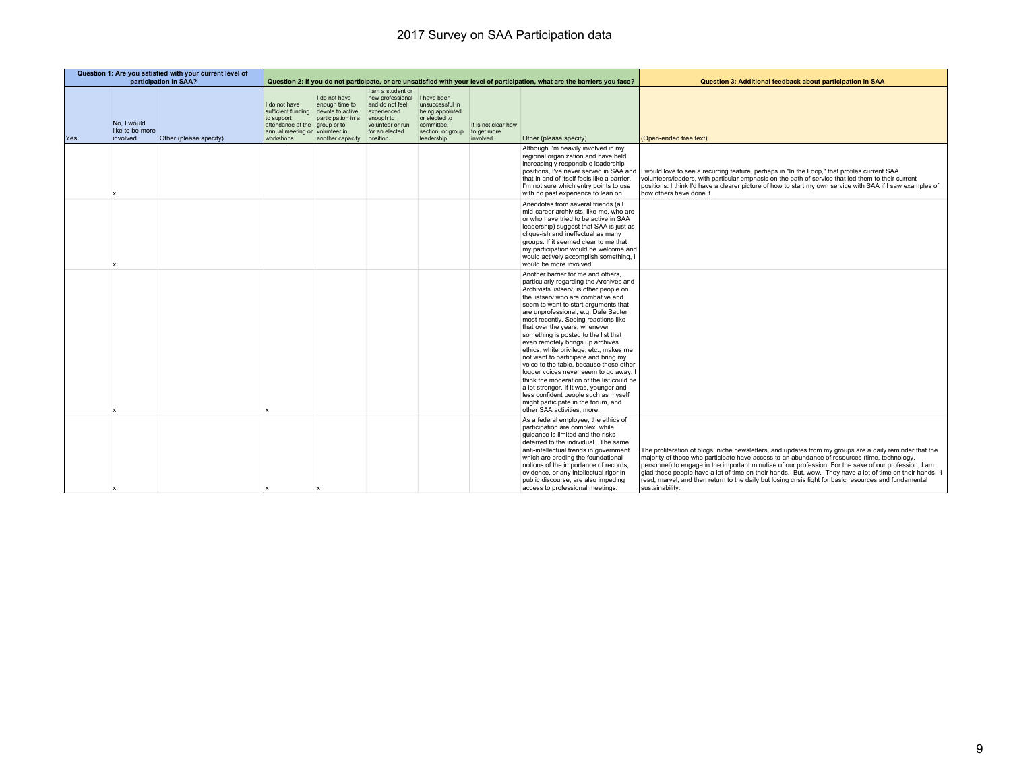| Question 1: Are you satisfied with your current level of<br>participation in SAA? |                                            |                        |                                                                                                           |                                                                                                                                         | Question 2: If you do not participate, or are unsatisfied with your level of participation, what are the barriers you face?            |                                                                                                       |                                                 | Question 3: Additional feedback about participation in SAA                                                                                                                                                                                                                                                                                                                                                                                                                                                                                                                                                                                                                                                                                                                        |                                                                                                                                                                                                                                                                                                                                                                                                                                                                                                                                                             |
|-----------------------------------------------------------------------------------|--------------------------------------------|------------------------|-----------------------------------------------------------------------------------------------------------|-----------------------------------------------------------------------------------------------------------------------------------------|----------------------------------------------------------------------------------------------------------------------------------------|-------------------------------------------------------------------------------------------------------|-------------------------------------------------|-----------------------------------------------------------------------------------------------------------------------------------------------------------------------------------------------------------------------------------------------------------------------------------------------------------------------------------------------------------------------------------------------------------------------------------------------------------------------------------------------------------------------------------------------------------------------------------------------------------------------------------------------------------------------------------------------------------------------------------------------------------------------------------|-------------------------------------------------------------------------------------------------------------------------------------------------------------------------------------------------------------------------------------------------------------------------------------------------------------------------------------------------------------------------------------------------------------------------------------------------------------------------------------------------------------------------------------------------------------|
| Yes                                                                               | No, I would<br>like to be more<br>involved | Other (please specify) | I do not have<br>sufficient funding<br>to support<br>attendance at the<br>annual meeting or<br>workshops. | I do not have<br>enough time to<br>devote to active<br>participation in a<br>aroup or to<br>volunteer in<br>another capacity. position. | I am a student or<br>new professional I have been<br>and do not feel<br>experienced<br>enough to<br>volunteer or run<br>for an elected | unsuccessful in<br>being appointed<br>or elected to<br>committee.<br>section, or group<br>leadership. | It is not clear how<br>to get more<br>involved. | Other (please specify)                                                                                                                                                                                                                                                                                                                                                                                                                                                                                                                                                                                                                                                                                                                                                            | (Open-ended free text)                                                                                                                                                                                                                                                                                                                                                                                                                                                                                                                                      |
|                                                                                   | X                                          |                        |                                                                                                           |                                                                                                                                         |                                                                                                                                        |                                                                                                       |                                                 | Although I'm heavily involved in my<br>regional organization and have held<br>increasingly responsible leadership<br>that in and of itself feels like a barrier.<br>I'm not sure which entry points to use<br>with no past experience to lean on.                                                                                                                                                                                                                                                                                                                                                                                                                                                                                                                                 | positions, I've never served in SAA and    would love to see a recurring feature, perhaps in "In the Loop," that profiles current SAA<br>volunteers/leaders, with particular emphasis on the path of service that led them to their current<br>positions. I think I'd have a clearer picture of how to start my own service with SAA if I saw examples of<br>how others have done it.                                                                                                                                                                       |
|                                                                                   | x                                          |                        |                                                                                                           |                                                                                                                                         |                                                                                                                                        |                                                                                                       |                                                 | Anecdotes from several friends (all<br>mid-career archivists, like me, who are<br>or who have tried to be active in SAA<br>leadership) suggest that SAA is just as<br>clique-ish and ineffectual as many<br>groups. If it seemed clear to me that<br>my participation would be welcome and<br>would actively accomplish something, I<br>would be more involved.                                                                                                                                                                                                                                                                                                                                                                                                                   |                                                                                                                                                                                                                                                                                                                                                                                                                                                                                                                                                             |
|                                                                                   | x                                          |                        |                                                                                                           |                                                                                                                                         |                                                                                                                                        |                                                                                                       |                                                 | Another barrier for me and others.<br>particularly regarding the Archives and<br>Archivists listserv, is other people on<br>the listserv who are combative and<br>seem to want to start arguments that<br>are unprofessional, e.g. Dale Sauter<br>most recently. Seeing reactions like<br>that over the years, whenever<br>something is posted to the list that<br>even remotely brings up archives<br>ethics, white privilege, etc., makes me<br>not want to participate and bring my<br>voice to the table, because those other,<br>louder voices never seem to go away. I<br>think the moderation of the list could be<br>a lot stronger. If it was, younger and<br>less confident people such as myself<br>might participate in the forum, and<br>other SAA activities, more. |                                                                                                                                                                                                                                                                                                                                                                                                                                                                                                                                                             |
|                                                                                   | x                                          |                        |                                                                                                           | $\mathbf x$                                                                                                                             |                                                                                                                                        |                                                                                                       |                                                 | As a federal employee, the ethics of<br>participation are complex, while<br>quidance is limited and the risks<br>deferred to the individual. The same<br>anti-intellectual trends in government<br>which are eroding the foundational<br>notions of the importance of records,<br>evidence, or any intellectual rigor in<br>public discourse, are also impeding<br>access to professional meetings.                                                                                                                                                                                                                                                                                                                                                                               | The proliferation of blogs, niche newsletters, and updates from my groups are a daily reminder that the<br>majority of those who participate have access to an abundance of resources (time, technology,<br>personnel) to engage in the important minutiae of our profession. For the sake of our profession, I am<br>glad these people have a lot of time on their hands. But, wow. They have a lot of time on their hands. I<br>read, marvel, and then return to the daily but losing crisis fight for basic resources and fundamental<br>sustainability. |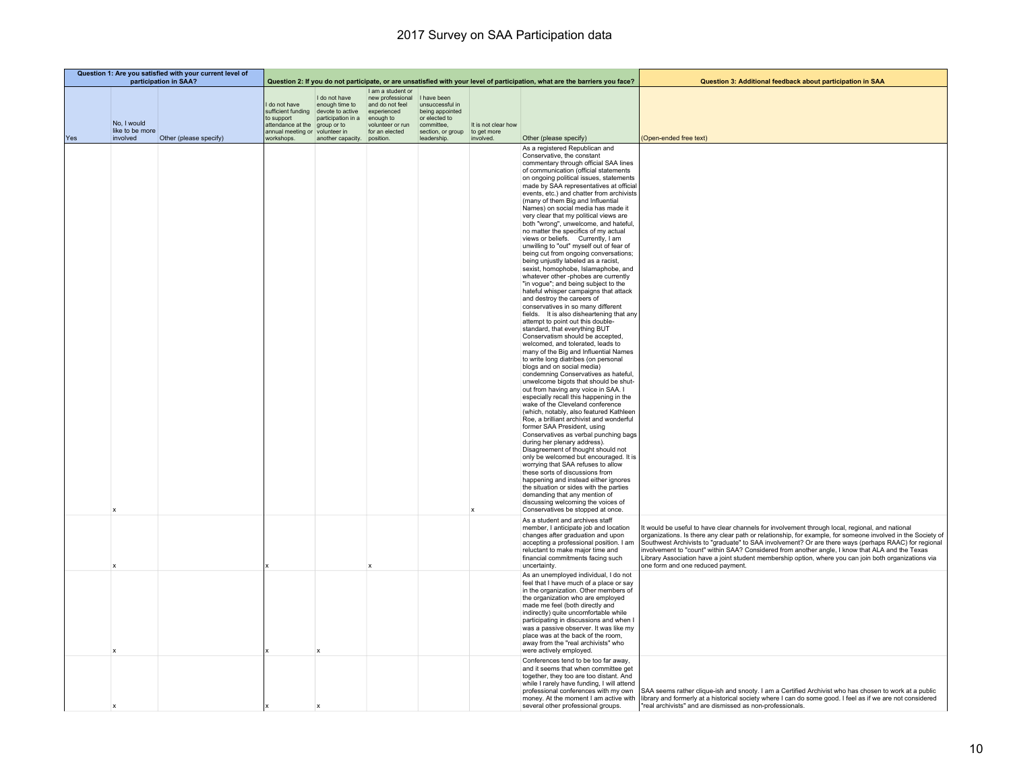|     |                                            | Question 1: Are you satisfied with your current level of<br>participation in SAA? |                                                                                                           |                                                                                                          | Question 2: If you do not participate, or are unsatisfied with your level of participation, what are the barriers you face? |                                                                                                                      |                                                 | Question 3: Additional feedback about participation in SAA                                                                                                                                                                                                                                                                                                                                                                                                                                                                                                                                                                                                                                                                                                                                                                                                                                                                                                                                                                                                                                                                                                                                                                                                                                                                                                                                                                                                                                                                                                                                                                                                                                                                                                                                                                                                                                                                                                                                      |                                                                                                                                                                                                                                                                                                                                                                                                                                                                                                                                                                         |
|-----|--------------------------------------------|-----------------------------------------------------------------------------------|-----------------------------------------------------------------------------------------------------------|----------------------------------------------------------------------------------------------------------|-----------------------------------------------------------------------------------------------------------------------------|----------------------------------------------------------------------------------------------------------------------|-------------------------------------------------|-------------------------------------------------------------------------------------------------------------------------------------------------------------------------------------------------------------------------------------------------------------------------------------------------------------------------------------------------------------------------------------------------------------------------------------------------------------------------------------------------------------------------------------------------------------------------------------------------------------------------------------------------------------------------------------------------------------------------------------------------------------------------------------------------------------------------------------------------------------------------------------------------------------------------------------------------------------------------------------------------------------------------------------------------------------------------------------------------------------------------------------------------------------------------------------------------------------------------------------------------------------------------------------------------------------------------------------------------------------------------------------------------------------------------------------------------------------------------------------------------------------------------------------------------------------------------------------------------------------------------------------------------------------------------------------------------------------------------------------------------------------------------------------------------------------------------------------------------------------------------------------------------------------------------------------------------------------------------------------------------|-------------------------------------------------------------------------------------------------------------------------------------------------------------------------------------------------------------------------------------------------------------------------------------------------------------------------------------------------------------------------------------------------------------------------------------------------------------------------------------------------------------------------------------------------------------------------|
|     | No, I would<br>like to be more<br>involved |                                                                                   | I do not have<br>sufficient funding<br>to support<br>attendance at the<br>annual meeting or<br>workshops. | I do not have<br>enough time to<br>devote to active<br>participation in a<br>group or to<br>volunteer in | I am a student or<br>new professional<br>and do not feel<br>experienced<br>enough to<br>volunteer or run<br>for an elected  | I have been<br>unsuccessful in<br>being appointed<br>or elected to<br>committee,<br>section, or group<br>leadership. | It is not clear how<br>to get more<br>involved. |                                                                                                                                                                                                                                                                                                                                                                                                                                                                                                                                                                                                                                                                                                                                                                                                                                                                                                                                                                                                                                                                                                                                                                                                                                                                                                                                                                                                                                                                                                                                                                                                                                                                                                                                                                                                                                                                                                                                                                                                 |                                                                                                                                                                                                                                                                                                                                                                                                                                                                                                                                                                         |
| Yes | $\boldsymbol{\mathsf{x}}$                  | Other (please specify)                                                            |                                                                                                           | another capacity. position.                                                                              |                                                                                                                             |                                                                                                                      | $\mathbf x$                                     | Other (please specify)<br>As a registered Republican and<br>Conservative, the constant<br>commentary through official SAA lines<br>of communication (official statements<br>on ongoing political issues, statements<br>made by SAA representatives at official<br>events, etc.) and chatter from archivists<br>(many of them Big and Influential<br>Names) on social media has made it<br>very clear that my political views are<br>both "wrong", unwelcome, and hateful,<br>no matter the specifics of my actual<br>views or beliefs. Currently, I am<br>unwilling to "out" myself out of fear of<br>being cut from ongoing conversations;<br>being unjustly labeled as a racist,<br>sexist, homophobe, Islamaphobe, and<br>whatever other -phobes are currently<br>"in voque"; and being subject to the<br>hateful whisper campaigns that attack<br>and destroy the careers of<br>conservatives in so many different<br>fields. It is also disheartening that any<br>attempt to point out this double-<br>standard, that everything BUT<br>Conservatism should be accepted,<br>welcomed, and tolerated, leads to<br>many of the Big and Influential Names<br>to write long diatribes (on personal<br>blogs and on social media)<br>condemning Conservatives as hateful,<br>unwelcome bigots that should be shut-<br>out from having any voice in SAA. I<br>especially recall this happening in the<br>wake of the Cleveland conference<br>(which, notably, also featured Kathleen<br>Roe, a brilliant archivist and wonderful<br>former SAA President, using<br>Conservatives as verbal punching bags<br>during her plenary address).<br>Disagreement of thought should not<br>only be welcomed but encouraged. It is<br>worrying that SAA refuses to allow<br>these sorts of discussions from<br>happening and instead either ignores<br>the situation or sides with the parties<br>demanding that any mention of<br>discussing welcoming the voices of<br>Conservatives be stopped at once. | (Open-ended free text)                                                                                                                                                                                                                                                                                                                                                                                                                                                                                                                                                  |
|     |                                            |                                                                                   |                                                                                                           |                                                                                                          |                                                                                                                             |                                                                                                                      |                                                 | As a student and archives staff<br>member, I anticipate job and location<br>changes after graduation and upon<br>accepting a professional position. I am<br>reluctant to make major time and<br>financial commitments facing such<br>uncertainty.                                                                                                                                                                                                                                                                                                                                                                                                                                                                                                                                                                                                                                                                                                                                                                                                                                                                                                                                                                                                                                                                                                                                                                                                                                                                                                                                                                                                                                                                                                                                                                                                                                                                                                                                               | It would be useful to have clear channels for involvement through local, regional, and national<br>organizations. Is there any clear path or relationship, for example, for someone involved in the Society of<br>Southwest Archivists to "graduate" to SAA involvement? Or are there ways (perhaps RAAC) for regional<br>involvement to "count" within SAA? Considered from another angle, I know that ALA and the Texas<br>Library Association have a joint student membership option, where you can join both organizations via<br>one form and one reduced payment. |
|     |                                            |                                                                                   |                                                                                                           |                                                                                                          |                                                                                                                             |                                                                                                                      |                                                 | As an unemployed individual, I do not<br>feel that I have much of a place or say<br>in the organization. Other members of<br>the organization who are employed<br>made me feel (both directly and<br>indirectly) quite uncomfortable while<br>participating in discussions and when I<br>was a passive observer. It was like my<br>place was at the back of the room,<br>away from the "real archivists" who<br>were actively employed.                                                                                                                                                                                                                                                                                                                                                                                                                                                                                                                                                                                                                                                                                                                                                                                                                                                                                                                                                                                                                                                                                                                                                                                                                                                                                                                                                                                                                                                                                                                                                         |                                                                                                                                                                                                                                                                                                                                                                                                                                                                                                                                                                         |
|     |                                            |                                                                                   |                                                                                                           |                                                                                                          |                                                                                                                             |                                                                                                                      |                                                 | Conferences tend to be too far away,<br>and it seems that when committee get<br>together, they too are too distant. And<br>while I rarely have funding, I will attend<br>professional conferences with my own<br>money. At the moment I am active with<br>several other professional groups.                                                                                                                                                                                                                                                                                                                                                                                                                                                                                                                                                                                                                                                                                                                                                                                                                                                                                                                                                                                                                                                                                                                                                                                                                                                                                                                                                                                                                                                                                                                                                                                                                                                                                                    | SAA seems rather clique-ish and snooty. I am a Certified Archivist who has chosen to work at a public<br>library and formerly at a historical society where I can do some good. I feel as if we are not considered<br>"real archivists" and are dismissed as non-professionals.                                                                                                                                                                                                                                                                                         |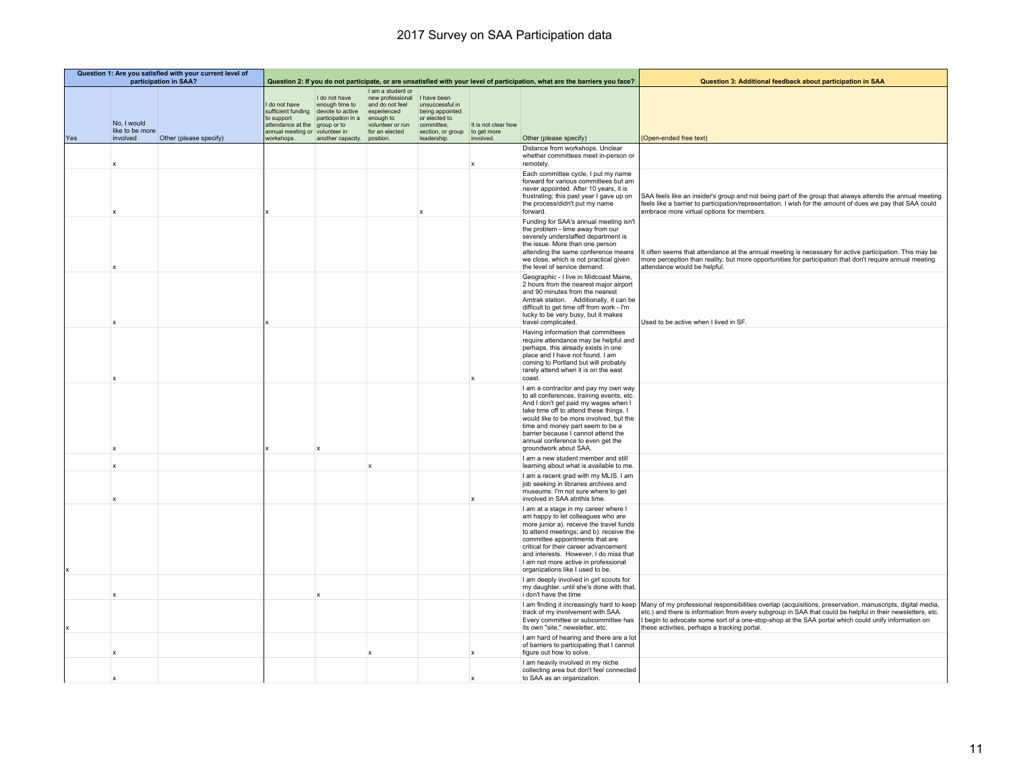| Question 1: Are you satisfied with your current level of<br>participation in SAA? |                                            |                        |                                                                                                           |                                                                                                                                         | Question 2: If you do not participate, or are unsatisfied with your level of participation, what are the barriers you face?            |                                                                                                       |                                                 | Question 3: Additional feedback about participation in SAA                                                                                                                                                                                                                                                                                                          |                                                                                                                                                                                                                                                                                                                                                                                                                            |
|-----------------------------------------------------------------------------------|--------------------------------------------|------------------------|-----------------------------------------------------------------------------------------------------------|-----------------------------------------------------------------------------------------------------------------------------------------|----------------------------------------------------------------------------------------------------------------------------------------|-------------------------------------------------------------------------------------------------------|-------------------------------------------------|---------------------------------------------------------------------------------------------------------------------------------------------------------------------------------------------------------------------------------------------------------------------------------------------------------------------------------------------------------------------|----------------------------------------------------------------------------------------------------------------------------------------------------------------------------------------------------------------------------------------------------------------------------------------------------------------------------------------------------------------------------------------------------------------------------|
| Yes                                                                               | No, I would<br>like to be more<br>involved | Other (please specify) | I do not have<br>sufficient funding<br>to support<br>attendance at the<br>annual meeting or<br>workshops. | I do not have<br>enough time to<br>devote to active<br>participation in a<br>group or to<br>volunteer in<br>another capacity. position. | I am a student or<br>new professional I have been<br>and do not feel<br>experienced<br>enough to<br>volunteer or run<br>for an elected | unsuccessful in<br>being appointed<br>or elected to<br>committee,<br>section, or group<br>leadership. | It is not clear how<br>to get more<br>involved. | Other (please specify)                                                                                                                                                                                                                                                                                                                                              | (Open-ended free text)                                                                                                                                                                                                                                                                                                                                                                                                     |
|                                                                                   | $\mathbf{x}$                               |                        |                                                                                                           |                                                                                                                                         |                                                                                                                                        |                                                                                                       | $\mathbf{x}$                                    | Distance from workshops. Unclear<br>whether committees meet in-person or<br>remotely.                                                                                                                                                                                                                                                                               |                                                                                                                                                                                                                                                                                                                                                                                                                            |
|                                                                                   |                                            |                        |                                                                                                           |                                                                                                                                         |                                                                                                                                        |                                                                                                       |                                                 | Each committee cycle, I put my name<br>forward for various committees but am<br>never appointed. After 10 years, it is<br>frustrating; this past year I gave up on<br>the process/didn't put my name<br>forward.                                                                                                                                                    | SAA feels like an insider's group and not being part of the group that always attends the annual meeting<br>feels like a barrier to participation/representation. I wish for the amount of dues we pay that SAA could<br>embrace more virtual options for members.                                                                                                                                                         |
|                                                                                   | $\boldsymbol{\mathsf{x}}$                  |                        |                                                                                                           |                                                                                                                                         |                                                                                                                                        |                                                                                                       |                                                 | Funding for SAA's annual meeting isn't<br>the problem - time away from our<br>severely understaffed department is<br>the issue. More than one person<br>attending the same conference means<br>we close, which is not practical given<br>the level of service demand.                                                                                               | It often seems that attendance at the annual meeting is necessary for active participation. This may be<br>more perception than reality; but more opportunities for participation that don't require annual meeting<br>attendance would be helpful.                                                                                                                                                                        |
|                                                                                   |                                            |                        |                                                                                                           |                                                                                                                                         |                                                                                                                                        |                                                                                                       |                                                 | Geographic - I live in Midcoast Maine,<br>2 hours from the nearest major airport<br>and 90 minutes from the nearest<br>Amtrak station. Additionally, it can be<br>difficult to get time off from work - I'm<br>lucky to be very busy, but it makes<br>travel complicated.                                                                                           | Used to be active when I lived in SF.                                                                                                                                                                                                                                                                                                                                                                                      |
|                                                                                   |                                            |                        |                                                                                                           |                                                                                                                                         |                                                                                                                                        |                                                                                                       | $\boldsymbol{\mathsf{x}}$                       | Having information that committees<br>require attendance may be helpful and<br>perhaps, this already exists in one<br>place and I have not found. I am<br>coming to Portland but will probably<br>rarely attend when it is on the east<br>coast.                                                                                                                    |                                                                                                                                                                                                                                                                                                                                                                                                                            |
|                                                                                   | X                                          |                        |                                                                                                           |                                                                                                                                         |                                                                                                                                        |                                                                                                       |                                                 | I am a contractor and pay my own way<br>to all conferences, training events, etc.<br>And I don't get paid my wages when I<br>take time off to attend these things. I<br>would like to be more involved, but the<br>time and money part seem to be a<br>barrier because I cannot attend the<br>annual conference to even get the<br>groundwork about SAA.            |                                                                                                                                                                                                                                                                                                                                                                                                                            |
|                                                                                   | $\mathbf x$                                |                        |                                                                                                           |                                                                                                                                         | $\mathbf{x}$                                                                                                                           |                                                                                                       |                                                 | I am a new student member and still<br>learning about what is available to me.                                                                                                                                                                                                                                                                                      |                                                                                                                                                                                                                                                                                                                                                                                                                            |
|                                                                                   |                                            |                        |                                                                                                           |                                                                                                                                         |                                                                                                                                        |                                                                                                       | $\mathbf{x}$                                    | I am a recent grad with my MLIS. I am<br>job seeking in libraries archives and<br>museums. I'm not sure where to get<br>involved in SAA atnthis time.                                                                                                                                                                                                               |                                                                                                                                                                                                                                                                                                                                                                                                                            |
| x                                                                                 |                                            |                        |                                                                                                           |                                                                                                                                         |                                                                                                                                        |                                                                                                       |                                                 | I am at a stage in my career where I<br>am happy to let colleagues who are<br>more junior a). receive the travel funds<br>to attend meetings; and b), receive the<br>committee appointments that are<br>critical for their career advancement<br>and interests. However, I do miss that<br>I am not more active in professional<br>organizations like I used to be. |                                                                                                                                                                                                                                                                                                                                                                                                                            |
|                                                                                   | $\boldsymbol{\mathsf{x}}$                  |                        |                                                                                                           |                                                                                                                                         |                                                                                                                                        |                                                                                                       |                                                 | I am deeply involved in girl scouts for<br>my daughter. until she's done with that,<br>i don't have the time                                                                                                                                                                                                                                                        |                                                                                                                                                                                                                                                                                                                                                                                                                            |
|                                                                                   |                                            |                        |                                                                                                           |                                                                                                                                         |                                                                                                                                        |                                                                                                       |                                                 | track of my involvement with SAA.<br>Every committee or subcommittee has<br>its own "site," newsletter, etc.                                                                                                                                                                                                                                                        | I am finding it increasingly hard to keep   Many of my professional responsibilities overlap (acquisitions, preservation, manuscripts, digital media,<br>etc.) and there is information from every subgroup in SAA that could be helpful in their newsletters, etc.<br>I begin to advocate some sort of a one-stop-shop at the SAA portal which could unify information on<br>these activities, perhaps a tracking portal. |
|                                                                                   | $\boldsymbol{\mathsf{x}}$                  |                        |                                                                                                           |                                                                                                                                         | $\mathbf{x}$                                                                                                                           |                                                                                                       | $\mathbf{x}$                                    | I am hard of hearing and there are a lot<br>of barriers to participating that I cannot<br>figure out how to solve.                                                                                                                                                                                                                                                  |                                                                                                                                                                                                                                                                                                                                                                                                                            |
|                                                                                   |                                            |                        |                                                                                                           |                                                                                                                                         |                                                                                                                                        |                                                                                                       |                                                 | I am heavily involved in my niche<br>collecting area but don't feel connected<br>to SAA as an organization.                                                                                                                                                                                                                                                         |                                                                                                                                                                                                                                                                                                                                                                                                                            |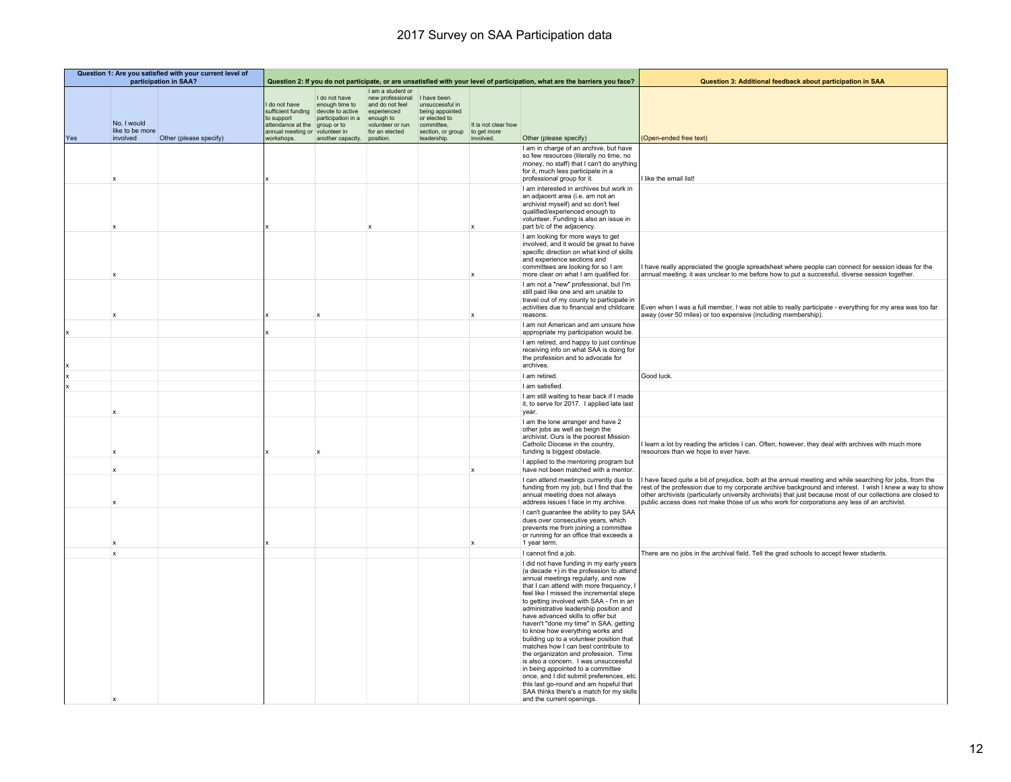|     |                                            | Question 1: Are you satisfied with your current level of<br>participation in SAA? |                                                                                                         |                                                                                                                                         | Question 2: If you do not participate, or are unsatisfied with your level of participation, what are the barriers you face? |                                                                                                                      |                                                 | Question 3: Additional feedback about participation in SAA                                                                                                                                                                                                                                                                                                                                                                                                                                                                                                                                                                                                                                                                                                                                           |                                                                                                                                                                                                                                                                                                                                                                                                                                   |
|-----|--------------------------------------------|-----------------------------------------------------------------------------------|---------------------------------------------------------------------------------------------------------|-----------------------------------------------------------------------------------------------------------------------------------------|-----------------------------------------------------------------------------------------------------------------------------|----------------------------------------------------------------------------------------------------------------------|-------------------------------------------------|------------------------------------------------------------------------------------------------------------------------------------------------------------------------------------------------------------------------------------------------------------------------------------------------------------------------------------------------------------------------------------------------------------------------------------------------------------------------------------------------------------------------------------------------------------------------------------------------------------------------------------------------------------------------------------------------------------------------------------------------------------------------------------------------------|-----------------------------------------------------------------------------------------------------------------------------------------------------------------------------------------------------------------------------------------------------------------------------------------------------------------------------------------------------------------------------------------------------------------------------------|
| Yes | No, I would<br>like to be more<br>involved | Other (please specify)                                                            | do not have<br>sufficient funding<br>to support<br>attendance at the<br>annual meeting or<br>workshops. | I do not have<br>enough time to<br>devote to active<br>participation in a<br>group or to<br>volunteer in<br>another capacity. position. | I am a student or<br>new professional<br>and do not feel<br>experienced<br>enough to<br>volunteer or run<br>for an elected  | I have been<br>unsuccessful in<br>being appointed<br>or elected to<br>committee,<br>section, or group<br>leadership. | It is not clear how<br>to get more<br>involved. | Other (please specify)                                                                                                                                                                                                                                                                                                                                                                                                                                                                                                                                                                                                                                                                                                                                                                               | (Open-ended free text)                                                                                                                                                                                                                                                                                                                                                                                                            |
|     |                                            |                                                                                   |                                                                                                         |                                                                                                                                         |                                                                                                                             |                                                                                                                      |                                                 | I am in charge of an archive, but have<br>so few resources (literally no time, no<br>money, no staff) that I can't do anything<br>for it, much less participate in a                                                                                                                                                                                                                                                                                                                                                                                                                                                                                                                                                                                                                                 |                                                                                                                                                                                                                                                                                                                                                                                                                                   |
|     |                                            |                                                                                   |                                                                                                         |                                                                                                                                         |                                                                                                                             |                                                                                                                      |                                                 | professional group for it.<br>I am interested in archives but work in<br>an adjacent area (i.e. am not an<br>archivist myself) and so don't feel<br>qualified/experienced enough to<br>volunteer. Funding is also an issue in<br>part b/c of the adjacency.                                                                                                                                                                                                                                                                                                                                                                                                                                                                                                                                          | I like the email list!                                                                                                                                                                                                                                                                                                                                                                                                            |
|     |                                            |                                                                                   |                                                                                                         |                                                                                                                                         |                                                                                                                             |                                                                                                                      |                                                 | I am looking for more ways to get<br>involved, and it would be great to have<br>specific direction on what kind of skills<br>and experience sections and<br>committees are looking for so I am<br>more clear on what I am qualified for.                                                                                                                                                                                                                                                                                                                                                                                                                                                                                                                                                             | have really appreciated the google spreadsheet where people can connect for session ideas for the<br>annual meeting, it was unclear to me before how to put a successful, diverse session together.                                                                                                                                                                                                                               |
|     |                                            |                                                                                   |                                                                                                         |                                                                                                                                         |                                                                                                                             |                                                                                                                      |                                                 | I am not a "new" professional, but I'm<br>still paid like one and am unable to<br>travel out of my county to participate in<br>reasons.                                                                                                                                                                                                                                                                                                                                                                                                                                                                                                                                                                                                                                                              | activities due to financial and childcare   Even when I was a full member, I was not able to really participate - everything for my area was too far<br>away (over 50 miles) or too expensive (including membership).                                                                                                                                                                                                             |
|     |                                            |                                                                                   |                                                                                                         |                                                                                                                                         |                                                                                                                             |                                                                                                                      |                                                 | I am not American and am unsure how<br>appropriate my participation would be.                                                                                                                                                                                                                                                                                                                                                                                                                                                                                                                                                                                                                                                                                                                        |                                                                                                                                                                                                                                                                                                                                                                                                                                   |
|     |                                            |                                                                                   |                                                                                                         |                                                                                                                                         |                                                                                                                             |                                                                                                                      |                                                 | I am retired, and happy to just continue<br>receiving info on what SAA is doing for<br>the profession and to advocate for<br>archives.                                                                                                                                                                                                                                                                                                                                                                                                                                                                                                                                                                                                                                                               |                                                                                                                                                                                                                                                                                                                                                                                                                                   |
|     |                                            |                                                                                   |                                                                                                         |                                                                                                                                         |                                                                                                                             |                                                                                                                      |                                                 | I am retired.                                                                                                                                                                                                                                                                                                                                                                                                                                                                                                                                                                                                                                                                                                                                                                                        | Good luck.                                                                                                                                                                                                                                                                                                                                                                                                                        |
|     |                                            |                                                                                   |                                                                                                         |                                                                                                                                         |                                                                                                                             |                                                                                                                      |                                                 | I am satisfied.                                                                                                                                                                                                                                                                                                                                                                                                                                                                                                                                                                                                                                                                                                                                                                                      |                                                                                                                                                                                                                                                                                                                                                                                                                                   |
|     | X                                          |                                                                                   |                                                                                                         |                                                                                                                                         |                                                                                                                             |                                                                                                                      |                                                 | I am still waiting to hear back if I made<br>it, to serve for 2017. I applied late last<br>year.                                                                                                                                                                                                                                                                                                                                                                                                                                                                                                                                                                                                                                                                                                     |                                                                                                                                                                                                                                                                                                                                                                                                                                   |
|     | X                                          |                                                                                   |                                                                                                         |                                                                                                                                         |                                                                                                                             |                                                                                                                      |                                                 | I am the lone arranger and have 2<br>other jobs as well as beign the<br>archivist. Ours is the poorest Mission<br>Catholic Diocese in the country,<br>funding is biggest obstacle.                                                                                                                                                                                                                                                                                                                                                                                                                                                                                                                                                                                                                   | learn a lot by reading the articles I can. Often, however, they deal with archives with much more<br>resources than we hope to ever have.                                                                                                                                                                                                                                                                                         |
|     | $\mathbf x$                                |                                                                                   |                                                                                                         |                                                                                                                                         |                                                                                                                             |                                                                                                                      | $\boldsymbol{\mathsf{x}}$                       | I applied to the mentoring program but<br>have not been matched with a mentor.                                                                                                                                                                                                                                                                                                                                                                                                                                                                                                                                                                                                                                                                                                                       |                                                                                                                                                                                                                                                                                                                                                                                                                                   |
|     | x                                          |                                                                                   |                                                                                                         |                                                                                                                                         |                                                                                                                             |                                                                                                                      |                                                 | I can attend meetings currently due to<br>funding from my job, but I find that the<br>annual meeting does not always<br>address issues I face in my archive.                                                                                                                                                                                                                                                                                                                                                                                                                                                                                                                                                                                                                                         | have faced quite a bit of prejudice, both at the annual meeting and while searching for jobs, from the<br>rest of the profession due to my corporate archive background and interest. I wish I knew a way to show<br>other archivists (particularly university archivists) that just because most of our collections are closed to<br>public access does not make those of us who work for corporations any less of an archivist. |
|     | X                                          |                                                                                   |                                                                                                         |                                                                                                                                         |                                                                                                                             |                                                                                                                      |                                                 | I can't quarantee the ability to pay SAA<br>dues over consecutive years, which<br>prevents me from joining a committee<br>or running for an office that exceeds a<br>1 year term.                                                                                                                                                                                                                                                                                                                                                                                                                                                                                                                                                                                                                    |                                                                                                                                                                                                                                                                                                                                                                                                                                   |
|     | $\mathbf{x}$                               |                                                                                   |                                                                                                         |                                                                                                                                         |                                                                                                                             |                                                                                                                      |                                                 | I cannot find a job.                                                                                                                                                                                                                                                                                                                                                                                                                                                                                                                                                                                                                                                                                                                                                                                 | There are no jobs in the archival field. Tell the grad schools to accept fewer students.                                                                                                                                                                                                                                                                                                                                          |
|     |                                            |                                                                                   |                                                                                                         |                                                                                                                                         |                                                                                                                             |                                                                                                                      |                                                 | I did not have funding in my early years<br>(a decade +) in the profession to attend<br>annual meetings regularly, and now<br>that I can attend with more frequency, I<br>feel like I missed the incremental steps<br>to getting involved with SAA - I'm in an<br>administrative leadership position and<br>have advanced skills to offer but<br>haven't "done my time" in SAA, getting<br>to know how everything works and<br>building up to a volunteer position that<br>matches how I can best contribute to<br>the organizaton and profession. Time<br>is also a concern. I was unsuccessful<br>in being appointed to a committee<br>once, and I did submit preferences, etc.<br>this last go-round and am hopeful that<br>SAA thinks there's a match for my skills<br>and the current openings. |                                                                                                                                                                                                                                                                                                                                                                                                                                   |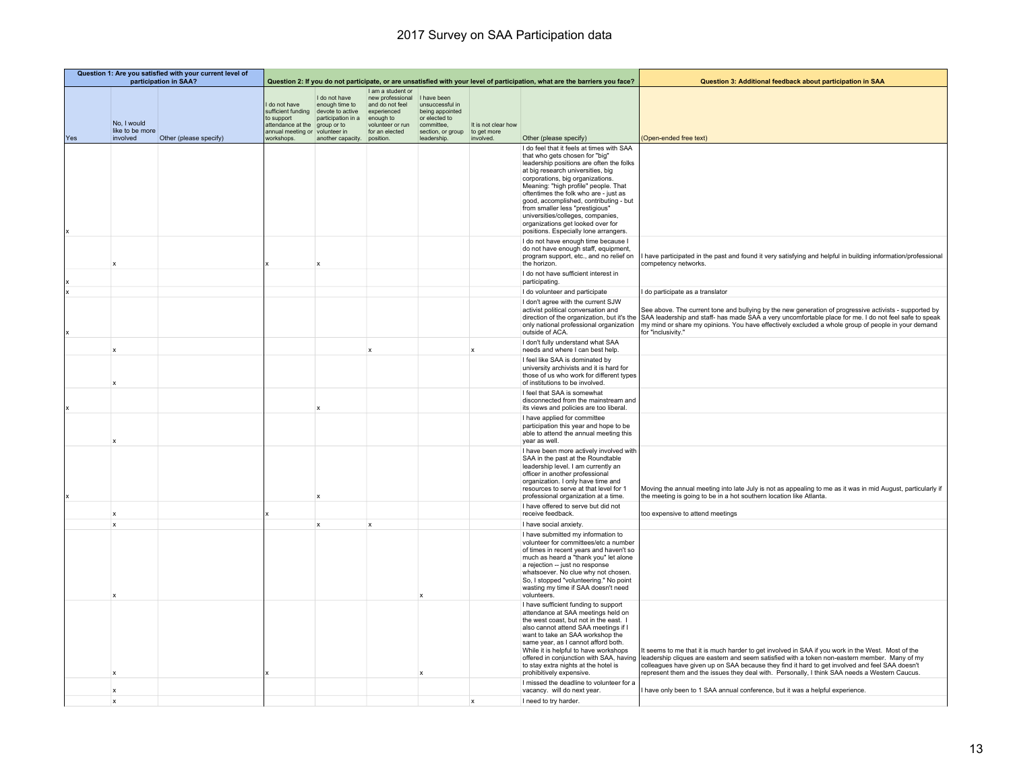|     | Question 1: Are you satisfied with your current level of<br>participation in SAA? |                        |                                                                                           |                                                                                                          | Question 2: If you do not participate, or are unsatisfied with your level of participation, what are the barriers you face? |                                                                                                       |                                    | Question 3: Additional feedback about participation in SAA                                                                                                                                                                                                                                                                                                                                                                                                                        |                                                                                                                                                                                                                                                                                                                                                                                                                                               |
|-----|-----------------------------------------------------------------------------------|------------------------|-------------------------------------------------------------------------------------------|----------------------------------------------------------------------------------------------------------|-----------------------------------------------------------------------------------------------------------------------------|-------------------------------------------------------------------------------------------------------|------------------------------------|-----------------------------------------------------------------------------------------------------------------------------------------------------------------------------------------------------------------------------------------------------------------------------------------------------------------------------------------------------------------------------------------------------------------------------------------------------------------------------------|-----------------------------------------------------------------------------------------------------------------------------------------------------------------------------------------------------------------------------------------------------------------------------------------------------------------------------------------------------------------------------------------------------------------------------------------------|
|     | No, I would<br>like to be more                                                    |                        | do not have<br>sufficient funding<br>to support<br>attendance at the<br>annual meeting or | I do not have<br>enough time to<br>devote to active<br>participation in a<br>group or to<br>volunteer in | I am a student or<br>new professional<br>and do not feel<br>experienced<br>enough to<br>volunteer or run<br>for an elected  | I have been<br>unsuccessful in<br>being appointed<br>or elected to<br>committee,<br>section, or group | It is not clear how<br>to get more |                                                                                                                                                                                                                                                                                                                                                                                                                                                                                   |                                                                                                                                                                                                                                                                                                                                                                                                                                               |
| Yes | involved                                                                          | Other (please specify) | workshops.                                                                                | another capacity.                                                                                        | position.                                                                                                                   | leadership.                                                                                           | involved.                          | Other (please specify)                                                                                                                                                                                                                                                                                                                                                                                                                                                            | (Open-ended free text)                                                                                                                                                                                                                                                                                                                                                                                                                        |
|     |                                                                                   |                        |                                                                                           |                                                                                                          |                                                                                                                             |                                                                                                       |                                    | I do feel that it feels at times with SAA<br>that who gets chosen for "big"<br>leadership positions are often the folks<br>at big research universities, big<br>corporations, big organizations.<br>Meaning: "high profile" people. That<br>oftentimes the folk who are - just as<br>good, accomplished, contributing - but<br>from smaller less "prestigious"<br>universities/colleges, companies,<br>organizations get looked over for<br>positions. Especially lone arrangers. |                                                                                                                                                                                                                                                                                                                                                                                                                                               |
|     |                                                                                   |                        |                                                                                           |                                                                                                          |                                                                                                                             |                                                                                                       |                                    | I do not have enough time because I<br>do not have enough staff, equipment,<br>program support, etc., and no relief on<br>the horizon.                                                                                                                                                                                                                                                                                                                                            | have participated in the past and found it very satisfying and helpful in building information/professional<br>competency networks.                                                                                                                                                                                                                                                                                                           |
|     |                                                                                   |                        |                                                                                           |                                                                                                          |                                                                                                                             |                                                                                                       |                                    | I do not have sufficient interest in<br>participating.                                                                                                                                                                                                                                                                                                                                                                                                                            |                                                                                                                                                                                                                                                                                                                                                                                                                                               |
|     |                                                                                   |                        |                                                                                           |                                                                                                          |                                                                                                                             |                                                                                                       |                                    | I do volunteer and participate                                                                                                                                                                                                                                                                                                                                                                                                                                                    | I do participate as a translator                                                                                                                                                                                                                                                                                                                                                                                                              |
|     |                                                                                   |                        |                                                                                           |                                                                                                          |                                                                                                                             |                                                                                                       |                                    | I don't agree with the current SJW<br>activist political conversation and<br>only national professional organization<br>outside of ACA.                                                                                                                                                                                                                                                                                                                                           | See above. The current tone and bullying by the new generation of progressive activists - supported by<br>direction of the organization, but it's the SAA leadership and staff- has made SAA a very uncomfortable place for me. I do not feel safe to speak<br>my mind or share my opinions. You have effectively excluded a whole group of people in your demand<br>for "inclusivity."                                                       |
|     | $\mathbf x$                                                                       |                        |                                                                                           |                                                                                                          |                                                                                                                             |                                                                                                       | $\mathbf{x}$                       | I don't fully understand what SAA<br>needs and where I can best help.                                                                                                                                                                                                                                                                                                                                                                                                             |                                                                                                                                                                                                                                                                                                                                                                                                                                               |
|     |                                                                                   |                        |                                                                                           |                                                                                                          |                                                                                                                             |                                                                                                       |                                    | I feel like SAA is dominated by<br>university archivists and it is hard for<br>those of us who work for different types<br>of institutions to be involved.                                                                                                                                                                                                                                                                                                                        |                                                                                                                                                                                                                                                                                                                                                                                                                                               |
|     |                                                                                   |                        |                                                                                           | ×                                                                                                        |                                                                                                                             |                                                                                                       |                                    | I feel that SAA is somewhat<br>disconnected from the mainstream and<br>its views and policies are too liberal.                                                                                                                                                                                                                                                                                                                                                                    |                                                                                                                                                                                                                                                                                                                                                                                                                                               |
|     |                                                                                   |                        |                                                                                           |                                                                                                          |                                                                                                                             |                                                                                                       |                                    | I have applied for committee<br>participation this year and hope to be<br>able to attend the annual meeting this<br>year as well.                                                                                                                                                                                                                                                                                                                                                 |                                                                                                                                                                                                                                                                                                                                                                                                                                               |
|     |                                                                                   |                        |                                                                                           |                                                                                                          |                                                                                                                             |                                                                                                       |                                    | I have been more actively involved with<br>SAA in the past at the Roundtable<br>leadership level. I am currently an<br>officer in another professional<br>organization. I only have time and<br>resources to serve at that level for 1<br>professional organization at a time.                                                                                                                                                                                                    | Moving the annual meeting into late July is not as appealing to me as it was in mid August, particularly if<br>the meeting is going to be in a hot southern location like Atlanta.                                                                                                                                                                                                                                                            |
|     | $\boldsymbol{\mathsf{x}}$                                                         |                        |                                                                                           |                                                                                                          |                                                                                                                             |                                                                                                       |                                    | I have offered to serve but did not<br>receive feedback.                                                                                                                                                                                                                                                                                                                                                                                                                          | too expensive to attend meetings                                                                                                                                                                                                                                                                                                                                                                                                              |
|     | $\mathbf{x}$                                                                      |                        |                                                                                           | $\mathbf x$                                                                                              | $\mathbf{x}$                                                                                                                |                                                                                                       |                                    | I have social anxiety.                                                                                                                                                                                                                                                                                                                                                                                                                                                            |                                                                                                                                                                                                                                                                                                                                                                                                                                               |
|     |                                                                                   |                        |                                                                                           |                                                                                                          |                                                                                                                             |                                                                                                       |                                    | I have submitted my information to<br>volunteer for committees/etc a number<br>of times in recent years and haven't so<br>much as heard a "thank you" let alone<br>a rejection -- just no response<br>whatsoever. No clue why not chosen.<br>So, I stopped "volunteering." No point<br>wasting my time if SAA doesn't need<br>volunteers.                                                                                                                                         |                                                                                                                                                                                                                                                                                                                                                                                                                                               |
|     | $\mathbf x$                                                                       |                        |                                                                                           |                                                                                                          |                                                                                                                             |                                                                                                       |                                    | I have sufficient funding to support<br>attendance at SAA meetings held on<br>the west coast, but not in the east. I<br>also cannot attend SAA meetings if I<br>want to take an SAA workshop the<br>same year, as I cannot afford both.<br>While it is helpful to have workshops<br>to stay extra nights at the hotel is<br>prohibitively expensive.                                                                                                                              | It seems to me that it is much harder to get involved in SAA if you work in the West. Most of the<br>offered in conjunction with SAA, having leadership cliques are eastern and seem satisfied with a token non-eastern member. Many of my<br>colleagues have given up on SAA because they find it hard to get involved and feel SAA doesn't<br>represent them and the issues they deal with. Personally, I think SAA needs a Western Caucus. |
|     | X                                                                                 |                        |                                                                                           |                                                                                                          |                                                                                                                             |                                                                                                       |                                    | I missed the deadline to volunteer for a<br>vacancy. will do next year.                                                                                                                                                                                                                                                                                                                                                                                                           | I have only been to 1 SAA annual conference, but it was a helpful experience.                                                                                                                                                                                                                                                                                                                                                                 |
|     | $\mathbf{x}$                                                                      |                        |                                                                                           |                                                                                                          |                                                                                                                             |                                                                                                       | $\mathbf x$                        | I need to try harder.                                                                                                                                                                                                                                                                                                                                                                                                                                                             |                                                                                                                                                                                                                                                                                                                                                                                                                                               |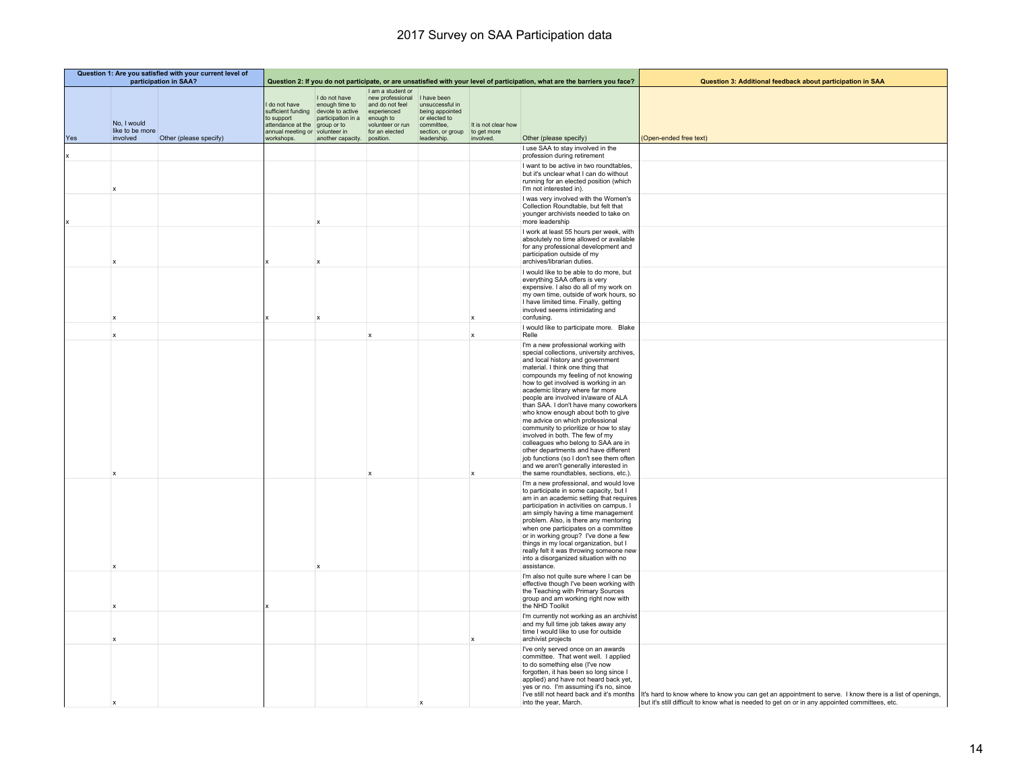|     | Question 1: Are you satisfied with your current level of<br>participation in SAA? |                        |                                                                                           |                                                                                                                    | Question 2: If you do not participate, or are unsatisfied with your level of participation, what are the barriers you face? |                                                                                                       |                                    | Question 3: Additional feedback about participation in SAA                                                                                                                                                                                                                                                                                                                                                                                                                                                                                                                                                                                                                                                                     |                                                                                                                                                                                                                                                      |
|-----|-----------------------------------------------------------------------------------|------------------------|-------------------------------------------------------------------------------------------|--------------------------------------------------------------------------------------------------------------------|-----------------------------------------------------------------------------------------------------------------------------|-------------------------------------------------------------------------------------------------------|------------------------------------|--------------------------------------------------------------------------------------------------------------------------------------------------------------------------------------------------------------------------------------------------------------------------------------------------------------------------------------------------------------------------------------------------------------------------------------------------------------------------------------------------------------------------------------------------------------------------------------------------------------------------------------------------------------------------------------------------------------------------------|------------------------------------------------------------------------------------------------------------------------------------------------------------------------------------------------------------------------------------------------------|
|     | No, I would<br>like to be more                                                    |                        | do not have<br>sufficient funding<br>to support<br>attendance at the<br>annual meeting or | I do not have<br>enough time to<br>devote to active<br>participation in a enough to<br>group or to<br>volunteer in | I am a student or<br>new professional<br>and do not feel<br>experienced<br>volunteer or run<br>for an elected               | I have been<br>unsuccessful in<br>being appointed<br>or elected to<br>committee,<br>section, or group | It is not clear how<br>to get more |                                                                                                                                                                                                                                                                                                                                                                                                                                                                                                                                                                                                                                                                                                                                |                                                                                                                                                                                                                                                      |
| Yes | involved                                                                          | Other (please specify) | workshops.                                                                                | another capacity.                                                                                                  | position.                                                                                                                   | leadership.                                                                                           | involved.                          | Other (please specify)<br>I use SAA to stay involved in the<br>profession during retirement                                                                                                                                                                                                                                                                                                                                                                                                                                                                                                                                                                                                                                    | (Open-ended free text)                                                                                                                                                                                                                               |
|     |                                                                                   |                        |                                                                                           |                                                                                                                    |                                                                                                                             |                                                                                                       |                                    | I want to be active in two roundtables,<br>but it's unclear what I can do without<br>running for an elected position (which<br>I'm not interested in).                                                                                                                                                                                                                                                                                                                                                                                                                                                                                                                                                                         |                                                                                                                                                                                                                                                      |
|     |                                                                                   |                        |                                                                                           |                                                                                                                    |                                                                                                                             |                                                                                                       |                                    | I was very involved with the Women's<br>Collection Roundtable, but felt that<br>younger archivists needed to take on<br>more leadership                                                                                                                                                                                                                                                                                                                                                                                                                                                                                                                                                                                        |                                                                                                                                                                                                                                                      |
|     |                                                                                   |                        |                                                                                           |                                                                                                                    |                                                                                                                             |                                                                                                       |                                    | I work at least 55 hours per week, with<br>absolutely no time allowed or available<br>for any professional development and<br>participation outside of my<br>archives/librarian duties.                                                                                                                                                                                                                                                                                                                                                                                                                                                                                                                                        |                                                                                                                                                                                                                                                      |
|     |                                                                                   |                        |                                                                                           |                                                                                                                    |                                                                                                                             |                                                                                                       | $\boldsymbol{\mathsf{x}}$          | I would like to be able to do more, but<br>everything SAA offers is very<br>expensive. I also do all of my work on<br>my own time, outside of work hours, so<br>I have limited time. Finally, getting<br>involved seems intimidating and<br>confusing.                                                                                                                                                                                                                                                                                                                                                                                                                                                                         |                                                                                                                                                                                                                                                      |
|     |                                                                                   |                        |                                                                                           |                                                                                                                    | $\boldsymbol{\mathsf{x}}$                                                                                                   |                                                                                                       | $\mathbf x$                        | I would like to participate more. Blake<br>Relle                                                                                                                                                                                                                                                                                                                                                                                                                                                                                                                                                                                                                                                                               |                                                                                                                                                                                                                                                      |
|     |                                                                                   |                        |                                                                                           |                                                                                                                    |                                                                                                                             |                                                                                                       | $\mathbf{x}$                       | I'm a new professional working with<br>special collections, university archives,<br>and local history and government<br>material. I think one thing that<br>compounds my feeling of not knowing<br>how to get involved is working in an<br>academic library where far more<br>people are involved in/aware of ALA<br>than SAA. I don't have many coworkers<br>who know enough about both to give<br>me advice on which professional<br>community to prioritize or how to stay<br>involved in both. The few of my<br>colleagues who belong to SAA are in<br>other departments and have different<br>job functions (so I don't see them often<br>and we aren't generally interested in<br>the same roundtables, sections, etc.). |                                                                                                                                                                                                                                                      |
|     |                                                                                   |                        |                                                                                           |                                                                                                                    |                                                                                                                             |                                                                                                       |                                    | I'm a new professional, and would love<br>to participate in some capacity, but I<br>am in an academic setting that requires<br>participation in activities on campus. I<br>am simply having a time management<br>problem. Also, is there any mentoring<br>when one participates on a committee<br>or in working group? I've done a few<br>things in my local organization, but I<br>really felt it was throwing someone new<br>into a disorganized situation with no<br>assistance.                                                                                                                                                                                                                                            |                                                                                                                                                                                                                                                      |
|     |                                                                                   |                        |                                                                                           |                                                                                                                    |                                                                                                                             |                                                                                                       |                                    | I'm also not quite sure where I can be<br>effective though I've been working with<br>the Teaching with Primary Sources<br>group and am working right now with<br>the NHD Toolkit                                                                                                                                                                                                                                                                                                                                                                                                                                                                                                                                               |                                                                                                                                                                                                                                                      |
|     |                                                                                   |                        |                                                                                           |                                                                                                                    |                                                                                                                             |                                                                                                       | $\mathbf{x}$                       | I'm currently not working as an archivist<br>and my full time job takes away any<br>time I would like to use for outside<br>archivist projects                                                                                                                                                                                                                                                                                                                                                                                                                                                                                                                                                                                 |                                                                                                                                                                                                                                                      |
|     |                                                                                   |                        |                                                                                           |                                                                                                                    |                                                                                                                             |                                                                                                       |                                    | I've only served once on an awards<br>committee. That went well. I applied<br>to do something else (I've now<br>forgotten, it has been so long since I<br>applied) and have not heard back yet,<br>yes or no. I'm assuming it's no, since<br>into the year, March.                                                                                                                                                                                                                                                                                                                                                                                                                                                             | I've still not heard back and it's months It's hard to know where to know you can get an appointment to serve. I know there is a list of openings,<br>but it's still difficult to know what is needed to get on or in any appointed committees, etc. |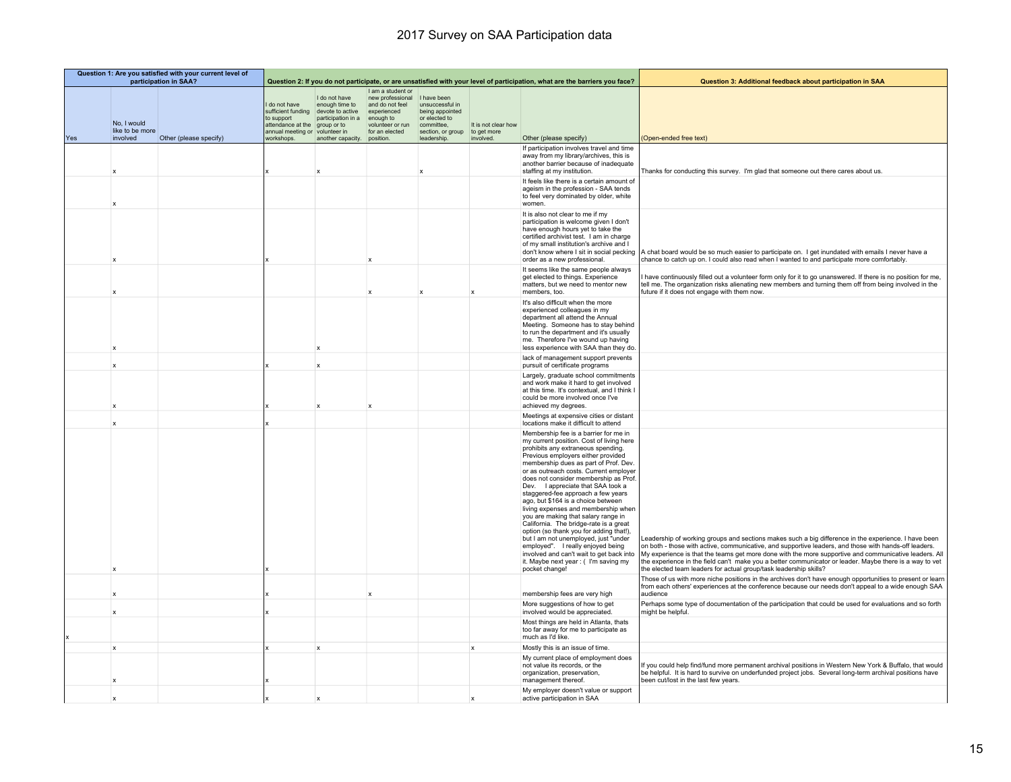|     | Question 1: Are you satisfied with your current level of<br>participation in SAA? |                        |                                                                                                           |                                                                                                                                         | Question 2: If you do not participate, or are unsatisfied with your level of participation, what are the barriers you face? |                                                                                                                      |                                                 | Question 3: Additional feedback about participation in SAA                                                                                                                                                                                                                                                                                                                                                                                                                                                                                                                                                                                                                                                                                                       |                                                                                                                                                                                                                                                                                                                                                                                                                                                                                                        |
|-----|-----------------------------------------------------------------------------------|------------------------|-----------------------------------------------------------------------------------------------------------|-----------------------------------------------------------------------------------------------------------------------------------------|-----------------------------------------------------------------------------------------------------------------------------|----------------------------------------------------------------------------------------------------------------------|-------------------------------------------------|------------------------------------------------------------------------------------------------------------------------------------------------------------------------------------------------------------------------------------------------------------------------------------------------------------------------------------------------------------------------------------------------------------------------------------------------------------------------------------------------------------------------------------------------------------------------------------------------------------------------------------------------------------------------------------------------------------------------------------------------------------------|--------------------------------------------------------------------------------------------------------------------------------------------------------------------------------------------------------------------------------------------------------------------------------------------------------------------------------------------------------------------------------------------------------------------------------------------------------------------------------------------------------|
| Yes | No, I would<br>like to be more<br>involved                                        | Other (please specify) | I do not have<br>sufficient funding<br>to support<br>attendance at the<br>annual meeting or<br>workshops. | I do not have<br>enough time to<br>devote to active<br>participation in a<br>group or to<br>volunteer in<br>another capacity. position. | I am a student or<br>new professional<br>and do not feel<br>experienced<br>enough to<br>volunteer or run<br>for an elected  | I have been<br>unsuccessful in<br>being appointed<br>or elected to<br>committee.<br>section, or group<br>leadership. | It is not clear how<br>to get more<br>involved. | Other (please specify)                                                                                                                                                                                                                                                                                                                                                                                                                                                                                                                                                                                                                                                                                                                                           | (Open-ended free text)                                                                                                                                                                                                                                                                                                                                                                                                                                                                                 |
|     | $\boldsymbol{\mathsf{x}}$                                                         |                        |                                                                                                           |                                                                                                                                         |                                                                                                                             |                                                                                                                      |                                                 | If participation involves travel and time<br>away from my library/archives, this is<br>another barrier because of inadequate<br>staffing at my institution.                                                                                                                                                                                                                                                                                                                                                                                                                                                                                                                                                                                                      | Thanks for conducting this survey. I'm glad that someone out there cares about us.                                                                                                                                                                                                                                                                                                                                                                                                                     |
|     |                                                                                   |                        |                                                                                                           |                                                                                                                                         |                                                                                                                             |                                                                                                                      |                                                 | It feels like there is a certain amount of<br>ageism in the profession - SAA tends<br>to feel very dominated by older, white<br>women.                                                                                                                                                                                                                                                                                                                                                                                                                                                                                                                                                                                                                           |                                                                                                                                                                                                                                                                                                                                                                                                                                                                                                        |
|     | $\boldsymbol{\mathsf{x}}$                                                         |                        |                                                                                                           |                                                                                                                                         | $\mathbf{x}$                                                                                                                |                                                                                                                      |                                                 | It is also not clear to me if my<br>participation is welcome given I don't<br>have enough hours yet to take the<br>certified archivist test. I am in charge<br>of my small institution's archive and I<br>don't know where I sit in social pecking<br>order as a new professional.                                                                                                                                                                                                                                                                                                                                                                                                                                                                               | A chat board would be so much easier to participate on. I get inundated with emails I never have a<br>chance to catch up on. I could also read when I wanted to and participate more comfortably.                                                                                                                                                                                                                                                                                                      |
|     |                                                                                   |                        |                                                                                                           |                                                                                                                                         | $\mathbf{x}$                                                                                                                |                                                                                                                      |                                                 | It seems like the same people always<br>get elected to things. Experience<br>matters, but we need to mentor new<br>members, too.                                                                                                                                                                                                                                                                                                                                                                                                                                                                                                                                                                                                                                 | have continuously filled out a volunteer form only for it to go unanswered. If there is no position for me,<br>tell me. The organization risks alienating new members and turning them off from being involved in the<br>future if it does not engage with them now.                                                                                                                                                                                                                                   |
|     |                                                                                   |                        |                                                                                                           |                                                                                                                                         |                                                                                                                             |                                                                                                                      |                                                 | It's also difficult when the more<br>experienced colleagues in my<br>department all attend the Annual<br>Meeting. Someone has to stay behind<br>to run the department and it's usually<br>me. Therefore I've wound up having<br>less experience with SAA than they do.                                                                                                                                                                                                                                                                                                                                                                                                                                                                                           |                                                                                                                                                                                                                                                                                                                                                                                                                                                                                                        |
|     | $\mathbf x$                                                                       |                        |                                                                                                           | $\mathbf{x}$                                                                                                                            |                                                                                                                             |                                                                                                                      |                                                 | lack of management support prevents<br>pursuit of certificate programs                                                                                                                                                                                                                                                                                                                                                                                                                                                                                                                                                                                                                                                                                           |                                                                                                                                                                                                                                                                                                                                                                                                                                                                                                        |
|     | $\mathbf x$                                                                       |                        |                                                                                                           |                                                                                                                                         | $\mathbf{x}$                                                                                                                |                                                                                                                      |                                                 | Largely, graduate school commitments<br>and work make it hard to get involved<br>at this time. It's contextual, and I think I<br>could be more involved once I've<br>achieved my degrees.                                                                                                                                                                                                                                                                                                                                                                                                                                                                                                                                                                        |                                                                                                                                                                                                                                                                                                                                                                                                                                                                                                        |
|     | X                                                                                 |                        |                                                                                                           |                                                                                                                                         |                                                                                                                             |                                                                                                                      |                                                 | Meetings at expensive cities or distant<br>locations make it difficult to attend                                                                                                                                                                                                                                                                                                                                                                                                                                                                                                                                                                                                                                                                                 |                                                                                                                                                                                                                                                                                                                                                                                                                                                                                                        |
|     | $\mathbf{x}$                                                                      |                        |                                                                                                           |                                                                                                                                         |                                                                                                                             |                                                                                                                      |                                                 | Membership fee is a barrier for me in<br>my current position. Cost of living here<br>prohibits any extraneous spending.<br>Previous employers either provided<br>membership dues as part of Prof. Dev.<br>or as outreach costs. Current employer<br>does not consider membership as Prof.<br>Dev. I appreciate that SAA took a<br>staggered-fee approach a few years<br>ago, but \$164 is a choice between<br>living expenses and membership when<br>you are making that salary range in<br>California. The bridge-rate is a great<br>option (so thank you for adding that!),<br>but I am not unemployed, just "under<br>employed". I really enjoyed being<br>involved and can't wait to get back into<br>it. Maybe next year: ( I'm saving my<br>pocket change! | Leadership of working groups and sections makes such a big difference in the experience. I have been<br>on both - those with active, communicative, and supportive leaders, and those with hands-off leaders.<br>My experience is that the teams get more done with the more supportive and communicative leaders. All<br>the experience in the field can't make you a better communicator or leader. Maybe there is a way to vet<br>the elected team leaders for actual group/task leadership skills? |
|     | $\mathbf x$                                                                       |                        |                                                                                                           |                                                                                                                                         | $\mathbf{x}$                                                                                                                |                                                                                                                      |                                                 | membership fees are very high                                                                                                                                                                                                                                                                                                                                                                                                                                                                                                                                                                                                                                                                                                                                    | Those of us with more niche positions in the archives don't have enough opportunities to present or learn<br>from each others' experiences at the conference because our needs don't appeal to a wide enough SAA<br>audience                                                                                                                                                                                                                                                                           |
|     | $\boldsymbol{\mathsf{x}}$                                                         |                        |                                                                                                           |                                                                                                                                         |                                                                                                                             |                                                                                                                      |                                                 | More suggestions of how to get<br>involved would be appreciated.                                                                                                                                                                                                                                                                                                                                                                                                                                                                                                                                                                                                                                                                                                 | Perhaps some type of documentation of the participation that could be used for evaluations and so forth<br>might be helpful.                                                                                                                                                                                                                                                                                                                                                                           |
|     |                                                                                   |                        |                                                                                                           |                                                                                                                                         |                                                                                                                             |                                                                                                                      |                                                 | Most things are held in Atlanta, thats<br>too far away for me to participate as<br>much as I'd like.                                                                                                                                                                                                                                                                                                                                                                                                                                                                                                                                                                                                                                                             |                                                                                                                                                                                                                                                                                                                                                                                                                                                                                                        |
|     | x                                                                                 |                        |                                                                                                           | X                                                                                                                                       |                                                                                                                             |                                                                                                                      | $\mathbf x$                                     | Mostly this is an issue of time.                                                                                                                                                                                                                                                                                                                                                                                                                                                                                                                                                                                                                                                                                                                                 |                                                                                                                                                                                                                                                                                                                                                                                                                                                                                                        |
|     |                                                                                   |                        |                                                                                                           |                                                                                                                                         |                                                                                                                             |                                                                                                                      |                                                 | My current place of employment does<br>not value its records, or the<br>organization, preservation,<br>management thereof                                                                                                                                                                                                                                                                                                                                                                                                                                                                                                                                                                                                                                        | If you could help find/fund more permanent archival positions in Western New York & Buffalo, that would<br>be helpful. It is hard to survive on underfunded project jobs. Several long-term archival positions have<br>been cut/lost in the last few years.                                                                                                                                                                                                                                            |
|     | $\boldsymbol{\mathsf{x}}$                                                         |                        |                                                                                                           |                                                                                                                                         |                                                                                                                             |                                                                                                                      |                                                 | My employer doesn't value or support<br>active participation in SAA                                                                                                                                                                                                                                                                                                                                                                                                                                                                                                                                                                                                                                                                                              |                                                                                                                                                                                                                                                                                                                                                                                                                                                                                                        |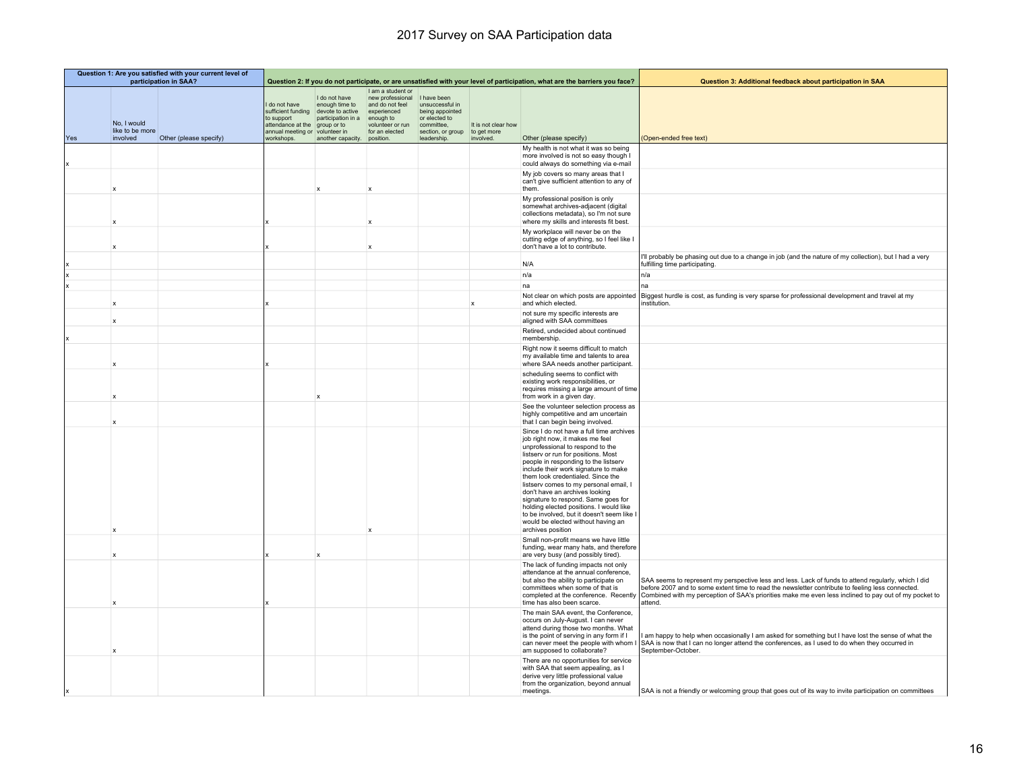| Question 1: Are you satisfied with your current level of<br>participation in SAA? |                                            |                        |                                                                                                                      | Question 2: If you do not participate, or are unsatisfied with your level of participation, what are the barriers you face? |                                                                                                                                         |                                                                                                                      | Question 3: Additional feedback about participation in SAA |                                                                                                                                                                                                                                                                                                                                                                                                                                                                                                                                                    |                                                                                                                                                                                                                                                                                                                                                                  |
|-----------------------------------------------------------------------------------|--------------------------------------------|------------------------|----------------------------------------------------------------------------------------------------------------------|-----------------------------------------------------------------------------------------------------------------------------|-----------------------------------------------------------------------------------------------------------------------------------------|----------------------------------------------------------------------------------------------------------------------|------------------------------------------------------------|----------------------------------------------------------------------------------------------------------------------------------------------------------------------------------------------------------------------------------------------------------------------------------------------------------------------------------------------------------------------------------------------------------------------------------------------------------------------------------------------------------------------------------------------------|------------------------------------------------------------------------------------------------------------------------------------------------------------------------------------------------------------------------------------------------------------------------------------------------------------------------------------------------------------------|
| Yes                                                                               | No, I would<br>like to be more<br>involved | Other (please specify) | do not have<br>sufficient funding<br>to support<br>attendance at the<br>annual meeting or volunteer in<br>workshops. | I do not have<br>enough time to<br>devote to active<br>participation in a<br>group or to<br>another capacity.               | I am a student or<br>new professional<br>and do not feel<br>experienced<br>enough to<br>volunteer or run<br>for an elected<br>position. | I have been<br>unsuccessful in<br>being appointed<br>or elected to<br>committee,<br>section, or group<br>leadership. | It is not clear how<br>to get more<br>involved.            | Other (please specify)                                                                                                                                                                                                                                                                                                                                                                                                                                                                                                                             | (Open-ended free text)                                                                                                                                                                                                                                                                                                                                           |
|                                                                                   |                                            |                        |                                                                                                                      |                                                                                                                             |                                                                                                                                         |                                                                                                                      |                                                            | My health is not what it was so being<br>more involved is not so easy though I<br>could always do something via e-mail                                                                                                                                                                                                                                                                                                                                                                                                                             |                                                                                                                                                                                                                                                                                                                                                                  |
|                                                                                   | X                                          |                        |                                                                                                                      | x                                                                                                                           | $\boldsymbol{\mathsf{x}}$                                                                                                               |                                                                                                                      |                                                            | My job covers so many areas that I<br>can't give sufficient attention to any of<br>them.                                                                                                                                                                                                                                                                                                                                                                                                                                                           |                                                                                                                                                                                                                                                                                                                                                                  |
|                                                                                   | X                                          |                        |                                                                                                                      |                                                                                                                             |                                                                                                                                         |                                                                                                                      |                                                            | My professional position is only<br>somewhat archives-adjacent (digital<br>collections metadata), so I'm not sure<br>where my skills and interests fit best.                                                                                                                                                                                                                                                                                                                                                                                       |                                                                                                                                                                                                                                                                                                                                                                  |
|                                                                                   | X                                          |                        |                                                                                                                      |                                                                                                                             | $\boldsymbol{\mathsf{x}}$                                                                                                               |                                                                                                                      |                                                            | My workplace will never be on the<br>cutting edge of anything, so I feel like I<br>don't have a lot to contribute.                                                                                                                                                                                                                                                                                                                                                                                                                                 |                                                                                                                                                                                                                                                                                                                                                                  |
|                                                                                   |                                            |                        |                                                                                                                      |                                                                                                                             |                                                                                                                                         |                                                                                                                      |                                                            | N/A                                                                                                                                                                                                                                                                                                                                                                                                                                                                                                                                                | I'll probably be phasing out due to a change in job (and the nature of my collection), but I had a very<br>fulfilling time participating.                                                                                                                                                                                                                        |
|                                                                                   |                                            |                        |                                                                                                                      |                                                                                                                             |                                                                                                                                         |                                                                                                                      |                                                            | n/a                                                                                                                                                                                                                                                                                                                                                                                                                                                                                                                                                | n/a                                                                                                                                                                                                                                                                                                                                                              |
|                                                                                   | $\boldsymbol{\mathsf{x}}$                  |                        |                                                                                                                      |                                                                                                                             |                                                                                                                                         |                                                                                                                      | $\boldsymbol{\mathsf{x}}$                                  | na<br>and which elected                                                                                                                                                                                                                                                                                                                                                                                                                                                                                                                            | Not clear on which posts are appointed  Biggest hurdle is cost, as funding is very sparse for professional development and travel at my<br>institution.                                                                                                                                                                                                          |
|                                                                                   | $\mathbf x$                                |                        |                                                                                                                      |                                                                                                                             |                                                                                                                                         |                                                                                                                      |                                                            | not sure my specific interests are<br>aligned with SAA committees                                                                                                                                                                                                                                                                                                                                                                                                                                                                                  |                                                                                                                                                                                                                                                                                                                                                                  |
|                                                                                   |                                            |                        |                                                                                                                      |                                                                                                                             |                                                                                                                                         |                                                                                                                      |                                                            | Retired, undecided about continued<br>membership.                                                                                                                                                                                                                                                                                                                                                                                                                                                                                                  |                                                                                                                                                                                                                                                                                                                                                                  |
|                                                                                   | X                                          |                        |                                                                                                                      |                                                                                                                             |                                                                                                                                         |                                                                                                                      |                                                            | Right now it seems difficult to match<br>my available time and talents to area<br>where SAA needs another participant.                                                                                                                                                                                                                                                                                                                                                                                                                             |                                                                                                                                                                                                                                                                                                                                                                  |
|                                                                                   |                                            |                        |                                                                                                                      |                                                                                                                             |                                                                                                                                         |                                                                                                                      |                                                            | scheduling seems to conflict with<br>existing work responsibilities, or<br>requires missing a large amount of time<br>from work in a given day.                                                                                                                                                                                                                                                                                                                                                                                                    |                                                                                                                                                                                                                                                                                                                                                                  |
|                                                                                   |                                            |                        |                                                                                                                      |                                                                                                                             |                                                                                                                                         |                                                                                                                      |                                                            | See the volunteer selection process as<br>highly competitive and am uncertain<br>that I can begin being involved.                                                                                                                                                                                                                                                                                                                                                                                                                                  |                                                                                                                                                                                                                                                                                                                                                                  |
|                                                                                   | X                                          |                        |                                                                                                                      |                                                                                                                             | $\mathsf{x}$                                                                                                                            |                                                                                                                      |                                                            | Since I do not have a full time archives<br>job right now, it makes me feel<br>unprofessional to respond to the<br>listserv or run for positions. Most<br>people in responding to the listserv<br>include their work signature to make<br>them look credentialed. Since the<br>listserv comes to my personal email, I<br>don't have an archives looking<br>signature to respond. Same goes for<br>holding elected positions. I would like<br>to be involved, but it doesn't seem like I<br>would be elected without having an<br>archives position |                                                                                                                                                                                                                                                                                                                                                                  |
|                                                                                   | $\mathbf x$                                |                        |                                                                                                                      | $\boldsymbol{\mathsf{x}}$                                                                                                   |                                                                                                                                         |                                                                                                                      |                                                            | Small non-profit means we have little<br>funding, wear many hats, and therefore<br>are very busy (and possibly tired).                                                                                                                                                                                                                                                                                                                                                                                                                             |                                                                                                                                                                                                                                                                                                                                                                  |
|                                                                                   |                                            |                        |                                                                                                                      |                                                                                                                             |                                                                                                                                         |                                                                                                                      |                                                            | The lack of funding impacts not only<br>attendance at the annual conference,<br>but also the ability to participate on<br>committees when some of that is<br>time has also been scarce.                                                                                                                                                                                                                                                                                                                                                            | SAA seems to represent my perspective less and less. Lack of funds to attend regularly, which I did<br>before 2007 and to some extent time to read the newsletter contribute to feeling less connected.<br>completed at the conference. Recently Combined with my perception of SAA's priorities make me even less inclined to pay out of my pocket to<br>attend |
|                                                                                   | X                                          |                        |                                                                                                                      |                                                                                                                             |                                                                                                                                         |                                                                                                                      |                                                            | The main SAA event, the Conference,<br>occurs on July-August. I can never<br>attend during those two months. What<br>is the point of serving in any form if I<br>can never meet the people with whom<br>am supposed to collaborate?                                                                                                                                                                                                                                                                                                                | am happy to help when occasionally I am asked for something but I have lost the sense of what the<br>SAA is now that I can no longer attend the conferences, as I used to do when they occurred in<br>September-October.                                                                                                                                         |
|                                                                                   |                                            |                        |                                                                                                                      |                                                                                                                             |                                                                                                                                         |                                                                                                                      |                                                            | There are no opportunities for service<br>with SAA that seem appealing, as I<br>derive very little professional value<br>from the organization, beyond annual<br>meetings.                                                                                                                                                                                                                                                                                                                                                                         | SAA is not a friendly or welcoming group that goes out of its way to invite participation on committees                                                                                                                                                                                                                                                          |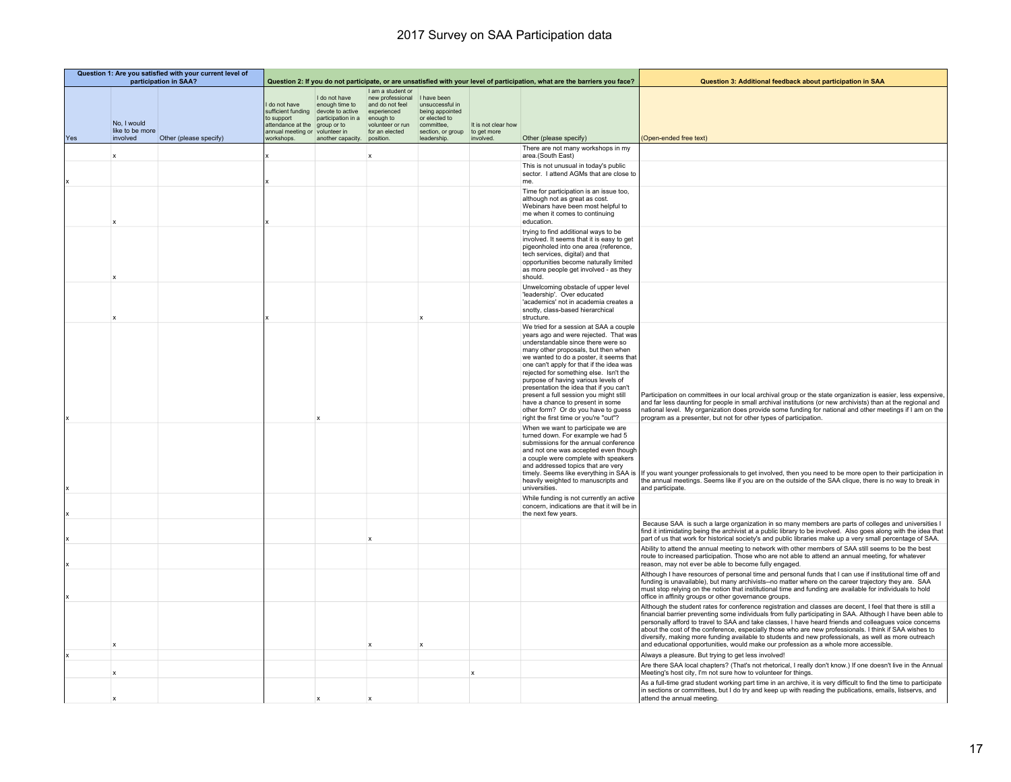|     | Question 1: Are you satisfied with your current level of<br>participation in SAA? |                        |                                                                                                           |                                                                                                                               | Question 2: If you do not participate, or are unsatisfied with your level of participation, what are the barriers you face?             |                                                                                                                      |                                                 | Question 3: Additional feedback about participation in SAA                                                                                                                                                                                                                                                                                                                                                                                                                                                                                    |                                                                                                                                                                                                                                                                                                                                                                                                                                                                                                                                                                                                                                                 |
|-----|-----------------------------------------------------------------------------------|------------------------|-----------------------------------------------------------------------------------------------------------|-------------------------------------------------------------------------------------------------------------------------------|-----------------------------------------------------------------------------------------------------------------------------------------|----------------------------------------------------------------------------------------------------------------------|-------------------------------------------------|-----------------------------------------------------------------------------------------------------------------------------------------------------------------------------------------------------------------------------------------------------------------------------------------------------------------------------------------------------------------------------------------------------------------------------------------------------------------------------------------------------------------------------------------------|-------------------------------------------------------------------------------------------------------------------------------------------------------------------------------------------------------------------------------------------------------------------------------------------------------------------------------------------------------------------------------------------------------------------------------------------------------------------------------------------------------------------------------------------------------------------------------------------------------------------------------------------------|
| Yes | No, I would<br>like to be more<br>involved                                        | Other (please specify) | I do not have<br>sufficient funding<br>to support<br>attendance at the<br>annual meeting or<br>workshops. | I do not have<br>enough time to<br>devote to active<br>participation in a<br>group or to<br>volunteer in<br>another capacity. | I am a student or<br>new professional<br>and do not feel<br>experienced<br>enough to<br>volunteer or run<br>for an elected<br>position. | I have been<br>unsuccessful in<br>being appointed<br>or elected to<br>committee,<br>section, or group<br>leadership. | It is not clear how<br>to get more<br>involved. | Other (please specify)                                                                                                                                                                                                                                                                                                                                                                                                                                                                                                                        | (Open-ended free text)                                                                                                                                                                                                                                                                                                                                                                                                                                                                                                                                                                                                                          |
|     |                                                                                   |                        |                                                                                                           |                                                                                                                               |                                                                                                                                         |                                                                                                                      |                                                 | There are not many workshops in my                                                                                                                                                                                                                                                                                                                                                                                                                                                                                                            |                                                                                                                                                                                                                                                                                                                                                                                                                                                                                                                                                                                                                                                 |
|     | $\boldsymbol{\mathsf{x}}$                                                         |                        |                                                                                                           |                                                                                                                               | $\mathbf x$                                                                                                                             |                                                                                                                      |                                                 | area.(South East)<br>This is not unusual in today's public<br>sector. I attend AGMs that are close to<br>me.                                                                                                                                                                                                                                                                                                                                                                                                                                  |                                                                                                                                                                                                                                                                                                                                                                                                                                                                                                                                                                                                                                                 |
|     |                                                                                   |                        |                                                                                                           |                                                                                                                               |                                                                                                                                         |                                                                                                                      |                                                 | Time for participation is an issue too,<br>although not as great as cost.<br>Webinars have been most helpful to<br>me when it comes to continuing<br>education                                                                                                                                                                                                                                                                                                                                                                                |                                                                                                                                                                                                                                                                                                                                                                                                                                                                                                                                                                                                                                                 |
|     |                                                                                   |                        |                                                                                                           |                                                                                                                               |                                                                                                                                         |                                                                                                                      |                                                 | trying to find additional ways to be<br>involved. It seems that it is easy to get<br>pigeonholed into one area (reference,<br>tech services, digital) and that<br>opportunities become naturally limited<br>as more people get involved - as they<br>should.                                                                                                                                                                                                                                                                                  |                                                                                                                                                                                                                                                                                                                                                                                                                                                                                                                                                                                                                                                 |
|     |                                                                                   |                        |                                                                                                           |                                                                                                                               |                                                                                                                                         |                                                                                                                      |                                                 | Unwelcoming obstacle of upper level<br>'leadership'. Over educated<br>'academics' not in academia creates a<br>snotty, class-based hierarchical<br>structure.                                                                                                                                                                                                                                                                                                                                                                                 |                                                                                                                                                                                                                                                                                                                                                                                                                                                                                                                                                                                                                                                 |
|     |                                                                                   |                        |                                                                                                           |                                                                                                                               |                                                                                                                                         |                                                                                                                      |                                                 | We tried for a session at SAA a couple<br>years ago and were rejected. That was<br>understandable since there were so<br>many other proposals, but then when<br>we wanted to do a poster, it seems that<br>one can't apply for that if the idea was<br>rejected for something else. Isn't the<br>purpose of having various levels of<br>presentation the idea that if you can't<br>present a full session you might still<br>have a chance to present in some<br>other form? Or do you have to quess<br>right the first time or you're "out"? | Participation on committees in our local archival group or the state organization is easier, less expensive,<br>and far less daunting for people in small archival institutions (or new archivists) than at the regional and<br>national level. My organization does provide some funding for national and other meetings if I am on the<br>program as a presenter, but not for other types of participation.                                                                                                                                                                                                                                   |
|     |                                                                                   |                        |                                                                                                           |                                                                                                                               |                                                                                                                                         |                                                                                                                      |                                                 | When we want to participate we are<br>turned down. For example we had 5<br>submissions for the annual conference<br>and not one was accepted even though<br>a couple were complete with speakers<br>and addressed topics that are very<br>timely. Seems like everything in SAA is<br>heavily weighted to manuscripts and<br>universities.                                                                                                                                                                                                     | If you want younger professionals to get involved, then you need to be more open to their participation in<br>the annual meetings. Seems like if you are on the outside of the SAA clique, there is no way to break in<br>and participate.                                                                                                                                                                                                                                                                                                                                                                                                      |
|     |                                                                                   |                        |                                                                                                           |                                                                                                                               |                                                                                                                                         |                                                                                                                      |                                                 | While funding is not currently an active<br>concern, indications are that it will be in<br>the next few years.                                                                                                                                                                                                                                                                                                                                                                                                                                |                                                                                                                                                                                                                                                                                                                                                                                                                                                                                                                                                                                                                                                 |
|     |                                                                                   |                        |                                                                                                           |                                                                                                                               |                                                                                                                                         |                                                                                                                      |                                                 |                                                                                                                                                                                                                                                                                                                                                                                                                                                                                                                                               | Because SAA is such a large organization in so many members are parts of colleges and universities I<br>find it intimidating being the archivist at a public library to be involved. Also goes along with the idea that<br>part of us that work for historical society's and public libraries make up a very small percentage of SAA.                                                                                                                                                                                                                                                                                                           |
|     |                                                                                   |                        |                                                                                                           |                                                                                                                               |                                                                                                                                         |                                                                                                                      |                                                 |                                                                                                                                                                                                                                                                                                                                                                                                                                                                                                                                               | Ability to attend the annual meeting to network with other members of SAA still seems to be the best<br>route to increased participation. Those who are not able to attend an annual meeting, for whatever<br>reason, may not ever be able to become fully engaged.                                                                                                                                                                                                                                                                                                                                                                             |
|     |                                                                                   |                        |                                                                                                           |                                                                                                                               |                                                                                                                                         |                                                                                                                      |                                                 |                                                                                                                                                                                                                                                                                                                                                                                                                                                                                                                                               | Although I have resources of personal time and personal funds that I can use if institutional time off and<br>funding is unavailable), but many archivists--no matter where on the career trajectory they are. SAA<br>must stop relying on the notion that institutional time and funding are available for individuals to hold<br>office in affinity groups or other governance groups.                                                                                                                                                                                                                                                        |
|     |                                                                                   |                        |                                                                                                           |                                                                                                                               |                                                                                                                                         |                                                                                                                      |                                                 |                                                                                                                                                                                                                                                                                                                                                                                                                                                                                                                                               | Although the student rates for conference registration and classes are decent, I feel that there is still a<br>financial barrier preventing some individuals from fully participating in SAA. Although I have been able to<br>personally afford to travel to SAA and take classes, I have heard friends and colleagues voice concerns<br>about the cost of the conference, especially those who are new professionals. I think if SAA wishes to<br>diversify, making more funding available to students and new professionals, as well as more outreach<br>and educational opportunities, would make our profession as a whole more accessible. |
|     |                                                                                   |                        |                                                                                                           |                                                                                                                               |                                                                                                                                         |                                                                                                                      |                                                 |                                                                                                                                                                                                                                                                                                                                                                                                                                                                                                                                               | Always a pleasure. But trying to get less involved!<br>Are there SAA local chapters? (That's not rhetorical, I really don't know.) If one doesn't live in the Annual                                                                                                                                                                                                                                                                                                                                                                                                                                                                            |
|     | $\boldsymbol{\mathsf{x}}$                                                         |                        |                                                                                                           |                                                                                                                               |                                                                                                                                         |                                                                                                                      | $\mathbf x$                                     |                                                                                                                                                                                                                                                                                                                                                                                                                                                                                                                                               | Meeting's host city, I'm not sure how to volunteer for things.<br>As a full-time grad student working part time in an archive, it is very difficult to find the time to participate                                                                                                                                                                                                                                                                                                                                                                                                                                                             |
|     |                                                                                   |                        |                                                                                                           |                                                                                                                               |                                                                                                                                         |                                                                                                                      |                                                 |                                                                                                                                                                                                                                                                                                                                                                                                                                                                                                                                               | in sections or committees, but I do try and keep up with reading the publications, emails, listservs, and<br>attend the annual meeting.                                                                                                                                                                                                                                                                                                                                                                                                                                                                                                         |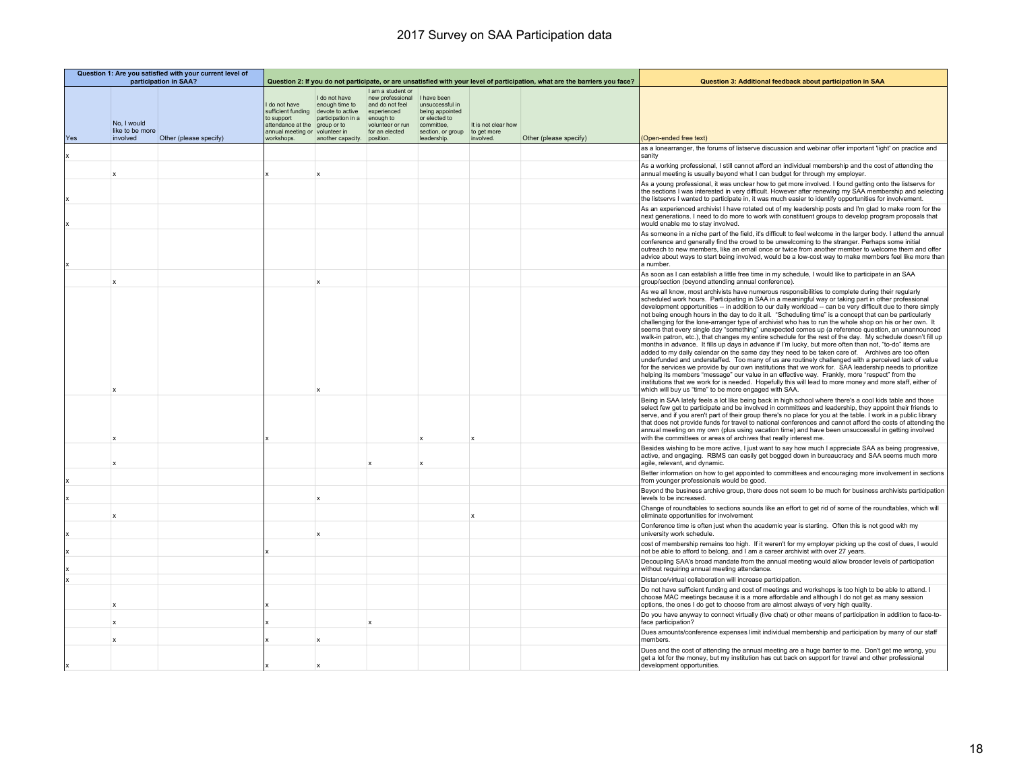| Question 1: Are you satisfied with your current level of<br>participation in SAA? |                                |                        |                                                                     |                                                                                                                             | Question 2: If you do not participate, or are unsatisfied with your level of participation, what are the barriers you face?           |                                                                                        |                                    | Question 3: Additional feedback about participation in SAA |                                                                                                                                                                                                                                                                                                                                                                                                                                                                                                                                                                                                                                                                                                                                                                                                                                                                                                                                                                                                                                                                                                                                                                                                                                                                                                                                                                                                                                                                             |
|-----------------------------------------------------------------------------------|--------------------------------|------------------------|---------------------------------------------------------------------|-----------------------------------------------------------------------------------------------------------------------------|---------------------------------------------------------------------------------------------------------------------------------------|----------------------------------------------------------------------------------------|------------------------------------|------------------------------------------------------------|-----------------------------------------------------------------------------------------------------------------------------------------------------------------------------------------------------------------------------------------------------------------------------------------------------------------------------------------------------------------------------------------------------------------------------------------------------------------------------------------------------------------------------------------------------------------------------------------------------------------------------------------------------------------------------------------------------------------------------------------------------------------------------------------------------------------------------------------------------------------------------------------------------------------------------------------------------------------------------------------------------------------------------------------------------------------------------------------------------------------------------------------------------------------------------------------------------------------------------------------------------------------------------------------------------------------------------------------------------------------------------------------------------------------------------------------------------------------------------|
|                                                                                   | No, I would<br>like to be more |                        | do not have<br>to support<br>attendance at the<br>annual meeting or | I do not have<br>enough time to<br>sufficient funding devote to active<br>participation in a<br>group or to<br>volunteer in | Lam a student or<br>new professional I have been<br>and do not feel<br>experienced<br>enough to<br>volunteer or run<br>for an elected | unsuccessful in<br>being appointed<br>or elected to<br>committee.<br>section, or group | It is not clear how<br>to get more |                                                            |                                                                                                                                                                                                                                                                                                                                                                                                                                                                                                                                                                                                                                                                                                                                                                                                                                                                                                                                                                                                                                                                                                                                                                                                                                                                                                                                                                                                                                                                             |
| Yes                                                                               | involved                       | Other (please specify) | workshops.                                                          | another capacity. position.                                                                                                 |                                                                                                                                       | leadership.                                                                            | involved.                          | Other (please specify)                                     | (Open-ended free text)<br>as a lonearranger, the forums of listserve discussion and webinar offer important 'light' on practice and                                                                                                                                                                                                                                                                                                                                                                                                                                                                                                                                                                                                                                                                                                                                                                                                                                                                                                                                                                                                                                                                                                                                                                                                                                                                                                                                         |
|                                                                                   |                                |                        |                                                                     |                                                                                                                             |                                                                                                                                       |                                                                                        |                                    |                                                            | sanity                                                                                                                                                                                                                                                                                                                                                                                                                                                                                                                                                                                                                                                                                                                                                                                                                                                                                                                                                                                                                                                                                                                                                                                                                                                                                                                                                                                                                                                                      |
|                                                                                   | $\mathbf x$                    |                        |                                                                     |                                                                                                                             |                                                                                                                                       |                                                                                        |                                    |                                                            | As a working professional, I still cannot afford an individual membership and the cost of attending the<br>annual meeting is usually beyond what I can budget for through my employer.                                                                                                                                                                                                                                                                                                                                                                                                                                                                                                                                                                                                                                                                                                                                                                                                                                                                                                                                                                                                                                                                                                                                                                                                                                                                                      |
|                                                                                   |                                |                        |                                                                     |                                                                                                                             |                                                                                                                                       |                                                                                        |                                    |                                                            | As a young professional, it was unclear how to get more involved. I found getting onto the listservs for<br>the sections I was interested in very difficult. However after renewing my SAA membership and selecting<br>the listservs I wanted to participate in, it was much easier to identify opportunities for involvement.                                                                                                                                                                                                                                                                                                                                                                                                                                                                                                                                                                                                                                                                                                                                                                                                                                                                                                                                                                                                                                                                                                                                              |
|                                                                                   |                                |                        |                                                                     |                                                                                                                             |                                                                                                                                       |                                                                                        |                                    |                                                            | As an experienced archivist I have rotated out of my leadership posts and I'm glad to make room for the<br>next generations. I need to do more to work with constituent groups to develop program proposals that<br>would enable me to stay involved.                                                                                                                                                                                                                                                                                                                                                                                                                                                                                                                                                                                                                                                                                                                                                                                                                                                                                                                                                                                                                                                                                                                                                                                                                       |
|                                                                                   |                                |                        |                                                                     |                                                                                                                             |                                                                                                                                       |                                                                                        |                                    |                                                            | As someone in a niche part of the field, it's difficult to feel welcome in the larger body. I attend the annual<br>conference and generally find the crowd to be unwelcoming to the stranger. Perhaps some initial<br>outreach to new members, like an email once or twice from another member to welcome them and offer<br>advice about ways to start being involved, would be a low-cost way to make members feel like more than<br>a number.                                                                                                                                                                                                                                                                                                                                                                                                                                                                                                                                                                                                                                                                                                                                                                                                                                                                                                                                                                                                                             |
|                                                                                   | X                              |                        |                                                                     | $\mathbf x$                                                                                                                 |                                                                                                                                       |                                                                                        |                                    |                                                            | As soon as I can establish a little free time in my schedule, I would like to participate in an SAA<br>group/section (beyond attending annual conference).                                                                                                                                                                                                                                                                                                                                                                                                                                                                                                                                                                                                                                                                                                                                                                                                                                                                                                                                                                                                                                                                                                                                                                                                                                                                                                                  |
|                                                                                   |                                |                        |                                                                     |                                                                                                                             |                                                                                                                                       |                                                                                        |                                    |                                                            | As we all know, most archivists have numerous responsibilities to complete during their regularly<br>scheduled work hours. Participating in SAA in a meaningful way or taking part in other professional<br>development opportunities -- in addition to our daily workload -- can be very difficult due to there simply<br>not being enough hours in the day to do it all. "Scheduling time" is a concept that can be particularly<br>challenging for the lone-arranger type of archivist who has to run the whole shop on his or her own. It<br>seems that every single day "something" unexpected comes up (a reference question, an unannounced<br>walk-in patron, etc.), that changes my entire schedule for the rest of the day. My schedule doesn't fill up<br>months in advance. It fills up days in advance if I'm lucky, but more often than not, "to-do" items are<br>added to my daily calendar on the same day they need to be taken care of. Archives are too often<br>underfunded and understaffed. Too many of us are routinely challenged with a perceived lack of value<br>for the services we provide by our own institutions that we work for. SAA leadership needs to prioritize<br>helping its members "message" our value in an effective way. Frankly, more "respect" from the<br>institutions that we work for is needed. Hopefully this will lead to more money and more staff, either of<br>which will buy us "time" to be more engaged with SAA. |
|                                                                                   |                                |                        |                                                                     |                                                                                                                             |                                                                                                                                       |                                                                                        |                                    |                                                            | Being in SAA lately feels a lot like being back in high school where there's a cool kids table and those<br>select few get to participate and be involved in committees and leadership, they appoint their friends to<br>serve, and if you aren't part of their group there's no place for you at the table. I work in a public library<br>that does not provide funds for travel to national conferences and cannot afford the costs of attending the<br>annual meeting on my own (plus using vacation time) and have been unsuccessful in getting involved<br>with the committees or areas of archives that really interest me.                                                                                                                                                                                                                                                                                                                                                                                                                                                                                                                                                                                                                                                                                                                                                                                                                                           |
|                                                                                   | $\mathbf x$                    |                        |                                                                     |                                                                                                                             |                                                                                                                                       |                                                                                        |                                    |                                                            | Besides wishing to be more active, I just want to say how much I appreciate SAA as being progressive,<br>active, and engaging. RBMS can easily get bogged down in bureaucracy and SAA seems much more<br>agile, relevant, and dynamic.                                                                                                                                                                                                                                                                                                                                                                                                                                                                                                                                                                                                                                                                                                                                                                                                                                                                                                                                                                                                                                                                                                                                                                                                                                      |
|                                                                                   |                                |                        |                                                                     |                                                                                                                             |                                                                                                                                       |                                                                                        |                                    |                                                            | Better information on how to get appointed to committees and encouraging more involvement in sections<br>from younger professionals would be good.                                                                                                                                                                                                                                                                                                                                                                                                                                                                                                                                                                                                                                                                                                                                                                                                                                                                                                                                                                                                                                                                                                                                                                                                                                                                                                                          |
|                                                                                   |                                |                        |                                                                     | $\boldsymbol{\mathsf{x}}$                                                                                                   |                                                                                                                                       |                                                                                        |                                    |                                                            | Beyond the business archive group, there does not seem to be much for business archivists participation<br>levels to be increased.                                                                                                                                                                                                                                                                                                                                                                                                                                                                                                                                                                                                                                                                                                                                                                                                                                                                                                                                                                                                                                                                                                                                                                                                                                                                                                                                          |
|                                                                                   | x                              |                        |                                                                     |                                                                                                                             |                                                                                                                                       |                                                                                        | X                                  |                                                            | Change of roundtables to sections sounds like an effort to get rid of some of the roundtables, which will<br>eliminate opportunities for involvement                                                                                                                                                                                                                                                                                                                                                                                                                                                                                                                                                                                                                                                                                                                                                                                                                                                                                                                                                                                                                                                                                                                                                                                                                                                                                                                        |
|                                                                                   |                                |                        |                                                                     | $\boldsymbol{\mathsf{x}}$                                                                                                   |                                                                                                                                       |                                                                                        |                                    |                                                            | Conference time is often just when the academic year is starting. Often this is not good with my<br>university work schedule.                                                                                                                                                                                                                                                                                                                                                                                                                                                                                                                                                                                                                                                                                                                                                                                                                                                                                                                                                                                                                                                                                                                                                                                                                                                                                                                                               |
|                                                                                   |                                |                        |                                                                     |                                                                                                                             |                                                                                                                                       |                                                                                        |                                    |                                                            | cost of membership remains too high. If it weren't for my employer picking up the cost of dues, I would<br>not be able to afford to belong, and I am a career archivist with over 27 years.                                                                                                                                                                                                                                                                                                                                                                                                                                                                                                                                                                                                                                                                                                                                                                                                                                                                                                                                                                                                                                                                                                                                                                                                                                                                                 |
|                                                                                   |                                |                        |                                                                     |                                                                                                                             |                                                                                                                                       |                                                                                        |                                    |                                                            | Decoupling SAA's broad mandate from the annual meeting would allow broader levels of participation<br>without requiring annual meeting attendance.                                                                                                                                                                                                                                                                                                                                                                                                                                                                                                                                                                                                                                                                                                                                                                                                                                                                                                                                                                                                                                                                                                                                                                                                                                                                                                                          |
|                                                                                   |                                |                        |                                                                     |                                                                                                                             |                                                                                                                                       |                                                                                        |                                    |                                                            | Distance/virtual collaboration will increase participation.                                                                                                                                                                                                                                                                                                                                                                                                                                                                                                                                                                                                                                                                                                                                                                                                                                                                                                                                                                                                                                                                                                                                                                                                                                                                                                                                                                                                                 |
|                                                                                   | x                              |                        |                                                                     |                                                                                                                             |                                                                                                                                       |                                                                                        |                                    |                                                            | Do not have sufficient funding and cost of meetings and workshops is too high to be able to attend. I<br>choose MAC meetings because it is a more affordable and although I do not get as many session<br>options, the ones I do get to choose from are almost always of very high quality.                                                                                                                                                                                                                                                                                                                                                                                                                                                                                                                                                                                                                                                                                                                                                                                                                                                                                                                                                                                                                                                                                                                                                                                 |
|                                                                                   |                                |                        |                                                                     |                                                                                                                             |                                                                                                                                       |                                                                                        |                                    |                                                            | Do you have anyway to connect virtually (live chat) or other means of participation in addition to face-to-<br>face participation?                                                                                                                                                                                                                                                                                                                                                                                                                                                                                                                                                                                                                                                                                                                                                                                                                                                                                                                                                                                                                                                                                                                                                                                                                                                                                                                                          |
|                                                                                   | X                              |                        |                                                                     |                                                                                                                             |                                                                                                                                       |                                                                                        |                                    |                                                            | Dues amounts/conference expenses limit individual membership and participation by many of our staff<br>members                                                                                                                                                                                                                                                                                                                                                                                                                                                                                                                                                                                                                                                                                                                                                                                                                                                                                                                                                                                                                                                                                                                                                                                                                                                                                                                                                              |
|                                                                                   |                                |                        |                                                                     |                                                                                                                             |                                                                                                                                       |                                                                                        |                                    |                                                            | Dues and the cost of attending the annual meeting are a huge barrier to me. Don't get me wrong, you<br>get a lot for the money, but my institution has cut back on support for travel and other professional<br>development opportunities.                                                                                                                                                                                                                                                                                                                                                                                                                                                                                                                                                                                                                                                                                                                                                                                                                                                                                                                                                                                                                                                                                                                                                                                                                                  |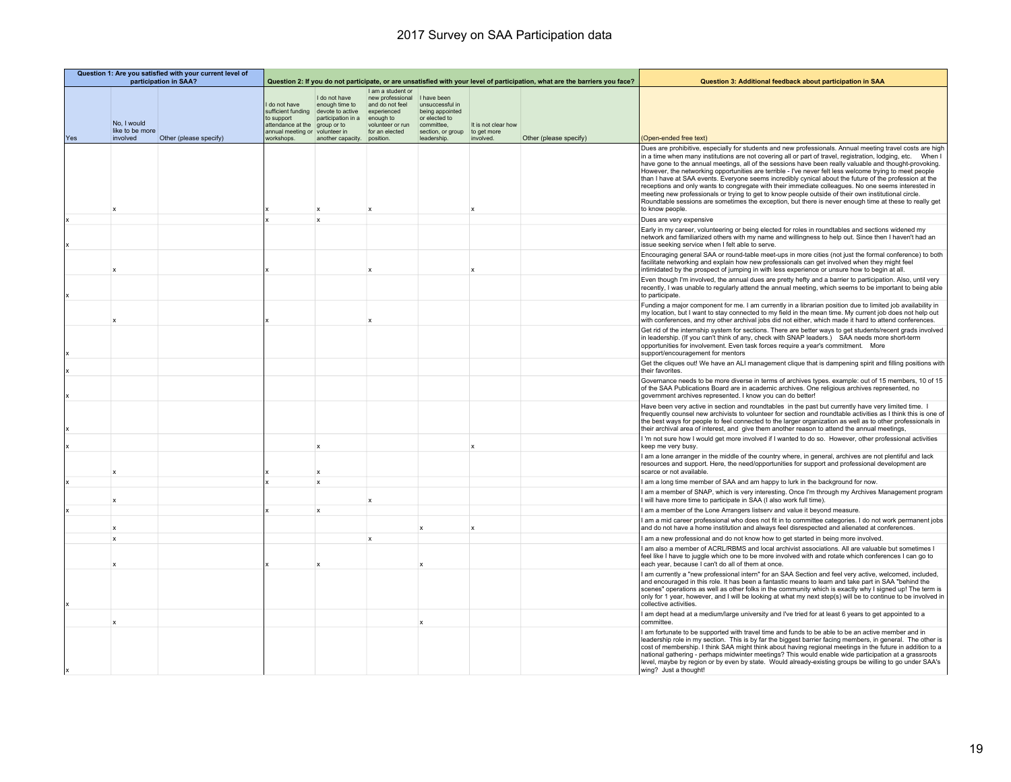|     | Question 1: Are you satisfied with your current level of<br>participation in SAA? |                        |                                                                                    |                                                                                                             |                                                                                                                            |                                                                                                       |                                    | Question 3: Additional feedback about participation in SAA                                                                  |                                                                                                                                                                                                                                                                                                                                                                                                                                                                                                                                                                                                                                                                                                                                                                                                                                                                                                     |
|-----|-----------------------------------------------------------------------------------|------------------------|------------------------------------------------------------------------------------|-------------------------------------------------------------------------------------------------------------|----------------------------------------------------------------------------------------------------------------------------|-------------------------------------------------------------------------------------------------------|------------------------------------|-----------------------------------------------------------------------------------------------------------------------------|-----------------------------------------------------------------------------------------------------------------------------------------------------------------------------------------------------------------------------------------------------------------------------------------------------------------------------------------------------------------------------------------------------------------------------------------------------------------------------------------------------------------------------------------------------------------------------------------------------------------------------------------------------------------------------------------------------------------------------------------------------------------------------------------------------------------------------------------------------------------------------------------------------|
|     | No, I would<br>like to be more                                                    |                        | I do not have<br>to support<br>attendance at the<br>annual meeting or volunteer in | I do not have<br>enough time to<br>sufficient funding devote to active<br>participation in a<br>group or to | I am a student or<br>new professional<br>and do not feel<br>experienced<br>enough to<br>volunteer or run<br>for an elected | I have been<br>unsuccessful in<br>being appointed<br>or elected to<br>committee.<br>section, or group | It is not clear how<br>to get more | Question 2: If you do not participate, or are unsatisfied with your level of participation, what are the barriers you face? |                                                                                                                                                                                                                                                                                                                                                                                                                                                                                                                                                                                                                                                                                                                                                                                                                                                                                                     |
| Yes | involved                                                                          | Other (please specify) | workshops.                                                                         | another capacity. position.                                                                                 |                                                                                                                            | leadership.                                                                                           | involved.                          | Other (please specify)                                                                                                      | (Open-ended free text)                                                                                                                                                                                                                                                                                                                                                                                                                                                                                                                                                                                                                                                                                                                                                                                                                                                                              |
|     | X                                                                                 |                        |                                                                                    | $\mathbf{x}$                                                                                                | $\mathbf{x}$                                                                                                               |                                                                                                       | $\boldsymbol{\mathsf{x}}$          |                                                                                                                             | Dues are prohibitive, especially for students and new professionals. Annual meeting travel costs are high<br>in a time when many institutions are not covering all or part of travel, registration, lodging, etc. When I<br>have gone to the annual meetings, all of the sessions have been really valuable and thought-provoking.<br>However, the networking opportunities are terrible - I've never felt less welcome trying to meet people<br>than I have at SAA events. Everyone seems incredibly cynical about the future of the profession at the<br>receptions and only wants to congregate with their immediate colleagues. No one seems interested in<br>meeting new professionals or trying to get to know people outside of their own institutional circle.<br>Roundtable sessions are sometimes the exception, but there is never enough time at these to really get<br>to know people. |
|     |                                                                                   |                        |                                                                                    | $\mathbf{x}$                                                                                                |                                                                                                                            |                                                                                                       |                                    |                                                                                                                             | Dues are very expensive                                                                                                                                                                                                                                                                                                                                                                                                                                                                                                                                                                                                                                                                                                                                                                                                                                                                             |
|     |                                                                                   |                        |                                                                                    |                                                                                                             |                                                                                                                            |                                                                                                       |                                    |                                                                                                                             | Early in my career, volunteering or being elected for roles in roundtables and sections widened my<br>network and familiarized others with my name and willingness to help out. Since then I haven't had an<br>issue seeking service when I felt able to serve.                                                                                                                                                                                                                                                                                                                                                                                                                                                                                                                                                                                                                                     |
|     |                                                                                   |                        |                                                                                    |                                                                                                             | $\mathbf{x}$                                                                                                               |                                                                                                       |                                    |                                                                                                                             | Encouraging general SAA or round-table meet-ups in more cities (not just the formal conference) to both<br>facilitate networking and explain how new professionals can get involved when they might feel<br>intimidated by the prospect of jumping in with less experience or unsure how to begin at all.                                                                                                                                                                                                                                                                                                                                                                                                                                                                                                                                                                                           |
|     |                                                                                   |                        |                                                                                    |                                                                                                             |                                                                                                                            |                                                                                                       |                                    |                                                                                                                             | Even though I'm involved, the annual dues are pretty hefty and a barrier to participation. Also, until very<br>recently, I was unable to regularly attend the annual meeting, which seems to be important to being able<br>to participate.                                                                                                                                                                                                                                                                                                                                                                                                                                                                                                                                                                                                                                                          |
|     |                                                                                   |                        |                                                                                    |                                                                                                             |                                                                                                                            |                                                                                                       |                                    |                                                                                                                             | Funding a major component for me. I am currently in a librarian position due to limited job availability in<br>my location, but I want to stay connected to my field in the mean time. My current job does not help out<br>with conferences, and my other archival jobs did not either, which made it hard to attend conferences.                                                                                                                                                                                                                                                                                                                                                                                                                                                                                                                                                                   |
|     |                                                                                   |                        |                                                                                    |                                                                                                             |                                                                                                                            |                                                                                                       |                                    |                                                                                                                             | Get rid of the internship system for sections. There are better ways to get students/recent grads involved<br>in leadership. (If you can't think of any, check with SNAP leaders.) SAA needs more short-term<br>opportunities for involvement. Even task forces require a year's commitment. More<br>support/encouragement for mentors                                                                                                                                                                                                                                                                                                                                                                                                                                                                                                                                                              |
|     |                                                                                   |                        |                                                                                    |                                                                                                             |                                                                                                                            |                                                                                                       |                                    |                                                                                                                             | Get the cliques out! We have an ALI management clique that is dampening spirit and filling positions with<br>their favorites.                                                                                                                                                                                                                                                                                                                                                                                                                                                                                                                                                                                                                                                                                                                                                                       |
|     |                                                                                   |                        |                                                                                    |                                                                                                             |                                                                                                                            |                                                                                                       |                                    |                                                                                                                             | Governance needs to be more diverse in terms of archives types. example: out of 15 members, 10 of 15<br>of the SAA Publications Board are in academic archives. One religious archives represented, no<br>government archives represented. I know you can do better!                                                                                                                                                                                                                                                                                                                                                                                                                                                                                                                                                                                                                                |
|     |                                                                                   |                        |                                                                                    |                                                                                                             |                                                                                                                            |                                                                                                       |                                    |                                                                                                                             | Have been very active in section and roundtables in the past but currently have very limited time. I<br>frequently counsel new archivists to volunteer for section and roundtable activities as I think this is one of<br>the best ways for people to feel connected to the larger organization as well as to other professionals in<br>their archival area of interest, and give them another reason to attend the annual meetings,                                                                                                                                                                                                                                                                                                                                                                                                                                                                |
|     |                                                                                   |                        |                                                                                    |                                                                                                             |                                                                                                                            |                                                                                                       |                                    |                                                                                                                             | I 'm not sure how I would get more involved if I wanted to do so. However, other professional activities<br>keep me very busy.                                                                                                                                                                                                                                                                                                                                                                                                                                                                                                                                                                                                                                                                                                                                                                      |
|     | $\mathbf{x}$                                                                      |                        |                                                                                    |                                                                                                             |                                                                                                                            |                                                                                                       |                                    |                                                                                                                             | I am a lone arranger in the middle of the country where, in general, archives are not plentiful and lack<br>resources and support. Here, the need/opportunities for support and professional development are<br>scarce or not available.                                                                                                                                                                                                                                                                                                                                                                                                                                                                                                                                                                                                                                                            |
|     |                                                                                   |                        |                                                                                    | $\mathbf{x}$                                                                                                |                                                                                                                            |                                                                                                       |                                    |                                                                                                                             | I am a long time member of SAA and am happy to lurk in the background for now.                                                                                                                                                                                                                                                                                                                                                                                                                                                                                                                                                                                                                                                                                                                                                                                                                      |
|     | $\mathsf{x}$                                                                      |                        |                                                                                    |                                                                                                             | $\mathbf x$                                                                                                                |                                                                                                       |                                    |                                                                                                                             | I am a member of SNAP, which is very interesting. Once I'm through my Archives Management program<br>I will have more time to participate in SAA (I also work full time).                                                                                                                                                                                                                                                                                                                                                                                                                                                                                                                                                                                                                                                                                                                           |
|     |                                                                                   |                        |                                                                                    | $\boldsymbol{\mathsf{x}}$                                                                                   |                                                                                                                            |                                                                                                       |                                    |                                                                                                                             | I am a member of the Lone Arrangers listserv and value it beyond measure.                                                                                                                                                                                                                                                                                                                                                                                                                                                                                                                                                                                                                                                                                                                                                                                                                           |
|     | $\mathbf x$                                                                       |                        |                                                                                    |                                                                                                             |                                                                                                                            |                                                                                                       |                                    |                                                                                                                             | I am a mid career professional who does not fit in to committee categories. I do not work permanent jobs<br>and do not have a home institution and always feel disrespected and alienated at conferences.                                                                                                                                                                                                                                                                                                                                                                                                                                                                                                                                                                                                                                                                                           |
|     | $\mathsf x$                                                                       |                        |                                                                                    |                                                                                                             | x                                                                                                                          |                                                                                                       |                                    |                                                                                                                             | am a new professional and do not know how to get started in being more involved.                                                                                                                                                                                                                                                                                                                                                                                                                                                                                                                                                                                                                                                                                                                                                                                                                    |
|     |                                                                                   |                        |                                                                                    |                                                                                                             |                                                                                                                            |                                                                                                       |                                    |                                                                                                                             | I am also a member of ACRL/RBMS and local archivist associations. All are valuable but sometimes I<br>feel like I have to juggle which one to be more involved with and rotate which conferences I can go to<br>each year, because I can't do all of them at once.                                                                                                                                                                                                                                                                                                                                                                                                                                                                                                                                                                                                                                  |
|     |                                                                                   |                        |                                                                                    |                                                                                                             |                                                                                                                            |                                                                                                       |                                    |                                                                                                                             | I am currently a "new professional intern" for an SAA Section and feel very active, welcomed, included,<br>and encouraged in this role. It has been a fantastic means to learn and take part in SAA "behind the<br>scenes" operations as well as other folks in the community which is exactly why I signed up! The term is<br>only for 1 year, however, and I will be looking at what my next step(s) will be to continue to be involved in<br>collective activities.                                                                                                                                                                                                                                                                                                                                                                                                                              |
|     |                                                                                   |                        |                                                                                    |                                                                                                             |                                                                                                                            |                                                                                                       |                                    |                                                                                                                             | I am dept head at a medium/large university and I've tried for at least 6 years to get appointed to a<br>committee                                                                                                                                                                                                                                                                                                                                                                                                                                                                                                                                                                                                                                                                                                                                                                                  |
|     |                                                                                   |                        |                                                                                    |                                                                                                             |                                                                                                                            |                                                                                                       |                                    |                                                                                                                             | I am fortunate to be supported with travel time and funds to be able to be an active member and in<br>leadership role in my section. This is by far the biggest barrier facing members, in general. The other is<br>cost of membership. I think SAA might think about having regional meetings in the future in addition to a<br>national gathering - perhaps midwinter meetings? This would enable wide participation at a grassroots<br>level, maybe by region or by even by state. Would already-existing groups be willing to go under SAA's<br>wing? Just a thought!                                                                                                                                                                                                                                                                                                                           |
|     |                                                                                   |                        |                                                                                    |                                                                                                             |                                                                                                                            |                                                                                                       |                                    |                                                                                                                             |                                                                                                                                                                                                                                                                                                                                                                                                                                                                                                                                                                                                                                                                                                                                                                                                                                                                                                     |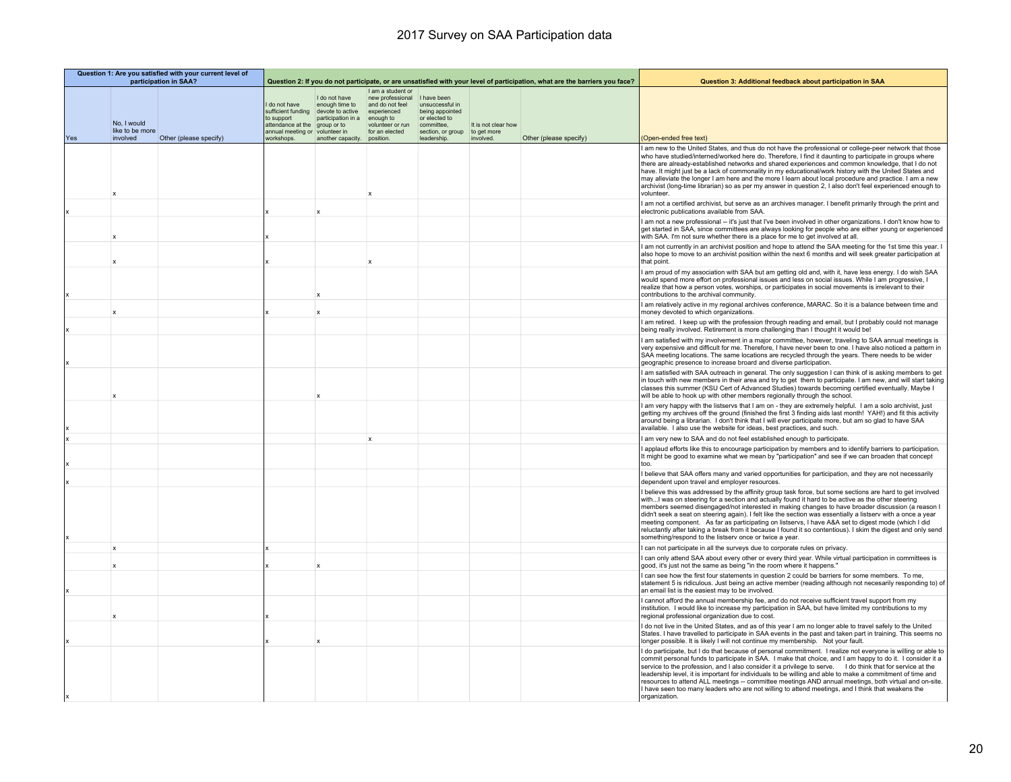|     |                                            | Question 1: Are you satisfied with your current level of<br>participation in SAA? |                                                                                                           |                                                                                                                               |                                                                                                                                         | Question 2: If you do not participate, or are unsatisfied with your level of participation, what are the barriers you face? |                                                 | Question 3: Additional feedback about participation in SAA |                                                                                                                                                                                                                                                                                                                                                                                                                                                                                                                                                                                                                                                                                                                       |
|-----|--------------------------------------------|-----------------------------------------------------------------------------------|-----------------------------------------------------------------------------------------------------------|-------------------------------------------------------------------------------------------------------------------------------|-----------------------------------------------------------------------------------------------------------------------------------------|-----------------------------------------------------------------------------------------------------------------------------|-------------------------------------------------|------------------------------------------------------------|-----------------------------------------------------------------------------------------------------------------------------------------------------------------------------------------------------------------------------------------------------------------------------------------------------------------------------------------------------------------------------------------------------------------------------------------------------------------------------------------------------------------------------------------------------------------------------------------------------------------------------------------------------------------------------------------------------------------------|
| Yes | No, I would<br>like to be more<br>involved | Other (please specify)                                                            | I do not have<br>sufficient funding<br>to support<br>attendance at the<br>annual meeting or<br>workshops. | I do not have<br>enough time to<br>devote to active<br>participation in a<br>group or to<br>volunteer in<br>another capacity. | I am a student or<br>new professional<br>and do not feel<br>experienced<br>enough to<br>volunteer or run<br>for an elected<br>position. | I have been<br>unsuccessful in<br>being appointed<br>or elected to<br>committee.<br>section, or group<br>leadership         | It is not clear how<br>to get more<br>involved. | Other (please specify)                                     | (Open-ended free text)                                                                                                                                                                                                                                                                                                                                                                                                                                                                                                                                                                                                                                                                                                |
|     |                                            |                                                                                   |                                                                                                           |                                                                                                                               |                                                                                                                                         |                                                                                                                             |                                                 |                                                            | I am new to the United States, and thus do not have the professional or college-peer network that those<br>who have studied/interned/worked here do. Therefore, I find it daunting to participate in groups where<br>there are already-established networks and shared experiences and common knowledge, that I do not<br>have. It might just be a lack of commonality in my educational/work history with the United States and<br>may alleviate the longer I am here and the more I learn about local procedure and practice. I am a new<br>archivist (long-time librarian) so as per my answer in question 2, I also don't feel experienced enough to<br>volunteer.                                                |
|     |                                            |                                                                                   |                                                                                                           |                                                                                                                               |                                                                                                                                         |                                                                                                                             |                                                 |                                                            | I am not a certified archivist, but serve as an archives manager. I benefit primarily through the print and<br>electronic publications available from SAA.                                                                                                                                                                                                                                                                                                                                                                                                                                                                                                                                                            |
|     |                                            |                                                                                   |                                                                                                           |                                                                                                                               |                                                                                                                                         |                                                                                                                             |                                                 |                                                            | I am not a new professional -- it's just that I've been involved in other organizations. I don't know how to<br>get started in SAA, since committees are always looking for people who are either young or experienced<br>with SAA. I'm not sure whether there is a place for me to get involved at all.                                                                                                                                                                                                                                                                                                                                                                                                              |
|     |                                            |                                                                                   |                                                                                                           |                                                                                                                               |                                                                                                                                         |                                                                                                                             |                                                 |                                                            | I am not currently in an archivist position and hope to attend the SAA meeting for the 1st time this year.<br>also hope to move to an archivist position within the next 6 months and will seek greater participation at<br>that point.                                                                                                                                                                                                                                                                                                                                                                                                                                                                               |
|     |                                            |                                                                                   |                                                                                                           |                                                                                                                               |                                                                                                                                         |                                                                                                                             |                                                 |                                                            | I am proud of my association with SAA but am getting old and, with it, have less energy. I do wish SAA<br>would spend more effort on professional issues and less on social issues. While I am progressive, I<br>realize that how a person votes, worships, or participates in social movements is irrelevant to their<br>contributions to the archival community.                                                                                                                                                                                                                                                                                                                                                    |
|     |                                            |                                                                                   |                                                                                                           |                                                                                                                               |                                                                                                                                         |                                                                                                                             |                                                 |                                                            | I am relatively active in my regional archives conference, MARAC. So it is a balance between time and<br>money devoted to which organizations.                                                                                                                                                                                                                                                                                                                                                                                                                                                                                                                                                                        |
|     |                                            |                                                                                   |                                                                                                           |                                                                                                                               |                                                                                                                                         |                                                                                                                             |                                                 |                                                            | I am retired. I keep up with the profession through reading and email, but I probably could not manage<br>being really involved. Retirement is more challenging than I thought it would be!                                                                                                                                                                                                                                                                                                                                                                                                                                                                                                                           |
|     |                                            |                                                                                   |                                                                                                           |                                                                                                                               |                                                                                                                                         |                                                                                                                             |                                                 |                                                            | I am satisfied with my involvement in a major committee, however, traveling to SAA annual meetings is<br>very expensive and difficult for me. Therefore, I have never been to one. I have also noticed a pattern in<br>SAA meeting locations. The same locations are recycled through the years. There needs to be wider<br>geographic presence to increase broard and diverse participation.                                                                                                                                                                                                                                                                                                                         |
|     |                                            |                                                                                   |                                                                                                           |                                                                                                                               |                                                                                                                                         |                                                                                                                             |                                                 |                                                            | I am satisfied with SAA outreach in general. The only suggestion I can think of is asking members to get<br>in touch with new members in their area and try to get them to participate. I am new, and will start taking<br>classes this summer (KSU Cert of Advanced Studies) towards becoming certified eventually. Maybe I<br>will be able to hook up with other members regionally through the school.                                                                                                                                                                                                                                                                                                             |
|     |                                            |                                                                                   |                                                                                                           |                                                                                                                               |                                                                                                                                         |                                                                                                                             |                                                 |                                                            | I am very happy with the listservs that I am on - they are extremely helpful. I am a solo archivist, just<br>getting my archives off the ground (finished the first 3 finding aids last month! YAH!) and fit this activity<br>around being a librarian. I don't think that I will ever participate more, but am so glad to have SAA<br>available. I also use the website for ideas, best practices, and such.                                                                                                                                                                                                                                                                                                         |
|     |                                            |                                                                                   |                                                                                                           |                                                                                                                               | $\mathbf{x}$                                                                                                                            |                                                                                                                             |                                                 |                                                            | am very new to SAA and do not feel established enough to participate.<br>I applaud efforts like this to encourage participation by members and to identify barriers to participation.                                                                                                                                                                                                                                                                                                                                                                                                                                                                                                                                 |
|     |                                            |                                                                                   |                                                                                                           |                                                                                                                               |                                                                                                                                         |                                                                                                                             |                                                 |                                                            | It might be good to examine what we mean by "participation" and see if we can broaden that concept<br>too.                                                                                                                                                                                                                                                                                                                                                                                                                                                                                                                                                                                                            |
|     |                                            |                                                                                   |                                                                                                           |                                                                                                                               |                                                                                                                                         |                                                                                                                             |                                                 |                                                            | I believe that SAA offers many and varied opportunities for participation, and they are not necessarily<br>dependent upon travel and employer resources.                                                                                                                                                                                                                                                                                                                                                                                                                                                                                                                                                              |
|     |                                            |                                                                                   |                                                                                                           |                                                                                                                               |                                                                                                                                         |                                                                                                                             |                                                 |                                                            | I believe this was addressed by the affinity group task force, but some sections are hard to get involved<br>withI was on steering for a section and actually found it hard to be active as the other steering<br>members seemed disengaged/not interested in making changes to have broader discussion (a reason I<br>didn't seek a seat on steering again). I felt like the section was essentially a listserv with a once a year<br>meeting component. As far as participating on listservs, I have A&A set to digest mode (which I did<br>reluctantly after taking a break from it because I found it so contentious). I skim the digest and only send<br>something/respond to the listserv once or twice a year. |
|     | $\boldsymbol{\mathsf{x}}$                  |                                                                                   |                                                                                                           |                                                                                                                               |                                                                                                                                         |                                                                                                                             |                                                 |                                                            | I can not participate in all the surveys due to corporate rules on privacy.<br>I can only attend SAA about every other or every third year. While virtual participation in committees is                                                                                                                                                                                                                                                                                                                                                                                                                                                                                                                              |
|     |                                            |                                                                                   |                                                                                                           |                                                                                                                               |                                                                                                                                         |                                                                                                                             |                                                 |                                                            | good, it's just not the same as being "in the room where it happens."<br>can see how the first four statements in question 2 could be barriers for some members. To me,                                                                                                                                                                                                                                                                                                                                                                                                                                                                                                                                               |
|     |                                            |                                                                                   |                                                                                                           |                                                                                                                               |                                                                                                                                         |                                                                                                                             |                                                 |                                                            | statement 5 is ridiculous. Just being an active member (reading although not necesarily responding to) of<br>an email list is the easiest may to be involved.                                                                                                                                                                                                                                                                                                                                                                                                                                                                                                                                                         |
|     |                                            |                                                                                   |                                                                                                           |                                                                                                                               |                                                                                                                                         |                                                                                                                             |                                                 |                                                            | cannot afford the annual membership fee, and do not receive sufficient travel support from my<br>institution. I would like to increase my participation in SAA, but have limited my contributions to my<br>regional professional organization due to cost.                                                                                                                                                                                                                                                                                                                                                                                                                                                            |
|     |                                            |                                                                                   |                                                                                                           |                                                                                                                               |                                                                                                                                         |                                                                                                                             |                                                 |                                                            | I do not live in the United States, and as of this year I am no longer able to travel safely to the United<br>States. I have travelled to participate in SAA events in the past and taken part in training. This seems no<br>longer possible. It is likely I will not continue my membership. Not your fault.                                                                                                                                                                                                                                                                                                                                                                                                         |
|     |                                            |                                                                                   |                                                                                                           |                                                                                                                               |                                                                                                                                         |                                                                                                                             |                                                 |                                                            | I do participate, but I do that because of personal commitment. I realize not everyone is willing or able to<br>commit personal funds to participate in SAA. I make that choice, and I am happy to do it. I consider it a<br>service to the profession, and I also consider it a privilege to serve. I do think that for service at the<br>leadership level, it is important for individuals to be willing and able to make a commitment of time and<br>resources to attend ALL meetings -- committee meetings AND annual meetings, both virtual and on-site.<br>I have seen too many leaders who are not willing to attend meetings, and I think that weakens the<br>organization.                                   |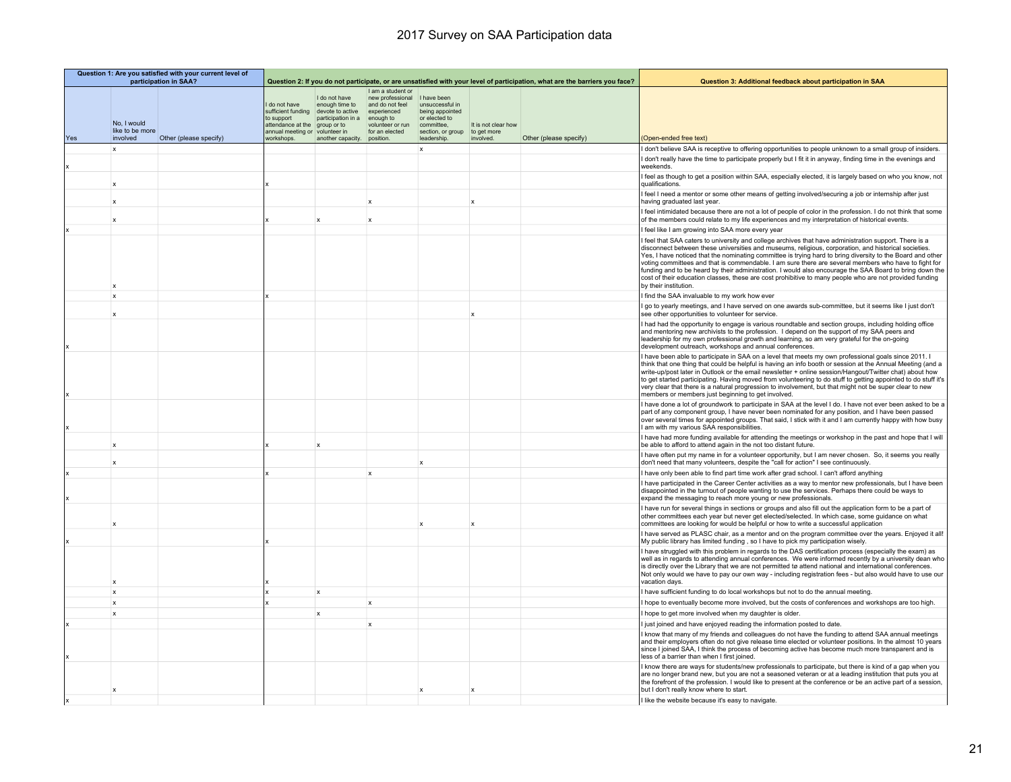|     | Question 1: Are you satisfied with your current level of<br>participation in SAA? |                        |                                                                                                         |                                                                                                                               |                                                                                                                                        | Question 2: If you do not participate, or are unsatisfied with your level of participation, what are the barriers you face? |                                                 | Question 3: Additional feedback about participation in SAA |                                                                                                                                                                                                                                                                                                                                                                                                                                                                                                                                                                                                                                                                                   |
|-----|-----------------------------------------------------------------------------------|------------------------|---------------------------------------------------------------------------------------------------------|-------------------------------------------------------------------------------------------------------------------------------|----------------------------------------------------------------------------------------------------------------------------------------|-----------------------------------------------------------------------------------------------------------------------------|-------------------------------------------------|------------------------------------------------------------|-----------------------------------------------------------------------------------------------------------------------------------------------------------------------------------------------------------------------------------------------------------------------------------------------------------------------------------------------------------------------------------------------------------------------------------------------------------------------------------------------------------------------------------------------------------------------------------------------------------------------------------------------------------------------------------|
| Yes | No. I would<br>like to be more<br>involved                                        | Other (please specify) | do not have<br>sufficient funding<br>to support<br>attendance at the<br>annual meeting or<br>workshops. | I do not have<br>enough time to<br>devote to active<br>participation in a<br>group or to<br>volunteer in<br>another capacity. | Lam a student or<br>new professional<br>and do not feel<br>experienced<br>enough to<br>volunteer or run<br>for an elected<br>position. | I have been<br>unsuccessful in<br>being appointed<br>or elected to<br>committee.<br>section, or group<br>leadership         | It is not clear how<br>to get more<br>involved. | Other (please specify)                                     | (Open-ended free text)                                                                                                                                                                                                                                                                                                                                                                                                                                                                                                                                                                                                                                                            |
|     | x                                                                                 |                        |                                                                                                         |                                                                                                                               |                                                                                                                                        | x                                                                                                                           |                                                 |                                                            | don't believe SAA is receptive to offering opportunities to people unknown to a small group of insiders.                                                                                                                                                                                                                                                                                                                                                                                                                                                                                                                                                                          |
|     |                                                                                   |                        |                                                                                                         |                                                                                                                               |                                                                                                                                        |                                                                                                                             |                                                 |                                                            | I don't really have the time to participate properly but I fit it in anyway, finding time in the evenings and<br>weekends.                                                                                                                                                                                                                                                                                                                                                                                                                                                                                                                                                        |
|     | $\mathbf x$                                                                       |                        |                                                                                                         |                                                                                                                               |                                                                                                                                        |                                                                                                                             |                                                 |                                                            | feel as though to get a position within SAA, especially elected, it is largely based on who you know, not<br>qualifications.                                                                                                                                                                                                                                                                                                                                                                                                                                                                                                                                                      |
|     |                                                                                   |                        |                                                                                                         |                                                                                                                               | $\mathbf x$                                                                                                                            |                                                                                                                             |                                                 |                                                            | feel I need a mentor or some other means of getting involved/securing a job or internship after just<br>having graduated last year.                                                                                                                                                                                                                                                                                                                                                                                                                                                                                                                                               |
|     | $\boldsymbol{\mathsf{x}}$                                                         |                        |                                                                                                         |                                                                                                                               | $\mathbf x$                                                                                                                            |                                                                                                                             |                                                 |                                                            | feel intimidated because there are not a lot of people of color in the profession. I do not think that some<br>of the members could relate to my life experiences and my interpretation of historical events.                                                                                                                                                                                                                                                                                                                                                                                                                                                                     |
|     |                                                                                   |                        |                                                                                                         |                                                                                                                               |                                                                                                                                        |                                                                                                                             |                                                 |                                                            | feel like I am growing into SAA more every year                                                                                                                                                                                                                                                                                                                                                                                                                                                                                                                                                                                                                                   |
|     | $\boldsymbol{\mathsf{x}}$                                                         |                        |                                                                                                         |                                                                                                                               |                                                                                                                                        |                                                                                                                             |                                                 |                                                            | feel that SAA caters to university and college archives that have administration support. There is a<br>disconnect between these universities and museums, religious, corporation, and historical societies.<br>Yes, I have noticed that the nominating committee is trying hard to bring diversity to the Board and other<br>voting committees and that is commendable. I am sure there are several members who have to fight for<br>funding and to be heard by their administration. I would also encourage the SAA Board to bring down the<br>cost of their education classes, these are cost prohibitive to many people who are not provided funding<br>by their institution. |
|     | $\mathbf{x}$                                                                      |                        |                                                                                                         |                                                                                                                               |                                                                                                                                        |                                                                                                                             |                                                 |                                                            | find the SAA invaluable to my work how ever                                                                                                                                                                                                                                                                                                                                                                                                                                                                                                                                                                                                                                       |
|     |                                                                                   |                        |                                                                                                         |                                                                                                                               |                                                                                                                                        |                                                                                                                             |                                                 |                                                            | go to yearly meetings, and I have served on one awards sub-committee, but it seems like I just don't<br>see other opportunities to volunteer for service.                                                                                                                                                                                                                                                                                                                                                                                                                                                                                                                         |
|     |                                                                                   |                        |                                                                                                         |                                                                                                                               |                                                                                                                                        |                                                                                                                             |                                                 |                                                            | had had the opportunity to engage is various roundtable and section groups, including holding office<br>and mentoring new archivists to the profession. I depend on the support of my SAA peers and<br>leadership for my own professional growth and learning, so am very grateful for the on-going<br>development outreach, workshops and annual conferences.                                                                                                                                                                                                                                                                                                                    |
|     |                                                                                   |                        |                                                                                                         |                                                                                                                               |                                                                                                                                        |                                                                                                                             |                                                 |                                                            | I have been able to participate in SAA on a level that meets my own professional goals since 2011. I<br>think that one thing that could be helpful is having an info booth or session at the Annual Meeting (and a<br>write-up/post later in Outlook or the email newsletter + online session/Hangout/Twitter chat) about how<br>to get started participating. Having moved from volunteering to do stuff to getting appointed to do stuff it's<br>very clear that there is a natural progression to involvement, but that might not be super clear to new<br>members or members just beginning to get involved.                                                                  |
|     |                                                                                   |                        |                                                                                                         |                                                                                                                               |                                                                                                                                        |                                                                                                                             |                                                 |                                                            | have done a lot of groundwork to participate in SAA at the level I do. I have not ever been asked to be a<br>part of any component group, I have never been nominated for any position, and I have been passed<br>over several times for appointed groups. That said, I stick with it and I am currently happy with how busy<br>am with my various SAA responsibilities.                                                                                                                                                                                                                                                                                                          |
|     | $\boldsymbol{\mathsf{x}}$                                                         |                        |                                                                                                         |                                                                                                                               |                                                                                                                                        |                                                                                                                             |                                                 |                                                            | I have had more funding available for attending the meetings or workshop in the past and hope that I will<br>be able to afford to attend again in the not too distant future.                                                                                                                                                                                                                                                                                                                                                                                                                                                                                                     |
|     | $\boldsymbol{\mathsf{x}}$                                                         |                        |                                                                                                         |                                                                                                                               |                                                                                                                                        | x                                                                                                                           |                                                 |                                                            | have often put my name in for a volunteer opportunity, but I am never chosen. So, it seems you really<br>don't need that many volunteers, despite the "call for action" I see continuously.                                                                                                                                                                                                                                                                                                                                                                                                                                                                                       |
|     |                                                                                   |                        |                                                                                                         |                                                                                                                               | $\mathbf{x}$                                                                                                                           |                                                                                                                             |                                                 |                                                            | have only been able to find part time work after grad school. I can't afford anything                                                                                                                                                                                                                                                                                                                                                                                                                                                                                                                                                                                             |
|     |                                                                                   |                        |                                                                                                         |                                                                                                                               |                                                                                                                                        |                                                                                                                             |                                                 |                                                            | I have participated in the Career Center activities as a way to mentor new professionals, but I have been<br>disappointed in the turnout of people wanting to use the services. Perhaps there could be ways to<br>expand the messaging to reach more young or new professionals.                                                                                                                                                                                                                                                                                                                                                                                                  |
|     |                                                                                   |                        |                                                                                                         |                                                                                                                               |                                                                                                                                        |                                                                                                                             |                                                 |                                                            | I have run for several things in sections or groups and also fill out the application form to be a part of<br>other committees each year but never get elected/selected. In which case, some guidance on what<br>committees are looking for would be helpful or how to write a successful application                                                                                                                                                                                                                                                                                                                                                                             |
|     |                                                                                   |                        |                                                                                                         |                                                                                                                               |                                                                                                                                        |                                                                                                                             |                                                 |                                                            | I have served as PLASC chair, as a mentor and on the program committee over the years. Enjoyed it all!<br>My public library has limited funding, so I have to pick my participation wisely.                                                                                                                                                                                                                                                                                                                                                                                                                                                                                       |
|     |                                                                                   |                        |                                                                                                         |                                                                                                                               |                                                                                                                                        |                                                                                                                             |                                                 |                                                            | I have struggled with this problem in regards to the DAS certification process (especially the exam) as<br>well as in regards to attending annual conferences. We were informed recently by a university dean who<br>is directly over the Library that we are not permitted tø attend national and international conferences.<br>Not only would we have to pay our own way - including registration fees - but also would have to use our<br>vacation davs                                                                                                                                                                                                                        |
|     | $\mathbf x$                                                                       |                        |                                                                                                         | $\mathbf{x}$                                                                                                                  |                                                                                                                                        |                                                                                                                             |                                                 |                                                            | have sufficient funding to do local workshops but not to do the annual meeting.                                                                                                                                                                                                                                                                                                                                                                                                                                                                                                                                                                                                   |
|     | $\mathbf{x}$                                                                      |                        |                                                                                                         |                                                                                                                               | $\mathbf{x}$                                                                                                                           |                                                                                                                             |                                                 |                                                            | hope to eventually become more involved, but the costs of conferences and workshops are too high.                                                                                                                                                                                                                                                                                                                                                                                                                                                                                                                                                                                 |
|     | x                                                                                 |                        |                                                                                                         | $\mathbf{x}$                                                                                                                  |                                                                                                                                        |                                                                                                                             |                                                 |                                                            | hope to get more involved when my daughter is older.                                                                                                                                                                                                                                                                                                                                                                                                                                                                                                                                                                                                                              |
|     |                                                                                   |                        |                                                                                                         |                                                                                                                               | $\mathbf{x}$                                                                                                                           |                                                                                                                             |                                                 |                                                            | just joined and have enjoyed reading the information posted to date.                                                                                                                                                                                                                                                                                                                                                                                                                                                                                                                                                                                                              |
|     |                                                                                   |                        |                                                                                                         |                                                                                                                               |                                                                                                                                        |                                                                                                                             |                                                 |                                                            | I know that many of my friends and colleagues do not have the funding to attend SAA annual meetings<br>and their employers often do not give release time elected or volunteer positions. In the almost 10 years<br>since I joined SAA, I think the process of becoming active has become much more transparent and is<br>less of a barrier than when I first joined.                                                                                                                                                                                                                                                                                                             |
|     |                                                                                   |                        |                                                                                                         |                                                                                                                               |                                                                                                                                        |                                                                                                                             |                                                 |                                                            | I know there are ways for students/new professionals to participate, but there is kind of a gap when you<br>are no longer brand new, but you are not a seasoned veteran or at a leading institution that puts you at<br>the forefront of the profession. I would like to present at the conference or be an active part of a session,<br>but I don't really know where to start.                                                                                                                                                                                                                                                                                                  |
|     |                                                                                   |                        |                                                                                                         |                                                                                                                               |                                                                                                                                        |                                                                                                                             |                                                 |                                                            | I like the website because it's easy to navigate                                                                                                                                                                                                                                                                                                                                                                                                                                                                                                                                                                                                                                  |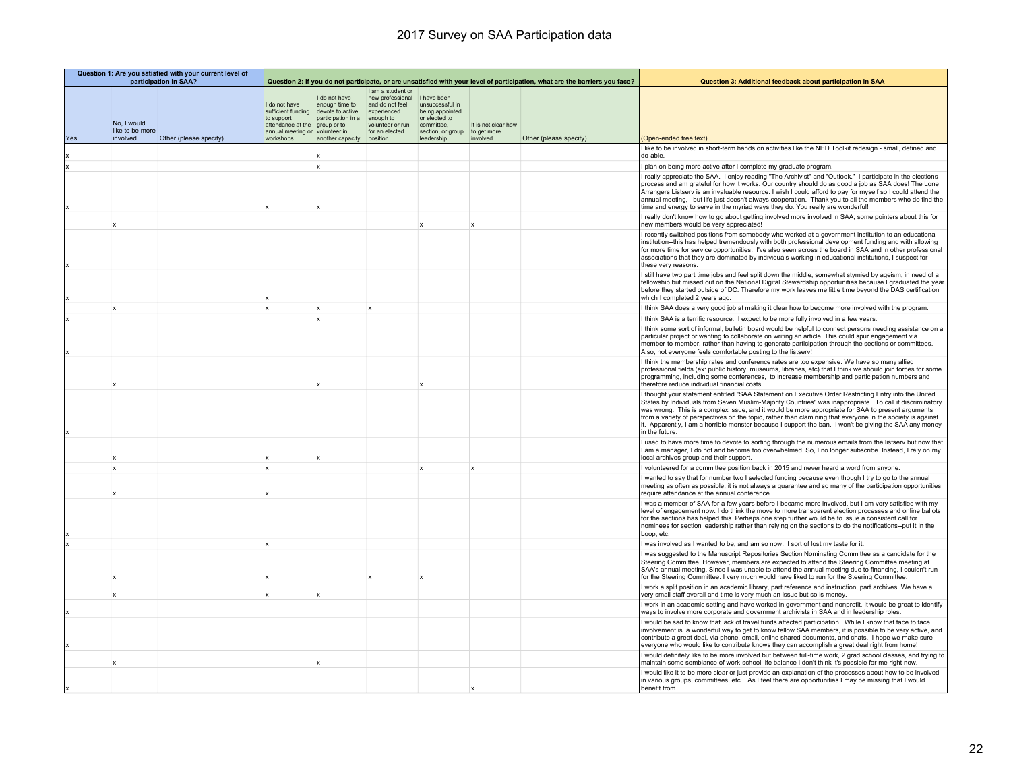| Question 1: Are you satisfied with your current level of<br>participation in SAA? |                                            |                        |                                                                                     |                                                                                                                                                            |                                                                                                                            | Question 2: If you do not participate, or are unsatisfied with your level of participation, what are the barriers you face? |                                                 | Question 3: Additional feedback about participation in SAA |                                                                                                                                                                                                                                                                                                                                                                                                                                                                                                                                                                  |
|-----------------------------------------------------------------------------------|--------------------------------------------|------------------------|-------------------------------------------------------------------------------------|------------------------------------------------------------------------------------------------------------------------------------------------------------|----------------------------------------------------------------------------------------------------------------------------|-----------------------------------------------------------------------------------------------------------------------------|-------------------------------------------------|------------------------------------------------------------|------------------------------------------------------------------------------------------------------------------------------------------------------------------------------------------------------------------------------------------------------------------------------------------------------------------------------------------------------------------------------------------------------------------------------------------------------------------------------------------------------------------------------------------------------------------|
| Yes                                                                               | No, I would<br>like to be more<br>involved | Other (please specify) | I do not have<br>to support<br>attendance at the<br>annual meeting or<br>workshops. | I do not have<br>enough time to<br>sufficient funding devote to active<br>participation in a<br>group or to<br>volunteer in<br>another capacity. position. | I am a student or<br>new professional<br>and do not feel<br>experienced<br>enough to<br>volunteer or run<br>for an elected | I have been<br>unsuccessful in<br>being appointed<br>or elected to<br>committee.<br>section, or group<br>leadership.        | It is not clear how<br>to get more<br>involved. | Other (please specify)                                     | (Open-ended free text)                                                                                                                                                                                                                                                                                                                                                                                                                                                                                                                                           |
|                                                                                   |                                            |                        |                                                                                     |                                                                                                                                                            |                                                                                                                            |                                                                                                                             |                                                 |                                                            | I like to be involved in short-term hands on activities like the NHD Toolkit redesign - small, defined and<br>do-able.                                                                                                                                                                                                                                                                                                                                                                                                                                           |
|                                                                                   |                                            |                        |                                                                                     | $\mathsf{x}$                                                                                                                                               |                                                                                                                            |                                                                                                                             |                                                 |                                                            | I plan on being more active after I complete my graduate program.                                                                                                                                                                                                                                                                                                                                                                                                                                                                                                |
|                                                                                   |                                            |                        |                                                                                     |                                                                                                                                                            |                                                                                                                            |                                                                                                                             |                                                 |                                                            | I really appreciate the SAA. I enjoy reading "The Archivist" and "Outlook." I participate in the elections<br>process and am grateful for how it works. Our country should do as good a job as SAA does! The Lone<br>Arrangers Listserv is an invaluable resource. I wish I could afford to pay for myself so I could attend the<br>annual meeting, but life just doesn't always cooperation. Thank you to all the members who do find the<br>time and energy to serve in the myriad ways they do. You really are wonderful!                                     |
|                                                                                   | $\mathbf{x}$                               |                        |                                                                                     |                                                                                                                                                            |                                                                                                                            |                                                                                                                             | $\mathbf{x}$                                    |                                                            | I really don't know how to go about getting involved more involved in SAA; some pointers about this for<br>new members would be very appreciated!                                                                                                                                                                                                                                                                                                                                                                                                                |
|                                                                                   |                                            |                        |                                                                                     |                                                                                                                                                            |                                                                                                                            |                                                                                                                             |                                                 |                                                            | recently switched positions from somebody who worked at a government institution to an educational<br>institution--this has helped tremendously with both professional development funding and with allowing<br>for more time for service opportunities. I've also seen across the board in SAA and in other professional<br>associations that they are dominated by individuals working in educational institutions, I suspect for<br>these very reasons.                                                                                                       |
|                                                                                   |                                            |                        |                                                                                     |                                                                                                                                                            |                                                                                                                            |                                                                                                                             |                                                 |                                                            | I still have two part time jobs and feel split down the middle, somewhat stymied by ageism, in need of a<br>fellowship but missed out on the National Digital Stewardship opportunities because I graduated the year<br>before they started outside of DC. Therefore my work leaves me little time beyond the DAS certification<br>which I completed 2 years ago.                                                                                                                                                                                                |
|                                                                                   | $\mathbf{x}$                               |                        |                                                                                     | $\mathbf{x}$                                                                                                                                               | $\mathbf{x}$                                                                                                               |                                                                                                                             |                                                 |                                                            | I think SAA does a very good job at making it clear how to become more involved with the program.                                                                                                                                                                                                                                                                                                                                                                                                                                                                |
|                                                                                   |                                            |                        |                                                                                     | $\mathbf{x}$                                                                                                                                               |                                                                                                                            |                                                                                                                             |                                                 |                                                            | I think SAA is a terrific resource. I expect to be more fully involved in a few years.                                                                                                                                                                                                                                                                                                                                                                                                                                                                           |
|                                                                                   |                                            |                        |                                                                                     |                                                                                                                                                            |                                                                                                                            |                                                                                                                             |                                                 |                                                            | I think some sort of informal, bulletin board would be helpful to connect persons needing assistance on a<br>particular project or wanting to collaborate on writing an article. This could spur engagement via<br>member-to-member, rather than having to generate participation through the sections or committees.<br>Also, not everyone feels comfortable posting to the listserv!                                                                                                                                                                           |
|                                                                                   |                                            |                        |                                                                                     |                                                                                                                                                            |                                                                                                                            |                                                                                                                             |                                                 |                                                            | I think the membership rates and conference rates are too expensive. We have so many allied<br>professional fields (ex: public history, museums, libraries, etc) that I think we should join forces for some<br>programming, including some conferences, to increase membership and participation numbers and<br>therefore reduce individual financial costs.                                                                                                                                                                                                    |
|                                                                                   |                                            |                        |                                                                                     |                                                                                                                                                            |                                                                                                                            |                                                                                                                             |                                                 |                                                            | I thought your statement entitled "SAA Statement on Executive Order Restricting Entry into the United<br>States by Individuals from Seven Muslim-Majority Countries" was inappropriate. To call it discriminatory<br>was wrong. This is a complex issue, and it would be more appropriate for SAA to present arguments<br>from a variety of perspectives on the topic, rather than clamining that everyone in the society is against<br>it. Apparently, I am a horrible monster because I support the ban. I won't be giving the SAA any money<br>in the future. |
|                                                                                   |                                            |                        |                                                                                     |                                                                                                                                                            |                                                                                                                            |                                                                                                                             |                                                 |                                                            | I used to have more time to devote to sorting through the numerous emails from the listsery but now that<br>I am a manager, I do not and become too overwhelmed. So, I no longer subscribe. Instead, I rely on my<br>local archives group and their support.                                                                                                                                                                                                                                                                                                     |
|                                                                                   | x                                          |                        |                                                                                     |                                                                                                                                                            |                                                                                                                            | $\mathbf{x}$                                                                                                                | $\mathbf x$                                     |                                                            | volunteered for a committee position back in 2015 and never heard a word from anyone.                                                                                                                                                                                                                                                                                                                                                                                                                                                                            |
|                                                                                   |                                            |                        |                                                                                     |                                                                                                                                                            |                                                                                                                            |                                                                                                                             |                                                 |                                                            | wanted to say that for number two I selected funding because even though I try to go to the annual<br>meeting as often as possible, it is not always a quarantee and so many of the participation opportunities<br>require attendance at the annual conference.                                                                                                                                                                                                                                                                                                  |
|                                                                                   |                                            |                        |                                                                                     |                                                                                                                                                            |                                                                                                                            |                                                                                                                             |                                                 |                                                            | I was a member of SAA for a few years before I became more involved, but I am very satisfied with my<br>level of engagement now. I do think the move to more transparent election processes and online ballots<br>for the sections has helped this. Perhaps one step further would be to issue a consistent call for<br>nominees for section leadership rather than relying on the sections to do the notifications--put it In the<br>Loop, etc.                                                                                                                 |
|                                                                                   |                                            |                        |                                                                                     |                                                                                                                                                            |                                                                                                                            |                                                                                                                             |                                                 |                                                            | was involved as I wanted to be, and am so now. I sort of lost my taste for it.                                                                                                                                                                                                                                                                                                                                                                                                                                                                                   |
|                                                                                   |                                            |                        |                                                                                     |                                                                                                                                                            |                                                                                                                            |                                                                                                                             |                                                 |                                                            | I was suggested to the Manuscript Repositories Section Nominating Committee as a candidate for the<br>Steering Committee. However, members are expected to attend the Steering Committee meeting at<br>SAA's annual meeting. Since I was unable to attend the annual meeting due to financing, I couldn't run<br>for the Steering Committee. I very much would have liked to run for the Steering Committee.                                                                                                                                                     |
|                                                                                   |                                            |                        |                                                                                     |                                                                                                                                                            |                                                                                                                            |                                                                                                                             |                                                 |                                                            | I work a split position in an academic library, part reference and instruction, part archives. We have a<br>very small staff overall and time is very much an issue but so is money.                                                                                                                                                                                                                                                                                                                                                                             |
|                                                                                   |                                            |                        |                                                                                     |                                                                                                                                                            |                                                                                                                            |                                                                                                                             |                                                 |                                                            | I work in an academic setting and have worked in government and nonprofit. It would be great to identify<br>ways to involve more corporate and government archivists in SAA and in leadership roles.                                                                                                                                                                                                                                                                                                                                                             |
|                                                                                   |                                            |                        |                                                                                     |                                                                                                                                                            |                                                                                                                            |                                                                                                                             |                                                 |                                                            | I would be sad to know that lack of travel funds affected participation. While I know that face to face<br>involvement is a wonderful way to get to know fellow SAA members, it is possible to be very active, and<br>contribute a great deal, via phone, email, online shared documents, and chats. I hope we make sure<br>everyone who would like to contribute knows they can accomplish a great deal right from home!                                                                                                                                        |
|                                                                                   | $\boldsymbol{\mathsf{x}}$                  |                        |                                                                                     |                                                                                                                                                            |                                                                                                                            |                                                                                                                             |                                                 |                                                            | I would definitely like to be more involved but between full-time work, 2 grad school classes, and trying to<br>maintain some semblance of work-school-life balance I don't think it's possible for me right now.                                                                                                                                                                                                                                                                                                                                                |
|                                                                                   |                                            |                        |                                                                                     |                                                                                                                                                            |                                                                                                                            |                                                                                                                             |                                                 |                                                            | I would like it to be more clear or just provide an explanation of the processes about how to be involved<br>in various groups, committees, etc As I feel there are opportunities I may be missing that I would<br>benefit from.                                                                                                                                                                                                                                                                                                                                 |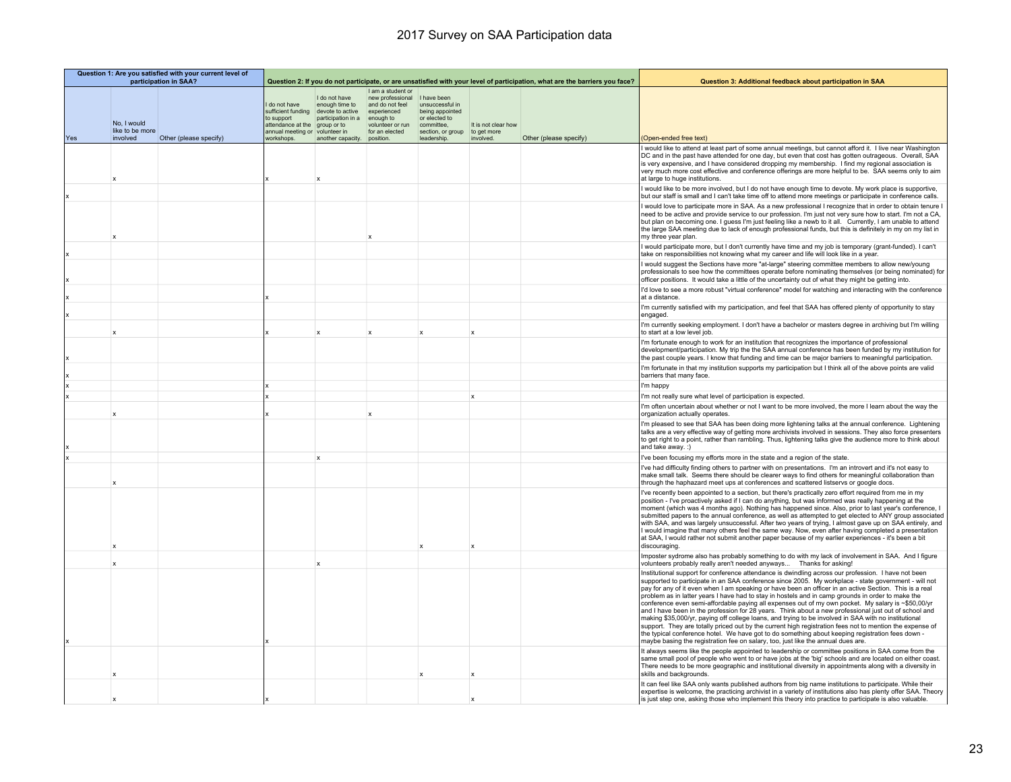| Question 1: Are you satisfied with your current level of<br>participation in SAA? |                                            |                        |                                                                                                        |                                                                                                                               | Question 2: If you do not participate, or are unsatisfied with your level of participation, what are the barriers you face?             |                                                                                                                     |                                                 | Question 3: Additional feedback about participation in SAA |                                                                                                                                                                                                                                                                                                                                                                                                                                                                                                                                                                                                                                                                                                                                                                                                                                                                                                                                                                                                                                                       |
|-----------------------------------------------------------------------------------|--------------------------------------------|------------------------|--------------------------------------------------------------------------------------------------------|-------------------------------------------------------------------------------------------------------------------------------|-----------------------------------------------------------------------------------------------------------------------------------------|---------------------------------------------------------------------------------------------------------------------|-------------------------------------------------|------------------------------------------------------------|-------------------------------------------------------------------------------------------------------------------------------------------------------------------------------------------------------------------------------------------------------------------------------------------------------------------------------------------------------------------------------------------------------------------------------------------------------------------------------------------------------------------------------------------------------------------------------------------------------------------------------------------------------------------------------------------------------------------------------------------------------------------------------------------------------------------------------------------------------------------------------------------------------------------------------------------------------------------------------------------------------------------------------------------------------|
| Yes                                                                               | No, I would<br>like to be more<br>involved | Other (please specify) | do not have<br>sufficient funding<br>to support<br>attendance at the<br>annual meeting or<br>workshops | I do not have<br>enough time to<br>devote to active<br>participation in a<br>group or to<br>volunteer in<br>another capacity. | I am a student or<br>new professional<br>and do not feel<br>experienced<br>enough to<br>volunteer or run<br>for an elected<br>position. | I have been<br>unsuccessful in<br>being appointed<br>or elected to<br>committee,<br>section, or group<br>leadership | It is not clear how<br>to get more<br>involved. | Other (please specify)                                     | (Open-ended free text)                                                                                                                                                                                                                                                                                                                                                                                                                                                                                                                                                                                                                                                                                                                                                                                                                                                                                                                                                                                                                                |
|                                                                                   |                                            |                        |                                                                                                        |                                                                                                                               |                                                                                                                                         |                                                                                                                     |                                                 |                                                            | I would like to attend at least part of some annual meetings, but cannot afford it. I live near Washington<br>DC and in the past have attended for one day, but even that cost has gotten outrageous. Overall, SAA<br>is very expensive, and I have considered dropping my membership. I find my regional association is<br>very much more cost effective and conference offerings are more helpful to be. SAA seems only to aim<br>at large to huge institutions.                                                                                                                                                                                                                                                                                                                                                                                                                                                                                                                                                                                    |
|                                                                                   |                                            |                        |                                                                                                        |                                                                                                                               |                                                                                                                                         |                                                                                                                     |                                                 |                                                            | I would like to be more involved, but I do not have enough time to devote. My work place is supportive,<br>but our staff is small and I can't take time off to attend more meetings or participate in conference calls.                                                                                                                                                                                                                                                                                                                                                                                                                                                                                                                                                                                                                                                                                                                                                                                                                               |
|                                                                                   |                                            |                        |                                                                                                        |                                                                                                                               |                                                                                                                                         |                                                                                                                     |                                                 |                                                            | I would love to participate more in SAA. As a new professional I recognize that in order to obtain tenure I<br>need to be active and provide service to our profession. I'm just not very sure how to start. I'm not a CA,<br>but plan on becoming one. I quess I'm just feeling like a newb to it all. Currently, I am unable to attend<br>the large SAA meeting due to lack of enough professional funds, but this is definitely in my on my list in<br>my three year plan.                                                                                                                                                                                                                                                                                                                                                                                                                                                                                                                                                                         |
|                                                                                   |                                            |                        |                                                                                                        |                                                                                                                               |                                                                                                                                         |                                                                                                                     |                                                 |                                                            | I would participate more, but I don't currently have time and my job is temporary (grant-funded). I can't<br>take on responsibilities not knowing what my career and life will look like in a year.                                                                                                                                                                                                                                                                                                                                                                                                                                                                                                                                                                                                                                                                                                                                                                                                                                                   |
|                                                                                   |                                            |                        |                                                                                                        |                                                                                                                               |                                                                                                                                         |                                                                                                                     |                                                 |                                                            | I would suggest the Sections have more "at-large" steering committee members to allow new/young<br>professionals to see how the committees operate before nominating themselves (or being nominated) for<br>officer positions. It would take a little of the uncertainty out of what they might be getting into.                                                                                                                                                                                                                                                                                                                                                                                                                                                                                                                                                                                                                                                                                                                                      |
|                                                                                   |                                            |                        |                                                                                                        |                                                                                                                               |                                                                                                                                         |                                                                                                                     |                                                 |                                                            | I'd love to see a more robust "virtual conference" model for watching and interacting with the conference<br>at a distance.                                                                                                                                                                                                                                                                                                                                                                                                                                                                                                                                                                                                                                                                                                                                                                                                                                                                                                                           |
|                                                                                   |                                            |                        |                                                                                                        |                                                                                                                               |                                                                                                                                         |                                                                                                                     |                                                 |                                                            | I'm currently satisfied with my participation, and feel that SAA has offered plenty of opportunity to stay<br>engaged.                                                                                                                                                                                                                                                                                                                                                                                                                                                                                                                                                                                                                                                                                                                                                                                                                                                                                                                                |
|                                                                                   | x                                          |                        |                                                                                                        | $\mathbf{x}$                                                                                                                  | $\mathbf{x}$                                                                                                                            | ¥                                                                                                                   | $\mathbf{x}$                                    |                                                            | I'm currently seeking employment. I don't have a bachelor or masters degree in archiving but I'm willing<br>to start at a low level job.                                                                                                                                                                                                                                                                                                                                                                                                                                                                                                                                                                                                                                                                                                                                                                                                                                                                                                              |
|                                                                                   |                                            |                        |                                                                                                        |                                                                                                                               |                                                                                                                                         |                                                                                                                     |                                                 |                                                            | I'm fortunate enough to work for an institution that recognizes the importance of professional<br>development/participation. My trip the the SAA annual conference has been funded by my institution for<br>the past couple years. I know that funding and time can be major barriers to meaningful participation.                                                                                                                                                                                                                                                                                                                                                                                                                                                                                                                                                                                                                                                                                                                                    |
|                                                                                   |                                            |                        |                                                                                                        |                                                                                                                               |                                                                                                                                         |                                                                                                                     |                                                 |                                                            | I'm fortunate in that my institution supports my participation but I think all of the above points are valid<br>barriers that many face.                                                                                                                                                                                                                                                                                                                                                                                                                                                                                                                                                                                                                                                                                                                                                                                                                                                                                                              |
|                                                                                   |                                            |                        |                                                                                                        |                                                                                                                               |                                                                                                                                         |                                                                                                                     |                                                 |                                                            | I'm happy                                                                                                                                                                                                                                                                                                                                                                                                                                                                                                                                                                                                                                                                                                                                                                                                                                                                                                                                                                                                                                             |
|                                                                                   |                                            |                        |                                                                                                        |                                                                                                                               |                                                                                                                                         |                                                                                                                     | $\mathbf{x}$                                    |                                                            | I'm not really sure what level of participation is expected.                                                                                                                                                                                                                                                                                                                                                                                                                                                                                                                                                                                                                                                                                                                                                                                                                                                                                                                                                                                          |
|                                                                                   |                                            |                        |                                                                                                        |                                                                                                                               |                                                                                                                                         |                                                                                                                     |                                                 |                                                            | I'm often uncertain about whether or not I want to be more involved, the more I learn about the way the<br>organization actually operates.                                                                                                                                                                                                                                                                                                                                                                                                                                                                                                                                                                                                                                                                                                                                                                                                                                                                                                            |
|                                                                                   |                                            |                        |                                                                                                        |                                                                                                                               |                                                                                                                                         |                                                                                                                     |                                                 |                                                            | I'm pleased to see that SAA has been doing more lightening talks at the annual conference. Lightening<br>talks are a very effective way of getting more archivists involved in sessions. They also force presenters<br>to get right to a point, rather than rambling. Thus, lightening talks give the audience more to think about<br>and take awav.:)                                                                                                                                                                                                                                                                                                                                                                                                                                                                                                                                                                                                                                                                                                |
|                                                                                   |                                            |                        |                                                                                                        | $\boldsymbol{\mathsf{x}}$                                                                                                     |                                                                                                                                         |                                                                                                                     |                                                 |                                                            | I've been focusing my efforts more in the state and a region of the state.                                                                                                                                                                                                                                                                                                                                                                                                                                                                                                                                                                                                                                                                                                                                                                                                                                                                                                                                                                            |
|                                                                                   |                                            |                        |                                                                                                        |                                                                                                                               |                                                                                                                                         |                                                                                                                     |                                                 |                                                            | I've had difficulty finding others to partner with on presentations. I'm an introvert and it's not easy to<br>make small talk. Seems there should be clearer ways to find others for meaningful collaboration than<br>through the haphazard meet ups at conferences and scattered listservs or google docs.                                                                                                                                                                                                                                                                                                                                                                                                                                                                                                                                                                                                                                                                                                                                           |
|                                                                                   |                                            |                        |                                                                                                        |                                                                                                                               |                                                                                                                                         |                                                                                                                     |                                                 |                                                            | I've recently been appointed to a section, but there's practically zero effort required from me in my<br>position - I've proactively asked if I can do anything, but was informed was really happening at the<br>moment (which was 4 months ago). Nothing has happened since. Also, prior to last year's conference, I<br>submitted papers to the annual conference, as well as attempted to get elected to ANY group associated<br>with SAA, and was largely unsuccessful. After two years of trying, I almost gave up on SAA entirely, and<br>I would imagine that many others feel the same way. Now, even after having completed a presentation<br>at SAA, I would rather not submit another paper because of my earlier experiences - it's been a bit<br>discouraging                                                                                                                                                                                                                                                                            |
|                                                                                   |                                            |                        |                                                                                                        |                                                                                                                               |                                                                                                                                         |                                                                                                                     |                                                 |                                                            | Imposter sydrome also has probably something to do with my lack of involvement in SAA. And I figure<br>volunteers probably really aren't needed anyways  Thanks for asking!                                                                                                                                                                                                                                                                                                                                                                                                                                                                                                                                                                                                                                                                                                                                                                                                                                                                           |
|                                                                                   |                                            |                        |                                                                                                        |                                                                                                                               |                                                                                                                                         |                                                                                                                     |                                                 |                                                            | Institutional support for conference attendance is dwindling across our profession. I have not been<br>supported to participate in an SAA conference since 2005. My workplace - state government - will not<br>pay for any of it even when I am speaking or have been an officer in an active Section. This is a real<br>problem as in latter years I have had to stay in hostels and in camp grounds in order to make the<br>conference even semi-affordable paying all expenses out of my own pocket. My salary is ~\$50,00/yr<br>and I have been in the profession for 28 years. Think about a new professional just out of school and<br>making \$35,000/yr, paying off college loans, and trying to be involved in SAA with no institutional<br>support. They are totally priced out by the current high registration fees not to mention the expense of<br>the typical conference hotel. We have got to do something about keeping registration fees down -<br>maybe basing the registration fee on salary, too, just like the annual dues are. |
|                                                                                   |                                            |                        |                                                                                                        |                                                                                                                               |                                                                                                                                         |                                                                                                                     |                                                 |                                                            | It always seems like the people appointed to leadership or committee positions in SAA come from the<br>same small pool of people who went to or have jobs at the 'big' schools and are located on either coast.<br>There needs to be more geographic and institutional diversity in appointments along with a diversity in<br>skills and backgrounds.                                                                                                                                                                                                                                                                                                                                                                                                                                                                                                                                                                                                                                                                                                 |
|                                                                                   |                                            |                        |                                                                                                        |                                                                                                                               |                                                                                                                                         |                                                                                                                     |                                                 |                                                            | It can feel like SAA only wants published authors from big name institutions to participate. While their<br>expertise is welcome, the practicing archivist in a variety of institutions also has plenty offer SAA. Theory<br>is just step one, asking those who implement this theory into practice to participate is also valuable.                                                                                                                                                                                                                                                                                                                                                                                                                                                                                                                                                                                                                                                                                                                  |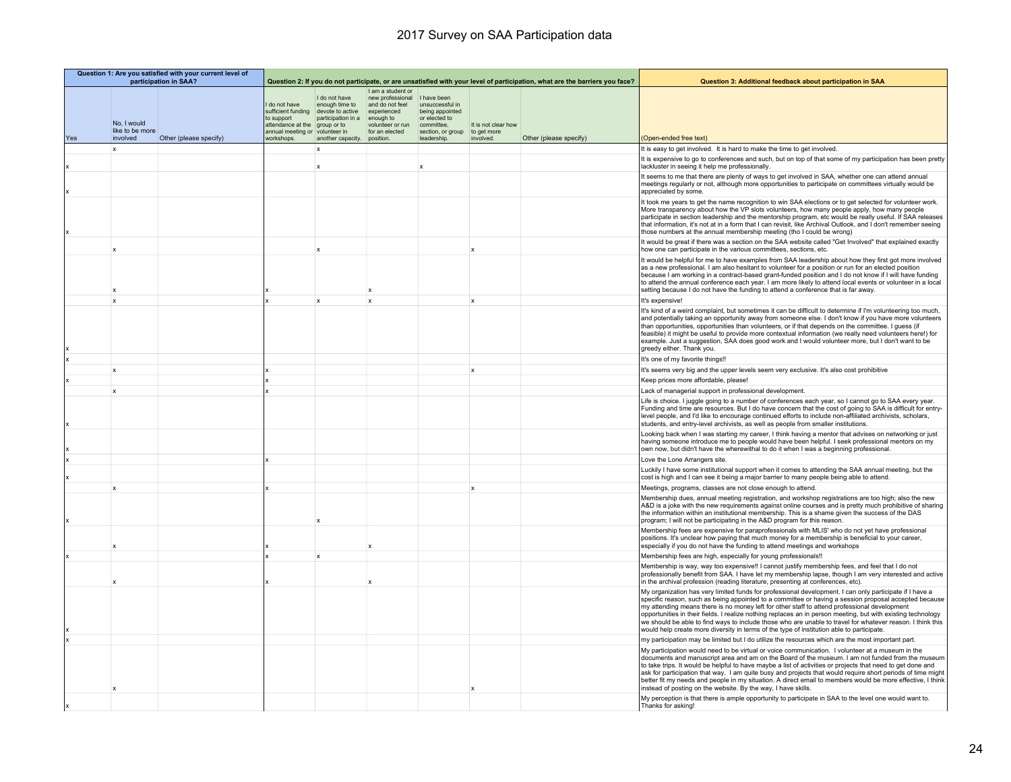|     | Question 1: Are you satisfied with your current level of<br>participation in SAA? |                        |                                                                                                                      |                                                                                                               | Question 2: If you do not participate, or are unsatisfied with your level of participation, what are the barriers you face?                         |                                                                                                      |                                                 | Question 3: Additional feedback about participation in SAA |                                                                                                                                                                                                                                                                                                                                                                                                                                                                                                                                                                                                                                             |
|-----|-----------------------------------------------------------------------------------|------------------------|----------------------------------------------------------------------------------------------------------------------|---------------------------------------------------------------------------------------------------------------|-----------------------------------------------------------------------------------------------------------------------------------------------------|------------------------------------------------------------------------------------------------------|-------------------------------------------------|------------------------------------------------------------|---------------------------------------------------------------------------------------------------------------------------------------------------------------------------------------------------------------------------------------------------------------------------------------------------------------------------------------------------------------------------------------------------------------------------------------------------------------------------------------------------------------------------------------------------------------------------------------------------------------------------------------------|
| Yes | No. I would<br>like to be more<br>involved                                        | Other (please specify) | do not have<br>sufficient funding<br>to support<br>attendance at the<br>annual meeting or volunteer in<br>vorkshops. | I do not have<br>enough time to<br>devote to active<br>participation in a<br>aroup or to<br>another capacity. | I am a student or<br>new professional I have been<br>and do not feel<br>experienced<br>enough to<br>volunteer or run<br>for an elected<br>position. | unsuccessful in<br>being appointed<br>or elected to<br>committee.<br>section, or group<br>leadership | It is not clear how<br>to get more<br>involved. | Other (please specify)                                     | (Open-ended free text)                                                                                                                                                                                                                                                                                                                                                                                                                                                                                                                                                                                                                      |
|     | $\mathbf{x}$                                                                      |                        |                                                                                                                      | $\mathbf{x}$                                                                                                  |                                                                                                                                                     |                                                                                                      |                                                 |                                                            | It is easy to get involved. It is hard to make the time to get involved.                                                                                                                                                                                                                                                                                                                                                                                                                                                                                                                                                                    |
|     |                                                                                   |                        |                                                                                                                      |                                                                                                               |                                                                                                                                                     |                                                                                                      |                                                 |                                                            | It is expensive to go to conferences and such, but on top of that some of my participation has been pretty                                                                                                                                                                                                                                                                                                                                                                                                                                                                                                                                  |
|     |                                                                                   |                        |                                                                                                                      |                                                                                                               |                                                                                                                                                     | $\boldsymbol{\mathsf{x}}$                                                                            |                                                 |                                                            | lackluster in seeing it help me professionally.                                                                                                                                                                                                                                                                                                                                                                                                                                                                                                                                                                                             |
|     |                                                                                   |                        |                                                                                                                      |                                                                                                               |                                                                                                                                                     |                                                                                                      |                                                 |                                                            | It seems to me that there are plenty of ways to get involved in SAA, whether one can attend annual<br>meetings regularly or not, although more opportunities to participate on committees virtually would be<br>appreciated by some.                                                                                                                                                                                                                                                                                                                                                                                                        |
|     |                                                                                   |                        |                                                                                                                      |                                                                                                               |                                                                                                                                                     |                                                                                                      |                                                 |                                                            | It took me years to get the name recognition to win SAA elections or to get selected for volunteer work.<br>More transparency about how the VP slots volunteers, how many people apply, how many people<br>participate in section leadership and the mentorship program, etc would be really useful. If SAA releases<br>that information, it's not at in a form that I can revisit, like Archival Outlook, and I don't remember seeing<br>those numbers at the annual membership meeting (tho I could be wrong)                                                                                                                             |
|     | $\mathbf x$                                                                       |                        |                                                                                                                      |                                                                                                               |                                                                                                                                                     |                                                                                                      |                                                 |                                                            | It would be great if there was a section on the SAA website called "Get Involved" that explained exactly<br>how one can participate in the various committees, sections, etc.                                                                                                                                                                                                                                                                                                                                                                                                                                                               |
|     |                                                                                   |                        |                                                                                                                      |                                                                                                               |                                                                                                                                                     |                                                                                                      |                                                 |                                                            | It would be helpful for me to have examples from SAA leadership about how they first got more involved<br>as a new professional. I am also hesitant to volunteer for a position or run for an elected position<br>because I am working in a contract-based grant-funded position and I do not know if I will have funding<br>to attend the annual conference each year. I am more likely to attend local events or volunteer in a local<br>setting because I do not have the funding to attend a conference that is far away.                                                                                                               |
|     | $\mathbf{x}$                                                                      |                        |                                                                                                                      | $\mathbf{x}$                                                                                                  | $\mathbf{x}$                                                                                                                                        |                                                                                                      | $\mathbf{x}$                                    |                                                            | It's expensive!                                                                                                                                                                                                                                                                                                                                                                                                                                                                                                                                                                                                                             |
|     |                                                                                   |                        |                                                                                                                      |                                                                                                               |                                                                                                                                                     |                                                                                                      |                                                 |                                                            | It's kind of a weird complaint, but sometimes it can be difficult to determine if I'm volunteering too much,<br>and potentially taking an opportunity away from someone else. I don't know if you have more volunteers<br>than opportunities, opportunities than volunteers, or if that depends on the committee. I quess (if<br>feasible) it might be useful to provide more contextual information (we really need volunteers here!) for<br>example. Just a suggestion, SAA does good work and I would volunteer more, but I don't want to be<br>greedy either. Thank you.                                                                |
|     |                                                                                   |                        |                                                                                                                      |                                                                                                               |                                                                                                                                                     |                                                                                                      |                                                 |                                                            | It's one of my favorite things!!                                                                                                                                                                                                                                                                                                                                                                                                                                                                                                                                                                                                            |
|     | $\mathbf x$                                                                       |                        |                                                                                                                      |                                                                                                               |                                                                                                                                                     |                                                                                                      | $\mathbf x$                                     |                                                            | It's seems very big and the upper levels seem very exclusive. It's also cost prohibitive                                                                                                                                                                                                                                                                                                                                                                                                                                                                                                                                                    |
|     |                                                                                   |                        |                                                                                                                      |                                                                                                               |                                                                                                                                                     |                                                                                                      |                                                 |                                                            | Keep prices more affordable, please!                                                                                                                                                                                                                                                                                                                                                                                                                                                                                                                                                                                                        |
|     | $\mathbf x$                                                                       |                        |                                                                                                                      |                                                                                                               |                                                                                                                                                     |                                                                                                      |                                                 |                                                            | Lack of managerial support in professional development.                                                                                                                                                                                                                                                                                                                                                                                                                                                                                                                                                                                     |
|     |                                                                                   |                        |                                                                                                                      |                                                                                                               |                                                                                                                                                     |                                                                                                      |                                                 |                                                            | Life is choice. I juggle going to a number of conferences each year, so I cannot go to SAA every year.<br>Funding and time are resources. But I do have concern that the cost of going to SAA is difficult for entry-<br>level people, and I'd like to encourage continued efforts to include non-affiliated archivists, scholars,<br>students, and entry-level archivists, as well as people from smaller institutions.                                                                                                                                                                                                                    |
|     |                                                                                   |                        |                                                                                                                      |                                                                                                               |                                                                                                                                                     |                                                                                                      |                                                 |                                                            | Looking back when I was starting my career, I think having a mentor that advises on networking or just<br>having someone introduce me to people would have been helpful. I seek professional mentors on my<br>own now, but didn't have the wherewithal to do it when I was a beginning professional.                                                                                                                                                                                                                                                                                                                                        |
|     |                                                                                   |                        |                                                                                                                      |                                                                                                               |                                                                                                                                                     |                                                                                                      |                                                 |                                                            | Love the Lone Arrangers site.                                                                                                                                                                                                                                                                                                                                                                                                                                                                                                                                                                                                               |
|     |                                                                                   |                        |                                                                                                                      |                                                                                                               |                                                                                                                                                     |                                                                                                      |                                                 |                                                            | Luckily I have some institutional support when it comes to attending the SAA annual meeting, but the<br>cost is high and I can see it being a major barrier to many people being able to attend.                                                                                                                                                                                                                                                                                                                                                                                                                                            |
|     |                                                                                   |                        |                                                                                                                      |                                                                                                               |                                                                                                                                                     |                                                                                                      |                                                 |                                                            | Meetings, programs, classes are not close enough to attend.                                                                                                                                                                                                                                                                                                                                                                                                                                                                                                                                                                                 |
|     |                                                                                   |                        |                                                                                                                      |                                                                                                               |                                                                                                                                                     |                                                                                                      |                                                 |                                                            | Membership dues, annual meeting registration, and workshop registrations are too high; also the new<br>A&D is a joke with the new requirements against online courses and is pretty much prohibitive of sharing<br>the information within an institutional membership. This is a shame given the success of the DAS<br>program; I will not be participating in the A&D program for this reason.                                                                                                                                                                                                                                             |
|     |                                                                                   |                        |                                                                                                                      |                                                                                                               |                                                                                                                                                     |                                                                                                      |                                                 |                                                            | Membership fees are expensive for paraprofessionals with MLIS' who do not yet have professional<br>positions. It's unclear how paying that much money for a membership is beneficial to your career,<br>especially if you do not have the funding to attend meetings and workshops                                                                                                                                                                                                                                                                                                                                                          |
|     |                                                                                   |                        |                                                                                                                      | $\mathbf x$                                                                                                   |                                                                                                                                                     |                                                                                                      |                                                 |                                                            | Membership fees are high, especially for young professionals!!                                                                                                                                                                                                                                                                                                                                                                                                                                                                                                                                                                              |
|     |                                                                                   |                        |                                                                                                                      |                                                                                                               |                                                                                                                                                     |                                                                                                      |                                                 |                                                            | Membership is way, way too expensive!! I cannot justify membership fees, and feel that I do not<br>professionally benefit from SAA. I have let my membership lapse, though I am very interested and active<br>in the archival profession (reading literature, presenting at conferences, etc).                                                                                                                                                                                                                                                                                                                                              |
|     |                                                                                   |                        |                                                                                                                      |                                                                                                               |                                                                                                                                                     |                                                                                                      |                                                 |                                                            | My organization has very limited funds for professional development. I can only participate if I have a<br>specific reason, such as being appointed to a committee or having a session proposal accepted because<br>my attending means there is no money left for other staff to attend professional development<br>opportunities in their fields. I realize nothing replaces an in person meeting, but with existing technology<br>we should be able to find ways to include those who are unable to travel for whatever reason. I think this<br>would help create more diversity in terms of the type of institution able to participate. |
|     |                                                                                   |                        |                                                                                                                      |                                                                                                               |                                                                                                                                                     |                                                                                                      |                                                 |                                                            | my participation may be limited but I do utilize the resources which are the most important part.                                                                                                                                                                                                                                                                                                                                                                                                                                                                                                                                           |
|     |                                                                                   |                        |                                                                                                                      |                                                                                                               |                                                                                                                                                     |                                                                                                      |                                                 |                                                            | My participation would need to be virtual or voice communication. I volunteer at a museum in the<br>documents and manuscript area and am on the Board of the museum. I am not funded from the museum<br>to take trips. It would be helpful to have maybe a list of activities or projects that need to get done and<br>ask for participation that way. I am quite busy and projects that would require short periods of time might<br>better fit my needs and people in my situation. A direct email to members would be more effective, I think<br>instead of posting on the website. By the way, I have skills.                           |
|     |                                                                                   |                        |                                                                                                                      |                                                                                                               |                                                                                                                                                     |                                                                                                      |                                                 |                                                            | My perception is that there is ample opportunity to participate in SAA to the level one would want to.<br>Thanks for asking!                                                                                                                                                                                                                                                                                                                                                                                                                                                                                                                |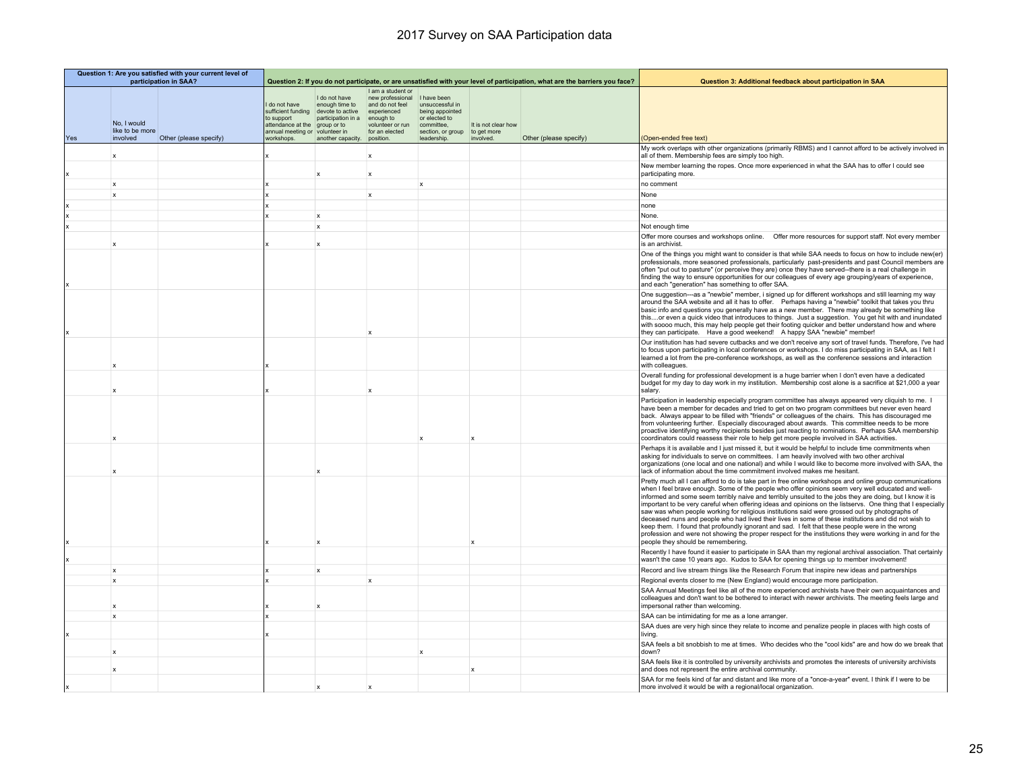|     | Question 1: Are you satisfied with your current level of<br>participation in SAA? |                        |                                                                                                           |                                                                                                          | Question 2: If you do not participate, or are unsatisfied with your level of participation, what are the barriers you face? |                                                                                                                      |                                                 | Question 3: Additional feedback about participation in SAA |                                                                                                                                                                                                                                                                                                                                                                                                                                                                                                                                                                                                                                                                                                                                                                                                                                                                                                         |
|-----|-----------------------------------------------------------------------------------|------------------------|-----------------------------------------------------------------------------------------------------------|----------------------------------------------------------------------------------------------------------|-----------------------------------------------------------------------------------------------------------------------------|----------------------------------------------------------------------------------------------------------------------|-------------------------------------------------|------------------------------------------------------------|---------------------------------------------------------------------------------------------------------------------------------------------------------------------------------------------------------------------------------------------------------------------------------------------------------------------------------------------------------------------------------------------------------------------------------------------------------------------------------------------------------------------------------------------------------------------------------------------------------------------------------------------------------------------------------------------------------------------------------------------------------------------------------------------------------------------------------------------------------------------------------------------------------|
| Yes | No, I would<br>like to be more<br>involved                                        | Other (please specify) | I do not have<br>sufficient funding<br>to support<br>attendance at the<br>annual meeting or<br>workshops. | I do not have<br>enough time to<br>devote to active<br>participation in a<br>group or to<br>volunteer in | I am a student or<br>new professional<br>and do not feel<br>experienced<br>enough to<br>volunteer or run<br>for an elected  | I have been<br>unsuccessful in<br>being appointed<br>or elected to<br>committee.<br>section, or group<br>leadership. | It is not clear how<br>to get more<br>involved. | Other (please specify)                                     | (Open-ended free text)                                                                                                                                                                                                                                                                                                                                                                                                                                                                                                                                                                                                                                                                                                                                                                                                                                                                                  |
|     |                                                                                   |                        |                                                                                                           | another capacity.                                                                                        | position.                                                                                                                   |                                                                                                                      |                                                 |                                                            | My work overlaps with other organizations (primarily RBMS) and I cannot afford to be actively involved in                                                                                                                                                                                                                                                                                                                                                                                                                                                                                                                                                                                                                                                                                                                                                                                               |
|     | X                                                                                 |                        |                                                                                                           |                                                                                                          |                                                                                                                             |                                                                                                                      |                                                 |                                                            | all of them. Membership fees are simply too high.                                                                                                                                                                                                                                                                                                                                                                                                                                                                                                                                                                                                                                                                                                                                                                                                                                                       |
|     |                                                                                   |                        |                                                                                                           | $\boldsymbol{\mathsf{x}}$                                                                                | $\mathbf x$                                                                                                                 |                                                                                                                      |                                                 |                                                            | New member learning the ropes. Once more experienced in what the SAA has to offer I could see<br>participating more.                                                                                                                                                                                                                                                                                                                                                                                                                                                                                                                                                                                                                                                                                                                                                                                    |
|     | x                                                                                 |                        |                                                                                                           |                                                                                                          |                                                                                                                             | $\boldsymbol{\mathsf{x}}$                                                                                            |                                                 |                                                            | no comment                                                                                                                                                                                                                                                                                                                                                                                                                                                                                                                                                                                                                                                                                                                                                                                                                                                                                              |
|     | $\mathsf{x}$                                                                      |                        |                                                                                                           |                                                                                                          | $\mathbf{x}$                                                                                                                |                                                                                                                      |                                                 |                                                            | None                                                                                                                                                                                                                                                                                                                                                                                                                                                                                                                                                                                                                                                                                                                                                                                                                                                                                                    |
|     |                                                                                   |                        |                                                                                                           |                                                                                                          |                                                                                                                             |                                                                                                                      |                                                 |                                                            | none                                                                                                                                                                                                                                                                                                                                                                                                                                                                                                                                                                                                                                                                                                                                                                                                                                                                                                    |
|     |                                                                                   |                        |                                                                                                           | $\mathbf{x}$                                                                                             |                                                                                                                             |                                                                                                                      |                                                 |                                                            | None.                                                                                                                                                                                                                                                                                                                                                                                                                                                                                                                                                                                                                                                                                                                                                                                                                                                                                                   |
|     |                                                                                   |                        |                                                                                                           | $\boldsymbol{\mathsf{x}}$                                                                                |                                                                                                                             |                                                                                                                      |                                                 |                                                            | Not enough time                                                                                                                                                                                                                                                                                                                                                                                                                                                                                                                                                                                                                                                                                                                                                                                                                                                                                         |
|     |                                                                                   |                        |                                                                                                           |                                                                                                          |                                                                                                                             |                                                                                                                      |                                                 |                                                            | Offer more courses and workshops online.  Offer more resources for support staff. Not every member                                                                                                                                                                                                                                                                                                                                                                                                                                                                                                                                                                                                                                                                                                                                                                                                      |
|     | $\mathbf x$                                                                       |                        |                                                                                                           |                                                                                                          |                                                                                                                             |                                                                                                                      |                                                 |                                                            | is an archivist                                                                                                                                                                                                                                                                                                                                                                                                                                                                                                                                                                                                                                                                                                                                                                                                                                                                                         |
|     |                                                                                   |                        |                                                                                                           |                                                                                                          |                                                                                                                             |                                                                                                                      |                                                 |                                                            | One of the things you might want to consider is that while SAA needs to focus on how to include new(er)<br>professionals, more seasoned professionals, particularly past-presidents and past Council members are<br>often "put out to pasture" (or perceive they are) once they have served--there is a real challenge in<br>finding the way to ensure opportunities for our colleagues of every age grouping/years of experience,<br>and each "generation" has something to offer SAA.                                                                                                                                                                                                                                                                                                                                                                                                                 |
|     |                                                                                   |                        |                                                                                                           |                                                                                                          |                                                                                                                             |                                                                                                                      |                                                 |                                                            | One suggestion---as a "newbie" member, i signed up for different workshops and still learning my way<br>around the SAA website and all it has to offer.  Perhaps having a "newbie" toolkit that takes you thru<br>basic info and questions you generally have as a new member. There may already be something like<br>thisor even a quick video that introduces to things. Just a suggestion. You get hit with and inundated<br>with soooo much, this may help people get their footing quicker and better understand how and where<br>they can participate. Have a good weekend! A happy SAA "newbie" member!                                                                                                                                                                                                                                                                                          |
|     |                                                                                   |                        |                                                                                                           |                                                                                                          |                                                                                                                             |                                                                                                                      |                                                 |                                                            | Our institution has had severe cutbacks and we don't receive any sort of travel funds. Therefore, I've had<br>to focus upon participating in local conferences or workshops. I do miss participating in SAA, as I felt I<br>learned a lot from the pre-conference workshops, as well as the conference sessions and interaction<br>with colleagues.                                                                                                                                                                                                                                                                                                                                                                                                                                                                                                                                                     |
|     |                                                                                   |                        |                                                                                                           |                                                                                                          |                                                                                                                             |                                                                                                                      |                                                 |                                                            | Overall funding for professional development is a huge barrier when I don't even have a dedicated<br>budget for my day to day work in my institution. Membership cost alone is a sacrifice at \$21,000 a year<br>salary.                                                                                                                                                                                                                                                                                                                                                                                                                                                                                                                                                                                                                                                                                |
|     |                                                                                   |                        |                                                                                                           |                                                                                                          |                                                                                                                             |                                                                                                                      |                                                 |                                                            | Participation in leadership especially program committee has always appeared very cliquish to me. I<br>have been a member for decades and tried to get on two program committees but never even heard<br>back. Always appear to be filled with "friends" or colleagues of the chairs. This has discouraged me<br>from volunteering further. Especially discouraged about awards. This committee needs to be more<br>proactive identifying worthy recipients besides just reacting to nominations. Perhaps SAA membership<br>coordinators could reassess their role to help get more people involved in SAA activities.                                                                                                                                                                                                                                                                                  |
|     |                                                                                   |                        |                                                                                                           |                                                                                                          |                                                                                                                             |                                                                                                                      |                                                 |                                                            | Perhaps it is available and I just missed it, but it would be helpful to include time commitments when<br>asking for individuals to serve on committees. I am heavily involved with two other archival<br>organizations (one local and one national) and while I would like to become more involved with SAA, the<br>lack of information about the time commitment involved makes me hesitant.                                                                                                                                                                                                                                                                                                                                                                                                                                                                                                          |
|     |                                                                                   |                        |                                                                                                           |                                                                                                          |                                                                                                                             |                                                                                                                      |                                                 |                                                            | Pretty much all I can afford to do is take part in free online workshops and online group communications<br>when I feel brave enough. Some of the people who offer opinions seem very well educated and well-<br>informed and some seem terribly naive and terribly unsuited to the jobs they are doing, but I know it is<br>important to be very careful when offering ideas and opinions on the listservs. One thing that I especially<br>saw was when people working for religious institutions said were grossed out by photographs of<br>deceased nuns and people who had lived their lives in some of these institutions and did not wish to<br>keep them. I found that profoundly ignorant and sad. I felt that these people were in the wrong<br>profession and were not showing the proper respect for the institutions they were working in and for the<br>people they should be remembering. |
|     |                                                                                   |                        |                                                                                                           |                                                                                                          |                                                                                                                             |                                                                                                                      |                                                 |                                                            | Recently I have found it easier to participate in SAA than my regional archival association. That certainly<br>wasn't the case 10 years ago. Kudos to SAA for opening things up to member involvement!                                                                                                                                                                                                                                                                                                                                                                                                                                                                                                                                                                                                                                                                                                  |
|     | x                                                                                 |                        |                                                                                                           | $\mathbf{x}$                                                                                             |                                                                                                                             |                                                                                                                      |                                                 |                                                            | Record and live stream things like the Research Forum that inspire new ideas and partnerships                                                                                                                                                                                                                                                                                                                                                                                                                                                                                                                                                                                                                                                                                                                                                                                                           |
|     | $\boldsymbol{\mathsf{x}}$                                                         |                        |                                                                                                           |                                                                                                          | $\mathbf{x}$                                                                                                                |                                                                                                                      |                                                 |                                                            | Regional events closer to me (New England) would encourage more participation.                                                                                                                                                                                                                                                                                                                                                                                                                                                                                                                                                                                                                                                                                                                                                                                                                          |
|     | $\mathbf x$                                                                       |                        |                                                                                                           |                                                                                                          |                                                                                                                             |                                                                                                                      |                                                 |                                                            | SAA Annual Meetings feel like all of the more experienced archivists have their own acquaintances and<br>colleagues and don't want to be bothered to interact with newer archivists. The meeting feels large and<br>impersonal rather than welcoming.                                                                                                                                                                                                                                                                                                                                                                                                                                                                                                                                                                                                                                                   |
|     | $\mathsf{x}$                                                                      |                        |                                                                                                           |                                                                                                          |                                                                                                                             |                                                                                                                      |                                                 |                                                            | SAA can be intimidating for me as a lone arranger.                                                                                                                                                                                                                                                                                                                                                                                                                                                                                                                                                                                                                                                                                                                                                                                                                                                      |
|     |                                                                                   |                        |                                                                                                           |                                                                                                          |                                                                                                                             |                                                                                                                      |                                                 |                                                            | SAA dues are very high since they relate to income and penalize people in places with high costs of                                                                                                                                                                                                                                                                                                                                                                                                                                                                                                                                                                                                                                                                                                                                                                                                     |
|     |                                                                                   |                        |                                                                                                           |                                                                                                          |                                                                                                                             |                                                                                                                      |                                                 |                                                            | living.<br>SAA feels a bit snobbish to me at times. Who decides who the "cool kids" are and how do we break that                                                                                                                                                                                                                                                                                                                                                                                                                                                                                                                                                                                                                                                                                                                                                                                        |
|     | $\boldsymbol{\mathsf{x}}$                                                         |                        |                                                                                                           |                                                                                                          |                                                                                                                             |                                                                                                                      |                                                 |                                                            | down?                                                                                                                                                                                                                                                                                                                                                                                                                                                                                                                                                                                                                                                                                                                                                                                                                                                                                                   |
|     |                                                                                   |                        |                                                                                                           |                                                                                                          |                                                                                                                             |                                                                                                                      |                                                 |                                                            | SAA feels like it is controlled by university archivists and promotes the interests of university archivists<br>and does not represent the entire archival community.                                                                                                                                                                                                                                                                                                                                                                                                                                                                                                                                                                                                                                                                                                                                   |
|     |                                                                                   |                        |                                                                                                           |                                                                                                          |                                                                                                                             |                                                                                                                      |                                                 |                                                            | SAA for me feels kind of far and distant and like more of a "once-a-year" event. I think if I were to be<br>more involved it would be with a regional/local organization.                                                                                                                                                                                                                                                                                                                                                                                                                                                                                                                                                                                                                                                                                                                               |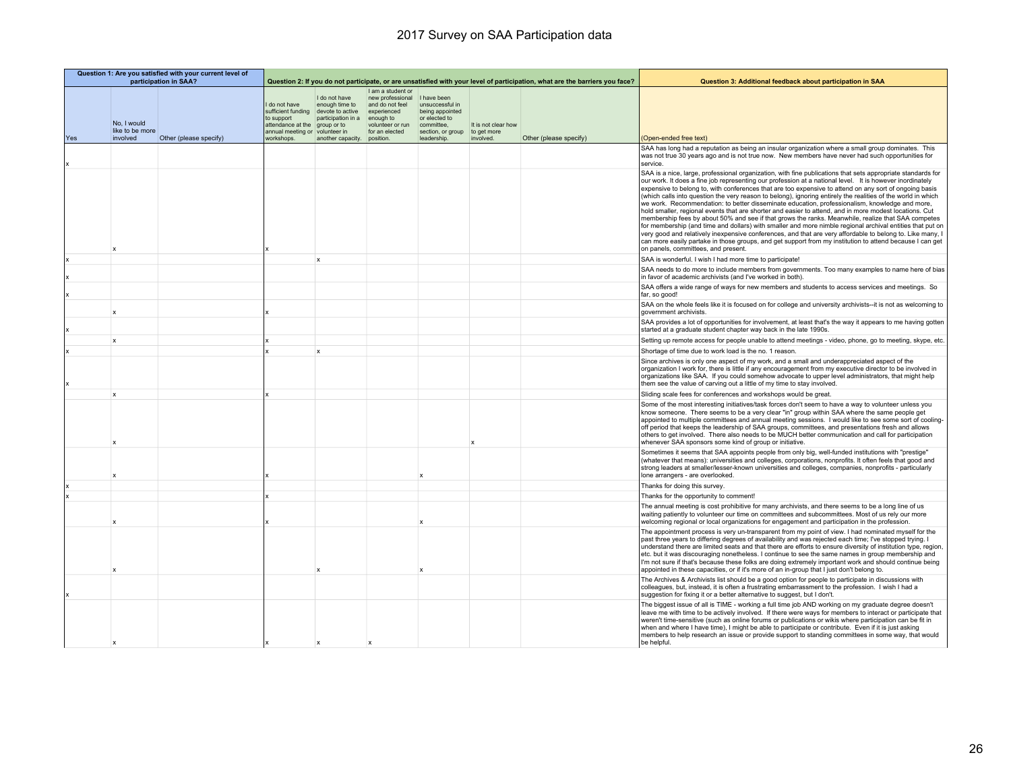|     | Question 1: Are you satisfied with your current level of<br>participation in SAA? |                        |                                                                                                           |                                                                                                                                         | Question 2: If you do not participate, or are unsatisfied with your level of participation, what are the barriers you face? |                                                                                                                      |                                                 | Question 3: Additional feedback about participation in SAA |                                                                                                                                                                                                                                                                                                                                                                                                                                                                                                                                                                                                                                                                                                                                                                                                                                                                                                                                                                                                                                                                                                                                                |
|-----|-----------------------------------------------------------------------------------|------------------------|-----------------------------------------------------------------------------------------------------------|-----------------------------------------------------------------------------------------------------------------------------------------|-----------------------------------------------------------------------------------------------------------------------------|----------------------------------------------------------------------------------------------------------------------|-------------------------------------------------|------------------------------------------------------------|------------------------------------------------------------------------------------------------------------------------------------------------------------------------------------------------------------------------------------------------------------------------------------------------------------------------------------------------------------------------------------------------------------------------------------------------------------------------------------------------------------------------------------------------------------------------------------------------------------------------------------------------------------------------------------------------------------------------------------------------------------------------------------------------------------------------------------------------------------------------------------------------------------------------------------------------------------------------------------------------------------------------------------------------------------------------------------------------------------------------------------------------|
| Yes | No. I would<br>like to be more<br>involved                                        | Other (please specify) | I do not have<br>sufficient funding<br>to support<br>attendance at the<br>annual meeting or<br>workshops. | I do not have<br>enough time to<br>devote to active<br>participation in a<br>aroup or to<br>volunteer in<br>another capacity. position. | I am a student or<br>new professional<br>and do not feel<br>experienced<br>enough to<br>volunteer or run<br>for an elected  | I have been<br>unsuccessful in<br>being appointed<br>or elected to<br>committee.<br>section, or group<br>leadership. | It is not clear how<br>to get more<br>involved. | Other (please specify)                                     | (Open-ended free text)                                                                                                                                                                                                                                                                                                                                                                                                                                                                                                                                                                                                                                                                                                                                                                                                                                                                                                                                                                                                                                                                                                                         |
|     |                                                                                   |                        |                                                                                                           |                                                                                                                                         |                                                                                                                             |                                                                                                                      |                                                 |                                                            | SAA has long had a reputation as being an insular organization where a small group dominates. This<br>was not true 30 years ago and is not true now. New members have never had such opportunities for<br>service.                                                                                                                                                                                                                                                                                                                                                                                                                                                                                                                                                                                                                                                                                                                                                                                                                                                                                                                             |
|     | X                                                                                 |                        |                                                                                                           |                                                                                                                                         |                                                                                                                             |                                                                                                                      |                                                 |                                                            | SAA is a nice, large, professional organization, with fine publications that sets appropriate standards for<br>our work. It does a fine job representing our profession at a national level. It is however inordinately<br>expensive to belong to, with conferences that are too expensive to attend on any sort of ongoing basis<br>(which calls into question the very reason to belong), ignoring entirely the realities of the world in which<br>we work. Recommendation: to better disseminate education, professionalism, knowledge and more,<br>hold smaller, regional events that are shorter and easier to attend, and in more modest locations. Cut<br>membership fees by about 50% and see if that grows the ranks. Meanwhile, realize that SAA competes<br>for membership (and time and dollars) with smaller and more nimble regional archival entities that put on<br>very good and relatively inexpensive conferences, and that are very affordable to belong to. Like many,<br>can more easily partake in those groups, and get support from my institution to attend because I can get<br>on panels, committees, and present. |
|     |                                                                                   |                        |                                                                                                           | $\mathbf{x}$                                                                                                                            |                                                                                                                             |                                                                                                                      |                                                 |                                                            | SAA is wonderful. I wish I had more time to participate!                                                                                                                                                                                                                                                                                                                                                                                                                                                                                                                                                                                                                                                                                                                                                                                                                                                                                                                                                                                                                                                                                       |
|     |                                                                                   |                        |                                                                                                           |                                                                                                                                         |                                                                                                                             |                                                                                                                      |                                                 |                                                            | SAA needs to do more to include members from governments. Too many examples to name here of bias<br>in favor of academic archivists (and I've worked in both).                                                                                                                                                                                                                                                                                                                                                                                                                                                                                                                                                                                                                                                                                                                                                                                                                                                                                                                                                                                 |
|     |                                                                                   |                        |                                                                                                           |                                                                                                                                         |                                                                                                                             |                                                                                                                      |                                                 |                                                            | SAA offers a wide range of ways for new members and students to access services and meetings. So<br>far, so good!                                                                                                                                                                                                                                                                                                                                                                                                                                                                                                                                                                                                                                                                                                                                                                                                                                                                                                                                                                                                                              |
|     | $\mathbf x$                                                                       |                        |                                                                                                           |                                                                                                                                         |                                                                                                                             |                                                                                                                      |                                                 |                                                            | SAA on the whole feels like it is focused on for college and university archivists--it is not as welcoming to<br>government archivists.                                                                                                                                                                                                                                                                                                                                                                                                                                                                                                                                                                                                                                                                                                                                                                                                                                                                                                                                                                                                        |
|     |                                                                                   |                        |                                                                                                           |                                                                                                                                         |                                                                                                                             |                                                                                                                      |                                                 |                                                            | SAA provides a lot of opportunities for involvement, at least that's the way it appears to me having gotten<br>started at a graduate student chapter way back in the late 1990s.                                                                                                                                                                                                                                                                                                                                                                                                                                                                                                                                                                                                                                                                                                                                                                                                                                                                                                                                                               |
|     | $\mathbf{x}$                                                                      |                        |                                                                                                           |                                                                                                                                         |                                                                                                                             |                                                                                                                      |                                                 |                                                            | Setting up remote access for people unable to attend meetings - video, phone, go to meeting, skype, etc                                                                                                                                                                                                                                                                                                                                                                                                                                                                                                                                                                                                                                                                                                                                                                                                                                                                                                                                                                                                                                        |
|     |                                                                                   |                        |                                                                                                           | $\boldsymbol{\mathsf{x}}$                                                                                                               |                                                                                                                             |                                                                                                                      |                                                 |                                                            | Shortage of time due to work load is the no. 1 reason.                                                                                                                                                                                                                                                                                                                                                                                                                                                                                                                                                                                                                                                                                                                                                                                                                                                                                                                                                                                                                                                                                         |
|     |                                                                                   |                        |                                                                                                           |                                                                                                                                         |                                                                                                                             |                                                                                                                      |                                                 |                                                            | Since archives is only one aspect of my work, and a small and underappreciated aspect of the<br>organization I work for, there is little if any encouragement from my executive director to be involved in<br>organizations like SAA. If you could somehow advocate to upper level administrators, that might help<br>them see the value of carving out a little of my time to stay involved.                                                                                                                                                                                                                                                                                                                                                                                                                                                                                                                                                                                                                                                                                                                                                  |
|     | $\boldsymbol{\mathsf{x}}$                                                         |                        |                                                                                                           |                                                                                                                                         |                                                                                                                             |                                                                                                                      |                                                 |                                                            | Sliding scale fees for conferences and workshops would be great.                                                                                                                                                                                                                                                                                                                                                                                                                                                                                                                                                                                                                                                                                                                                                                                                                                                                                                                                                                                                                                                                               |
|     |                                                                                   |                        |                                                                                                           |                                                                                                                                         |                                                                                                                             |                                                                                                                      |                                                 |                                                            | Some of the most interesting initiatives/task forces don't seem to have a way to volunteer unless you<br>know someone. There seems to be a very clear "in" group within SAA where the same people get<br>appointed to multiple committees and annual meeting sessions. I would like to see some sort of cooling-<br>off period that keeps the leadership of SAA groups, committees, and presentations fresh and allows<br>others to get involved. There also needs to be MUCH better communication and call for participation<br>whenever SAA sponsors some kind of group or initiative.                                                                                                                                                                                                                                                                                                                                                                                                                                                                                                                                                       |
|     |                                                                                   |                        |                                                                                                           |                                                                                                                                         |                                                                                                                             |                                                                                                                      |                                                 |                                                            | Sometimes it seems that SAA appoints people from only big, well-funded institutions with "prestige"<br>(whatever that means): universities and colleges, corporations, nonprofits. It often feels that good and<br>strong leaders at smaller/lesser-known universities and colleges, companies, nonprofits - particularly<br>lone arrangers - are overlooked.                                                                                                                                                                                                                                                                                                                                                                                                                                                                                                                                                                                                                                                                                                                                                                                  |
|     |                                                                                   |                        |                                                                                                           |                                                                                                                                         |                                                                                                                             |                                                                                                                      |                                                 |                                                            | Thanks for doing this survey.                                                                                                                                                                                                                                                                                                                                                                                                                                                                                                                                                                                                                                                                                                                                                                                                                                                                                                                                                                                                                                                                                                                  |
|     |                                                                                   |                        |                                                                                                           |                                                                                                                                         |                                                                                                                             |                                                                                                                      |                                                 |                                                            | Thanks for the opportunity to comment!                                                                                                                                                                                                                                                                                                                                                                                                                                                                                                                                                                                                                                                                                                                                                                                                                                                                                                                                                                                                                                                                                                         |
|     |                                                                                   |                        |                                                                                                           |                                                                                                                                         |                                                                                                                             |                                                                                                                      |                                                 |                                                            | The annual meeting is cost prohibitive for many archivists, and there seems to be a long line of us<br>waiting patiently to volunteer our time on committees and subcommittees. Most of us rely our more<br>welcoming regional or local organizations for engagement and participation in the profession.                                                                                                                                                                                                                                                                                                                                                                                                                                                                                                                                                                                                                                                                                                                                                                                                                                      |
|     |                                                                                   |                        |                                                                                                           |                                                                                                                                         |                                                                                                                             |                                                                                                                      |                                                 |                                                            | The appointment process is very un-transparent from my point of view. I had nominated myself for the<br>past three years to differing degrees of availability and was rejected each time; I've stopped trying. I<br>understand there are limited seats and that there are efforts to ensure diversity of institution type, region,<br>etc. but it was discouraging nonetheless. I continue to see the same names in group membership and<br>I'm not sure if that's because these folks are doing extremely important work and should continue being<br>appointed in these capacities, or if it's more of an in-group that I just don't belong to.                                                                                                                                                                                                                                                                                                                                                                                                                                                                                              |
|     |                                                                                   |                        |                                                                                                           |                                                                                                                                         |                                                                                                                             |                                                                                                                      |                                                 |                                                            | The Archives & Archivists list should be a good option for people to participate in discussions with<br>colleagues, but, instead, it is often a frustrating embarrassment to the profession. I wish I had a<br>suggestion for fixing it or a better alternative to suggest, but I don't.                                                                                                                                                                                                                                                                                                                                                                                                                                                                                                                                                                                                                                                                                                                                                                                                                                                       |
|     |                                                                                   |                        |                                                                                                           |                                                                                                                                         |                                                                                                                             |                                                                                                                      |                                                 |                                                            | The biggest issue of all is TIME - working a full time job AND working on my graduate degree doesn't<br>leave me with time to be actively involved. If there were ways for members to interact or participate that<br>weren't time-sensitive (such as online forums or publications or wikis where participation can be fit in<br>when and where I have time), I might be able to participate or contribute. Even if it is just asking<br>members to help research an issue or provide support to standing committees in some way, that would<br>be helpful.                                                                                                                                                                                                                                                                                                                                                                                                                                                                                                                                                                                   |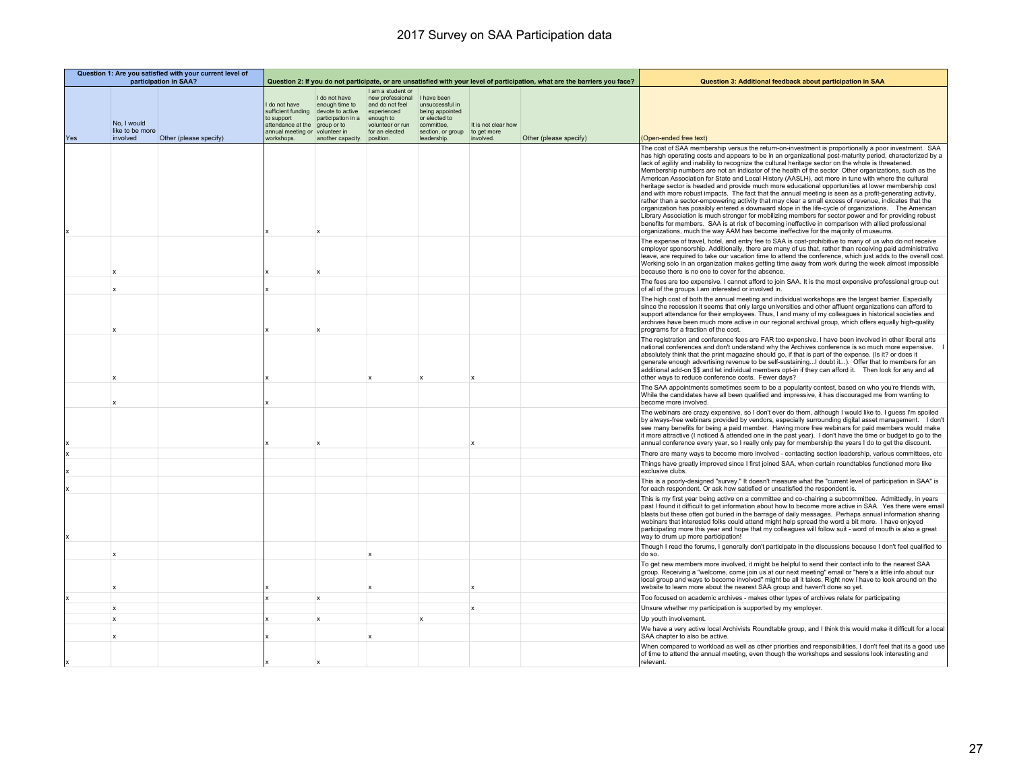|     | Question 1: Are you satisfied with your current level of<br>participation in SAA? |                        |                                                                                                            |                                                                                                                   | Question 2: If you do not participate, or are unsatisfied with your level of participation, what are the barriers you face?             |                                                                                                                      |                                                 | Question 3: Additional feedback about participation in SAA |                                                                                                                                                                                                                                                                                                                                                                                                                                                                                                                                                                                                                                                                                                                                                                                                                                                                                                                                                                                                                                                                                                                                                                                                                                                                               |
|-----|-----------------------------------------------------------------------------------|------------------------|------------------------------------------------------------------------------------------------------------|-------------------------------------------------------------------------------------------------------------------|-----------------------------------------------------------------------------------------------------------------------------------------|----------------------------------------------------------------------------------------------------------------------|-------------------------------------------------|------------------------------------------------------------|-------------------------------------------------------------------------------------------------------------------------------------------------------------------------------------------------------------------------------------------------------------------------------------------------------------------------------------------------------------------------------------------------------------------------------------------------------------------------------------------------------------------------------------------------------------------------------------------------------------------------------------------------------------------------------------------------------------------------------------------------------------------------------------------------------------------------------------------------------------------------------------------------------------------------------------------------------------------------------------------------------------------------------------------------------------------------------------------------------------------------------------------------------------------------------------------------------------------------------------------------------------------------------|
| Yes | No. I would<br>like to be more<br>involved                                        | Other (please specify) | do not have<br>to support<br>attendance at the group or to<br>annual meeting or volunteer in<br>workshops. | I do not have<br>enough time to<br>sufficient funding devote to active<br>participation in a<br>another capacity. | I am a student or<br>new professional<br>and do not feel<br>experienced<br>enough to<br>volunteer or run<br>for an elected<br>position. | I have been<br>unsuccessful in<br>being appointed<br>or elected to<br>committee.<br>section, or group<br>leadership. | It is not clear how<br>to get more<br>involved. | Other (please specify)                                     | (Open-ended free text)                                                                                                                                                                                                                                                                                                                                                                                                                                                                                                                                                                                                                                                                                                                                                                                                                                                                                                                                                                                                                                                                                                                                                                                                                                                        |
|     |                                                                                   |                        |                                                                                                            |                                                                                                                   |                                                                                                                                         |                                                                                                                      |                                                 |                                                            | The cost of SAA membership versus the return-on-investment is proportionally a poor investment. SAA<br>has high operating costs and appears to be in an organizational post-maturity period, characterized by a<br>lack of agility and inability to recognize the cultural heritage sector on the whole is threatened.<br>Membership numbers are not an indicator of the health of the sector Other organizations, such as the<br>American Association for State and Local History (AASLH), act more in tune with where the cultural<br>heritage sector is headed and provide much more educational opportunities at lower membership cost<br>and with more robust impacts. The fact that the annual meeting is seen as a profit-generating activity,<br>rather than a sector-empowering activity that may clear a small excess of revenue, indicates that the<br>organization has possibly entered a downward slope in the life-cycle of organizations.  The American<br>Library Association is much stronger for mobilizing members for sector power and for providing robust<br>benefits for members. SAA is at risk of becoming ineffective in comparison with allied professional<br>organizations, much the way AAM has become ineffective for the majority of museums. |
|     |                                                                                   |                        |                                                                                                            |                                                                                                                   |                                                                                                                                         |                                                                                                                      |                                                 |                                                            | The expense of travel, hotel, and entry fee to SAA is cost-prohibitive to many of us who do not receive<br>employer sponsorship. Additionally, there are many of us that, rather than receiving paid administrative<br>leave, are required to take our vacation time to attend the conference, which just adds to the overall cost.<br>Working solo in an organization makes getting time away from work during the week almost impossible<br>because there is no one to cover for the absence.                                                                                                                                                                                                                                                                                                                                                                                                                                                                                                                                                                                                                                                                                                                                                                               |
|     |                                                                                   |                        |                                                                                                            |                                                                                                                   |                                                                                                                                         |                                                                                                                      |                                                 |                                                            | The fees are too expensive. I cannot afford to join SAA. It is the most expensive professional group out<br>of all of the groups I am interested or involved in.                                                                                                                                                                                                                                                                                                                                                                                                                                                                                                                                                                                                                                                                                                                                                                                                                                                                                                                                                                                                                                                                                                              |
|     |                                                                                   |                        |                                                                                                            |                                                                                                                   |                                                                                                                                         |                                                                                                                      |                                                 |                                                            | The high cost of both the annual meeting and individual workshops are the largest barrier. Especially<br>since the recession it seems that only large universities and other affluent organizations can afford to<br>support attendance for their employees. Thus, I and many of my colleagues in historical societies and<br>archives have been much more active in our regional archival group, which offers equally high-quality<br>programs for a fraction of the cost.                                                                                                                                                                                                                                                                                                                                                                                                                                                                                                                                                                                                                                                                                                                                                                                                   |
|     |                                                                                   |                        |                                                                                                            |                                                                                                                   |                                                                                                                                         |                                                                                                                      |                                                 |                                                            | The registration and conference fees are FAR too expensive. I have been involved in other liberal arts<br>national conferences and don't understand why the Archives conference is so much more expensive.<br>absolutely think that the print magazine should go, if that is part of the expense. (Is it? or does it<br>generate enough advertising revenue to be self-sustainingI doubt it). Offer that to members for an<br>additional add-on \$\$ and let individual members opt-in if they can afford it.  Then look for any and all<br>other ways to reduce conference costs. Fewer days?                                                                                                                                                                                                                                                                                                                                                                                                                                                                                                                                                                                                                                                                                |
|     |                                                                                   |                        |                                                                                                            |                                                                                                                   |                                                                                                                                         |                                                                                                                      |                                                 |                                                            | The SAA appointments sometimes seem to be a popularity contest, based on who you're friends with.<br>While the candidates have all been qualified and impressive, it has discouraged me from wanting to<br>become more involved.                                                                                                                                                                                                                                                                                                                                                                                                                                                                                                                                                                                                                                                                                                                                                                                                                                                                                                                                                                                                                                              |
|     |                                                                                   |                        |                                                                                                            |                                                                                                                   |                                                                                                                                         |                                                                                                                      |                                                 |                                                            | The webinars are crazy expensive, so I don't ever do them, although I would like to. I guess I'm spoiled<br>by always-free webinars provided by vendors, especially surrounding digital asset management. I don't<br>see many benefits for being a paid member. Having more free webinars for paid members would make<br>it more attractive (I noticed & attended one in the past year). I don't have the time or budget to go to the<br>annual conference every year, so I really only pay for membership the years I do to get the discount.                                                                                                                                                                                                                                                                                                                                                                                                                                                                                                                                                                                                                                                                                                                                |
|     |                                                                                   |                        |                                                                                                            |                                                                                                                   |                                                                                                                                         |                                                                                                                      |                                                 |                                                            | There are many ways to become more involved - contacting section leadership, various committees, etc                                                                                                                                                                                                                                                                                                                                                                                                                                                                                                                                                                                                                                                                                                                                                                                                                                                                                                                                                                                                                                                                                                                                                                          |
|     |                                                                                   |                        |                                                                                                            |                                                                                                                   |                                                                                                                                         |                                                                                                                      |                                                 |                                                            | Things have greatly improved since I first joined SAA, when certain roundtables functioned more like<br>exclusive clubs.                                                                                                                                                                                                                                                                                                                                                                                                                                                                                                                                                                                                                                                                                                                                                                                                                                                                                                                                                                                                                                                                                                                                                      |
|     |                                                                                   |                        |                                                                                                            |                                                                                                                   |                                                                                                                                         |                                                                                                                      |                                                 |                                                            | This is a poorly-designed "survey." It doesn't measure what the "current level of participation in SAA" is<br>for each respondent. Or ask how satisfied or unsatisfied the respondent is.                                                                                                                                                                                                                                                                                                                                                                                                                                                                                                                                                                                                                                                                                                                                                                                                                                                                                                                                                                                                                                                                                     |
|     |                                                                                   |                        |                                                                                                            |                                                                                                                   |                                                                                                                                         |                                                                                                                      |                                                 |                                                            | This is my first year being active on a committee and co-chairing a subcommittee. Admittedly, in years<br>past I found it difficult to get information about how to become more active in SAA. Yes there were email<br>blasts but these often got buried in the barrage of daily messages. Perhaps annual information sharing<br>webinars that interested folks could attend might help spread the word a bit more. I have enjoyed<br>participating more this year and hope that my colleagues will follow suit - word of mouth is also a great<br>way to drum up more participation!                                                                                                                                                                                                                                                                                                                                                                                                                                                                                                                                                                                                                                                                                         |
|     | $\mathbf x$                                                                       |                        |                                                                                                            |                                                                                                                   | $\mathbf{x}$                                                                                                                            |                                                                                                                      |                                                 |                                                            | Though I read the forums, I generally don't participate in the discussions because I don't feel qualified to<br>do so.                                                                                                                                                                                                                                                                                                                                                                                                                                                                                                                                                                                                                                                                                                                                                                                                                                                                                                                                                                                                                                                                                                                                                        |
|     | x                                                                                 |                        |                                                                                                            |                                                                                                                   | $\mathbf{x}$                                                                                                                            |                                                                                                                      | $\boldsymbol{\mathsf{x}}$                       |                                                            | To get new members more involved, it might be helpful to send their contact info to the nearest SAA<br>group. Receiving a "welcome, come join us at our next meeting" email or "here's a little info about our<br>local group and ways to become involved" might be all it takes. Right now I have to look around on the<br>website to learn more about the nearest SAA group and haven't done so yet.                                                                                                                                                                                                                                                                                                                                                                                                                                                                                                                                                                                                                                                                                                                                                                                                                                                                        |
|     |                                                                                   |                        |                                                                                                            | $\mathsf{x}$                                                                                                      |                                                                                                                                         |                                                                                                                      |                                                 |                                                            | Too focused on academic archives - makes other types of archives relate for participating                                                                                                                                                                                                                                                                                                                                                                                                                                                                                                                                                                                                                                                                                                                                                                                                                                                                                                                                                                                                                                                                                                                                                                                     |
|     | x                                                                                 |                        |                                                                                                            |                                                                                                                   |                                                                                                                                         |                                                                                                                      | X                                               |                                                            | Unsure whether my participation is supported by my employer.                                                                                                                                                                                                                                                                                                                                                                                                                                                                                                                                                                                                                                                                                                                                                                                                                                                                                                                                                                                                                                                                                                                                                                                                                  |
|     | $\mathsf{x}$                                                                      |                        |                                                                                                            | $\mathbf{x}$                                                                                                      |                                                                                                                                         | $\mathbf{x}$                                                                                                         |                                                 |                                                            | Up youth involvement                                                                                                                                                                                                                                                                                                                                                                                                                                                                                                                                                                                                                                                                                                                                                                                                                                                                                                                                                                                                                                                                                                                                                                                                                                                          |
|     | $\boldsymbol{\mathsf{x}}$                                                         |                        |                                                                                                            |                                                                                                                   | $\mathbf{x}$                                                                                                                            |                                                                                                                      |                                                 |                                                            | We have a very active local Archivists Roundtable group, and I think this would make it difficult for a local<br>SAA chapter to also be active.                                                                                                                                                                                                                                                                                                                                                                                                                                                                                                                                                                                                                                                                                                                                                                                                                                                                                                                                                                                                                                                                                                                               |
|     |                                                                                   |                        |                                                                                                            |                                                                                                                   |                                                                                                                                         |                                                                                                                      |                                                 |                                                            | When compared to workload as well as other priorities and responsibilities, I don't feel that its a good use<br>of time to attend the annual meeting, even though the workshops and sessions look interesting and<br>relevant.                                                                                                                                                                                                                                                                                                                                                                                                                                                                                                                                                                                                                                                                                                                                                                                                                                                                                                                                                                                                                                                |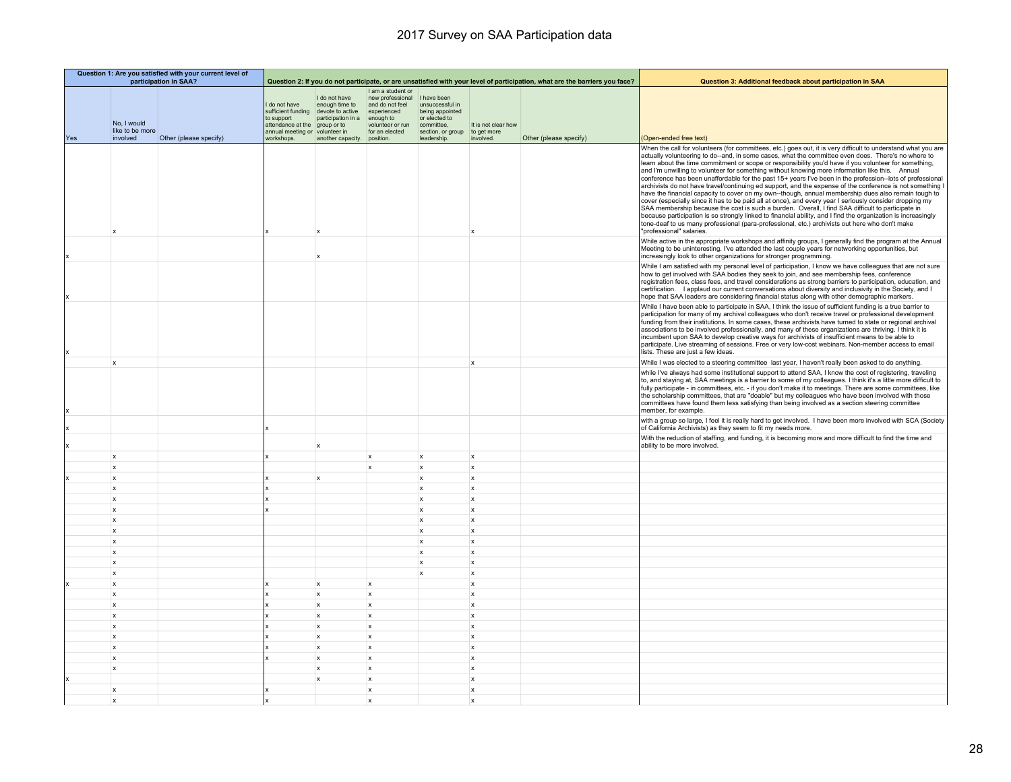|     | Question 1: Are you satisfied with your current level of<br>participation in SAA? |                        |                                                                                                        |                                                                                                                               | Question 2: If you do not participate, or are unsatisfied with your level of participation, what are the barriers you face?             |                                                                                                                     |                                                 | Question 3: Additional feedback about participation in SAA |                                                                                                                                                                                                                                                                                                                                                                                                                                                                                                                                                                                                                                                                                                                                                                                                                                                                                                                                                                                                                                                                                                                                                                                                                                 |
|-----|-----------------------------------------------------------------------------------|------------------------|--------------------------------------------------------------------------------------------------------|-------------------------------------------------------------------------------------------------------------------------------|-----------------------------------------------------------------------------------------------------------------------------------------|---------------------------------------------------------------------------------------------------------------------|-------------------------------------------------|------------------------------------------------------------|---------------------------------------------------------------------------------------------------------------------------------------------------------------------------------------------------------------------------------------------------------------------------------------------------------------------------------------------------------------------------------------------------------------------------------------------------------------------------------------------------------------------------------------------------------------------------------------------------------------------------------------------------------------------------------------------------------------------------------------------------------------------------------------------------------------------------------------------------------------------------------------------------------------------------------------------------------------------------------------------------------------------------------------------------------------------------------------------------------------------------------------------------------------------------------------------------------------------------------|
| Yes | No, I would<br>like to be more<br>involved                                        | Other (please specify) | do not have<br>sufficient funding<br>to support<br>attendance at the<br>annual meeting or<br>workshops | I do not have<br>enough time to<br>devote to active<br>participation in a<br>group or to<br>volunteer in<br>another capacity. | I am a student or<br>new professional<br>and do not feel<br>experienced<br>enough to<br>volunteer or run<br>for an elected<br>position. | I have been<br>unsuccessful in<br>being appointed<br>or elected to<br>committee,<br>section, or group<br>leadership | It is not clear how<br>to get more<br>involved. | Other (please specify)                                     | (Open-ended free text)                                                                                                                                                                                                                                                                                                                                                                                                                                                                                                                                                                                                                                                                                                                                                                                                                                                                                                                                                                                                                                                                                                                                                                                                          |
|     |                                                                                   |                        |                                                                                                        |                                                                                                                               |                                                                                                                                         |                                                                                                                     |                                                 |                                                            | When the call for volunteers (for committees, etc.) goes out, it is very difficult to understand what you are<br>actually volunteering to do--and, in some cases, what the committee even does. There's no where to<br>learn about the time commitment or scope or responsibility you'd have if you volunteer for something,<br>and I'm unwilling to volunteer for something without knowing more information like this. Annual<br>conference has been unaffordable for the past 15+ years I've been in the profession--lots of professional<br>archivists do not have travel/continuing ed support, and the expense of the conference is not something I<br>have the financial capacity to cover on my own--though, annual membership dues also remain tough to<br>cover (especially since it has to be paid all at once), and every year I seriously consider dropping my<br>SAA membership because the cost is such a burden. Overall, I find SAA difficult to participate in<br>because participation is so strongly linked to financial ability, and I find the organization is increasingly<br>tone-deaf to us many professional (para-professional, etc.) archivists out here who don't make<br>"professional" salaries. |
|     |                                                                                   |                        |                                                                                                        | $\mathbf{x}$                                                                                                                  |                                                                                                                                         |                                                                                                                     |                                                 |                                                            | While active in the appropriate workshops and affinity groups, I generally find the program at the Annual<br>Meeting to be uninteresting. I've attended the last couple years for networking opportunities, but<br>increasingly look to other organizations for stronger programming.                                                                                                                                                                                                                                                                                                                                                                                                                                                                                                                                                                                                                                                                                                                                                                                                                                                                                                                                           |
|     |                                                                                   |                        |                                                                                                        |                                                                                                                               |                                                                                                                                         |                                                                                                                     |                                                 |                                                            | While I am satisfied with my personal level of participation, I know we have colleagues that are not sure<br>how to get involved with SAA bodies they seek to join, and see membership fees, conference<br>registration fees, class fees, and travel considerations as strong barriers to participation, education, and<br>certification. I applaud our current conversations about diversity and inclusivity in the Society, and I<br>hope that SAA leaders are considering financial status along with other demographic markers.                                                                                                                                                                                                                                                                                                                                                                                                                                                                                                                                                                                                                                                                                             |
|     |                                                                                   |                        |                                                                                                        |                                                                                                                               |                                                                                                                                         |                                                                                                                     |                                                 |                                                            | While I have been able to participate in SAA, I think the issue of sufficient funding is a true barrier to<br>participation for many of my archival colleagues who don't receive travel or professional development<br>funding from their institutions. In some cases, these archivists have turned to state or regional archival<br>associations to be involved professionally, and many of these organizations are thriving. I think it is<br>incumbent upon SAA to develop creative ways for archivists of insufficient means to be able to<br>participate. Live streaming of sessions. Free or very low-cost webinars. Non-member access to email<br>lists. These are just a few ideas.                                                                                                                                                                                                                                                                                                                                                                                                                                                                                                                                     |
|     | $\mathbf{x}$                                                                      |                        |                                                                                                        |                                                                                                                               |                                                                                                                                         |                                                                                                                     | $\mathbf{x}$                                    |                                                            | While I was elected to a steering committee last year, I haven't really been asked to do anything.                                                                                                                                                                                                                                                                                                                                                                                                                                                                                                                                                                                                                                                                                                                                                                                                                                                                                                                                                                                                                                                                                                                              |
|     |                                                                                   |                        |                                                                                                        |                                                                                                                               |                                                                                                                                         |                                                                                                                     |                                                 |                                                            | while I've always had some institutional support to attend SAA, I know the cost of registering, traveling<br>to, and staying at, SAA meetings is a barrier to some of my colleagues. I think it's a little more difficult to<br>fully participate - in committees, etc. - if you don't make it to meetings. There are some committees, like<br>the scholarship committees, that are "doable" but my colleagues who have been involved with those<br>committees have found them less satisfying than being involved as a section steering committee<br>member, for example.                                                                                                                                                                                                                                                                                                                                                                                                                                                                                                                                                                                                                                                      |
|     |                                                                                   |                        |                                                                                                        |                                                                                                                               |                                                                                                                                         |                                                                                                                     |                                                 |                                                            | with a group so large, I feel it is really hard to get involved. I have been more involved with SCA (Society<br>of California Archivists) as they seem to fit my needs more.                                                                                                                                                                                                                                                                                                                                                                                                                                                                                                                                                                                                                                                                                                                                                                                                                                                                                                                                                                                                                                                    |
|     |                                                                                   |                        |                                                                                                        | x                                                                                                                             |                                                                                                                                         |                                                                                                                     |                                                 |                                                            | With the reduction of staffing, and funding, it is becoming more and more difficult to find the time and<br>ability to be more involved.                                                                                                                                                                                                                                                                                                                                                                                                                                                                                                                                                                                                                                                                                                                                                                                                                                                                                                                                                                                                                                                                                        |
|     | $\mathbf{x}$                                                                      |                        |                                                                                                        |                                                                                                                               | x                                                                                                                                       | $\mathbf{x}$                                                                                                        | $\mathbf{x}$                                    |                                                            |                                                                                                                                                                                                                                                                                                                                                                                                                                                                                                                                                                                                                                                                                                                                                                                                                                                                                                                                                                                                                                                                                                                                                                                                                                 |
|     | $\mathbf x$                                                                       |                        |                                                                                                        |                                                                                                                               | x                                                                                                                                       | $\boldsymbol{\mathsf{x}}$                                                                                           | $\pmb{\mathsf{x}}$                              |                                                            |                                                                                                                                                                                                                                                                                                                                                                                                                                                                                                                                                                                                                                                                                                                                                                                                                                                                                                                                                                                                                                                                                                                                                                                                                                 |
|     | $\boldsymbol{\mathsf{x}}$                                                         |                        |                                                                                                        | $\boldsymbol{\mathsf{x}}$                                                                                                     |                                                                                                                                         | $\boldsymbol{\mathsf{x}}$                                                                                           | $\pmb{\times}$                                  |                                                            |                                                                                                                                                                                                                                                                                                                                                                                                                                                                                                                                                                                                                                                                                                                                                                                                                                                                                                                                                                                                                                                                                                                                                                                                                                 |
|     | $\mathbf x$                                                                       |                        |                                                                                                        |                                                                                                                               |                                                                                                                                         | $\boldsymbol{\mathsf{x}}$                                                                                           | $\boldsymbol{\mathsf{x}}$                       |                                                            |                                                                                                                                                                                                                                                                                                                                                                                                                                                                                                                                                                                                                                                                                                                                                                                                                                                                                                                                                                                                                                                                                                                                                                                                                                 |
|     | $\pmb{\mathsf{x}}$                                                                |                        |                                                                                                        |                                                                                                                               |                                                                                                                                         | x                                                                                                                   | $\mathsf{x}$                                    |                                                            |                                                                                                                                                                                                                                                                                                                                                                                                                                                                                                                                                                                                                                                                                                                                                                                                                                                                                                                                                                                                                                                                                                                                                                                                                                 |
|     | $\mathbf{x}$                                                                      |                        |                                                                                                        |                                                                                                                               |                                                                                                                                         | $\mathbf{x}$                                                                                                        | $\boldsymbol{\mathsf{x}}$                       |                                                            |                                                                                                                                                                                                                                                                                                                                                                                                                                                                                                                                                                                                                                                                                                                                                                                                                                                                                                                                                                                                                                                                                                                                                                                                                                 |
|     | $\boldsymbol{\mathsf{x}}$                                                         |                        |                                                                                                        |                                                                                                                               |                                                                                                                                         | x                                                                                                                   | $\pmb{\times}$                                  |                                                            |                                                                                                                                                                                                                                                                                                                                                                                                                                                                                                                                                                                                                                                                                                                                                                                                                                                                                                                                                                                                                                                                                                                                                                                                                                 |
|     | $\mathbf{x}$                                                                      |                        |                                                                                                        |                                                                                                                               |                                                                                                                                         | $\mathbf{x}$                                                                                                        | $\mathbf{x}$                                    |                                                            |                                                                                                                                                                                                                                                                                                                                                                                                                                                                                                                                                                                                                                                                                                                                                                                                                                                                                                                                                                                                                                                                                                                                                                                                                                 |
|     | $\mathbf{x}$                                                                      |                        |                                                                                                        |                                                                                                                               |                                                                                                                                         | $\mathbf{x}$                                                                                                        | $\mathbf{x}$                                    |                                                            |                                                                                                                                                                                                                                                                                                                                                                                                                                                                                                                                                                                                                                                                                                                                                                                                                                                                                                                                                                                                                                                                                                                                                                                                                                 |
|     | $\mathbf{x}$                                                                      |                        |                                                                                                        |                                                                                                                               |                                                                                                                                         | $\mathbf{x}$                                                                                                        | $\boldsymbol{\mathsf{x}}$                       |                                                            |                                                                                                                                                                                                                                                                                                                                                                                                                                                                                                                                                                                                                                                                                                                                                                                                                                                                                                                                                                                                                                                                                                                                                                                                                                 |
|     | $\mathbf x$                                                                       |                        |                                                                                                        |                                                                                                                               |                                                                                                                                         | $\boldsymbol{\mathsf{x}}$                                                                                           | $\pmb{\mathsf{x}}$                              |                                                            |                                                                                                                                                                                                                                                                                                                                                                                                                                                                                                                                                                                                                                                                                                                                                                                                                                                                                                                                                                                                                                                                                                                                                                                                                                 |
|     | $\boldsymbol{\mathsf{x}}$                                                         |                        |                                                                                                        |                                                                                                                               |                                                                                                                                         | $\boldsymbol{\mathsf{x}}$                                                                                           | $\boldsymbol{\mathsf{x}}$                       |                                                            |                                                                                                                                                                                                                                                                                                                                                                                                                                                                                                                                                                                                                                                                                                                                                                                                                                                                                                                                                                                                                                                                                                                                                                                                                                 |
|     | $\mathbf x$                                                                       |                        |                                                                                                        | $\mathbf{x}$                                                                                                                  | <b>x</b>                                                                                                                                |                                                                                                                     | $\mathbf{x}$                                    |                                                            |                                                                                                                                                                                                                                                                                                                                                                                                                                                                                                                                                                                                                                                                                                                                                                                                                                                                                                                                                                                                                                                                                                                                                                                                                                 |
|     | $\mathbf{x}$                                                                      |                        |                                                                                                        | $\mathbf{x}$                                                                                                                  | $\mathbf{x}$                                                                                                                            |                                                                                                                     | $\boldsymbol{x}$                                |                                                            |                                                                                                                                                                                                                                                                                                                                                                                                                                                                                                                                                                                                                                                                                                                                                                                                                                                                                                                                                                                                                                                                                                                                                                                                                                 |
|     | <b>x</b>                                                                          |                        |                                                                                                        | $\mathbf{x}$                                                                                                                  | $\mathbf{x}$                                                                                                                            |                                                                                                                     | $\mathbf{x}$                                    |                                                            |                                                                                                                                                                                                                                                                                                                                                                                                                                                                                                                                                                                                                                                                                                                                                                                                                                                                                                                                                                                                                                                                                                                                                                                                                                 |
|     | $\mathbf{x}$                                                                      |                        |                                                                                                        | $\boldsymbol{\mathsf{x}}$                                                                                                     | $\mathbf{x}$                                                                                                                            |                                                                                                                     | $\boldsymbol{\mathsf{x}}$                       |                                                            |                                                                                                                                                                                                                                                                                                                                                                                                                                                                                                                                                                                                                                                                                                                                                                                                                                                                                                                                                                                                                                                                                                                                                                                                                                 |
|     | $\mathbf{x}$                                                                      |                        |                                                                                                        | $\boldsymbol{\mathsf{x}}$                                                                                                     | $\mathbf{x}$                                                                                                                            |                                                                                                                     | $\mathbf{x}$                                    |                                                            |                                                                                                                                                                                                                                                                                                                                                                                                                                                                                                                                                                                                                                                                                                                                                                                                                                                                                                                                                                                                                                                                                                                                                                                                                                 |
|     | $\mathbf x$                                                                       |                        |                                                                                                        | $\mathsf{x}$                                                                                                                  | $\mathbf{x}$                                                                                                                            |                                                                                                                     | $\boldsymbol{x}$                                |                                                            |                                                                                                                                                                                                                                                                                                                                                                                                                                                                                                                                                                                                                                                                                                                                                                                                                                                                                                                                                                                                                                                                                                                                                                                                                                 |
|     | $\mathbf{x}$                                                                      |                        |                                                                                                        | $\mathbf{x}$                                                                                                                  | $\mathbf{x}$                                                                                                                            |                                                                                                                     | $\mathbf{x}$                                    |                                                            |                                                                                                                                                                                                                                                                                                                                                                                                                                                                                                                                                                                                                                                                                                                                                                                                                                                                                                                                                                                                                                                                                                                                                                                                                                 |
|     | $\mathbf x$                                                                       |                        |                                                                                                        | $\mathbf x$                                                                                                                   | <b>x</b>                                                                                                                                |                                                                                                                     | $\mathbf{x}$                                    |                                                            |                                                                                                                                                                                                                                                                                                                                                                                                                                                                                                                                                                                                                                                                                                                                                                                                                                                                                                                                                                                                                                                                                                                                                                                                                                 |
|     | $\mathbf x$                                                                       |                        |                                                                                                        | $\mathbf{x}$                                                                                                                  | $\mathbf{x}$                                                                                                                            |                                                                                                                     | $\mathbf{x}$                                    |                                                            |                                                                                                                                                                                                                                                                                                                                                                                                                                                                                                                                                                                                                                                                                                                                                                                                                                                                                                                                                                                                                                                                                                                                                                                                                                 |
|     |                                                                                   |                        |                                                                                                        | $\boldsymbol{\mathsf{x}}$                                                                                                     | $\mathbf{x}$                                                                                                                            |                                                                                                                     | $\boldsymbol{\mathsf{x}}$                       |                                                            |                                                                                                                                                                                                                                                                                                                                                                                                                                                                                                                                                                                                                                                                                                                                                                                                                                                                                                                                                                                                                                                                                                                                                                                                                                 |
|     | $\mathbf{x}$                                                                      |                        |                                                                                                        |                                                                                                                               | x                                                                                                                                       |                                                                                                                     | $\boldsymbol{x}$                                |                                                            |                                                                                                                                                                                                                                                                                                                                                                                                                                                                                                                                                                                                                                                                                                                                                                                                                                                                                                                                                                                                                                                                                                                                                                                                                                 |
|     | $\mathbf{x}$                                                                      |                        |                                                                                                        |                                                                                                                               | $\mathbf x$                                                                                                                             |                                                                                                                     | $\mathbf x$                                     |                                                            |                                                                                                                                                                                                                                                                                                                                                                                                                                                                                                                                                                                                                                                                                                                                                                                                                                                                                                                                                                                                                                                                                                                                                                                                                                 |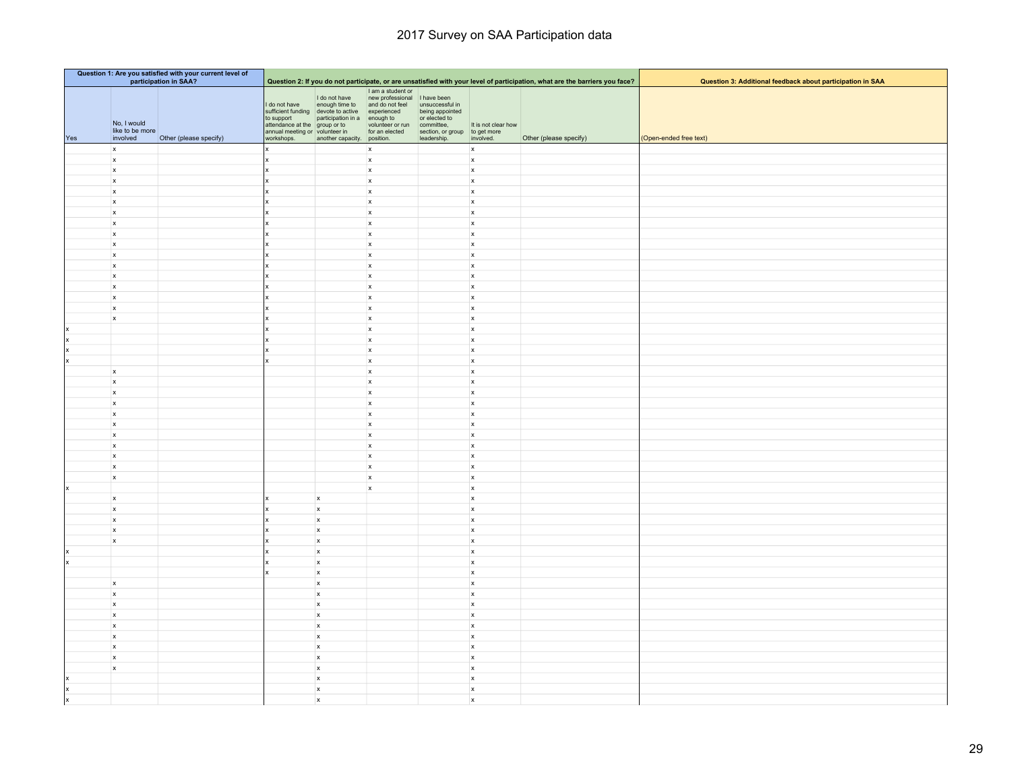|     | Question 1: Are you satisfied with your current level of<br>participation in SAA? |                        |                                                                                                              |                                                                                                                             |                                                                                                                       |                                                                                                |                                  |                                                                                                                             |                                                            |
|-----|-----------------------------------------------------------------------------------|------------------------|--------------------------------------------------------------------------------------------------------------|-----------------------------------------------------------------------------------------------------------------------------|-----------------------------------------------------------------------------------------------------------------------|------------------------------------------------------------------------------------------------|----------------------------------|-----------------------------------------------------------------------------------------------------------------------------|------------------------------------------------------------|
|     |                                                                                   |                        |                                                                                                              |                                                                                                                             | I am a student or                                                                                                     |                                                                                                |                                  | Question 2: If you do not participate, or are unsatisfied with your level of participation, what are the barriers you face? | Question 3: Additional feedback about participation in SAA |
| Yes | No, I would<br>like to be more<br>involved                                        | Other (please specify) | I do not have<br>to support<br>attendance at the group or to<br>annual meeting or volunteer in<br>workshops. | I do not have<br>enough time to<br>sufficient funding devote to active<br>participation in a<br>another capacity. position. | new professional<br>and do not feel unsuccessful in<br>experienced<br>enough to<br>volunteer or run<br>for an elected | being appointed<br>or elected to<br>committee,<br>section, or group to get more<br>leadership. | It is not clear how<br>involved. | Other (please specify)                                                                                                      | (Open-ended free text)                                     |
|     | $\mathbf{x}$                                                                      |                        |                                                                                                              |                                                                                                                             | x                                                                                                                     |                                                                                                | $\mathbf{x}$                     |                                                                                                                             |                                                            |
|     | $\mathsf{x}$                                                                      |                        |                                                                                                              |                                                                                                                             | $\boldsymbol{\mathsf{x}}$                                                                                             |                                                                                                | $\mathbf{x}$                     |                                                                                                                             |                                                            |
|     | $\mathsf{x}$                                                                      |                        |                                                                                                              |                                                                                                                             | $\mathsf{x}$                                                                                                          |                                                                                                | $\mathbf{x}$                     |                                                                                                                             |                                                            |
|     | $\mathsf{x}$                                                                      |                        |                                                                                                              |                                                                                                                             | $\mathbf{x}$                                                                                                          |                                                                                                | $\mathbf{x}$                     |                                                                                                                             |                                                            |
|     | $\mathbf{x}$                                                                      |                        |                                                                                                              |                                                                                                                             | $\mathsf{x}$                                                                                                          |                                                                                                | $\mathbf{x}$                     |                                                                                                                             |                                                            |
|     | $\boldsymbol{\mathsf{x}}$                                                         |                        |                                                                                                              |                                                                                                                             | $\boldsymbol{\mathsf{x}}$                                                                                             |                                                                                                | $\mathbf{x}$                     |                                                                                                                             |                                                            |
|     | $\boldsymbol{\mathsf{x}}$                                                         |                        |                                                                                                              |                                                                                                                             | $\boldsymbol{\mathsf{x}}$                                                                                             |                                                                                                | $\mathsf{x}$                     |                                                                                                                             |                                                            |
|     | $\mathsf{x}$                                                                      |                        |                                                                                                              |                                                                                                                             | $\mathbf{x}$                                                                                                          |                                                                                                | $\mathbf{x}$                     |                                                                                                                             |                                                            |
|     | $\mathsf{x}$                                                                      |                        |                                                                                                              |                                                                                                                             | $\mathsf{x}$                                                                                                          |                                                                                                | $\mathsf{x}$                     |                                                                                                                             |                                                            |
|     | $\mathbf{x}$                                                                      |                        |                                                                                                              |                                                                                                                             | $\mathsf{x}$                                                                                                          |                                                                                                | $\mathbf{x}$                     |                                                                                                                             |                                                            |
|     | $\mathsf{x}$                                                                      |                        |                                                                                                              |                                                                                                                             | $\mathsf{x}$<br>$\mathsf x$                                                                                           |                                                                                                | $\mathbf x$                      |                                                                                                                             |                                                            |
|     | $\mathbf{x}$<br>$\mathbf{x}$                                                      |                        |                                                                                                              |                                                                                                                             | $\mathsf{x}$                                                                                                          |                                                                                                | $\mathbf{x}$<br>$\mathbf{x}$     |                                                                                                                             |                                                            |
|     | $\mathbf{x}$                                                                      |                        |                                                                                                              |                                                                                                                             | $\mathbf{x}$                                                                                                          |                                                                                                | $\mathbf{x}$                     |                                                                                                                             |                                                            |
|     | $\mathsf{x}$                                                                      |                        |                                                                                                              |                                                                                                                             | $\mathbf{x}$                                                                                                          |                                                                                                | $\mathbf x$                      |                                                                                                                             |                                                            |
|     | $\boldsymbol{\mathsf{x}}$                                                         |                        |                                                                                                              |                                                                                                                             | $\mathbf{x}$                                                                                                          |                                                                                                | $\mathbf{x}$                     |                                                                                                                             |                                                            |
|     | $\boldsymbol{\mathsf{x}}$                                                         |                        |                                                                                                              |                                                                                                                             | $\boldsymbol{\mathsf{x}}$                                                                                             |                                                                                                | $\mathbf{x}$                     |                                                                                                                             |                                                            |
|     |                                                                                   |                        |                                                                                                              |                                                                                                                             | $\boldsymbol{\mathsf{x}}$                                                                                             |                                                                                                | $\mathbf{x}$                     |                                                                                                                             |                                                            |
| Ιx  |                                                                                   |                        |                                                                                                              |                                                                                                                             | $\boldsymbol{\mathsf{x}}$                                                                                             |                                                                                                | $\mathbf{x}$                     |                                                                                                                             |                                                            |
| x   |                                                                                   |                        |                                                                                                              |                                                                                                                             | $\mathbf{x}$                                                                                                          |                                                                                                | $\mathbf{x}$                     |                                                                                                                             |                                                            |
|     |                                                                                   |                        |                                                                                                              |                                                                                                                             | $\mathsf{x}$                                                                                                          |                                                                                                | $\mathbf{x}$                     |                                                                                                                             |                                                            |
|     | $\mathbf{x}$                                                                      |                        |                                                                                                              |                                                                                                                             | x                                                                                                                     |                                                                                                | $\mathbf{x}$                     |                                                                                                                             |                                                            |
|     | $\mathsf{x}$                                                                      |                        |                                                                                                              |                                                                                                                             | $\boldsymbol{\mathsf{x}}$                                                                                             |                                                                                                | $\mathbf x$                      |                                                                                                                             |                                                            |
|     | $\mathbf{x}$                                                                      |                        |                                                                                                              |                                                                                                                             | $\boldsymbol{\mathsf{x}}$                                                                                             |                                                                                                | $\mathbf{x}$                     |                                                                                                                             |                                                            |
|     | $\mathbf{x}$                                                                      |                        |                                                                                                              |                                                                                                                             | $\boldsymbol{\mathsf{x}}$                                                                                             |                                                                                                | $\boldsymbol{x}$                 |                                                                                                                             |                                                            |
|     | $\mathbf{x}$                                                                      |                        |                                                                                                              |                                                                                                                             | $\mathsf{x}$                                                                                                          |                                                                                                | $\mathbf{x}$                     |                                                                                                                             |                                                            |
|     | $\mathsf{x}$<br>$\mathbf{x}$                                                      |                        |                                                                                                              |                                                                                                                             | $\mathsf{x}$<br>$\mathsf{x}$                                                                                          |                                                                                                | $\mathbf{x}$<br>$\mathbf{x}$     |                                                                                                                             |                                                            |
|     | $\mathbf{x}$                                                                      |                        |                                                                                                              |                                                                                                                             | $\mathsf{x}$                                                                                                          |                                                                                                | $\mathbf{x}$                     |                                                                                                                             |                                                            |
|     | $\mathbf{x}$                                                                      |                        |                                                                                                              |                                                                                                                             | $\mathbf{x}$                                                                                                          |                                                                                                | $\mathbf x$                      |                                                                                                                             |                                                            |
|     | $\mathbf{x}$                                                                      |                        |                                                                                                              |                                                                                                                             | $\boldsymbol{\mathsf{x}}$                                                                                             |                                                                                                | $\boldsymbol{x}$                 |                                                                                                                             |                                                            |
|     | $\mathbf{x}$                                                                      |                        |                                                                                                              |                                                                                                                             | $\mathsf{x}$                                                                                                          |                                                                                                | $\mathbf{x}$                     |                                                                                                                             |                                                            |
|     |                                                                                   |                        |                                                                                                              |                                                                                                                             | $\boldsymbol{\mathsf{x}}$                                                                                             |                                                                                                | $\mathbf{x}$                     |                                                                                                                             |                                                            |
|     | $\mathbf{x}$                                                                      |                        |                                                                                                              | $\mathsf{x}$                                                                                                                |                                                                                                                       |                                                                                                | $\mathbf{x}$                     |                                                                                                                             |                                                            |
|     | $\mathsf{x}$                                                                      |                        |                                                                                                              | $\mathsf{x}$                                                                                                                |                                                                                                                       |                                                                                                | $\boldsymbol{x}$                 |                                                                                                                             |                                                            |
|     | $\mathbf{x}$                                                                      |                        |                                                                                                              | $\mathbf x$                                                                                                                 |                                                                                                                       |                                                                                                | $\mathbf x$                      |                                                                                                                             |                                                            |
|     | $\boldsymbol{\mathsf{x}}$                                                         |                        |                                                                                                              | $\boldsymbol{\mathsf{x}}$                                                                                                   |                                                                                                                       |                                                                                                | $\boldsymbol{\mathsf{x}}$        |                                                                                                                             |                                                            |
|     | $\mathbf{x}$                                                                      |                        |                                                                                                              | $\mathbf x$                                                                                                                 |                                                                                                                       |                                                                                                | $\mathbf x$                      |                                                                                                                             |                                                            |
|     |                                                                                   |                        |                                                                                                              | $\pmb{\mathsf{x}}$                                                                                                          |                                                                                                                       |                                                                                                | $\boldsymbol{\mathsf{x}}$        |                                                                                                                             |                                                            |
|     |                                                                                   |                        |                                                                                                              | $\mathsf{x}$                                                                                                                |                                                                                                                       |                                                                                                | $\boldsymbol{x}$                 |                                                                                                                             |                                                            |
|     |                                                                                   |                        |                                                                                                              | $\pmb{\mathsf{x}}$                                                                                                          |                                                                                                                       |                                                                                                | $\mathbf{x}$                     |                                                                                                                             |                                                            |
|     | $\mathbf{x}$<br>$\boldsymbol{x}$                                                  |                        |                                                                                                              | $\mathbf x$<br>$\boldsymbol{\mathsf{x}}$                                                                                    |                                                                                                                       |                                                                                                | $\mathbf x$<br>$\mathbf{x}$      |                                                                                                                             |                                                            |
|     | $\mathsf{x}$                                                                      |                        |                                                                                                              | $\mathsf{x}$                                                                                                                |                                                                                                                       |                                                                                                | $\mathbf{x}$                     |                                                                                                                             |                                                            |
|     | $\mathsf{x}$                                                                      |                        |                                                                                                              | $\boldsymbol{\mathsf{x}}$                                                                                                   |                                                                                                                       |                                                                                                | $\boldsymbol{\mathsf{x}}$        |                                                                                                                             |                                                            |
|     | $\mathsf{x}$                                                                      |                        |                                                                                                              | $\mathsf{x}$                                                                                                                |                                                                                                                       |                                                                                                | $\mathsf{x}$                     |                                                                                                                             |                                                            |
|     | $\mathsf x$                                                                       |                        |                                                                                                              | $\boldsymbol{\mathsf{x}}$                                                                                                   |                                                                                                                       |                                                                                                | $\mathbf{x}$                     |                                                                                                                             |                                                            |
|     | $\boldsymbol{\mathsf{x}}$                                                         |                        |                                                                                                              | $\mathbf x$                                                                                                                 |                                                                                                                       |                                                                                                | $\mathbf x$                      |                                                                                                                             |                                                            |
|     | $\boldsymbol{\mathsf{x}}$                                                         |                        |                                                                                                              | $\boldsymbol{\mathsf{x}}$                                                                                                   |                                                                                                                       |                                                                                                | $\boldsymbol{\mathsf{x}}$        |                                                                                                                             |                                                            |
|     | $\mathsf{x}$                                                                      |                        |                                                                                                              | $\mathsf{x}$                                                                                                                |                                                                                                                       |                                                                                                | $\mathbf{x}$                     |                                                                                                                             |                                                            |
|     |                                                                                   |                        |                                                                                                              | $\boldsymbol{\mathsf{x}}$                                                                                                   |                                                                                                                       |                                                                                                | $\boldsymbol{\mathsf{x}}$        |                                                                                                                             |                                                            |
|     |                                                                                   |                        |                                                                                                              | $\pmb{\mathsf{x}}$                                                                                                          |                                                                                                                       |                                                                                                | $\mathbf{x}$                     |                                                                                                                             |                                                            |
|     |                                                                                   |                        |                                                                                                              | $\boldsymbol{\mathsf{x}}$                                                                                                   |                                                                                                                       |                                                                                                | $\boldsymbol{\mathsf{x}}$        |                                                                                                                             |                                                            |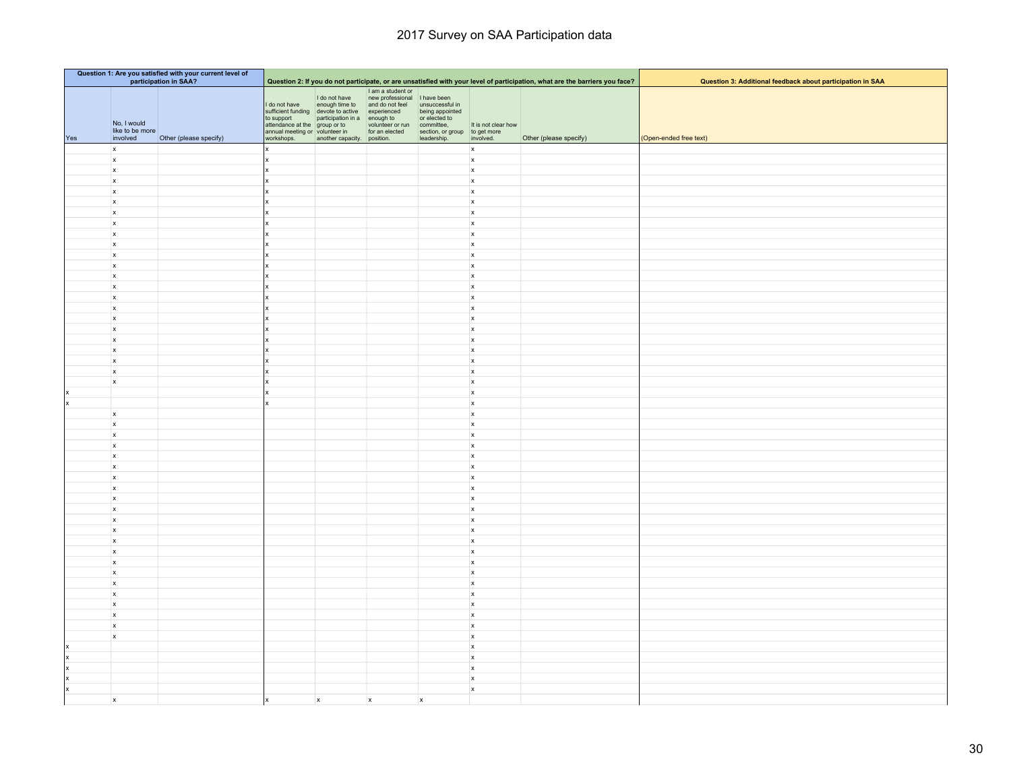| Question 1: Are you satisfied with your current level of<br>participation in SAA? |                                                        |                        |                                                                                                              |                                                                                                                                                   |                                                                                       |                                                                                                                   |                                  |                                                                                                                             |                                                            |
|-----------------------------------------------------------------------------------|--------------------------------------------------------|------------------------|--------------------------------------------------------------------------------------------------------------|---------------------------------------------------------------------------------------------------------------------------------------------------|---------------------------------------------------------------------------------------|-------------------------------------------------------------------------------------------------------------------|----------------------------------|-----------------------------------------------------------------------------------------------------------------------------|------------------------------------------------------------|
|                                                                                   |                                                        |                        |                                                                                                              |                                                                                                                                                   | I am a student or                                                                     |                                                                                                                   |                                  | Question 2: If you do not participate, or are unsatisfied with your level of participation, what are the barriers you face? | Question 3: Additional feedback about participation in SAA |
| Yes                                                                               | No, I would<br>like to be more<br>involved             | Other (please specify) | I do not have<br>to support<br>attendance at the group or to<br>annual meeting or volunteer in<br>workshops. | I do not have<br>enough time to<br>sufficient funding devote to active experienced<br>participation in a enough to<br>another capacity. position. | new professional I have been<br>and do not feel<br>volunteer or run<br>for an elected | unsuccessful in<br>being appointed<br>or elected to<br>committee,<br>section, or group to get more<br>leadership. | It is not clear how<br>involved. | Other (please specify)                                                                                                      | (Open-ended free text)                                     |
|                                                                                   | $\mathbf{x}$                                           |                        |                                                                                                              |                                                                                                                                                   |                                                                                       |                                                                                                                   | $\mathbf{x}$                     |                                                                                                                             |                                                            |
|                                                                                   | $\boldsymbol{\mathsf{x}}$                              |                        |                                                                                                              |                                                                                                                                                   |                                                                                       |                                                                                                                   | $\mathbf{x}$                     |                                                                                                                             |                                                            |
|                                                                                   | $\mathsf{x}$                                           |                        |                                                                                                              |                                                                                                                                                   |                                                                                       |                                                                                                                   | $\mathsf{x}$                     |                                                                                                                             |                                                            |
|                                                                                   | $\boldsymbol{\mathsf{x}}$                              |                        |                                                                                                              |                                                                                                                                                   |                                                                                       |                                                                                                                   | $\mathsf{x}$                     |                                                                                                                             |                                                            |
|                                                                                   | $\mathbf{x}$                                           |                        |                                                                                                              |                                                                                                                                                   |                                                                                       |                                                                                                                   | $\mathsf{x}$                     |                                                                                                                             |                                                            |
|                                                                                   | $\boldsymbol{\mathsf{x}}$                              |                        |                                                                                                              |                                                                                                                                                   |                                                                                       |                                                                                                                   | $\mathbf x$                      |                                                                                                                             |                                                            |
|                                                                                   | x                                                      |                        |                                                                                                              |                                                                                                                                                   |                                                                                       |                                                                                                                   | $\mathsf{x}$                     |                                                                                                                             |                                                            |
|                                                                                   | $\mathsf{x}$                                           |                        |                                                                                                              |                                                                                                                                                   |                                                                                       |                                                                                                                   | $\mathsf{x}$                     |                                                                                                                             |                                                            |
|                                                                                   | $\mathsf{x}$                                           |                        |                                                                                                              |                                                                                                                                                   |                                                                                       |                                                                                                                   | $\mathsf{x}$                     |                                                                                                                             |                                                            |
|                                                                                   | $\boldsymbol{\mathsf{x}}$<br>$\boldsymbol{\mathsf{x}}$ |                        |                                                                                                              |                                                                                                                                                   |                                                                                       |                                                                                                                   | $\mathbf{x}$<br>$\mathsf{x}$     |                                                                                                                             |                                                            |
|                                                                                   | $\boldsymbol{\mathsf{x}}$                              |                        |                                                                                                              |                                                                                                                                                   |                                                                                       |                                                                                                                   | $\mathsf{x}$                     |                                                                                                                             |                                                            |
|                                                                                   | $\mathbf{x}$                                           |                        |                                                                                                              |                                                                                                                                                   |                                                                                       |                                                                                                                   | $\mathbf{x}$                     |                                                                                                                             |                                                            |
|                                                                                   | $\mathbf{x}$                                           |                        |                                                                                                              |                                                                                                                                                   |                                                                                       |                                                                                                                   | $\mathbf{x}$                     |                                                                                                                             |                                                            |
|                                                                                   | $\mathsf{x}$                                           |                        |                                                                                                              |                                                                                                                                                   |                                                                                       |                                                                                                                   | $\mathsf{x}$                     |                                                                                                                             |                                                            |
|                                                                                   | $\boldsymbol{\mathsf{x}}$                              |                        |                                                                                                              |                                                                                                                                                   |                                                                                       |                                                                                                                   | $\mathbf{x}$                     |                                                                                                                             |                                                            |
|                                                                                   | $\mathbf{x}$                                           |                        |                                                                                                              |                                                                                                                                                   |                                                                                       |                                                                                                                   | $\mathsf{x}$                     |                                                                                                                             |                                                            |
|                                                                                   | $\mathsf{x}$                                           |                        |                                                                                                              |                                                                                                                                                   |                                                                                       |                                                                                                                   | $\mathbf x$                      |                                                                                                                             |                                                            |
|                                                                                   | $\boldsymbol{\mathsf{x}}$                              |                        |                                                                                                              |                                                                                                                                                   |                                                                                       |                                                                                                                   | $\mathbf{x}$                     |                                                                                                                             |                                                            |
|                                                                                   | $\mathbf{x}$                                           |                        |                                                                                                              |                                                                                                                                                   |                                                                                       |                                                                                                                   | $\mathbf{x}$                     |                                                                                                                             |                                                            |
|                                                                                   | $\mathbf{x}$<br>$\mathbf{x}$                           |                        |                                                                                                              |                                                                                                                                                   |                                                                                       |                                                                                                                   | $\mathbf{x}$<br>$\mathbf{x}$     |                                                                                                                             |                                                            |
|                                                                                   | $\boldsymbol{\mathsf{x}}$                              |                        |                                                                                                              |                                                                                                                                                   |                                                                                       |                                                                                                                   | $\mathsf{x}$                     |                                                                                                                             |                                                            |
|                                                                                   |                                                        |                        |                                                                                                              |                                                                                                                                                   |                                                                                       |                                                                                                                   | $\mathbf x$                      |                                                                                                                             |                                                            |
| ١x                                                                                |                                                        |                        |                                                                                                              |                                                                                                                                                   |                                                                                       |                                                                                                                   | $\mathsf{x}$                     |                                                                                                                             |                                                            |
|                                                                                   | $\mathbf{x}$                                           |                        |                                                                                                              |                                                                                                                                                   |                                                                                       |                                                                                                                   | $\mathbf{x}$                     |                                                                                                                             |                                                            |
|                                                                                   | $\mathsf{x}$                                           |                        |                                                                                                              |                                                                                                                                                   |                                                                                       |                                                                                                                   | $\mathbf{x}$                     |                                                                                                                             |                                                            |
|                                                                                   | $\mathbf{x}$                                           |                        |                                                                                                              |                                                                                                                                                   |                                                                                       |                                                                                                                   | $\mathbf{x}$                     |                                                                                                                             |                                                            |
|                                                                                   | $\mathbf{x}$                                           |                        |                                                                                                              |                                                                                                                                                   |                                                                                       |                                                                                                                   | $\mathbf{x}$                     |                                                                                                                             |                                                            |
|                                                                                   | $\mathbf{x}$                                           |                        |                                                                                                              |                                                                                                                                                   |                                                                                       |                                                                                                                   | $\mathbf{x}$                     |                                                                                                                             |                                                            |
|                                                                                   | x<br>$\mathsf{x}$                                      |                        |                                                                                                              |                                                                                                                                                   |                                                                                       |                                                                                                                   | $\mathbf{x}$<br>$\mathbf{x}$     |                                                                                                                             |                                                            |
|                                                                                   | $\mathbf{x}$                                           |                        |                                                                                                              |                                                                                                                                                   |                                                                                       |                                                                                                                   | $\mathbf{x}$                     |                                                                                                                             |                                                            |
|                                                                                   | $\mathbf{x}$                                           |                        |                                                                                                              |                                                                                                                                                   |                                                                                       |                                                                                                                   | $\mathbf{x}$                     |                                                                                                                             |                                                            |
|                                                                                   | $\mathsf{x}$                                           |                        |                                                                                                              |                                                                                                                                                   |                                                                                       |                                                                                                                   | $\mathbf x$                      |                                                                                                                             |                                                            |
|                                                                                   | $\mathsf{x}$                                           |                        |                                                                                                              |                                                                                                                                                   |                                                                                       |                                                                                                                   | $\mathbf{x}$                     |                                                                                                                             |                                                            |
|                                                                                   | $\mathbf{x}$                                           |                        |                                                                                                              |                                                                                                                                                   |                                                                                       |                                                                                                                   | $\mathbf{x}$                     |                                                                                                                             |                                                            |
|                                                                                   | $\mathbf{x}$                                           |                        |                                                                                                              |                                                                                                                                                   |                                                                                       |                                                                                                                   | $\mathbf{x}$                     |                                                                                                                             |                                                            |
|                                                                                   | $\mathsf{x}$                                           |                        |                                                                                                              |                                                                                                                                                   |                                                                                       |                                                                                                                   | $\mathbf{x}$                     |                                                                                                                             |                                                            |
|                                                                                   | $\mathbf{x}$                                           |                        |                                                                                                              |                                                                                                                                                   |                                                                                       |                                                                                                                   | $\mathbf{x}$                     |                                                                                                                             |                                                            |
|                                                                                   | $\mathbf{x}$<br>$\mathbf{x}$                           |                        |                                                                                                              |                                                                                                                                                   |                                                                                       |                                                                                                                   | $\mathbf{x}$<br>$\mathbf{x}$     |                                                                                                                             |                                                            |
|                                                                                   | $\mathbf{x}$                                           |                        |                                                                                                              |                                                                                                                                                   |                                                                                       |                                                                                                                   | $\boldsymbol{x}$                 |                                                                                                                             |                                                            |
|                                                                                   | $\mathbf{x}$                                           |                        |                                                                                                              |                                                                                                                                                   |                                                                                       |                                                                                                                   | $\mathbf{x}$                     |                                                                                                                             |                                                            |
|                                                                                   | $\mathbf{x}$                                           |                        |                                                                                                              |                                                                                                                                                   |                                                                                       |                                                                                                                   | $\mathbf{x}$                     |                                                                                                                             |                                                            |
|                                                                                   | $\mathbf{x}$                                           |                        |                                                                                                              |                                                                                                                                                   |                                                                                       |                                                                                                                   | $\mathbf{x}$                     |                                                                                                                             |                                                            |
|                                                                                   | x                                                      |                        |                                                                                                              |                                                                                                                                                   |                                                                                       |                                                                                                                   | $\mathbf{x}$                     |                                                                                                                             |                                                            |
|                                                                                   |                                                        |                        |                                                                                                              |                                                                                                                                                   |                                                                                       |                                                                                                                   | $\mathbf{x}$                     |                                                                                                                             |                                                            |
| ×                                                                                 |                                                        |                        |                                                                                                              |                                                                                                                                                   |                                                                                       |                                                                                                                   | $\mathbf{x}$                     |                                                                                                                             |                                                            |
|                                                                                   |                                                        |                        |                                                                                                              |                                                                                                                                                   |                                                                                       |                                                                                                                   | $\mathbf{x}$                     |                                                                                                                             |                                                            |
|                                                                                   |                                                        |                        |                                                                                                              |                                                                                                                                                   |                                                                                       |                                                                                                                   | $\mathbf{x}$<br>$\mathbf{x}$     |                                                                                                                             |                                                            |
|                                                                                   | $\mathsf{x}$                                           |                        |                                                                                                              | $\boldsymbol{x}$                                                                                                                                  | $\mathsf{x}$                                                                          | $\boldsymbol{\mathsf{x}}$                                                                                         |                                  |                                                                                                                             |                                                            |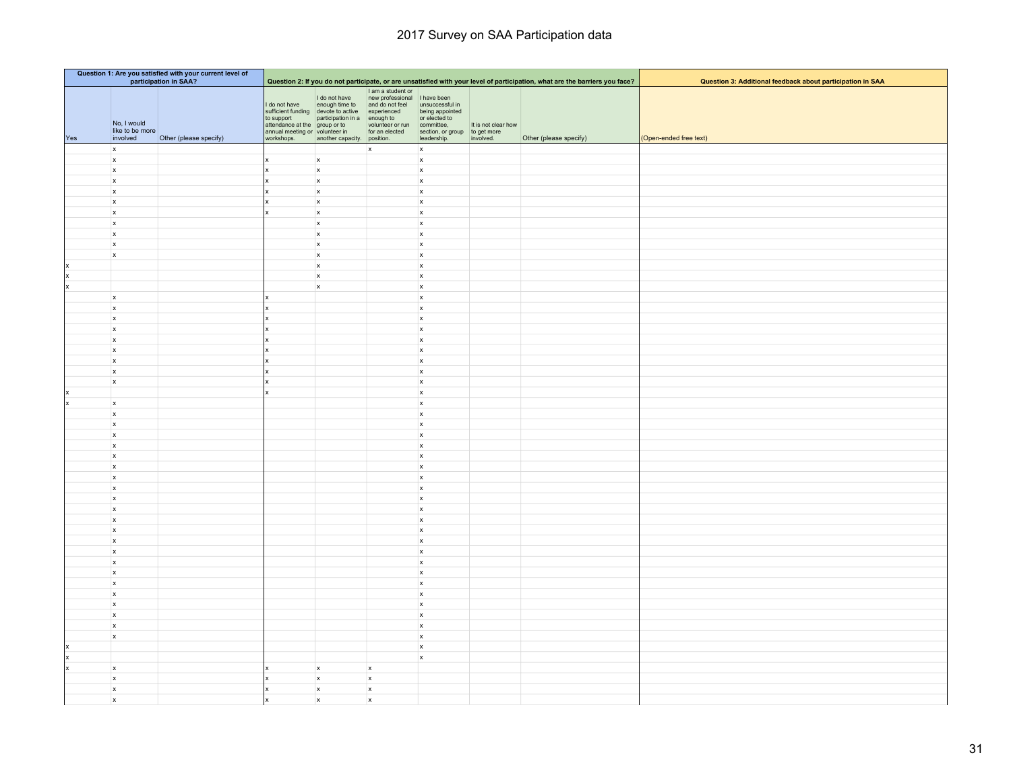| Question 1: Are you satisfied with your current level of<br>participation in SAA? |                                            |                        |                                                                                                              |                                                                                                                                                   |                                                                                                                           |                                                                                  |                                  |                                                                                                                             |                                                            |
|-----------------------------------------------------------------------------------|--------------------------------------------|------------------------|--------------------------------------------------------------------------------------------------------------|---------------------------------------------------------------------------------------------------------------------------------------------------|---------------------------------------------------------------------------------------------------------------------------|----------------------------------------------------------------------------------|----------------------------------|-----------------------------------------------------------------------------------------------------------------------------|------------------------------------------------------------|
|                                                                                   |                                            |                        |                                                                                                              |                                                                                                                                                   |                                                                                                                           |                                                                                  |                                  | Question 2: If you do not participate, or are unsatisfied with your level of participation, what are the barriers you face? | Question 3: Additional feedback about participation in SAA |
| Yes                                                                               | No, I would<br>like to be more<br>involved | Other (please specify) | I do not have<br>to support<br>attendance at the group or to<br>annual meeting or volunteer in<br>workshops. | I do not have<br>enough time to<br>sufficient funding devote to active experienced<br>participation in a enough to<br>another capacity. position. | I am a student or<br>new professional<br>and do not feel unsuccessful in<br>volunteer or run committee,<br>for an elected | being appointed<br>or elected to<br>section, or group to get more<br>leadership. | It is not clear how<br>involved. | Other (please specify)                                                                                                      | (Open-ended free text)                                     |
|                                                                                   | $\mathbf{x}$                               |                        |                                                                                                              |                                                                                                                                                   | $\mathsf{x}$                                                                                                              | $\mathbf{x}$                                                                     |                                  |                                                                                                                             |                                                            |
|                                                                                   | $\mathbf{x}$                               |                        |                                                                                                              | $\mathbf{x}$                                                                                                                                      |                                                                                                                           | $\mathbf{x}$                                                                     |                                  |                                                                                                                             |                                                            |
|                                                                                   | $\mathsf{x}$                               |                        |                                                                                                              | $\mathsf{x}$                                                                                                                                      |                                                                                                                           | $\boldsymbol{\mathsf{x}}$                                                        |                                  |                                                                                                                             |                                                            |
|                                                                                   | $\mathsf{x}$                               |                        |                                                                                                              | $\boldsymbol{\mathsf{x}}$                                                                                                                         |                                                                                                                           | $\mathbf{x}$                                                                     |                                  |                                                                                                                             |                                                            |
|                                                                                   | $\mathbf{x}$                               |                        |                                                                                                              | $\mathsf{x}$                                                                                                                                      |                                                                                                                           | $\mathbf{x}$                                                                     |                                  |                                                                                                                             |                                                            |
|                                                                                   | $\mathsf{x}$                               |                        |                                                                                                              | $\mathbf x$                                                                                                                                       |                                                                                                                           | $\mathbf{x}$                                                                     |                                  |                                                                                                                             |                                                            |
|                                                                                   | $\mathbf{x}$                               |                        |                                                                                                              | $\mathsf{x}$                                                                                                                                      |                                                                                                                           | $\mathsf{x}$                                                                     |                                  |                                                                                                                             |                                                            |
|                                                                                   | $\mathsf{x}$                               |                        |                                                                                                              | $\mathsf{x}$                                                                                                                                      |                                                                                                                           | $\mathbf{x}$                                                                     |                                  |                                                                                                                             |                                                            |
|                                                                                   | $\mathbf{x}$                               |                        |                                                                                                              | $\mathsf{x}$                                                                                                                                      |                                                                                                                           | $\mathsf{x}$                                                                     |                                  |                                                                                                                             |                                                            |
|                                                                                   | $\boldsymbol{\mathsf{x}}$                  |                        |                                                                                                              | $\mathsf{x}$                                                                                                                                      |                                                                                                                           | $\mathbf{x}$                                                                     |                                  |                                                                                                                             |                                                            |
|                                                                                   | $\mathbf{x}$                               |                        |                                                                                                              | $\mathbf x$                                                                                                                                       |                                                                                                                           | $\mathbf{x}$                                                                     |                                  |                                                                                                                             |                                                            |
|                                                                                   |                                            |                        |                                                                                                              | $\boldsymbol{\mathsf{x}}$                                                                                                                         |                                                                                                                           | $\mathbf{x}$                                                                     |                                  |                                                                                                                             |                                                            |
| ×                                                                                 |                                            |                        |                                                                                                              | $\mathbf x$                                                                                                                                       |                                                                                                                           | $\mathbf{x}$                                                                     |                                  |                                                                                                                             |                                                            |
| ١x                                                                                |                                            |                        |                                                                                                              | $\mathsf{x}$                                                                                                                                      |                                                                                                                           | $\mathbf{x}$                                                                     |                                  |                                                                                                                             |                                                            |
|                                                                                   | $\mathbf{x}$                               |                        |                                                                                                              |                                                                                                                                                   |                                                                                                                           | $\mathsf{x}$                                                                     |                                  |                                                                                                                             |                                                            |
|                                                                                   | $\boldsymbol{\mathsf{x}}$                  |                        |                                                                                                              |                                                                                                                                                   |                                                                                                                           | $\boldsymbol{\mathsf{x}}$                                                        |                                  |                                                                                                                             |                                                            |
|                                                                                   | $\mathsf{x}$                               |                        |                                                                                                              |                                                                                                                                                   |                                                                                                                           | $\mathbf{x}$                                                                     |                                  |                                                                                                                             |                                                            |
|                                                                                   | $\mathbf{x}$                               |                        |                                                                                                              |                                                                                                                                                   |                                                                                                                           | $\boldsymbol{\mathsf{x}}$                                                        |                                  |                                                                                                                             |                                                            |
|                                                                                   | $\mathsf{x}$                               |                        |                                                                                                              |                                                                                                                                                   |                                                                                                                           | $\mathbf{x}$                                                                     |                                  |                                                                                                                             |                                                            |
|                                                                                   | $\mathsf{x}$                               |                        |                                                                                                              |                                                                                                                                                   |                                                                                                                           | $\mathbf{x}$                                                                     |                                  |                                                                                                                             |                                                            |
|                                                                                   | $\mathbf{x}$                               |                        |                                                                                                              |                                                                                                                                                   |                                                                                                                           | $\mathbf{x}$                                                                     |                                  |                                                                                                                             |                                                            |
|                                                                                   | $\mathbf{x}$                               |                        |                                                                                                              |                                                                                                                                                   |                                                                                                                           | $\mathbf{x}$                                                                     |                                  |                                                                                                                             |                                                            |
|                                                                                   | $\mathbf{x}$                               |                        |                                                                                                              |                                                                                                                                                   |                                                                                                                           | $\mathsf{x}$                                                                     |                                  |                                                                                                                             |                                                            |
|                                                                                   |                                            |                        |                                                                                                              |                                                                                                                                                   |                                                                                                                           | $\mathbf{x}$                                                                     |                                  |                                                                                                                             |                                                            |
|                                                                                   | $\mathbf{x}$                               |                        |                                                                                                              |                                                                                                                                                   |                                                                                                                           | $\mathbf{x}$                                                                     |                                  |                                                                                                                             |                                                            |
|                                                                                   | $\mathsf{x}$                               |                        |                                                                                                              |                                                                                                                                                   |                                                                                                                           | $\mathbf{x}$                                                                     |                                  |                                                                                                                             |                                                            |
|                                                                                   | $\mathsf{x}$                               |                        |                                                                                                              |                                                                                                                                                   |                                                                                                                           | $\mathbf{x}$                                                                     |                                  |                                                                                                                             |                                                            |
|                                                                                   | $\mathbf{x}$                               |                        |                                                                                                              |                                                                                                                                                   |                                                                                                                           | $\mathbf{x}$                                                                     |                                  |                                                                                                                             |                                                            |
|                                                                                   | $\mathbf{x}$                               |                        |                                                                                                              |                                                                                                                                                   |                                                                                                                           | $\mathbf{x}$                                                                     |                                  |                                                                                                                             |                                                            |
|                                                                                   | $\mathbf{x}$                               |                        |                                                                                                              |                                                                                                                                                   |                                                                                                                           | $\mathbf{x}$                                                                     |                                  |                                                                                                                             |                                                            |
|                                                                                   | $\mathbf{x}$                               |                        |                                                                                                              |                                                                                                                                                   |                                                                                                                           | $\mathbf{x}$                                                                     |                                  |                                                                                                                             |                                                            |
|                                                                                   | $\mathsf{x}$                               |                        |                                                                                                              |                                                                                                                                                   |                                                                                                                           | $\mathbf{x}$                                                                     |                                  |                                                                                                                             |                                                            |
|                                                                                   | $\mathsf{x}$                               |                        |                                                                                                              |                                                                                                                                                   |                                                                                                                           | $\mathbf{x}$                                                                     |                                  |                                                                                                                             |                                                            |
|                                                                                   | $\mathsf{x}$                               |                        |                                                                                                              |                                                                                                                                                   |                                                                                                                           | $\mathbf{x}$                                                                     |                                  |                                                                                                                             |                                                            |
|                                                                                   | $\mathsf{x}$                               |                        |                                                                                                              |                                                                                                                                                   |                                                                                                                           | $\mathbf{x}$                                                                     |                                  |                                                                                                                             |                                                            |
|                                                                                   | $\mathbf{x}$                               |                        |                                                                                                              |                                                                                                                                                   |                                                                                                                           | $\mathbf{x}$                                                                     |                                  |                                                                                                                             |                                                            |
|                                                                                   | $\mathbf{x}$                               |                        |                                                                                                              |                                                                                                                                                   |                                                                                                                           | $\mathbf{x}$                                                                     |                                  |                                                                                                                             |                                                            |
|                                                                                   | $\mathbf{x}$                               |                        |                                                                                                              |                                                                                                                                                   |                                                                                                                           | $\mathbf{x}$                                                                     |                                  |                                                                                                                             |                                                            |
|                                                                                   | $\mathbf{x}$                               |                        |                                                                                                              |                                                                                                                                                   |                                                                                                                           | $\mathbf{x}$                                                                     |                                  |                                                                                                                             |                                                            |
|                                                                                   | $\mathsf{x}$                               |                        |                                                                                                              |                                                                                                                                                   |                                                                                                                           | $\mathbf{x}$                                                                     |                                  |                                                                                                                             |                                                            |
|                                                                                   | $\mathsf{x}$                               |                        |                                                                                                              |                                                                                                                                                   |                                                                                                                           | $\mathbf{x}$                                                                     |                                  |                                                                                                                             |                                                            |
|                                                                                   | $\mathbf{x}$                               |                        |                                                                                                              |                                                                                                                                                   |                                                                                                                           | $\mathbf{x}$                                                                     |                                  |                                                                                                                             |                                                            |
|                                                                                   | $\mathsf{x}$                               |                        |                                                                                                              |                                                                                                                                                   |                                                                                                                           | $\mathbf{x}$                                                                     |                                  |                                                                                                                             |                                                            |
|                                                                                   | $\mathbf{x}$                               |                        |                                                                                                              |                                                                                                                                                   |                                                                                                                           | $\mathbf{x}$                                                                     |                                  |                                                                                                                             |                                                            |
|                                                                                   | $\mathbf{x}$                               |                        |                                                                                                              |                                                                                                                                                   |                                                                                                                           | $\mathsf{x}$                                                                     |                                  |                                                                                                                             |                                                            |
|                                                                                   | $\mathbf{x}$                               |                        |                                                                                                              |                                                                                                                                                   |                                                                                                                           | $\mathbf{x}$                                                                     |                                  |                                                                                                                             |                                                            |
|                                                                                   | $\mathbf{x}$                               |                        |                                                                                                              |                                                                                                                                                   |                                                                                                                           | $\mathbf{x}$                                                                     |                                  |                                                                                                                             |                                                            |
|                                                                                   |                                            |                        |                                                                                                              |                                                                                                                                                   |                                                                                                                           |                                                                                  |                                  |                                                                                                                             |                                                            |
|                                                                                   |                                            |                        |                                                                                                              |                                                                                                                                                   |                                                                                                                           | $\mathbf{x}$                                                                     |                                  |                                                                                                                             |                                                            |
|                                                                                   |                                            |                        |                                                                                                              |                                                                                                                                                   |                                                                                                                           | $\mathbf{x}$                                                                     |                                  |                                                                                                                             |                                                            |
|                                                                                   | $\mathbf{x}$                               |                        |                                                                                                              | $\mathbf{x}$                                                                                                                                      | $\mathsf{x}$                                                                                                              |                                                                                  |                                  |                                                                                                                             |                                                            |
|                                                                                   | x                                          |                        |                                                                                                              | $\mathsf{x}$                                                                                                                                      | $\mathbf{x}$                                                                                                              |                                                                                  |                                  |                                                                                                                             |                                                            |
|                                                                                   | $\mathbf{x}$                               |                        |                                                                                                              | $\boldsymbol{\mathsf{x}}$                                                                                                                         | $\mathsf x$                                                                                                               |                                                                                  |                                  |                                                                                                                             |                                                            |
|                                                                                   | x                                          |                        |                                                                                                              | $\mathbf{x}$                                                                                                                                      | x                                                                                                                         |                                                                                  |                                  |                                                                                                                             |                                                            |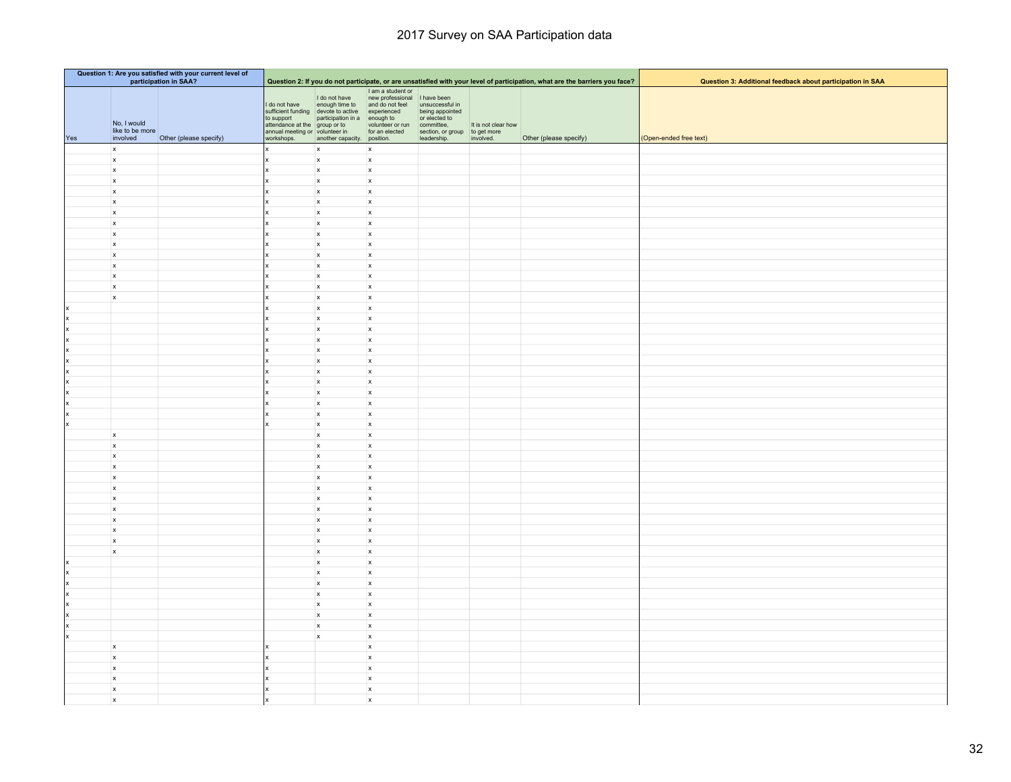|           | Question 1: Are you satisfied with your current level of<br>participation in SAA? |                        |                                                                                                |                                                                                                                    |                                                                                       |                                                                                                    |                                  | Question 2: If you do not participate, or are unsatisfied with your level of participation, what are the barriers you face? | Question 3: Additional feedback about participation in SAA |
|-----------|-----------------------------------------------------------------------------------|------------------------|------------------------------------------------------------------------------------------------|--------------------------------------------------------------------------------------------------------------------|---------------------------------------------------------------------------------------|----------------------------------------------------------------------------------------------------|----------------------------------|-----------------------------------------------------------------------------------------------------------------------------|------------------------------------------------------------|
|           |                                                                                   |                        |                                                                                                |                                                                                                                    | I am a student or                                                                     |                                                                                                    |                                  |                                                                                                                             |                                                            |
| Yes       | No, I would<br>like to be more<br>involved                                        | Other (please specify) | I do not have<br>to support<br>attendance at the group or to<br>annual meeting or volunteer in | I do not have<br>enough time to<br>sufficient funding devote to active experienced<br>participation in a enough to | new professional I have been<br>and do not feel<br>volunteer or run<br>for an elected | unsuccessful in<br>being appointed<br>or elected to<br>committee,<br>section, or group to get more | It is not clear how<br>involved. | Other (please specify)                                                                                                      | (Open-ended free text)                                     |
|           | $\mathbf{x}$                                                                      |                        | workshops.<br>x                                                                                | another capacity. position.<br>$\mathsf{x}$                                                                        | x                                                                                     | leadership.                                                                                        |                                  |                                                                                                                             |                                                            |
|           | $\boldsymbol{\mathsf{x}}$                                                         |                        |                                                                                                | $\boldsymbol{\mathsf{x}}$                                                                                          | $\boldsymbol{\mathsf{x}}$                                                             |                                                                                                    |                                  |                                                                                                                             |                                                            |
|           | $\mathsf x$                                                                       |                        |                                                                                                | $\mathsf{x}$                                                                                                       | $\mathsf{x}$                                                                          |                                                                                                    |                                  |                                                                                                                             |                                                            |
|           | $\mathsf{x}$                                                                      |                        |                                                                                                | $\mathbf x$                                                                                                        | $\boldsymbol{\mathsf{x}}$                                                             |                                                                                                    |                                  |                                                                                                                             |                                                            |
|           | $\mathbf{x}$                                                                      |                        |                                                                                                | $\mathsf{x}$                                                                                                       | $\mathsf{x}$                                                                          |                                                                                                    |                                  |                                                                                                                             |                                                            |
|           | $\mathsf{x}$                                                                      |                        |                                                                                                | $\mathsf{x}$                                                                                                       | $\mathsf{x}$                                                                          |                                                                                                    |                                  |                                                                                                                             |                                                            |
|           | $\mathsf{x}$                                                                      |                        |                                                                                                | $\mathsf{x}$                                                                                                       | $\mathsf{x}$                                                                          |                                                                                                    |                                  |                                                                                                                             |                                                            |
|           | $\mathsf x$                                                                       |                        |                                                                                                | $\mathsf{x}$                                                                                                       | $\mathsf{x}$                                                                          |                                                                                                    |                                  |                                                                                                                             |                                                            |
|           | $\mathbf{x}$                                                                      |                        |                                                                                                | $\mathsf{x}$                                                                                                       | $\mathsf{x}$                                                                          |                                                                                                    |                                  |                                                                                                                             |                                                            |
|           | $\mathsf{x}$<br>x                                                                 |                        |                                                                                                | $\mathsf{x}$<br>$\mathbf x$                                                                                        | $\boldsymbol{\mathsf{x}}$<br>$\mathbf{x}$                                             |                                                                                                    |                                  |                                                                                                                             |                                                            |
|           | $\mathsf{x}$                                                                      |                        |                                                                                                | $\mathsf{x}$                                                                                                       | $\mathbf{x}$                                                                          |                                                                                                    |                                  |                                                                                                                             |                                                            |
|           | $\mathbf{x}$                                                                      |                        |                                                                                                | $\mathsf{x}$                                                                                                       | $\mathsf{x}$                                                                          |                                                                                                    |                                  |                                                                                                                             |                                                            |
|           | $\mathbf{x}$                                                                      |                        |                                                                                                | $\mathbf{x}$                                                                                                       | x                                                                                     |                                                                                                    |                                  |                                                                                                                             |                                                            |
|           | $\mathsf{x}$                                                                      |                        |                                                                                                | $\mathsf{x}$                                                                                                       | $\mathsf{x}$                                                                          |                                                                                                    |                                  |                                                                                                                             |                                                            |
|           |                                                                                   |                        |                                                                                                | $\mathsf{x}$                                                                                                       | $\boldsymbol{\mathsf{x}}$                                                             |                                                                                                    |                                  |                                                                                                                             |                                                            |
|           |                                                                                   |                        |                                                                                                | $\pmb{\times}$                                                                                                     | $\mathsf{x}$                                                                          |                                                                                                    |                                  |                                                                                                                             |                                                            |
|           |                                                                                   |                        |                                                                                                | $\mathsf{x}$                                                                                                       | $\mathbf{x}$                                                                          |                                                                                                    |                                  |                                                                                                                             |                                                            |
| l x<br>١x |                                                                                   |                        |                                                                                                | $\mathsf{x}$<br>$\mathbf{x}$                                                                                       | x<br>$\mathbf{x}$                                                                     |                                                                                                    |                                  |                                                                                                                             |                                                            |
| l x       |                                                                                   |                        |                                                                                                | $\mathsf{x}$                                                                                                       | $\mathbf{x}$                                                                          |                                                                                                    |                                  |                                                                                                                             |                                                            |
| lx        |                                                                                   |                        |                                                                                                | $\mathsf{x}$                                                                                                       | $\mathbf{x}$                                                                          |                                                                                                    |                                  |                                                                                                                             |                                                            |
| Ιx        |                                                                                   |                        |                                                                                                | $\mathsf{x}$                                                                                                       | $\boldsymbol{\mathsf{x}}$                                                             |                                                                                                    |                                  |                                                                                                                             |                                                            |
| ١x        |                                                                                   |                        |                                                                                                | $\mathsf{x}$                                                                                                       | $\mathsf{x}$                                                                          |                                                                                                    |                                  |                                                                                                                             |                                                            |
| l x       |                                                                                   |                        |                                                                                                | $\mathsf{x}$                                                                                                       | $\mathbf{x}$                                                                          |                                                                                                    |                                  |                                                                                                                             |                                                            |
| l x       |                                                                                   |                        |                                                                                                | $\mathbf{x}$                                                                                                       | $\mathbf{x}$                                                                          |                                                                                                    |                                  |                                                                                                                             |                                                            |
| ×         |                                                                                   |                        |                                                                                                | $\mathsf{x}$                                                                                                       | $\boldsymbol{\mathsf{x}}$                                                             |                                                                                                    |                                  |                                                                                                                             |                                                            |
|           | $\mathbf{x}$                                                                      |                        |                                                                                                | $\mathsf{x}$                                                                                                       | $\mathbf{x}$                                                                          |                                                                                                    |                                  |                                                                                                                             |                                                            |
|           | $\mathbf{x}$<br>$\mathbf{x}$                                                      |                        |                                                                                                | $\mathsf{x}$<br>$\mathsf{x}$                                                                                       | $\mathsf{x}$<br>x                                                                     |                                                                                                    |                                  |                                                                                                                             |                                                            |
|           | $\mathsf{x}$                                                                      |                        |                                                                                                | $\mathsf{x}$                                                                                                       | x                                                                                     |                                                                                                    |                                  |                                                                                                                             |                                                            |
|           | $\mathbf{x}$                                                                      |                        |                                                                                                | $\mathsf{x}$                                                                                                       | $\mathbf{x}$                                                                          |                                                                                                    |                                  |                                                                                                                             |                                                            |
|           | $\mathbf{x}$                                                                      |                        |                                                                                                | $\mathsf{x}$                                                                                                       | $\mathbf{x}$                                                                          |                                                                                                    |                                  |                                                                                                                             |                                                            |
|           | $\mathbf{x}$                                                                      |                        |                                                                                                | $\mathsf{x}$                                                                                                       | $\mathbf{x}$                                                                          |                                                                                                    |                                  |                                                                                                                             |                                                            |
|           | $\mathsf x$                                                                       |                        |                                                                                                | $\mathsf{x}$                                                                                                       | x                                                                                     |                                                                                                    |                                  |                                                                                                                             |                                                            |
|           | $\mathbf{x}$                                                                      |                        |                                                                                                | $\mathsf{x}$                                                                                                       | x                                                                                     |                                                                                                    |                                  |                                                                                                                             |                                                            |
|           | x                                                                                 |                        |                                                                                                | $\mathsf{x}$                                                                                                       | $\mathbf{x}$                                                                          |                                                                                                    |                                  |                                                                                                                             |                                                            |
|           | $\mathbf{x}$<br>$\boldsymbol{\mathsf{x}}$                                         |                        |                                                                                                | $\mathbf x$<br>$\boldsymbol{\mathsf{x}}$                                                                           | $\mathbf{x}$<br>$\mathsf{x}$                                                          |                                                                                                    |                                  |                                                                                                                             |                                                            |
|           |                                                                                   |                        |                                                                                                | $\mathsf{x}$                                                                                                       | $\mathbf{x}$                                                                          |                                                                                                    |                                  |                                                                                                                             |                                                            |
|           |                                                                                   |                        |                                                                                                | $\mathsf{x}$                                                                                                       | $\mathsf{x}$                                                                          |                                                                                                    |                                  |                                                                                                                             |                                                            |
|           |                                                                                   |                        |                                                                                                | $\mathsf{x}$                                                                                                       | x                                                                                     |                                                                                                    |                                  |                                                                                                                             |                                                            |
|           |                                                                                   |                        |                                                                                                | $\mathbf x$                                                                                                        | $\mathbf{x}$                                                                          |                                                                                                    |                                  |                                                                                                                             |                                                            |
|           |                                                                                   |                        |                                                                                                | $\mathsf{x}$                                                                                                       | $\mathbf{x}$                                                                          |                                                                                                    |                                  |                                                                                                                             |                                                            |
|           |                                                                                   |                        |                                                                                                | $\boldsymbol{\mathsf{x}}$                                                                                          | $\mathsf{x}$                                                                          |                                                                                                    |                                  |                                                                                                                             |                                                            |
|           |                                                                                   |                        |                                                                                                | $\mathsf{x}$                                                                                                       | $\mathsf{x}$                                                                          |                                                                                                    |                                  |                                                                                                                             |                                                            |
|           |                                                                                   |                        |                                                                                                | $\boldsymbol{\mathsf{x}}$                                                                                          | $\mathbf{x}$                                                                          |                                                                                                    |                                  |                                                                                                                             |                                                            |
|           | $\mathsf{x}$                                                                      |                        |                                                                                                |                                                                                                                    | $\mathbf{x}$                                                                          |                                                                                                    |                                  |                                                                                                                             |                                                            |
|           | $\mathbf{x}$<br>$\mathsf{x}$                                                      |                        |                                                                                                |                                                                                                                    | $\mathsf{x}$<br>$\mathbf{x}$                                                          |                                                                                                    |                                  |                                                                                                                             |                                                            |
|           | $\pmb{\mathsf{x}}$                                                                |                        |                                                                                                |                                                                                                                    | $\pmb{\mathsf{x}}$                                                                    |                                                                                                    |                                  |                                                                                                                             |                                                            |
|           | $\mathsf{x}$                                                                      |                        |                                                                                                |                                                                                                                    | $\mathsf x$                                                                           |                                                                                                    |                                  |                                                                                                                             |                                                            |
|           | $\mathbf{x}$                                                                      |                        |                                                                                                |                                                                                                                    | $\mathsf x$                                                                           |                                                                                                    |                                  |                                                                                                                             |                                                            |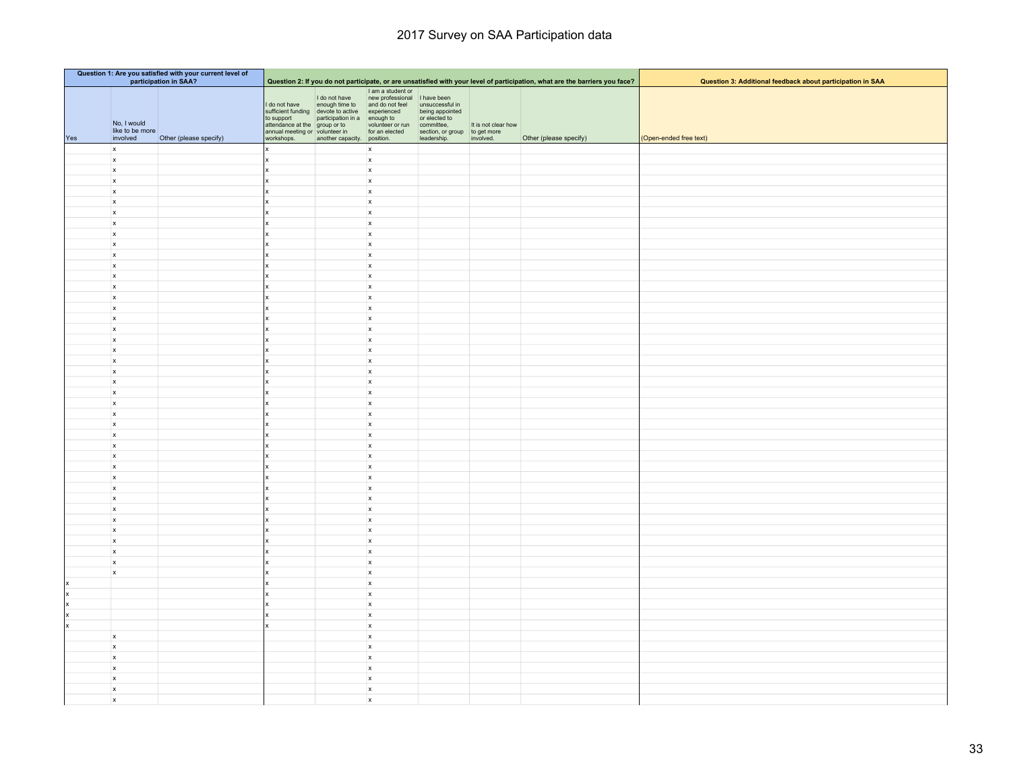|         | Question 1: Are you satisfied with your current level of<br>participation in SAA? |                        |                                                                                                              |                                                                                                                                                                         |                                                                                                                                                         |                                                                                                          |                     | Question 3: Additional feedback about participation in SAA                                                                  |                        |
|---------|-----------------------------------------------------------------------------------|------------------------|--------------------------------------------------------------------------------------------------------------|-------------------------------------------------------------------------------------------------------------------------------------------------------------------------|---------------------------------------------------------------------------------------------------------------------------------------------------------|----------------------------------------------------------------------------------------------------------|---------------------|-----------------------------------------------------------------------------------------------------------------------------|------------------------|
|         |                                                                                   |                        |                                                                                                              |                                                                                                                                                                         |                                                                                                                                                         |                                                                                                          |                     | Question 2: If you do not participate, or are unsatisfied with your level of participation, what are the barriers you face? |                        |
| Yes     | No, I would<br>like to be more<br>involved                                        | Other (please specify) | I do not have<br>to support<br>attendance at the group or to<br>annual meeting or volunteer in<br>workshops. | I do not have<br>enough time to<br>sufficient funding devote to active experienced<br>participation in a<br>group or to volunteer or run<br>another capacity. position. | and the student of<br>The assumed the student of the student of the student of the studies<br>Line appointed<br>the studies appointed<br>for an elected | being appointed<br>or elected to<br>committee,<br>section, or group to get more<br>leadership. involved. | It is not clear how | Other (please specify)                                                                                                      | (Open-ended free text) |
|         | $\mathbf{x}$                                                                      |                        |                                                                                                              |                                                                                                                                                                         | $\mathsf{x}$                                                                                                                                            |                                                                                                          |                     |                                                                                                                             |                        |
|         | $\boldsymbol{\mathsf{x}}$                                                         |                        |                                                                                                              |                                                                                                                                                                         | $\boldsymbol{\mathsf{x}}$                                                                                                                               |                                                                                                          |                     |                                                                                                                             |                        |
|         | $\mathbf{x}$                                                                      |                        |                                                                                                              |                                                                                                                                                                         | $\boldsymbol{x}$                                                                                                                                        |                                                                                                          |                     |                                                                                                                             |                        |
|         | $\boldsymbol{\mathsf{x}}$                                                         |                        |                                                                                                              |                                                                                                                                                                         | $\boldsymbol{\mathsf{x}}$                                                                                                                               |                                                                                                          |                     |                                                                                                                             |                        |
|         | $\mathsf{x}$                                                                      |                        |                                                                                                              |                                                                                                                                                                         | $\boldsymbol{\mathsf{x}}$                                                                                                                               |                                                                                                          |                     |                                                                                                                             |                        |
|         | $\mathsf{x}$                                                                      |                        |                                                                                                              |                                                                                                                                                                         | $\boldsymbol{\mathsf{x}}$                                                                                                                               |                                                                                                          |                     |                                                                                                                             |                        |
|         | $\mathsf{x}$                                                                      |                        |                                                                                                              |                                                                                                                                                                         | $\boldsymbol{\mathsf{x}}$                                                                                                                               |                                                                                                          |                     |                                                                                                                             |                        |
|         | $\mathsf{x}$                                                                      |                        |                                                                                                              |                                                                                                                                                                         | $\boldsymbol{\mathsf{x}}$                                                                                                                               |                                                                                                          |                     |                                                                                                                             |                        |
|         | $\mathsf{x}$<br>$\mathbf{x}$                                                      |                        |                                                                                                              |                                                                                                                                                                         | $\mathsf{x}$<br>$\boldsymbol{\mathsf{x}}$                                                                                                               |                                                                                                          |                     |                                                                                                                             |                        |
|         | $\mathsf{x}$                                                                      |                        |                                                                                                              |                                                                                                                                                                         | $\boldsymbol{\mathsf{x}}$                                                                                                                               |                                                                                                          |                     |                                                                                                                             |                        |
|         | $\boldsymbol{x}$                                                                  |                        |                                                                                                              |                                                                                                                                                                         | $\boldsymbol{\mathsf{x}}$                                                                                                                               |                                                                                                          |                     |                                                                                                                             |                        |
|         | $\mathbf{x}$                                                                      |                        |                                                                                                              |                                                                                                                                                                         | $\boldsymbol{x}$                                                                                                                                        |                                                                                                          |                     |                                                                                                                             |                        |
|         | $\mathbf{x}$                                                                      |                        |                                                                                                              |                                                                                                                                                                         | $\mathbf{x}$                                                                                                                                            |                                                                                                          |                     |                                                                                                                             |                        |
|         | $\mathsf{x}$                                                                      |                        |                                                                                                              |                                                                                                                                                                         | $\boldsymbol{\mathsf{x}}$                                                                                                                               |                                                                                                          |                     |                                                                                                                             |                        |
|         | $\boldsymbol{\mathsf{x}}$                                                         |                        |                                                                                                              |                                                                                                                                                                         | $\boldsymbol{\mathsf{x}}$                                                                                                                               |                                                                                                          |                     |                                                                                                                             |                        |
|         | $\mathbf{x}$                                                                      |                        |                                                                                                              |                                                                                                                                                                         | $\boldsymbol{\mathsf{x}}$                                                                                                                               |                                                                                                          |                     |                                                                                                                             |                        |
|         | $\mathbf{x}$                                                                      |                        |                                                                                                              |                                                                                                                                                                         | $\boldsymbol{x}$                                                                                                                                        |                                                                                                          |                     |                                                                                                                             |                        |
|         | $\mathsf{x}$                                                                      |                        |                                                                                                              |                                                                                                                                                                         | $\boldsymbol{x}$<br>$\mathbf{x}$                                                                                                                        |                                                                                                          |                     |                                                                                                                             |                        |
|         | $\boldsymbol{x}$<br>$\boldsymbol{x}$                                              |                        |                                                                                                              |                                                                                                                                                                         | $\boldsymbol{\mathsf{x}}$                                                                                                                               |                                                                                                          |                     |                                                                                                                             |                        |
|         | $\mathbf{x}$                                                                      |                        |                                                                                                              |                                                                                                                                                                         | $\mathbf{x}$                                                                                                                                            |                                                                                                          |                     |                                                                                                                             |                        |
|         | $\mathsf{x}$                                                                      |                        |                                                                                                              |                                                                                                                                                                         | $\boldsymbol{\mathsf{x}}$                                                                                                                               |                                                                                                          |                     |                                                                                                                             |                        |
|         | $\mathbf{x}$                                                                      |                        |                                                                                                              |                                                                                                                                                                         | $\boldsymbol{x}$                                                                                                                                        |                                                                                                          |                     |                                                                                                                             |                        |
|         | $\mathbf{x}$                                                                      |                        |                                                                                                              |                                                                                                                                                                         | $\boldsymbol{x}$                                                                                                                                        |                                                                                                          |                     |                                                                                                                             |                        |
|         | $\mathbf{x}$                                                                      |                        |                                                                                                              |                                                                                                                                                                         | $\mathbf{x}$                                                                                                                                            |                                                                                                          |                     |                                                                                                                             |                        |
|         | $\mathbf{x}$                                                                      |                        |                                                                                                              |                                                                                                                                                                         | $\mathbf{x}$                                                                                                                                            |                                                                                                          |                     |                                                                                                                             |                        |
|         | $\boldsymbol{\mathsf{x}}$                                                         |                        |                                                                                                              |                                                                                                                                                                         | $\mathbf{x}$                                                                                                                                            |                                                                                                          |                     |                                                                                                                             |                        |
|         | $\mathsf{x}$                                                                      |                        |                                                                                                              |                                                                                                                                                                         | $\boldsymbol{\mathsf{x}}$                                                                                                                               |                                                                                                          |                     |                                                                                                                             |                        |
|         | $\mathbf{x}$                                                                      |                        |                                                                                                              |                                                                                                                                                                         | $\boldsymbol{x}$                                                                                                                                        |                                                                                                          |                     |                                                                                                                             |                        |
|         | $\mathbf{x}$<br>$\mathbf{x}$                                                      |                        |                                                                                                              |                                                                                                                                                                         | $\mathbf{x}$<br>$\mathbf{x}$                                                                                                                            |                                                                                                          |                     |                                                                                                                             |                        |
|         | $\boldsymbol{\mathsf{x}}$                                                         |                        |                                                                                                              |                                                                                                                                                                         | $\pmb{\mathsf{x}}$                                                                                                                                      |                                                                                                          |                     |                                                                                                                             |                        |
|         | $\mathbf{x}$                                                                      |                        |                                                                                                              |                                                                                                                                                                         | $\mathbf{x}$                                                                                                                                            |                                                                                                          |                     |                                                                                                                             |                        |
|         | $\mathsf{x}$                                                                      |                        |                                                                                                              |                                                                                                                                                                         | $\boldsymbol{x}$                                                                                                                                        |                                                                                                          |                     |                                                                                                                             |                        |
|         | $\mathbf{x}$                                                                      |                        |                                                                                                              |                                                                                                                                                                         | $\boldsymbol{x}$                                                                                                                                        |                                                                                                          |                     |                                                                                                                             |                        |
|         | $\mathbf{x}$                                                                      |                        |                                                                                                              |                                                                                                                                                                         | $\boldsymbol{x}$                                                                                                                                        |                                                                                                          |                     |                                                                                                                             |                        |
|         | $\mathbf{x}$                                                                      |                        |                                                                                                              |                                                                                                                                                                         | $\pmb{\mathsf{x}}$                                                                                                                                      |                                                                                                          |                     |                                                                                                                             |                        |
|         | $\pmb{\mathsf{x}}$                                                                |                        |                                                                                                              |                                                                                                                                                                         | $\boldsymbol{x}$                                                                                                                                        |                                                                                                          |                     |                                                                                                                             |                        |
|         | $\mathbf{x}$                                                                      |                        |                                                                                                              |                                                                                                                                                                         | $\boldsymbol{x}$                                                                                                                                        |                                                                                                          |                     |                                                                                                                             |                        |
|         | $\mathbf{x}$                                                                      |                        |                                                                                                              |                                                                                                                                                                         | $\boldsymbol{x}$                                                                                                                                        |                                                                                                          |                     |                                                                                                                             |                        |
| Ιx      |                                                                                   |                        |                                                                                                              |                                                                                                                                                                         | $\boldsymbol{x}$                                                                                                                                        |                                                                                                          |                     |                                                                                                                             |                        |
| x<br> x |                                                                                   |                        |                                                                                                              |                                                                                                                                                                         | $\pmb{\mathsf{x}}$<br>$\boldsymbol{x}$                                                                                                                  |                                                                                                          |                     |                                                                                                                             |                        |
| x       |                                                                                   |                        |                                                                                                              |                                                                                                                                                                         | $\boldsymbol{\mathsf{x}}$                                                                                                                               |                                                                                                          |                     |                                                                                                                             |                        |
| x       |                                                                                   |                        |                                                                                                              |                                                                                                                                                                         | $\boldsymbol{\mathsf{x}}$                                                                                                                               |                                                                                                          |                     |                                                                                                                             |                        |
|         | $\boldsymbol{x}$                                                                  |                        |                                                                                                              |                                                                                                                                                                         | $\boldsymbol{x}$                                                                                                                                        |                                                                                                          |                     |                                                                                                                             |                        |
|         | $\boldsymbol{x}$                                                                  |                        |                                                                                                              |                                                                                                                                                                         | $\boldsymbol{x}$                                                                                                                                        |                                                                                                          |                     |                                                                                                                             |                        |
|         | $\boldsymbol{\mathsf{x}}$                                                         |                        |                                                                                                              |                                                                                                                                                                         | $\pmb{\mathsf{x}}$                                                                                                                                      |                                                                                                          |                     |                                                                                                                             |                        |
|         | $\mathbf{x}$                                                                      |                        |                                                                                                              |                                                                                                                                                                         | $\boldsymbol{x}$                                                                                                                                        |                                                                                                          |                     |                                                                                                                             |                        |
|         | $\boldsymbol{\mathsf{x}}$                                                         |                        |                                                                                                              |                                                                                                                                                                         | $\boldsymbol{\mathsf{x}}$                                                                                                                               |                                                                                                          |                     |                                                                                                                             |                        |
|         | $\mathsf{x}$                                                                      |                        |                                                                                                              |                                                                                                                                                                         | $\boldsymbol{\mathsf{x}}$                                                                                                                               |                                                                                                          |                     |                                                                                                                             |                        |
|         | $\boldsymbol{x}$                                                                  |                        |                                                                                                              |                                                                                                                                                                         | $\boldsymbol{\mathsf{x}}$                                                                                                                               |                                                                                                          |                     |                                                                                                                             |                        |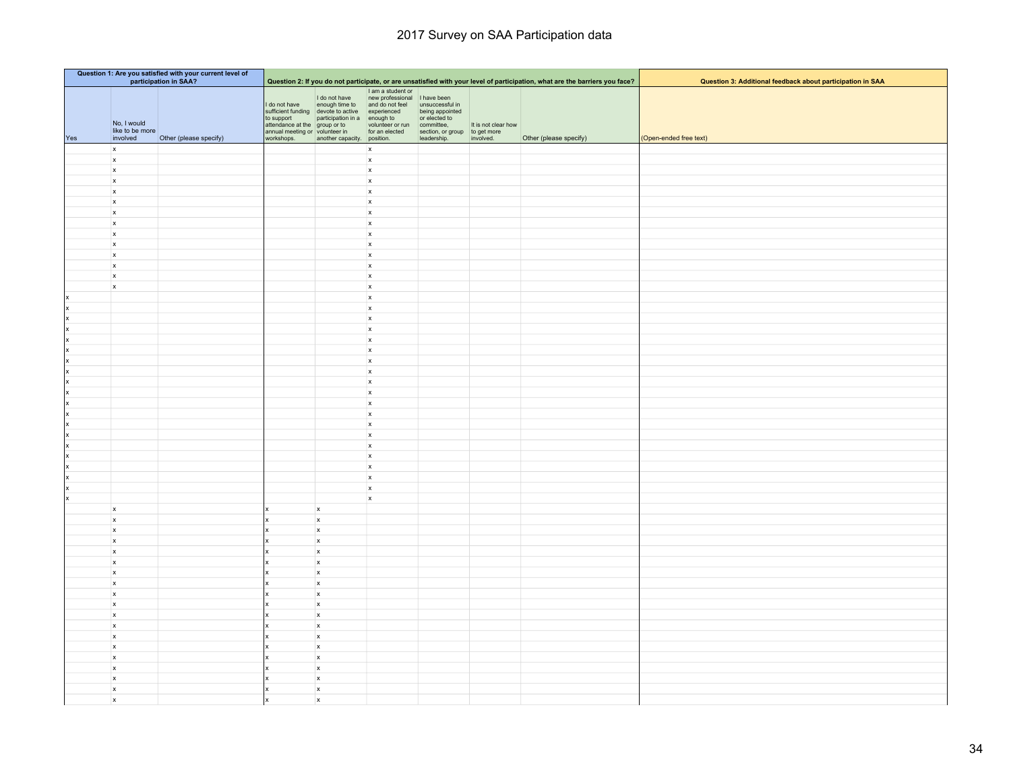|         | Question 1: Are you satisfied with your current level of<br>participation in SAA? |                        |                                                               |                                                                                                                                                                               |                                                                      |                                                                                                                                        |                                  |                                                                                                                             |                                                            |
|---------|-----------------------------------------------------------------------------------|------------------------|---------------------------------------------------------------|-------------------------------------------------------------------------------------------------------------------------------------------------------------------------------|----------------------------------------------------------------------|----------------------------------------------------------------------------------------------------------------------------------------|----------------------------------|-----------------------------------------------------------------------------------------------------------------------------|------------------------------------------------------------|
|         |                                                                                   |                        |                                                               |                                                                                                                                                                               |                                                                      |                                                                                                                                        |                                  | Question 2: If you do not participate, or are unsatisfied with your level of participation, what are the barriers you face? | Question 3: Additional feedback about participation in SAA |
| Yes     | No, I would<br>like to be more<br>involved                                        | Other (please specify) | I do not have<br>annual meeting or volunteer in<br>workshops. | I do not have<br>enough time to<br>sufficient funding devote to active experienced<br>to support<br>attendance at the group or to volunteer or<br>another capacity. position. | I am a student or<br>new professional I have been<br>and do not feel | unsuccessful in<br>being appointed<br>or elected to<br>volunteer or run<br>for an elected section, or group to get more<br>leadership. | It is not clear how<br>involved. | Other (please specify)                                                                                                      | (Open-ended free text)                                     |
|         | $\mathbf{x}$                                                                      |                        |                                                               |                                                                                                                                                                               | $\mathbf{x}$                                                         |                                                                                                                                        |                                  |                                                                                                                             |                                                            |
|         | $\mathbf{x}$                                                                      |                        |                                                               |                                                                                                                                                                               | $\boldsymbol{\mathsf{x}}$                                            |                                                                                                                                        |                                  |                                                                                                                             |                                                            |
|         | $\boldsymbol{x}$                                                                  |                        |                                                               |                                                                                                                                                                               | $\boldsymbol{\mathsf{x}}$                                            |                                                                                                                                        |                                  |                                                                                                                             |                                                            |
|         | $\mathsf{x}$                                                                      |                        |                                                               |                                                                                                                                                                               | $\mathbf{x}$                                                         |                                                                                                                                        |                                  |                                                                                                                             |                                                            |
|         | $\boldsymbol{x}$                                                                  |                        |                                                               |                                                                                                                                                                               | $\mathsf{x}$                                                         |                                                                                                                                        |                                  |                                                                                                                             |                                                            |
|         | $\mathbf{x}$                                                                      |                        |                                                               |                                                                                                                                                                               | $\mathbf{x}$                                                         |                                                                                                                                        |                                  |                                                                                                                             |                                                            |
|         | $\boldsymbol{\mathsf{x}}$                                                         |                        |                                                               |                                                                                                                                                                               | $\mathsf{x}$                                                         |                                                                                                                                        |                                  |                                                                                                                             |                                                            |
|         | $\mathbf{x}$                                                                      |                        |                                                               |                                                                                                                                                                               | $\boldsymbol{\mathsf{x}}$                                            |                                                                                                                                        |                                  |                                                                                                                             |                                                            |
|         | $\boldsymbol{x}$<br>$\mathbf{x}$                                                  |                        |                                                               |                                                                                                                                                                               | $\mathsf{x}$<br>$\mathbf{x}$                                         |                                                                                                                                        |                                  |                                                                                                                             |                                                            |
|         | $\boldsymbol{\mathsf{x}}$                                                         |                        |                                                               |                                                                                                                                                                               | $\mathsf{x}$                                                         |                                                                                                                                        |                                  |                                                                                                                             |                                                            |
|         | $\mathbf{x}$                                                                      |                        |                                                               |                                                                                                                                                                               | $\mathbf{x}$                                                         |                                                                                                                                        |                                  |                                                                                                                             |                                                            |
|         | $\boldsymbol{x}$                                                                  |                        |                                                               |                                                                                                                                                                               | $\mathbf{x}$                                                         |                                                                                                                                        |                                  |                                                                                                                             |                                                            |
|         | $\mathbf{x}$                                                                      |                        |                                                               |                                                                                                                                                                               | $\boldsymbol{\mathsf{x}}$                                            |                                                                                                                                        |                                  |                                                                                                                             |                                                            |
| x       |                                                                                   |                        |                                                               |                                                                                                                                                                               | $\mathsf{x}$                                                         |                                                                                                                                        |                                  |                                                                                                                             |                                                            |
| x       |                                                                                   |                        |                                                               |                                                                                                                                                                               | $\mathbf{x}$                                                         |                                                                                                                                        |                                  |                                                                                                                             |                                                            |
| x       |                                                                                   |                        |                                                               |                                                                                                                                                                               | $\boldsymbol{\mathsf{x}}$                                            |                                                                                                                                        |                                  |                                                                                                                             |                                                            |
| x       |                                                                                   |                        |                                                               |                                                                                                                                                                               | $\boldsymbol{\mathsf{x}}$                                            |                                                                                                                                        |                                  |                                                                                                                             |                                                            |
| x<br> x |                                                                                   |                        |                                                               |                                                                                                                                                                               | $\mathbf{x}$<br>$\mathbf{x}$                                         |                                                                                                                                        |                                  |                                                                                                                             |                                                            |
| x       |                                                                                   |                        |                                                               |                                                                                                                                                                               | $\mathsf{x}$                                                         |                                                                                                                                        |                                  |                                                                                                                             |                                                            |
| x       |                                                                                   |                        |                                                               |                                                                                                                                                                               | $\mathbf{x}$                                                         |                                                                                                                                        |                                  |                                                                                                                             |                                                            |
| x       |                                                                                   |                        |                                                               |                                                                                                                                                                               | $\pmb{\mathsf{x}}$                                                   |                                                                                                                                        |                                  |                                                                                                                             |                                                            |
| x       |                                                                                   |                        |                                                               |                                                                                                                                                                               | $\mathbf{x}$                                                         |                                                                                                                                        |                                  |                                                                                                                             |                                                            |
| x       |                                                                                   |                        |                                                               |                                                                                                                                                                               | $\mathbf{x}$                                                         |                                                                                                                                        |                                  |                                                                                                                             |                                                            |
| x       |                                                                                   |                        |                                                               |                                                                                                                                                                               | $\boldsymbol{\mathsf{x}}$                                            |                                                                                                                                        |                                  |                                                                                                                             |                                                            |
| x       |                                                                                   |                        |                                                               |                                                                                                                                                                               | $\boldsymbol{\mathsf{x}}$                                            |                                                                                                                                        |                                  |                                                                                                                             |                                                            |
| x<br> x |                                                                                   |                        |                                                               |                                                                                                                                                                               | $\mathbf{x}$<br>$\mathbf{x}$                                         |                                                                                                                                        |                                  |                                                                                                                             |                                                            |
| x       |                                                                                   |                        |                                                               |                                                                                                                                                                               | x                                                                    |                                                                                                                                        |                                  |                                                                                                                             |                                                            |
| x       |                                                                                   |                        |                                                               |                                                                                                                                                                               | x                                                                    |                                                                                                                                        |                                  |                                                                                                                             |                                                            |
| Ιx      |                                                                                   |                        |                                                               |                                                                                                                                                                               | $\boldsymbol{\mathsf{x}}$                                            |                                                                                                                                        |                                  |                                                                                                                             |                                                            |
| X       |                                                                                   |                        |                                                               |                                                                                                                                                                               | $\mathbf{x}$                                                         |                                                                                                                                        |                                  |                                                                                                                             |                                                            |
| Ιx      |                                                                                   |                        |                                                               |                                                                                                                                                                               | $\mathbf{x}$                                                         |                                                                                                                                        |                                  |                                                                                                                             |                                                            |
|         | $\boldsymbol{x}$                                                                  |                        |                                                               | $\mathbf{x}$                                                                                                                                                                  |                                                                      |                                                                                                                                        |                                  |                                                                                                                             |                                                            |
|         | $\mathbf{x}$                                                                      |                        |                                                               | $\mathbf{x}$                                                                                                                                                                  |                                                                      |                                                                                                                                        |                                  |                                                                                                                             |                                                            |
|         | $\mathbf{x}$<br>$\mathbf{x}$                                                      |                        |                                                               | $\mathbf{x}$<br>$\mathsf{x}$                                                                                                                                                  |                                                                      |                                                                                                                                        |                                  |                                                                                                                             |                                                            |
|         | $\boldsymbol{x}$                                                                  |                        |                                                               | $\boldsymbol{\mathsf{x}}$                                                                                                                                                     |                                                                      |                                                                                                                                        |                                  |                                                                                                                             |                                                            |
|         | $\mathbf{x}$                                                                      |                        |                                                               | $\mathbf{x}$                                                                                                                                                                  |                                                                      |                                                                                                                                        |                                  |                                                                                                                             |                                                            |
|         | $\mathbf{x}$                                                                      |                        |                                                               | $\mathbf{x}$                                                                                                                                                                  |                                                                      |                                                                                                                                        |                                  |                                                                                                                             |                                                            |
|         | $\mathbf{x}$                                                                      |                        |                                                               | $\mathbf{x}$                                                                                                                                                                  |                                                                      |                                                                                                                                        |                                  |                                                                                                                             |                                                            |
|         | $\mathbf{x}$                                                                      |                        |                                                               | $\mathbf{x}$                                                                                                                                                                  |                                                                      |                                                                                                                                        |                                  |                                                                                                                             |                                                            |
|         | $\mathbf{x}$                                                                      |                        |                                                               | $\mathbf{x}$                                                                                                                                                                  |                                                                      |                                                                                                                                        |                                  |                                                                                                                             |                                                            |
|         | $\pmb{\mathsf{x}}$                                                                |                        |                                                               | $\boldsymbol{\mathsf{x}}$                                                                                                                                                     |                                                                      |                                                                                                                                        |                                  |                                                                                                                             |                                                            |
|         | $\mathbf{x}$                                                                      |                        |                                                               | $\mathbf{x}$                                                                                                                                                                  |                                                                      |                                                                                                                                        |                                  |                                                                                                                             |                                                            |
|         | $\boldsymbol{\mathsf{x}}$                                                         |                        |                                                               | $\boldsymbol{\mathsf{x}}$                                                                                                                                                     |                                                                      |                                                                                                                                        |                                  |                                                                                                                             |                                                            |
|         | $\pmb{\mathsf{x}}$                                                                |                        |                                                               | $\boldsymbol{\mathsf{x}}$                                                                                                                                                     |                                                                      |                                                                                                                                        |                                  |                                                                                                                             |                                                            |
|         | $\boldsymbol{\mathsf{x}}$<br>$\boldsymbol{x}$                                     |                        |                                                               | $\boldsymbol{\mathsf{x}}$<br>$\mathbf{x}$                                                                                                                                     |                                                                      |                                                                                                                                        |                                  |                                                                                                                             |                                                            |
|         | $\boldsymbol{\mathsf{x}}$                                                         |                        |                                                               | $\boldsymbol{\mathsf{x}}$                                                                                                                                                     |                                                                      |                                                                                                                                        |                                  |                                                                                                                             |                                                            |
|         | $\pmb{\mathsf{x}}$                                                                |                        |                                                               | $\boldsymbol{\mathsf{x}}$                                                                                                                                                     |                                                                      |                                                                                                                                        |                                  |                                                                                                                             |                                                            |
|         | $\boldsymbol{x}$                                                                  |                        |                                                               | $\boldsymbol{\mathsf{x}}$                                                                                                                                                     |                                                                      |                                                                                                                                        |                                  |                                                                                                                             |                                                            |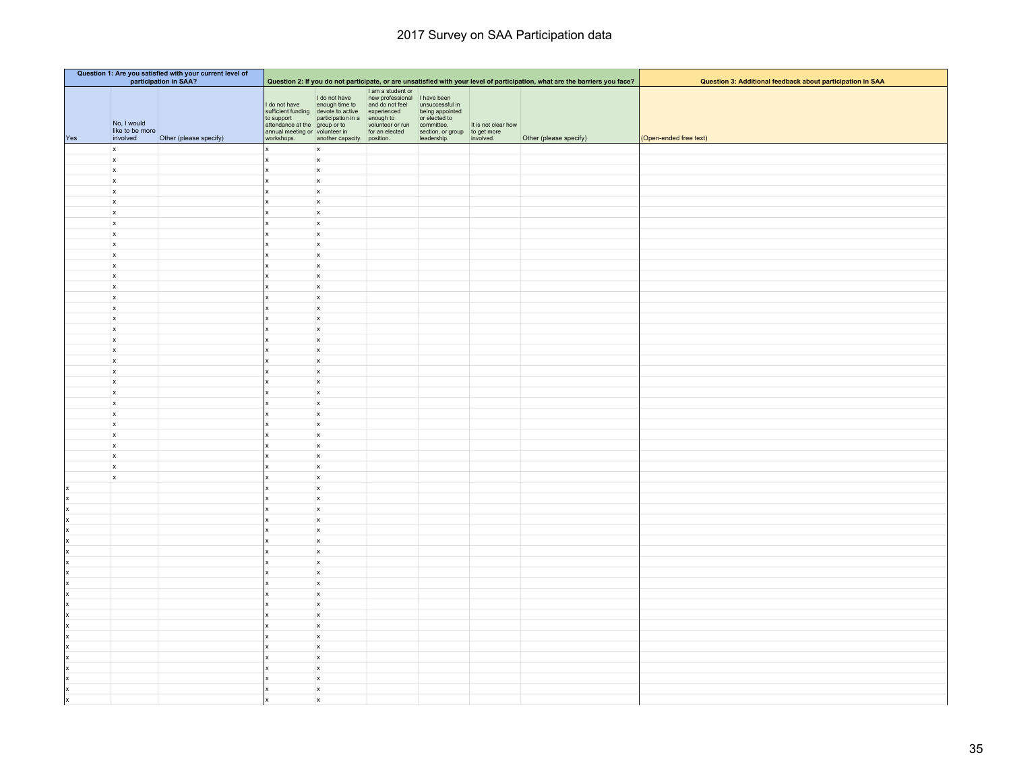|     | Question 1: Are you satisfied with your current level of<br>participation in SAA? |                        |                                                                                                |                                                                                    |                                                                                                                                                            |                                                                                      |                     |                                                                                                                             |                                                            |
|-----|-----------------------------------------------------------------------------------|------------------------|------------------------------------------------------------------------------------------------|------------------------------------------------------------------------------------|------------------------------------------------------------------------------------------------------------------------------------------------------------|--------------------------------------------------------------------------------------|---------------------|-----------------------------------------------------------------------------------------------------------------------------|------------------------------------------------------------|
|     |                                                                                   |                        |                                                                                                |                                                                                    | I am a student or                                                                                                                                          |                                                                                      |                     | Question 2: If you do not participate, or are unsatisfied with your level of participation, what are the barriers you face? | Question 3: Additional feedback about participation in SAA |
| Yes | No, I would<br>like to be more<br>involved                                        | Other (please specify) | I do not have<br>to support<br>attendance at the group or to<br>annual meeting or volunteer in | I do not have<br>enough time to<br>sufficient funding devote to active experienced | new professional I have been<br>and do not feel<br>participation in a enough to or elected to<br>group or to volunteer or run committee,<br>for an elected | unsuccessful in<br>being appointed<br>or elected to<br>section, or group to get more | It is not clear how | Other (please specify)                                                                                                      | (Open-ended free text)                                     |
|     | $\mathbf{x}$                                                                      |                        | workshops.<br>x                                                                                | another capacity. position.<br>$\mathsf{x}$                                        |                                                                                                                                                            | leadership.                                                                          | involved.           |                                                                                                                             |                                                            |
|     | $\boldsymbol{\mathsf{x}}$                                                         |                        |                                                                                                | $\boldsymbol{\mathsf{x}}$                                                          |                                                                                                                                                            |                                                                                      |                     |                                                                                                                             |                                                            |
|     | $\mathsf{x}$                                                                      |                        |                                                                                                | $\mathsf{x}$                                                                       |                                                                                                                                                            |                                                                                      |                     |                                                                                                                             |                                                            |
|     | $\mathsf{x}$                                                                      |                        |                                                                                                | $\mathsf{x}$                                                                       |                                                                                                                                                            |                                                                                      |                     |                                                                                                                             |                                                            |
|     | $\mathbf{x}$                                                                      |                        |                                                                                                | $\boldsymbol{\mathsf{x}}$                                                          |                                                                                                                                                            |                                                                                      |                     |                                                                                                                             |                                                            |
|     | $\boldsymbol{\mathsf{x}}$                                                         |                        |                                                                                                | $\pmb{\times}$                                                                     |                                                                                                                                                            |                                                                                      |                     |                                                                                                                             |                                                            |
|     | x                                                                                 |                        |                                                                                                | $\boldsymbol{\mathsf{x}}$                                                          |                                                                                                                                                            |                                                                                      |                     |                                                                                                                             |                                                            |
|     | $\mathsf{x}$                                                                      |                        |                                                                                                | $\mathsf{x}$                                                                       |                                                                                                                                                            |                                                                                      |                     |                                                                                                                             |                                                            |
|     | $\mathsf{x}$                                                                      |                        |                                                                                                | $\mathsf{x}$                                                                       |                                                                                                                                                            |                                                                                      |                     |                                                                                                                             |                                                            |
|     | $\mathsf{x}$                                                                      |                        |                                                                                                | $\mathbf x$                                                                        |                                                                                                                                                            |                                                                                      |                     |                                                                                                                             |                                                            |
|     | $\mathsf{x}$                                                                      |                        |                                                                                                | $\mathsf{x}$<br>$\mathsf{x}$                                                       |                                                                                                                                                            |                                                                                      |                     |                                                                                                                             |                                                            |
|     | $\boldsymbol{\mathsf{x}}$<br>$\mathbf{x}$                                         |                        |                                                                                                | $\mathsf{x}$                                                                       |                                                                                                                                                            |                                                                                      |                     |                                                                                                                             |                                                            |
|     | $\mathsf{x}$                                                                      |                        |                                                                                                | $\mathsf{x}$                                                                       |                                                                                                                                                            |                                                                                      |                     |                                                                                                                             |                                                            |
|     | $\mathsf{x}$                                                                      |                        |                                                                                                | $\mathsf{x}$                                                                       |                                                                                                                                                            |                                                                                      |                     |                                                                                                                             |                                                            |
|     | $\mathsf{x}$                                                                      |                        |                                                                                                | $\mathsf{x}$                                                                       |                                                                                                                                                            |                                                                                      |                     |                                                                                                                             |                                                            |
|     | $\mathsf{x}$                                                                      |                        |                                                                                                | $\mathsf{x}$                                                                       |                                                                                                                                                            |                                                                                      |                     |                                                                                                                             |                                                            |
|     | $\mathsf{x}$                                                                      |                        |                                                                                                | $\mathsf{x}$                                                                       |                                                                                                                                                            |                                                                                      |                     |                                                                                                                             |                                                            |
|     | $\mathbf{x}$                                                                      |                        |                                                                                                | $\mathsf{x}$                                                                       |                                                                                                                                                            |                                                                                      |                     |                                                                                                                             |                                                            |
|     | $\boldsymbol{\mathsf{x}}$                                                         |                        |                                                                                                | $\mathbf x$                                                                        |                                                                                                                                                            |                                                                                      |                     |                                                                                                                             |                                                            |
|     | $\mathsf{x}$                                                                      |                        |                                                                                                | $\pmb{\times}$                                                                     |                                                                                                                                                            |                                                                                      |                     |                                                                                                                             |                                                            |
|     | $\mathsf{x}$                                                                      |                        |                                                                                                | $\mathsf{x}$                                                                       |                                                                                                                                                            |                                                                                      |                     |                                                                                                                             |                                                            |
|     | $\mathsf{x}$<br>$\mathsf x$                                                       |                        |                                                                                                | $\boldsymbol{\mathsf{x}}$<br>$\mathsf{x}$                                          |                                                                                                                                                            |                                                                                      |                     |                                                                                                                             |                                                            |
|     | $\mathbf{x}$                                                                      |                        |                                                                                                | $\mathsf{x}$                                                                       |                                                                                                                                                            |                                                                                      |                     |                                                                                                                             |                                                            |
|     | $\mathsf{x}$                                                                      |                        |                                                                                                | $\mathbf x$                                                                        |                                                                                                                                                            |                                                                                      |                     |                                                                                                                             |                                                            |
|     | $\mathsf{x}$                                                                      |                        |                                                                                                | $\mathbf x$                                                                        |                                                                                                                                                            |                                                                                      |                     |                                                                                                                             |                                                            |
|     | $\boldsymbol{\mathsf{x}}$                                                         |                        |                                                                                                | $\mathbf x$                                                                        |                                                                                                                                                            |                                                                                      |                     |                                                                                                                             |                                                            |
|     | $\mathbf{x}$                                                                      |                        |                                                                                                | $\pmb{\times}$                                                                     |                                                                                                                                                            |                                                                                      |                     |                                                                                                                             |                                                            |
|     | $\mathbf{x}$                                                                      |                        |                                                                                                | $\mathsf{x}$                                                                       |                                                                                                                                                            |                                                                                      |                     |                                                                                                                             |                                                            |
|     | $\mathbf{x}$                                                                      |                        |                                                                                                | $\mathsf{x}$                                                                       |                                                                                                                                                            |                                                                                      |                     |                                                                                                                             |                                                            |
|     | $\mathsf{x}$                                                                      |                        |                                                                                                | $\mathsf{x}$                                                                       |                                                                                                                                                            |                                                                                      |                     |                                                                                                                             |                                                            |
|     |                                                                                   |                        |                                                                                                | $\mathsf{x}$                                                                       |                                                                                                                                                            |                                                                                      |                     |                                                                                                                             |                                                            |
|     |                                                                                   |                        |                                                                                                | $\mathbf x$                                                                        |                                                                                                                                                            |                                                                                      |                     |                                                                                                                             |                                                            |
|     |                                                                                   |                        |                                                                                                | $\mathsf{x}$<br>$\mathsf{x}$                                                       |                                                                                                                                                            |                                                                                      |                     |                                                                                                                             |                                                            |
|     |                                                                                   |                        |                                                                                                | $\mathsf{x}$                                                                       |                                                                                                                                                            |                                                                                      |                     |                                                                                                                             |                                                            |
|     |                                                                                   |                        |                                                                                                | $\mathsf{x}$                                                                       |                                                                                                                                                            |                                                                                      |                     |                                                                                                                             |                                                            |
|     |                                                                                   |                        |                                                                                                | $\mathsf{x}$                                                                       |                                                                                                                                                            |                                                                                      |                     |                                                                                                                             |                                                            |
|     |                                                                                   |                        |                                                                                                | $\mathbf x$                                                                        |                                                                                                                                                            |                                                                                      |                     |                                                                                                                             |                                                            |
|     |                                                                                   |                        |                                                                                                | $\pmb{\times}$                                                                     |                                                                                                                                                            |                                                                                      |                     |                                                                                                                             |                                                            |
|     |                                                                                   |                        |                                                                                                | $\mathsf{x}$                                                                       |                                                                                                                                                            |                                                                                      |                     |                                                                                                                             |                                                            |
|     |                                                                                   |                        |                                                                                                | $\mathsf{x}$                                                                       |                                                                                                                                                            |                                                                                      |                     |                                                                                                                             |                                                            |
|     |                                                                                   |                        |                                                                                                | $\mathsf{x}$                                                                       |                                                                                                                                                            |                                                                                      |                     |                                                                                                                             |                                                            |
|     |                                                                                   |                        |                                                                                                | $\mathsf{x}$<br>$\mathbf{x}$                                                       |                                                                                                                                                            |                                                                                      |                     |                                                                                                                             |                                                            |
|     |                                                                                   |                        |                                                                                                | $\mathbf{x}$                                                                       |                                                                                                                                                            |                                                                                      |                     |                                                                                                                             |                                                            |
|     |                                                                                   |                        |                                                                                                | $\mathsf{x}$                                                                       |                                                                                                                                                            |                                                                                      |                     |                                                                                                                             |                                                            |
|     |                                                                                   |                        |                                                                                                | $\pmb{\times}$                                                                     |                                                                                                                                                            |                                                                                      |                     |                                                                                                                             |                                                            |
|     |                                                                                   |                        |                                                                                                | $\mathsf{x}$                                                                       |                                                                                                                                                            |                                                                                      |                     |                                                                                                                             |                                                            |
|     |                                                                                   |                        |                                                                                                | $\mathsf{x}$                                                                       |                                                                                                                                                            |                                                                                      |                     |                                                                                                                             |                                                            |
|     |                                                                                   |                        |                                                                                                | $\mathbf{x}$                                                                       |                                                                                                                                                            |                                                                                      |                     |                                                                                                                             |                                                            |
|     |                                                                                   |                        |                                                                                                | $\pmb{\mathsf{x}}$                                                                 |                                                                                                                                                            |                                                                                      |                     |                                                                                                                             |                                                            |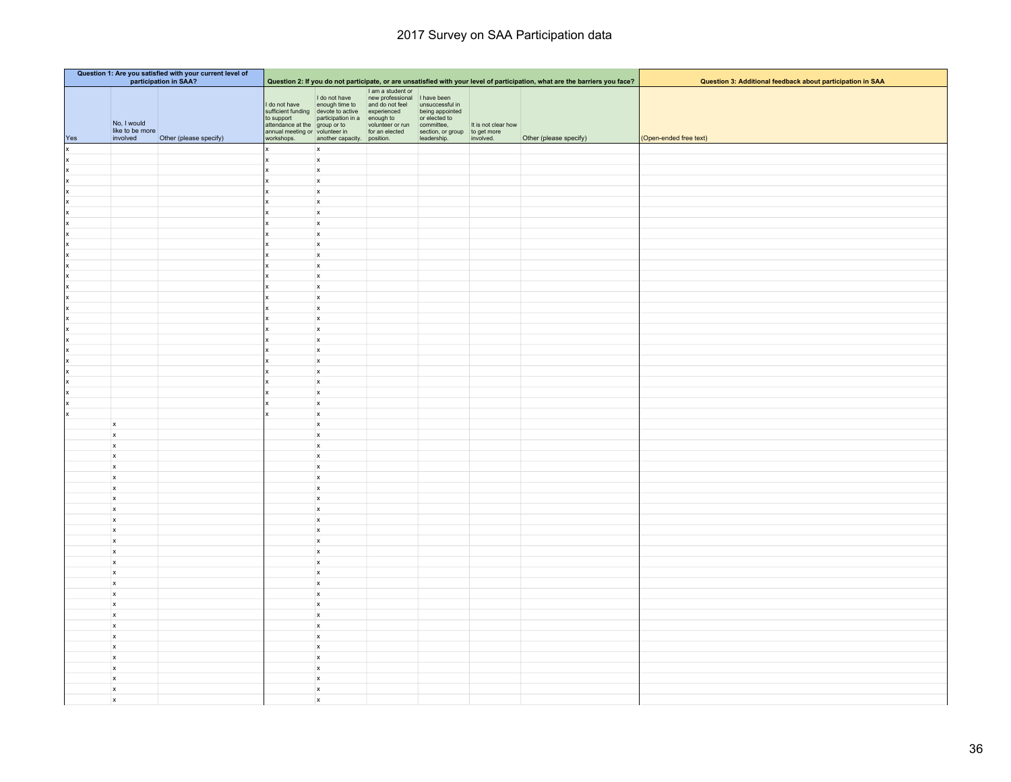|         | Question 1: Are you satisfied with your current level of<br>participation in SAA? |                        |                                                                                                               |                                                                                    |                                                                                                                          |                                                                                                     |                                  |                                                                                                                             |                                                            |
|---------|-----------------------------------------------------------------------------------|------------------------|---------------------------------------------------------------------------------------------------------------|------------------------------------------------------------------------------------|--------------------------------------------------------------------------------------------------------------------------|-----------------------------------------------------------------------------------------------------|----------------------------------|-----------------------------------------------------------------------------------------------------------------------------|------------------------------------------------------------|
|         |                                                                                   |                        |                                                                                                               |                                                                                    |                                                                                                                          |                                                                                                     |                                  | Question 2: If you do not participate, or are unsatisfied with your level of participation, what are the barriers you face? | Question 3: Additional feedback about participation in SAA |
| Yes     | No, I would<br>like to be more<br>involved                                        | Other (please specify) | I do not have<br>to support<br>attendance at the group or to volunteer or r<br>annual meeting or volunteer in | I do not have<br>enough time to<br>sufficient funding devote to active experienced | I am a student or<br>new professional I have been<br>and do not feel<br>volunteer or run<br>for an elected section, or g | unsuccessful in<br>being appointed<br>or elected to<br>section, or group to get more<br>leadership. | It is not clear how<br>involved. | Other (please specify)                                                                                                      | (Open-ended free text)                                     |
| x       |                                                                                   |                        | workshops.                                                                                                    | another capacity. position.<br>$\mathbf{x}$                                        |                                                                                                                          |                                                                                                     |                                  |                                                                                                                             |                                                            |
| x       |                                                                                   |                        |                                                                                                               | $\mathsf{x}$                                                                       |                                                                                                                          |                                                                                                     |                                  |                                                                                                                             |                                                            |
| x       |                                                                                   |                        |                                                                                                               | $\mathbf{x}$                                                                       |                                                                                                                          |                                                                                                     |                                  |                                                                                                                             |                                                            |
| x       |                                                                                   |                        |                                                                                                               | $\mathsf{x}$                                                                       |                                                                                                                          |                                                                                                     |                                  |                                                                                                                             |                                                            |
| x       |                                                                                   |                        |                                                                                                               | $\mathsf{x}$                                                                       |                                                                                                                          |                                                                                                     |                                  |                                                                                                                             |                                                            |
| x       |                                                                                   |                        |                                                                                                               | $\mathbf{x}$                                                                       |                                                                                                                          |                                                                                                     |                                  |                                                                                                                             |                                                            |
| x       |                                                                                   |                        |                                                                                                               | $\mathbf{x}$                                                                       |                                                                                                                          |                                                                                                     |                                  |                                                                                                                             |                                                            |
| x       |                                                                                   |                        |                                                                                                               | $\mathbf{x}$                                                                       |                                                                                                                          |                                                                                                     |                                  |                                                                                                                             |                                                            |
| x       |                                                                                   |                        |                                                                                                               | $\mathbf{x}$                                                                       |                                                                                                                          |                                                                                                     |                                  |                                                                                                                             |                                                            |
| x       |                                                                                   |                        |                                                                                                               | $\mathbf x$                                                                        |                                                                                                                          |                                                                                                     |                                  |                                                                                                                             |                                                            |
| x       |                                                                                   |                        |                                                                                                               | $\mathbf x$                                                                        |                                                                                                                          |                                                                                                     |                                  |                                                                                                                             |                                                            |
| x       |                                                                                   |                        |                                                                                                               | $\mathsf{x}$                                                                       |                                                                                                                          |                                                                                                     |                                  |                                                                                                                             |                                                            |
| x       |                                                                                   |                        |                                                                                                               | $\mathbf{x}$                                                                       |                                                                                                                          |                                                                                                     |                                  |                                                                                                                             |                                                            |
| x       |                                                                                   |                        |                                                                                                               | $\mathsf{x}$                                                                       |                                                                                                                          |                                                                                                     |                                  |                                                                                                                             |                                                            |
| x       |                                                                                   |                        |                                                                                                               | $\mathbf{x}$                                                                       |                                                                                                                          |                                                                                                     |                                  |                                                                                                                             |                                                            |
| x       |                                                                                   |                        |                                                                                                               | $\mathsf{x}$                                                                       |                                                                                                                          |                                                                                                     |                                  |                                                                                                                             |                                                            |
| x<br> x |                                                                                   |                        |                                                                                                               | $\mathbf x$<br>$\mathsf{x}$                                                        |                                                                                                                          |                                                                                                     |                                  |                                                                                                                             |                                                            |
| x       |                                                                                   |                        |                                                                                                               | $\mathbf{x}$                                                                       |                                                                                                                          |                                                                                                     |                                  |                                                                                                                             |                                                            |
| x       |                                                                                   |                        |                                                                                                               | $\mathsf{x}$                                                                       |                                                                                                                          |                                                                                                     |                                  |                                                                                                                             |                                                            |
| x       |                                                                                   |                        |                                                                                                               | $\mathbf{x}$                                                                       |                                                                                                                          |                                                                                                     |                                  |                                                                                                                             |                                                            |
| lx      |                                                                                   |                        |                                                                                                               | $\mathsf{x}$                                                                       |                                                                                                                          |                                                                                                     |                                  |                                                                                                                             |                                                            |
| x       |                                                                                   |                        |                                                                                                               | $\mathbf x$                                                                        |                                                                                                                          |                                                                                                     |                                  |                                                                                                                             |                                                            |
| x       |                                                                                   |                        |                                                                                                               | $\mathsf{x}$                                                                       |                                                                                                                          |                                                                                                     |                                  |                                                                                                                             |                                                            |
| Ιx      |                                                                                   |                        |                                                                                                               | $\mathbf{x}$                                                                       |                                                                                                                          |                                                                                                     |                                  |                                                                                                                             |                                                            |
| Ιx      |                                                                                   |                        |                                                                                                               | $\mathbf x$                                                                        |                                                                                                                          |                                                                                                     |                                  |                                                                                                                             |                                                            |
|         | $\mathbf{x}$                                                                      |                        |                                                                                                               | $\mathbf{x}$                                                                       |                                                                                                                          |                                                                                                     |                                  |                                                                                                                             |                                                            |
|         | $\mathbf{x}$                                                                      |                        |                                                                                                               | $\mathsf{x}$                                                                       |                                                                                                                          |                                                                                                     |                                  |                                                                                                                             |                                                            |
|         | $\mathbf{x}$                                                                      |                        |                                                                                                               | $\mathsf{x}$                                                                       |                                                                                                                          |                                                                                                     |                                  |                                                                                                                             |                                                            |
|         | $\mathbf{x}$                                                                      |                        |                                                                                                               | $\mathsf{x}$                                                                       |                                                                                                                          |                                                                                                     |                                  |                                                                                                                             |                                                            |
|         | $\boldsymbol{\mathsf{x}}$                                                         |                        |                                                                                                               | $\mathbf{x}$                                                                       |                                                                                                                          |                                                                                                     |                                  |                                                                                                                             |                                                            |
|         | $\mathbf{x}$                                                                      |                        |                                                                                                               | $\mathbf{x}$                                                                       |                                                                                                                          |                                                                                                     |                                  |                                                                                                                             |                                                            |
|         | $\boldsymbol{x}$                                                                  |                        |                                                                                                               | $\mathbf{x}$                                                                       |                                                                                                                          |                                                                                                     |                                  |                                                                                                                             |                                                            |
|         | $\mathbf{x}$                                                                      |                        |                                                                                                               | $\mathsf{x}$                                                                       |                                                                                                                          |                                                                                                     |                                  |                                                                                                                             |                                                            |
|         | $\mathbf{x}$                                                                      |                        |                                                                                                               | $\mathbf{x}$                                                                       |                                                                                                                          |                                                                                                     |                                  |                                                                                                                             |                                                            |
|         | $\mathbf{x}$                                                                      |                        |                                                                                                               | $\mathsf{x}$                                                                       |                                                                                                                          |                                                                                                     |                                  |                                                                                                                             |                                                            |
|         | $\boldsymbol{\mathsf{x}}$                                                         |                        |                                                                                                               | $\mathsf{x}$                                                                       |                                                                                                                          |                                                                                                     |                                  |                                                                                                                             |                                                            |
|         | $\mathbf{x}$                                                                      |                        |                                                                                                               | $\mathsf{x}$                                                                       |                                                                                                                          |                                                                                                     |                                  |                                                                                                                             |                                                            |
|         | $\mathbf{x}$                                                                      |                        |                                                                                                               | $\mathbf{x}$                                                                       |                                                                                                                          |                                                                                                     |                                  |                                                                                                                             |                                                            |
|         | $\mathbf{x}$                                                                      |                        |                                                                                                               | $\mathbf{x}$                                                                       |                                                                                                                          |                                                                                                     |                                  |                                                                                                                             |                                                            |
|         | $\boldsymbol{\mathsf{x}}$                                                         |                        |                                                                                                               | $\mathbf{x}$                                                                       |                                                                                                                          |                                                                                                     |                                  |                                                                                                                             |                                                            |
|         | $\mathbf{x}$                                                                      |                        |                                                                                                               | $\mathsf{x}$                                                                       |                                                                                                                          |                                                                                                     |                                  |                                                                                                                             |                                                            |
|         | $\mathbf{x}$                                                                      |                        |                                                                                                               | $\mathbf{x}$                                                                       |                                                                                                                          |                                                                                                     |                                  |                                                                                                                             |                                                            |
|         | $\mathbf{x}$                                                                      |                        |                                                                                                               | $\mathsf{x}$                                                                       |                                                                                                                          |                                                                                                     |                                  |                                                                                                                             |                                                            |
|         | $\mathbf{x}$                                                                      |                        |                                                                                                               | $\mathbf{x}$                                                                       |                                                                                                                          |                                                                                                     |                                  |                                                                                                                             |                                                            |
|         | $\mathbf{x}$                                                                      |                        |                                                                                                               | $\mathbf{x}$                                                                       |                                                                                                                          |                                                                                                     |                                  |                                                                                                                             |                                                            |
|         | $\mathbf{x}$<br>$\mathbf{x}$                                                      |                        |                                                                                                               | $\mathbf{x}$<br>$\mathsf{x}$                                                       |                                                                                                                          |                                                                                                     |                                  |                                                                                                                             |                                                            |
|         |                                                                                   |                        |                                                                                                               | $\mathbf{x}$                                                                       |                                                                                                                          |                                                                                                     |                                  |                                                                                                                             |                                                            |
|         | $\overline{\mathbf{x}}$<br>$\mathbf{x}$                                           |                        |                                                                                                               | $\mathsf{x}$                                                                       |                                                                                                                          |                                                                                                     |                                  |                                                                                                                             |                                                            |
|         | $\pmb{\mathsf{x}}$                                                                |                        |                                                                                                               | $\mathbf{x}$                                                                       |                                                                                                                          |                                                                                                     |                                  |                                                                                                                             |                                                            |
|         | $\mathbf{x}$                                                                      |                        |                                                                                                               | $\mathbf{x}$                                                                       |                                                                                                                          |                                                                                                     |                                  |                                                                                                                             |                                                            |
|         | $\mathbf{x}$                                                                      |                        |                                                                                                               | $\boldsymbol{\mathsf{x}}$                                                          |                                                                                                                          |                                                                                                     |                                  |                                                                                                                             |                                                            |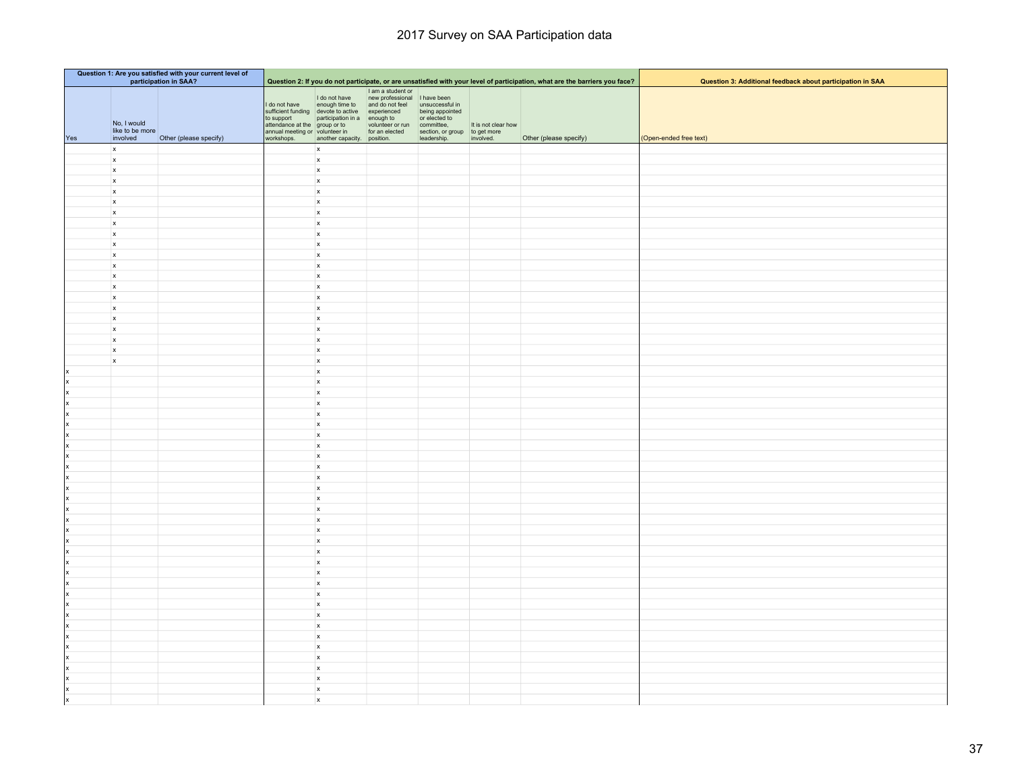| Question 1: Are you satisfied with your current level of<br>participation in SAA? |                                            |                        |                                                                                                |                                                                                    |                                                                                                                                                                                 |                                                                                                               |                     |                                                                                                                             |                                                            |
|-----------------------------------------------------------------------------------|--------------------------------------------|------------------------|------------------------------------------------------------------------------------------------|------------------------------------------------------------------------------------|---------------------------------------------------------------------------------------------------------------------------------------------------------------------------------|---------------------------------------------------------------------------------------------------------------|---------------------|-----------------------------------------------------------------------------------------------------------------------------|------------------------------------------------------------|
|                                                                                   |                                            |                        |                                                                                                |                                                                                    |                                                                                                                                                                                 |                                                                                                               |                     | Question 2: If you do not participate, or are unsatisfied with your level of participation, what are the barriers you face? | Question 3: Additional feedback about participation in SAA |
|                                                                                   | No, I would<br>like to be more<br>involved |                        | I do not have<br>to support<br>attendance at the group or to<br>annual meeting or volunteer in | I do not have<br>enough time to<br>sufficient funding devote to active experienced | I am a student or<br>new professional I have been<br>and do not feel<br>participation in a enough to or elected to<br>group or to volunteer or run committee,<br>for an elected | unsuccessful in<br>being appointed<br>or elected to<br>section, or group to get more<br>leadership. involved. | It is not clear how |                                                                                                                             | (Open-ended free text)                                     |
| Yes                                                                               |                                            | Other (please specify) | workshops.                                                                                     | another capacity. position.                                                        |                                                                                                                                                                                 |                                                                                                               |                     | Other (please specify)                                                                                                      |                                                            |
|                                                                                   | $\mathbf{x}$<br>$\boldsymbol{\mathsf{x}}$  |                        |                                                                                                | $\mathsf{x}$<br>$\boldsymbol{\mathsf{x}}$                                          |                                                                                                                                                                                 |                                                                                                               |                     |                                                                                                                             |                                                            |
|                                                                                   | $\mathsf{x}$                               |                        |                                                                                                | $\mathbf x$                                                                        |                                                                                                                                                                                 |                                                                                                               |                     |                                                                                                                             |                                                            |
|                                                                                   | $\mathsf{x}$                               |                        |                                                                                                | $\boldsymbol{\mathsf{x}}$                                                          |                                                                                                                                                                                 |                                                                                                               |                     |                                                                                                                             |                                                            |
|                                                                                   | $\mathbf{x}$                               |                        |                                                                                                | $\mathsf{x}$                                                                       |                                                                                                                                                                                 |                                                                                                               |                     |                                                                                                                             |                                                            |
|                                                                                   | $\boldsymbol{\mathsf{x}}$                  |                        |                                                                                                | $\pmb{\times}$                                                                     |                                                                                                                                                                                 |                                                                                                               |                     |                                                                                                                             |                                                            |
|                                                                                   | x                                          |                        |                                                                                                | $\pmb{\times}$                                                                     |                                                                                                                                                                                 |                                                                                                               |                     |                                                                                                                             |                                                            |
|                                                                                   | $\mathsf{x}$                               |                        |                                                                                                | $\pmb{\mathsf{x}}$                                                                 |                                                                                                                                                                                 |                                                                                                               |                     |                                                                                                                             |                                                            |
|                                                                                   | $\mathsf{x}$                               |                        |                                                                                                | $\pmb{\mathsf{x}}$                                                                 |                                                                                                                                                                                 |                                                                                                               |                     |                                                                                                                             |                                                            |
|                                                                                   | $\mathsf{x}$                               |                        |                                                                                                | $\boldsymbol{\mathsf{x}}$                                                          |                                                                                                                                                                                 |                                                                                                               |                     |                                                                                                                             |                                                            |
|                                                                                   | $\mathsf{x}$                               |                        |                                                                                                | $\mathsf{x}$                                                                       |                                                                                                                                                                                 |                                                                                                               |                     |                                                                                                                             |                                                            |
|                                                                                   | $\mathsf{x}$                               |                        |                                                                                                | $\boldsymbol{x}$                                                                   |                                                                                                                                                                                 |                                                                                                               |                     |                                                                                                                             |                                                            |
|                                                                                   | $\mathbf{x}$                               |                        |                                                                                                | $\mathsf{x}$                                                                       |                                                                                                                                                                                 |                                                                                                               |                     |                                                                                                                             |                                                            |
|                                                                                   | $\mathsf{x}$                               |                        |                                                                                                | $\mathbf x$                                                                        |                                                                                                                                                                                 |                                                                                                               |                     |                                                                                                                             |                                                            |
|                                                                                   | $\mathsf{x}$                               |                        |                                                                                                | $\pmb{\mathsf{x}}$                                                                 |                                                                                                                                                                                 |                                                                                                               |                     |                                                                                                                             |                                                            |
|                                                                                   | $\mathsf{x}$                               |                        |                                                                                                | $\pmb{\mathsf{x}}$                                                                 |                                                                                                                                                                                 |                                                                                                               |                     |                                                                                                                             |                                                            |
|                                                                                   | $\mathsf{x}$                               |                        |                                                                                                | $\pmb{\mathsf{x}}$                                                                 |                                                                                                                                                                                 |                                                                                                               |                     |                                                                                                                             |                                                            |
|                                                                                   | $\mathsf{x}$                               |                        |                                                                                                | $\boldsymbol{x}$                                                                   |                                                                                                                                                                                 |                                                                                                               |                     |                                                                                                                             |                                                            |
|                                                                                   | $\mathsf{x}$                               |                        |                                                                                                | $\mathsf{x}$                                                                       |                                                                                                                                                                                 |                                                                                                               |                     |                                                                                                                             |                                                            |
|                                                                                   | $\mathbf{x}$                               |                        |                                                                                                | $\mathbf x$                                                                        |                                                                                                                                                                                 |                                                                                                               |                     |                                                                                                                             |                                                            |
|                                                                                   | x                                          |                        |                                                                                                | $\pmb{\mathsf{x}}$                                                                 |                                                                                                                                                                                 |                                                                                                               |                     |                                                                                                                             |                                                            |
|                                                                                   |                                            |                        |                                                                                                | $\mathbf x$                                                                        |                                                                                                                                                                                 |                                                                                                               |                     |                                                                                                                             |                                                            |
|                                                                                   |                                            |                        |                                                                                                | $\boldsymbol{\mathsf{x}}$                                                          |                                                                                                                                                                                 |                                                                                                               |                     |                                                                                                                             |                                                            |
|                                                                                   |                                            |                        |                                                                                                | $\mathsf{x}$                                                                       |                                                                                                                                                                                 |                                                                                                               |                     |                                                                                                                             |                                                            |
|                                                                                   |                                            |                        |                                                                                                | $\boldsymbol{\mathsf{x}}$                                                          |                                                                                                                                                                                 |                                                                                                               |                     |                                                                                                                             |                                                            |
|                                                                                   |                                            |                        |                                                                                                | $\mathbf x$                                                                        |                                                                                                                                                                                 |                                                                                                               |                     |                                                                                                                             |                                                            |
|                                                                                   |                                            |                        |                                                                                                | $\pmb{\times}$                                                                     |                                                                                                                                                                                 |                                                                                                               |                     |                                                                                                                             |                                                            |
|                                                                                   |                                            |                        |                                                                                                | $\mathbf x$                                                                        |                                                                                                                                                                                 |                                                                                                               |                     |                                                                                                                             |                                                            |
|                                                                                   |                                            |                        |                                                                                                | $\mathsf{x}$                                                                       |                                                                                                                                                                                 |                                                                                                               |                     |                                                                                                                             |                                                            |
|                                                                                   |                                            |                        |                                                                                                | $\boldsymbol{x}$                                                                   |                                                                                                                                                                                 |                                                                                                               |                     |                                                                                                                             |                                                            |
|                                                                                   |                                            |                        |                                                                                                | $\mathsf{x}$                                                                       |                                                                                                                                                                                 |                                                                                                               |                     |                                                                                                                             |                                                            |
|                                                                                   |                                            |                        |                                                                                                | $\mathsf{x}$                                                                       |                                                                                                                                                                                 |                                                                                                               |                     |                                                                                                                             |                                                            |
|                                                                                   |                                            |                        |                                                                                                | $\boldsymbol{\mathsf{x}}$                                                          |                                                                                                                                                                                 |                                                                                                               |                     |                                                                                                                             |                                                            |
|                                                                                   |                                            |                        |                                                                                                | $\mathbf x$                                                                        |                                                                                                                                                                                 |                                                                                                               |                     |                                                                                                                             |                                                            |
|                                                                                   |                                            |                        |                                                                                                | $\mathsf{x}$                                                                       |                                                                                                                                                                                 |                                                                                                               |                     |                                                                                                                             |                                                            |
|                                                                                   |                                            |                        |                                                                                                | $\boldsymbol{x}$                                                                   |                                                                                                                                                                                 |                                                                                                               |                     |                                                                                                                             |                                                            |
|                                                                                   |                                            |                        |                                                                                                | $\mathsf{x}$                                                                       |                                                                                                                                                                                 |                                                                                                               |                     |                                                                                                                             |                                                            |
|                                                                                   |                                            |                        |                                                                                                | $\boldsymbol{\mathsf{x}}$                                                          |                                                                                                                                                                                 |                                                                                                               |                     |                                                                                                                             |                                                            |
| x                                                                                 |                                            |                        |                                                                                                | $\mathsf{x}$                                                                       |                                                                                                                                                                                 |                                                                                                               |                     |                                                                                                                             |                                                            |
|                                                                                   |                                            |                        |                                                                                                | $\pmb{\times}$                                                                     |                                                                                                                                                                                 |                                                                                                               |                     |                                                                                                                             |                                                            |
|                                                                                   |                                            |                        |                                                                                                | $\boldsymbol{\mathsf{x}}$                                                          |                                                                                                                                                                                 |                                                                                                               |                     |                                                                                                                             |                                                            |
|                                                                                   |                                            |                        |                                                                                                | $\mathbf x$                                                                        |                                                                                                                                                                                 |                                                                                                               |                     |                                                                                                                             |                                                            |
|                                                                                   |                                            |                        |                                                                                                | $\mathsf{x}$                                                                       |                                                                                                                                                                                 |                                                                                                               |                     |                                                                                                                             |                                                            |
|                                                                                   |                                            |                        |                                                                                                | $\boldsymbol{x}$                                                                   |                                                                                                                                                                                 |                                                                                                               |                     |                                                                                                                             |                                                            |
|                                                                                   |                                            |                        |                                                                                                | $\mathsf{x}$<br>$\mathbf{x}$                                                       |                                                                                                                                                                                 |                                                                                                               |                     |                                                                                                                             |                                                            |
| l x                                                                               |                                            |                        |                                                                                                | $\mathbf{x}$                                                                       |                                                                                                                                                                                 |                                                                                                               |                     |                                                                                                                             |                                                            |
|                                                                                   |                                            |                        |                                                                                                | $\boldsymbol{\mathsf{x}}$                                                          |                                                                                                                                                                                 |                                                                                                               |                     |                                                                                                                             |                                                            |
|                                                                                   |                                            |                        |                                                                                                | $\boldsymbol{\mathsf{x}}$                                                          |                                                                                                                                                                                 |                                                                                                               |                     |                                                                                                                             |                                                            |
|                                                                                   |                                            |                        |                                                                                                | $\mathbf x$                                                                        |                                                                                                                                                                                 |                                                                                                               |                     |                                                                                                                             |                                                            |
|                                                                                   |                                            |                        |                                                                                                | $\mathsf{x}$                                                                       |                                                                                                                                                                                 |                                                                                                               |                     |                                                                                                                             |                                                            |
|                                                                                   |                                            |                        |                                                                                                | $\mathbf{x}$                                                                       |                                                                                                                                                                                 |                                                                                                               |                     |                                                                                                                             |                                                            |
|                                                                                   |                                            |                        |                                                                                                | $\boldsymbol{x}$                                                                   |                                                                                                                                                                                 |                                                                                                               |                     |                                                                                                                             |                                                            |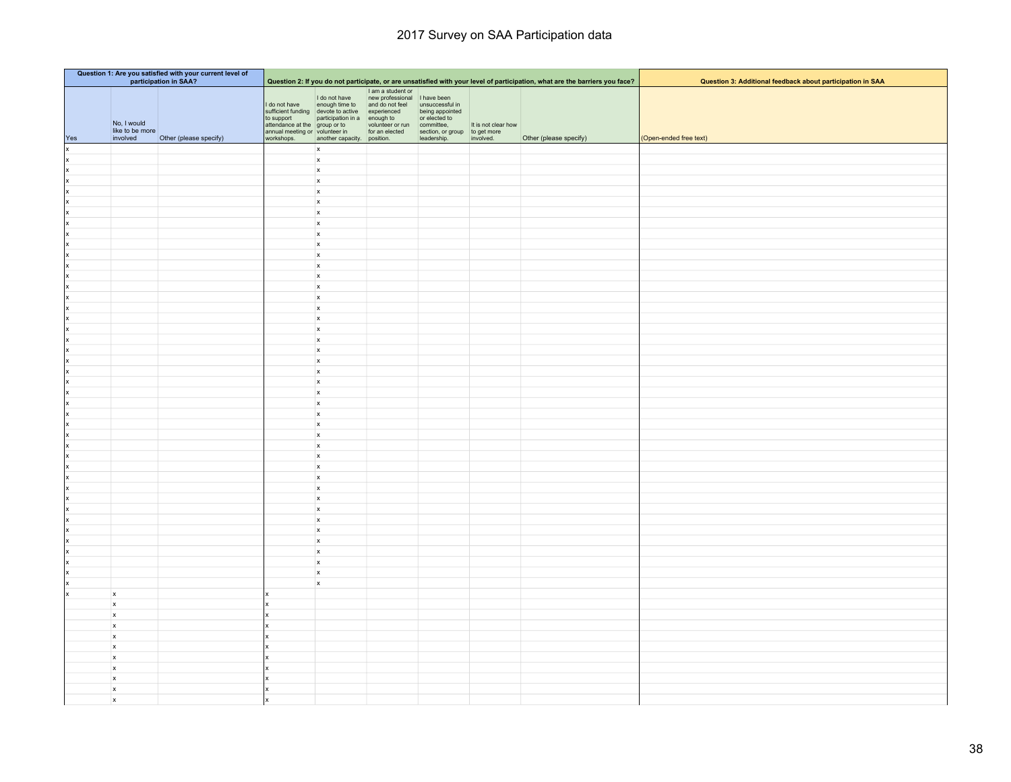| Question 1: Are you satisfied with your current level of<br>participation in SAA? |                                               | Question 2: If you do not participate, or are unsatisfied with your level of participation, what are the barriers you face? |                                                                                                                                                                                                                                                                           |                                                                                                                   |                                                                                      |                                |           |                        |                                                            |  |  |  |
|-----------------------------------------------------------------------------------|-----------------------------------------------|-----------------------------------------------------------------------------------------------------------------------------|---------------------------------------------------------------------------------------------------------------------------------------------------------------------------------------------------------------------------------------------------------------------------|-------------------------------------------------------------------------------------------------------------------|--------------------------------------------------------------------------------------|--------------------------------|-----------|------------------------|------------------------------------------------------------|--|--|--|
|                                                                                   |                                               |                                                                                                                             |                                                                                                                                                                                                                                                                           |                                                                                                                   |                                                                                      |                                |           |                        | Question 3: Additional feedback about participation in SAA |  |  |  |
| Yes                                                                               | No, I would<br>like to be more<br>involved    | Other (please specify)                                                                                                      | I do not have<br>to support<br>the gradiential in a enough to or elected to the gradient of the gradient<br>contract the gradient contract the contract of the standard meeting or volume<br>term to an elected section, or group to get more<br>annual mee<br>workshops. | I do not have<br>enough time to<br>sufficient funding devote to active experienced<br>another capacity. position. | I am a student or<br>new professional I have been<br>and do not feel unsuccessful in | being appointed<br>leadership. | involved. | Other (please specify) | (Open-ended free text)                                     |  |  |  |
| x                                                                                 |                                               |                                                                                                                             |                                                                                                                                                                                                                                                                           | $\mathbf{x}$                                                                                                      |                                                                                      |                                |           |                        |                                                            |  |  |  |
| x                                                                                 |                                               |                                                                                                                             |                                                                                                                                                                                                                                                                           | $\mathsf{x}$                                                                                                      |                                                                                      |                                |           |                        |                                                            |  |  |  |
| x                                                                                 |                                               |                                                                                                                             |                                                                                                                                                                                                                                                                           | $\mathbf x$                                                                                                       |                                                                                      |                                |           |                        |                                                            |  |  |  |
| x                                                                                 |                                               |                                                                                                                             |                                                                                                                                                                                                                                                                           | $\mathsf{x}$                                                                                                      |                                                                                      |                                |           |                        |                                                            |  |  |  |
| x                                                                                 |                                               |                                                                                                                             |                                                                                                                                                                                                                                                                           | $\mathsf{x}$                                                                                                      |                                                                                      |                                |           |                        |                                                            |  |  |  |
| x                                                                                 |                                               |                                                                                                                             |                                                                                                                                                                                                                                                                           | $\mathsf{x}$                                                                                                      |                                                                                      |                                |           |                        |                                                            |  |  |  |
| x                                                                                 |                                               |                                                                                                                             |                                                                                                                                                                                                                                                                           | $\mathbf{x}$                                                                                                      |                                                                                      |                                |           |                        |                                                            |  |  |  |
| x                                                                                 |                                               |                                                                                                                             |                                                                                                                                                                                                                                                                           | $\mathbf{x}$                                                                                                      |                                                                                      |                                |           |                        |                                                            |  |  |  |
| x                                                                                 |                                               |                                                                                                                             |                                                                                                                                                                                                                                                                           | $\mathsf{x}$                                                                                                      |                                                                                      |                                |           |                        |                                                            |  |  |  |
| x                                                                                 |                                               |                                                                                                                             |                                                                                                                                                                                                                                                                           | $\mathsf{x}$                                                                                                      |                                                                                      |                                |           |                        |                                                            |  |  |  |
| x                                                                                 |                                               |                                                                                                                             |                                                                                                                                                                                                                                                                           | $\mathbf{x}$<br>$\mathbf x$                                                                                       |                                                                                      |                                |           |                        |                                                            |  |  |  |
| Ιx<br>x                                                                           |                                               |                                                                                                                             |                                                                                                                                                                                                                                                                           | $\mathbf{x}$                                                                                                      |                                                                                      |                                |           |                        |                                                            |  |  |  |
| lx                                                                                |                                               |                                                                                                                             |                                                                                                                                                                                                                                                                           | $\mathsf{x}$                                                                                                      |                                                                                      |                                |           |                        |                                                            |  |  |  |
| x                                                                                 |                                               |                                                                                                                             |                                                                                                                                                                                                                                                                           | $\mathbf x$                                                                                                       |                                                                                      |                                |           |                        |                                                            |  |  |  |
| x                                                                                 |                                               |                                                                                                                             |                                                                                                                                                                                                                                                                           | $\mathsf{x}$                                                                                                      |                                                                                      |                                |           |                        |                                                            |  |  |  |
| x                                                                                 |                                               |                                                                                                                             |                                                                                                                                                                                                                                                                           | $\mathbf{x}$                                                                                                      |                                                                                      |                                |           |                        |                                                            |  |  |  |
| x                                                                                 |                                               |                                                                                                                             |                                                                                                                                                                                                                                                                           | $\mathsf{x}$                                                                                                      |                                                                                      |                                |           |                        |                                                            |  |  |  |
| x                                                                                 |                                               |                                                                                                                             |                                                                                                                                                                                                                                                                           | $\mathbf{x}$                                                                                                      |                                                                                      |                                |           |                        |                                                            |  |  |  |
| x                                                                                 |                                               |                                                                                                                             |                                                                                                                                                                                                                                                                           | $\mathsf{x}$                                                                                                      |                                                                                      |                                |           |                        |                                                            |  |  |  |
| x                                                                                 |                                               |                                                                                                                             |                                                                                                                                                                                                                                                                           | $\mathbf{x}$                                                                                                      |                                                                                      |                                |           |                        |                                                            |  |  |  |
| x                                                                                 |                                               |                                                                                                                             |                                                                                                                                                                                                                                                                           | $\mathsf{x}$                                                                                                      |                                                                                      |                                |           |                        |                                                            |  |  |  |
| x                                                                                 |                                               |                                                                                                                             |                                                                                                                                                                                                                                                                           | $\mathbf{x}$                                                                                                      |                                                                                      |                                |           |                        |                                                            |  |  |  |
| x                                                                                 |                                               |                                                                                                                             |                                                                                                                                                                                                                                                                           | $\mathbf{x}$                                                                                                      |                                                                                      |                                |           |                        |                                                            |  |  |  |
| x<br> x                                                                           |                                               |                                                                                                                             |                                                                                                                                                                                                                                                                           | $\mathbf{x}$<br>$\mathsf{x}$                                                                                      |                                                                                      |                                |           |                        |                                                            |  |  |  |
| x                                                                                 |                                               |                                                                                                                             |                                                                                                                                                                                                                                                                           | $\mathbf{x}$                                                                                                      |                                                                                      |                                |           |                        |                                                            |  |  |  |
| x                                                                                 |                                               |                                                                                                                             |                                                                                                                                                                                                                                                                           | $\mathsf{x}$                                                                                                      |                                                                                      |                                |           |                        |                                                            |  |  |  |
| x                                                                                 |                                               |                                                                                                                             |                                                                                                                                                                                                                                                                           | $\mathbf{x}$                                                                                                      |                                                                                      |                                |           |                        |                                                            |  |  |  |
| x                                                                                 |                                               |                                                                                                                             |                                                                                                                                                                                                                                                                           | $\mathbf{x}$                                                                                                      |                                                                                      |                                |           |                        |                                                            |  |  |  |
| Ιx                                                                                |                                               |                                                                                                                             |                                                                                                                                                                                                                                                                           | $\mathbf{x}$                                                                                                      |                                                                                      |                                |           |                        |                                                            |  |  |  |
| Ιx                                                                                |                                               |                                                                                                                             |                                                                                                                                                                                                                                                                           | $\mathsf{x}$                                                                                                      |                                                                                      |                                |           |                        |                                                            |  |  |  |
| x                                                                                 |                                               |                                                                                                                             |                                                                                                                                                                                                                                                                           | $\mathbf{x}$                                                                                                      |                                                                                      |                                |           |                        |                                                            |  |  |  |
| X                                                                                 |                                               |                                                                                                                             |                                                                                                                                                                                                                                                                           | $\mathsf{x}$                                                                                                      |                                                                                      |                                |           |                        |                                                            |  |  |  |
| x                                                                                 |                                               |                                                                                                                             |                                                                                                                                                                                                                                                                           | $\mathbf{x}$                                                                                                      |                                                                                      |                                |           |                        |                                                            |  |  |  |
| x                                                                                 |                                               |                                                                                                                             |                                                                                                                                                                                                                                                                           | $\mathbf{x}$                                                                                                      |                                                                                      |                                |           |                        |                                                            |  |  |  |
| Ιx<br>Ιx                                                                          |                                               |                                                                                                                             |                                                                                                                                                                                                                                                                           | $\mathbf{x}$<br>$\mathsf{x}$                                                                                      |                                                                                      |                                |           |                        |                                                            |  |  |  |
| ×                                                                                 |                                               |                                                                                                                             |                                                                                                                                                                                                                                                                           | $\boldsymbol{\mathsf{x}}$                                                                                         |                                                                                      |                                |           |                        |                                                            |  |  |  |
| Ιx                                                                                |                                               |                                                                                                                             |                                                                                                                                                                                                                                                                           | $\mathbf{x}$                                                                                                      |                                                                                      |                                |           |                        |                                                            |  |  |  |
|                                                                                   |                                               |                                                                                                                             |                                                                                                                                                                                                                                                                           | $\boldsymbol{\mathsf{x}}$                                                                                         |                                                                                      |                                |           |                        |                                                            |  |  |  |
|                                                                                   |                                               |                                                                                                                             |                                                                                                                                                                                                                                                                           | $\mathbf{x}$                                                                                                      |                                                                                      |                                |           |                        |                                                            |  |  |  |
| Ιx                                                                                | $\mathbf{x}$                                  |                                                                                                                             |                                                                                                                                                                                                                                                                           |                                                                                                                   |                                                                                      |                                |           |                        |                                                            |  |  |  |
|                                                                                   | $\mathbf{x}$                                  |                                                                                                                             |                                                                                                                                                                                                                                                                           |                                                                                                                   |                                                                                      |                                |           |                        |                                                            |  |  |  |
|                                                                                   | $\pmb{\mathsf{x}}$                            |                                                                                                                             |                                                                                                                                                                                                                                                                           |                                                                                                                   |                                                                                      |                                |           |                        |                                                            |  |  |  |
|                                                                                   | $\pmb{\mathsf{x}}$                            |                                                                                                                             |                                                                                                                                                                                                                                                                           |                                                                                                                   |                                                                                      |                                |           |                        |                                                            |  |  |  |
|                                                                                   | $\boldsymbol{\mathsf{x}}$                     |                                                                                                                             |                                                                                                                                                                                                                                                                           |                                                                                                                   |                                                                                      |                                |           |                        |                                                            |  |  |  |
|                                                                                   | $\mathbf{x}$                                  |                                                                                                                             |                                                                                                                                                                                                                                                                           |                                                                                                                   |                                                                                      |                                |           |                        |                                                            |  |  |  |
|                                                                                   | $\boldsymbol{\mathsf{x}}$                     |                                                                                                                             |                                                                                                                                                                                                                                                                           |                                                                                                                   |                                                                                      |                                |           |                        |                                                            |  |  |  |
|                                                                                   | $\boldsymbol{x}$<br>$\boldsymbol{\mathsf{x}}$ |                                                                                                                             |                                                                                                                                                                                                                                                                           |                                                                                                                   |                                                                                      |                                |           |                        |                                                            |  |  |  |
|                                                                                   | $\boldsymbol{\mathsf{x}}$                     |                                                                                                                             |                                                                                                                                                                                                                                                                           |                                                                                                                   |                                                                                      |                                |           |                        |                                                            |  |  |  |
|                                                                                   | $\mathsf x$                                   |                                                                                                                             |                                                                                                                                                                                                                                                                           |                                                                                                                   |                                                                                      |                                |           |                        |                                                            |  |  |  |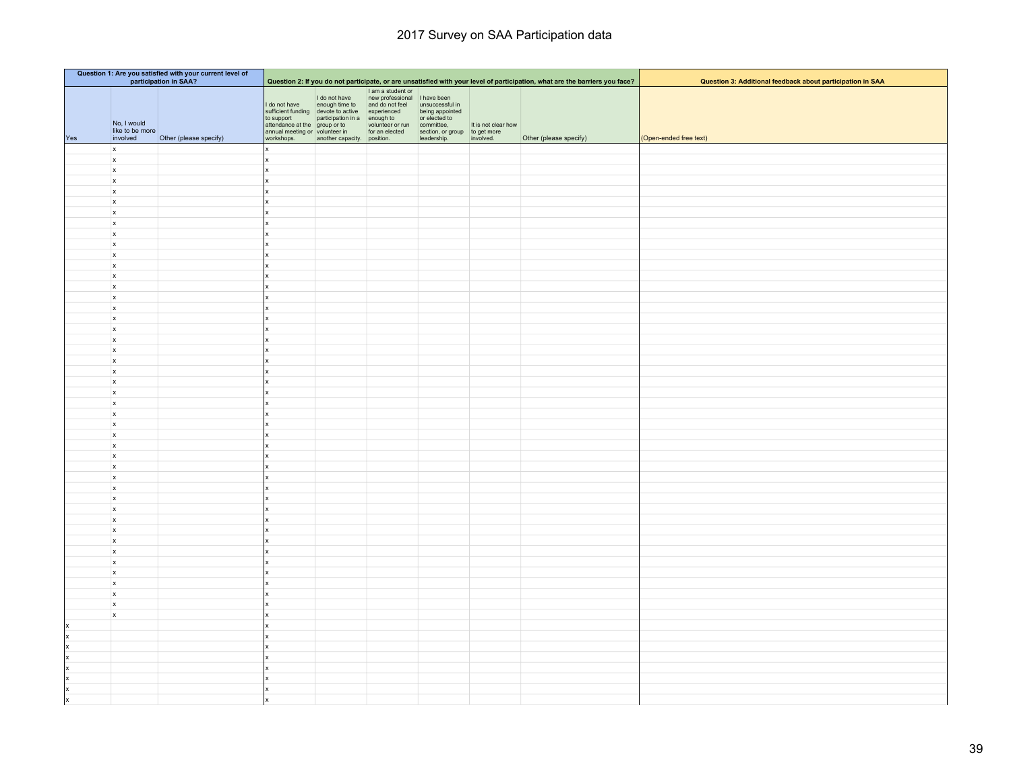| Question 1: Are you satisfied with your current level of<br>participation in SAA? |                                            |                        |                             |                                                                                |                                                                                                                                                                                                                                      |                                                                                            |                     |                                                                                                                             |                                                            |
|-----------------------------------------------------------------------------------|--------------------------------------------|------------------------|-----------------------------|--------------------------------------------------------------------------------|--------------------------------------------------------------------------------------------------------------------------------------------------------------------------------------------------------------------------------------|--------------------------------------------------------------------------------------------|---------------------|-----------------------------------------------------------------------------------------------------------------------------|------------------------------------------------------------|
|                                                                                   |                                            |                        |                             |                                                                                |                                                                                                                                                                                                                                      |                                                                                            |                     | Question 2: If you do not participate, or are unsatisfied with your level of participation, what are the barriers you face? | Question 3: Additional feedback about participation in SAA |
| Yes                                                                               | No, I would<br>like to be more<br>involved | Other (please specify) | I do not have<br>workshops. | sufficient funding devote to active experienced<br>another capacity. position. | I am a student or<br>I do not have<br>enough time to<br>and do not feel unsuccessful in<br>to support<br>attendance at the group or to volunteer or run committee,<br>annual meeting or volunteer in for an elected<br>section, or g | being appointed<br>or elected to<br>section, or group to get more<br>leadership. involved. | It is not clear how | Other (please specify)                                                                                                      | (Open-ended free text)                                     |
|                                                                                   | $\mathbf{x}$                               |                        |                             |                                                                                |                                                                                                                                                                                                                                      |                                                                                            |                     |                                                                                                                             |                                                            |
|                                                                                   | $\boldsymbol{\mathsf{x}}$                  |                        |                             |                                                                                |                                                                                                                                                                                                                                      |                                                                                            |                     |                                                                                                                             |                                                            |
|                                                                                   | $\mathbf{x}$                               |                        |                             |                                                                                |                                                                                                                                                                                                                                      |                                                                                            |                     |                                                                                                                             |                                                            |
|                                                                                   | $\boldsymbol{x}$                           |                        |                             |                                                                                |                                                                                                                                                                                                                                      |                                                                                            |                     |                                                                                                                             |                                                            |
|                                                                                   | $\mathsf{x}$                               |                        |                             |                                                                                |                                                                                                                                                                                                                                      |                                                                                            |                     |                                                                                                                             |                                                            |
|                                                                                   | $\mathsf{x}$                               |                        |                             |                                                                                |                                                                                                                                                                                                                                      |                                                                                            |                     |                                                                                                                             |                                                            |
|                                                                                   | $\mathsf{x}$                               |                        |                             |                                                                                |                                                                                                                                                                                                                                      |                                                                                            |                     |                                                                                                                             |                                                            |
|                                                                                   | $\mathbf{x}$                               |                        |                             |                                                                                |                                                                                                                                                                                                                                      |                                                                                            |                     |                                                                                                                             |                                                            |
|                                                                                   | $\mathsf{x}$<br>$\mathbf{x}$               |                        |                             |                                                                                |                                                                                                                                                                                                                                      |                                                                                            |                     |                                                                                                                             |                                                            |
|                                                                                   | $\mathbf{x}$                               |                        |                             |                                                                                |                                                                                                                                                                                                                                      |                                                                                            |                     |                                                                                                                             |                                                            |
|                                                                                   | $\boldsymbol{x}$                           |                        |                             |                                                                                |                                                                                                                                                                                                                                      |                                                                                            |                     |                                                                                                                             |                                                            |
|                                                                                   | $\mathbf{x}$                               |                        |                             |                                                                                |                                                                                                                                                                                                                                      |                                                                                            |                     |                                                                                                                             |                                                            |
|                                                                                   | $\mathbf{x}$                               |                        |                             |                                                                                |                                                                                                                                                                                                                                      |                                                                                            |                     |                                                                                                                             |                                                            |
|                                                                                   | $\mathsf{x}$                               |                        |                             |                                                                                |                                                                                                                                                                                                                                      |                                                                                            |                     |                                                                                                                             |                                                            |
|                                                                                   | $\mathbf{x}$                               |                        |                             |                                                                                |                                                                                                                                                                                                                                      |                                                                                            |                     |                                                                                                                             |                                                            |
|                                                                                   | $\mathbf{x}$                               |                        |                             |                                                                                |                                                                                                                                                                                                                                      |                                                                                            |                     |                                                                                                                             |                                                            |
|                                                                                   | $\mathbf{x}$                               |                        |                             |                                                                                |                                                                                                                                                                                                                                      |                                                                                            |                     |                                                                                                                             |                                                            |
|                                                                                   | $\mathbf{x}$<br>$\boldsymbol{x}$           |                        |                             |                                                                                |                                                                                                                                                                                                                                      |                                                                                            |                     |                                                                                                                             |                                                            |
|                                                                                   | $\boldsymbol{x}$                           |                        |                             |                                                                                |                                                                                                                                                                                                                                      |                                                                                            |                     |                                                                                                                             |                                                            |
|                                                                                   | $\mathbf{x}$                               |                        |                             |                                                                                |                                                                                                                                                                                                                                      |                                                                                            |                     |                                                                                                                             |                                                            |
|                                                                                   | $\mathbf{x}$                               |                        |                             |                                                                                |                                                                                                                                                                                                                                      |                                                                                            |                     |                                                                                                                             |                                                            |
|                                                                                   | $\boldsymbol{\mathsf{x}}$                  |                        |                             |                                                                                |                                                                                                                                                                                                                                      |                                                                                            |                     |                                                                                                                             |                                                            |
|                                                                                   | $\mathbf{x}$                               |                        |                             |                                                                                |                                                                                                                                                                                                                                      |                                                                                            |                     |                                                                                                                             |                                                            |
|                                                                                   | $\mathbf{x}$                               |                        |                             |                                                                                |                                                                                                                                                                                                                                      |                                                                                            |                     |                                                                                                                             |                                                            |
|                                                                                   | $\mathbf{x}$                               |                        |                             |                                                                                |                                                                                                                                                                                                                                      |                                                                                            |                     |                                                                                                                             |                                                            |
|                                                                                   | $\mathbf{x}$                               |                        |                             |                                                                                |                                                                                                                                                                                                                                      |                                                                                            |                     |                                                                                                                             |                                                            |
|                                                                                   | $\mathsf{x}$<br>$\mathbf{x}$               |                        |                             |                                                                                |                                                                                                                                                                                                                                      |                                                                                            |                     |                                                                                                                             |                                                            |
|                                                                                   | $\boldsymbol{\mathsf{x}}$                  |                        |                             |                                                                                |                                                                                                                                                                                                                                      |                                                                                            |                     |                                                                                                                             |                                                            |
|                                                                                   | $\mathbf{x}$                               |                        |                             |                                                                                |                                                                                                                                                                                                                                      |                                                                                            |                     |                                                                                                                             |                                                            |
|                                                                                   | $\boldsymbol{x}$                           |                        |                             |                                                                                |                                                                                                                                                                                                                                      |                                                                                            |                     |                                                                                                                             |                                                            |
|                                                                                   | $\mathbf{x}$                               |                        |                             |                                                                                |                                                                                                                                                                                                                                      |                                                                                            |                     |                                                                                                                             |                                                            |
|                                                                                   | $\mathsf{x}$                               |                        |                             |                                                                                |                                                                                                                                                                                                                                      |                                                                                            |                     |                                                                                                                             |                                                            |
|                                                                                   | $\mathbf{x}$                               |                        |                             |                                                                                |                                                                                                                                                                                                                                      |                                                                                            |                     |                                                                                                                             |                                                            |
|                                                                                   | $\boldsymbol{x}$                           |                        |                             |                                                                                |                                                                                                                                                                                                                                      |                                                                                            |                     |                                                                                                                             |                                                            |
|                                                                                   | $\mathbf{x}$<br>$\mathbf{x}$               |                        |                             |                                                                                |                                                                                                                                                                                                                                      |                                                                                            |                     |                                                                                                                             |                                                            |
|                                                                                   | x                                          |                        |                             |                                                                                |                                                                                                                                                                                                                                      |                                                                                            |                     |                                                                                                                             |                                                            |
|                                                                                   | $\mathbf{x}$                               |                        |                             |                                                                                |                                                                                                                                                                                                                                      |                                                                                            |                     |                                                                                                                             |                                                            |
|                                                                                   | $\mathbf{x}$                               |                        |                             |                                                                                |                                                                                                                                                                                                                                      |                                                                                            |                     |                                                                                                                             |                                                            |
|                                                                                   | $\pmb{\mathsf{x}}$                         |                        |                             |                                                                                |                                                                                                                                                                                                                                      |                                                                                            |                     |                                                                                                                             |                                                            |
|                                                                                   | $\mathbf{x}$                               |                        |                             |                                                                                |                                                                                                                                                                                                                                      |                                                                                            |                     |                                                                                                                             |                                                            |
|                                                                                   | $\boldsymbol{\mathsf{x}}$                  |                        |                             |                                                                                |                                                                                                                                                                                                                                      |                                                                                            |                     |                                                                                                                             |                                                            |
| x                                                                                 |                                            |                        |                             |                                                                                |                                                                                                                                                                                                                                      |                                                                                            |                     |                                                                                                                             |                                                            |
| x                                                                                 |                                            |                        |                             |                                                                                |                                                                                                                                                                                                                                      |                                                                                            |                     |                                                                                                                             |                                                            |
| $\vert x \vert$                                                                   |                                            |                        |                             |                                                                                |                                                                                                                                                                                                                                      |                                                                                            |                     |                                                                                                                             |                                                            |
| x<br> x                                                                           |                                            |                        |                             |                                                                                |                                                                                                                                                                                                                                      |                                                                                            |                     |                                                                                                                             |                                                            |
| x                                                                                 |                                            |                        |                             |                                                                                |                                                                                                                                                                                                                                      |                                                                                            |                     |                                                                                                                             |                                                            |
| x                                                                                 |                                            |                        |                             |                                                                                |                                                                                                                                                                                                                                      |                                                                                            |                     |                                                                                                                             |                                                            |
| x                                                                                 |                                            |                        |                             |                                                                                |                                                                                                                                                                                                                                      |                                                                                            |                     |                                                                                                                             |                                                            |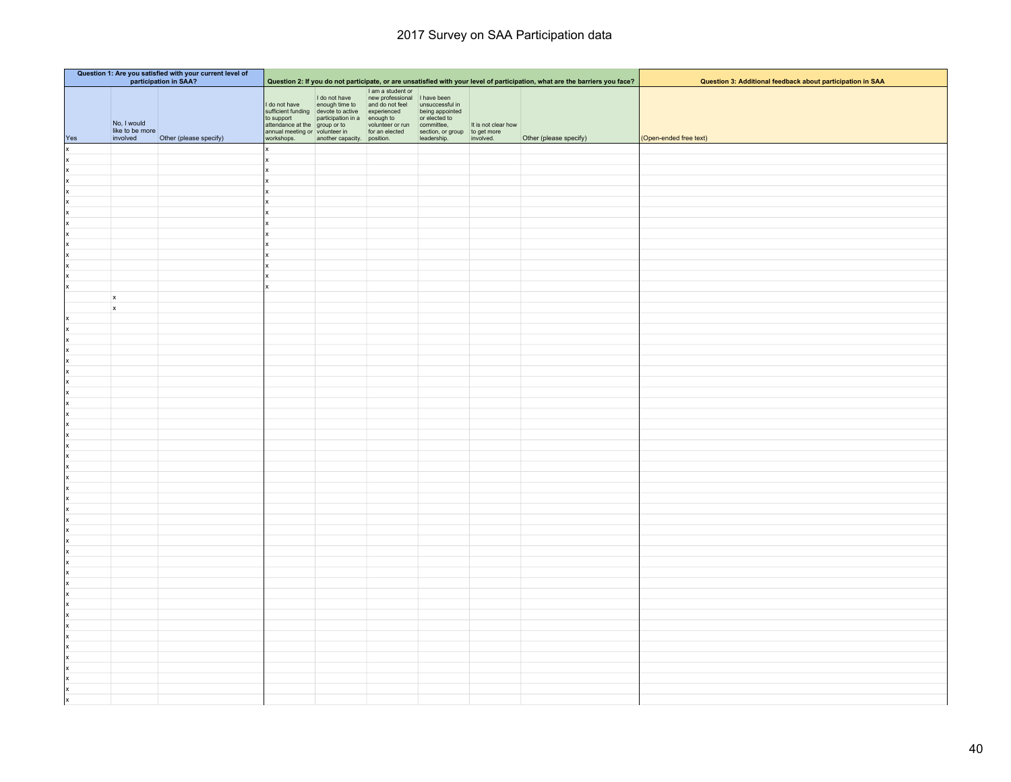| Question 1: Are you satisfied with your current level of<br>participation in SAA? |                                            |                        |                                                                                             |                                                                                                                                                                                                                                                                                         |                                                                    |                                                                                | Question 2: If you do not participate, or are unsatisfied with your level of participation, what are the barriers you face? | Question 3: Additional feedback about participation in SAA |                        |
|-----------------------------------------------------------------------------------|--------------------------------------------|------------------------|---------------------------------------------------------------------------------------------|-----------------------------------------------------------------------------------------------------------------------------------------------------------------------------------------------------------------------------------------------------------------------------------------|--------------------------------------------------------------------|--------------------------------------------------------------------------------|-----------------------------------------------------------------------------------------------------------------------------|------------------------------------------------------------|------------------------|
| Yes                                                                               | No, I would<br>like to be more<br>involved | Other (please specify) | to support<br>attendance at the group or to<br>annual meeting or volunteer in<br>workshops. | I do not have<br>I do not have<br>sufficient funding devote to active experienced<br>sufficient funding devote to active experienced<br>to support<br>to support<br>to support<br>$\frac{1}{2}$ active experienced<br>to support<br>$\frac{1}{2}$ active<br>another capacity. position. | I am a student or<br>volunteer or run committee,<br>for an elected | being appointed<br>or elected to<br>section, or group<br>leadership. involved. | It is not clear how                                                                                                         | Other (please specify)                                     | (Open-ended free text) |
| x                                                                                 |                                            |                        |                                                                                             |                                                                                                                                                                                                                                                                                         |                                                                    |                                                                                |                                                                                                                             |                                                            |                        |
| x                                                                                 |                                            |                        |                                                                                             |                                                                                                                                                                                                                                                                                         |                                                                    |                                                                                |                                                                                                                             |                                                            |                        |
| ×                                                                                 |                                            |                        |                                                                                             |                                                                                                                                                                                                                                                                                         |                                                                    |                                                                                |                                                                                                                             |                                                            |                        |
| x                                                                                 |                                            |                        |                                                                                             |                                                                                                                                                                                                                                                                                         |                                                                    |                                                                                |                                                                                                                             |                                                            |                        |
| x                                                                                 |                                            |                        |                                                                                             |                                                                                                                                                                                                                                                                                         |                                                                    |                                                                                |                                                                                                                             |                                                            |                        |
| x                                                                                 |                                            |                        |                                                                                             |                                                                                                                                                                                                                                                                                         |                                                                    |                                                                                |                                                                                                                             |                                                            |                        |
| x                                                                                 |                                            |                        |                                                                                             |                                                                                                                                                                                                                                                                                         |                                                                    |                                                                                |                                                                                                                             |                                                            |                        |
| x                                                                                 |                                            |                        |                                                                                             |                                                                                                                                                                                                                                                                                         |                                                                    |                                                                                |                                                                                                                             |                                                            |                        |
| x                                                                                 |                                            |                        |                                                                                             |                                                                                                                                                                                                                                                                                         |                                                                    |                                                                                |                                                                                                                             |                                                            |                        |
| x<br> x                                                                           |                                            |                        |                                                                                             |                                                                                                                                                                                                                                                                                         |                                                                    |                                                                                |                                                                                                                             |                                                            |                        |
| x                                                                                 |                                            |                        |                                                                                             |                                                                                                                                                                                                                                                                                         |                                                                    |                                                                                |                                                                                                                             |                                                            |                        |
| X                                                                                 |                                            |                        |                                                                                             |                                                                                                                                                                                                                                                                                         |                                                                    |                                                                                |                                                                                                                             |                                                            |                        |
| lx                                                                                |                                            |                        |                                                                                             |                                                                                                                                                                                                                                                                                         |                                                                    |                                                                                |                                                                                                                             |                                                            |                        |
|                                                                                   | x                                          |                        |                                                                                             |                                                                                                                                                                                                                                                                                         |                                                                    |                                                                                |                                                                                                                             |                                                            |                        |
|                                                                                   | $\boldsymbol{\mathsf{x}}$                  |                        |                                                                                             |                                                                                                                                                                                                                                                                                         |                                                                    |                                                                                |                                                                                                                             |                                                            |                        |
| x                                                                                 |                                            |                        |                                                                                             |                                                                                                                                                                                                                                                                                         |                                                                    |                                                                                |                                                                                                                             |                                                            |                        |
| x                                                                                 |                                            |                        |                                                                                             |                                                                                                                                                                                                                                                                                         |                                                                    |                                                                                |                                                                                                                             |                                                            |                        |
| x                                                                                 |                                            |                        |                                                                                             |                                                                                                                                                                                                                                                                                         |                                                                    |                                                                                |                                                                                                                             |                                                            |                        |
| x                                                                                 |                                            |                        |                                                                                             |                                                                                                                                                                                                                                                                                         |                                                                    |                                                                                |                                                                                                                             |                                                            |                        |
| x                                                                                 |                                            |                        |                                                                                             |                                                                                                                                                                                                                                                                                         |                                                                    |                                                                                |                                                                                                                             |                                                            |                        |
| x                                                                                 |                                            |                        |                                                                                             |                                                                                                                                                                                                                                                                                         |                                                                    |                                                                                |                                                                                                                             |                                                            |                        |
| x                                                                                 |                                            |                        |                                                                                             |                                                                                                                                                                                                                                                                                         |                                                                    |                                                                                |                                                                                                                             |                                                            |                        |
| x                                                                                 |                                            |                        |                                                                                             |                                                                                                                                                                                                                                                                                         |                                                                    |                                                                                |                                                                                                                             |                                                            |                        |
| x                                                                                 |                                            |                        |                                                                                             |                                                                                                                                                                                                                                                                                         |                                                                    |                                                                                |                                                                                                                             |                                                            |                        |
| x<br> x                                                                           |                                            |                        |                                                                                             |                                                                                                                                                                                                                                                                                         |                                                                    |                                                                                |                                                                                                                             |                                                            |                        |
| x                                                                                 |                                            |                        |                                                                                             |                                                                                                                                                                                                                                                                                         |                                                                    |                                                                                |                                                                                                                             |                                                            |                        |
| x                                                                                 |                                            |                        |                                                                                             |                                                                                                                                                                                                                                                                                         |                                                                    |                                                                                |                                                                                                                             |                                                            |                        |
| x                                                                                 |                                            |                        |                                                                                             |                                                                                                                                                                                                                                                                                         |                                                                    |                                                                                |                                                                                                                             |                                                            |                        |
| x                                                                                 |                                            |                        |                                                                                             |                                                                                                                                                                                                                                                                                         |                                                                    |                                                                                |                                                                                                                             |                                                            |                        |
| x                                                                                 |                                            |                        |                                                                                             |                                                                                                                                                                                                                                                                                         |                                                                    |                                                                                |                                                                                                                             |                                                            |                        |
| x                                                                                 |                                            |                        |                                                                                             |                                                                                                                                                                                                                                                                                         |                                                                    |                                                                                |                                                                                                                             |                                                            |                        |
| x                                                                                 |                                            |                        |                                                                                             |                                                                                                                                                                                                                                                                                         |                                                                    |                                                                                |                                                                                                                             |                                                            |                        |
| x                                                                                 |                                            |                        |                                                                                             |                                                                                                                                                                                                                                                                                         |                                                                    |                                                                                |                                                                                                                             |                                                            |                        |
| x                                                                                 |                                            |                        |                                                                                             |                                                                                                                                                                                                                                                                                         |                                                                    |                                                                                |                                                                                                                             |                                                            |                        |
| x                                                                                 |                                            |                        |                                                                                             |                                                                                                                                                                                                                                                                                         |                                                                    |                                                                                |                                                                                                                             |                                                            |                        |
| x                                                                                 |                                            |                        |                                                                                             |                                                                                                                                                                                                                                                                                         |                                                                    |                                                                                |                                                                                                                             |                                                            |                        |
| x                                                                                 |                                            |                        |                                                                                             |                                                                                                                                                                                                                                                                                         |                                                                    |                                                                                |                                                                                                                             |                                                            |                        |
| x                                                                                 |                                            |                        |                                                                                             |                                                                                                                                                                                                                                                                                         |                                                                    |                                                                                |                                                                                                                             |                                                            |                        |
| x                                                                                 |                                            |                        |                                                                                             |                                                                                                                                                                                                                                                                                         |                                                                    |                                                                                |                                                                                                                             |                                                            |                        |
| x                                                                                 |                                            |                        |                                                                                             |                                                                                                                                                                                                                                                                                         |                                                                    |                                                                                |                                                                                                                             |                                                            |                        |
| x<br> x                                                                           |                                            |                        |                                                                                             |                                                                                                                                                                                                                                                                                         |                                                                    |                                                                                |                                                                                                                             |                                                            |                        |
| x                                                                                 |                                            |                        |                                                                                             |                                                                                                                                                                                                                                                                                         |                                                                    |                                                                                |                                                                                                                             |                                                            |                        |
| x                                                                                 |                                            |                        |                                                                                             |                                                                                                                                                                                                                                                                                         |                                                                    |                                                                                |                                                                                                                             |                                                            |                        |
| x                                                                                 |                                            |                        |                                                                                             |                                                                                                                                                                                                                                                                                         |                                                                    |                                                                                |                                                                                                                             |                                                            |                        |
| Ιx                                                                                |                                            |                        |                                                                                             |                                                                                                                                                                                                                                                                                         |                                                                    |                                                                                |                                                                                                                             |                                                            |                        |
| x                                                                                 |                                            |                        |                                                                                             |                                                                                                                                                                                                                                                                                         |                                                                    |                                                                                |                                                                                                                             |                                                            |                        |
| Ιx                                                                                |                                            |                        |                                                                                             |                                                                                                                                                                                                                                                                                         |                                                                    |                                                                                |                                                                                                                             |                                                            |                        |
|                                                                                   |                                            |                        |                                                                                             |                                                                                                                                                                                                                                                                                         |                                                                    |                                                                                |                                                                                                                             |                                                            |                        |
| Ιx                                                                                |                                            |                        |                                                                                             |                                                                                                                                                                                                                                                                                         |                                                                    |                                                                                |                                                                                                                             |                                                            |                        |
|                                                                                   |                                            |                        |                                                                                             |                                                                                                                                                                                                                                                                                         |                                                                    |                                                                                |                                                                                                                             |                                                            |                        |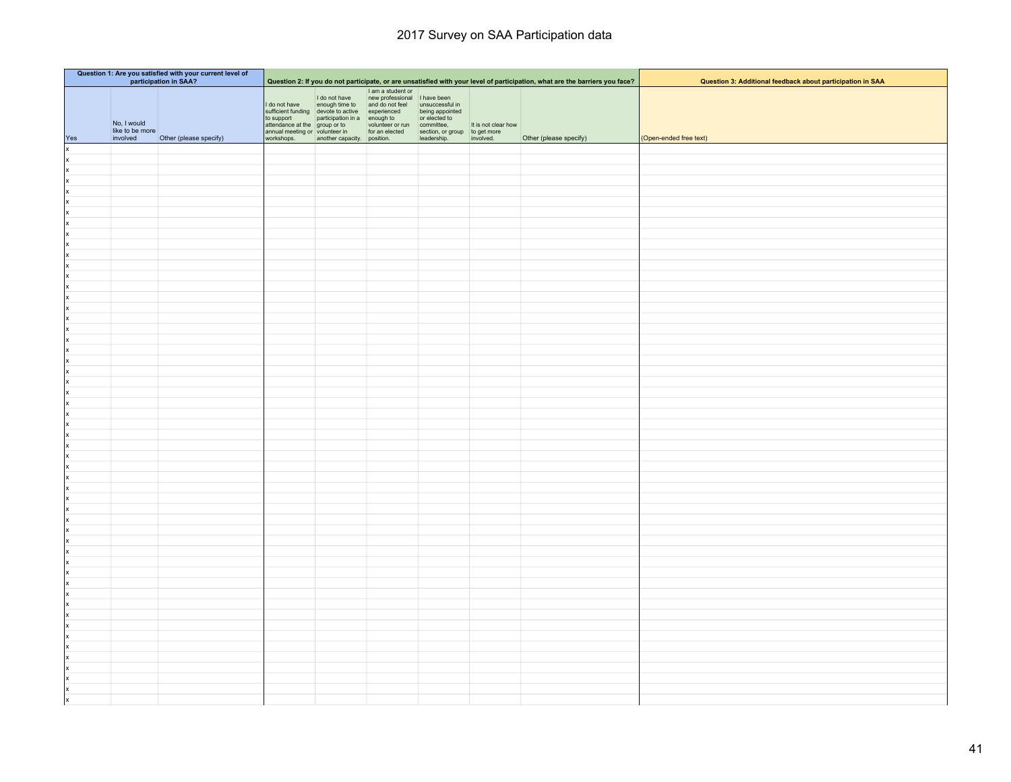| Question 1: Are you satisfied with your current level of<br>participation in SAA? |                                            |                        |                                                                                             |                             |                                                                                                                                                                                                                                                                                                                          |                                                                                | Question 2: If you do not participate, or are unsatisfied with your level of participation, what are the barriers you face? | Question 3: Additional feedback about participation in SAA |                        |
|-----------------------------------------------------------------------------------|--------------------------------------------|------------------------|---------------------------------------------------------------------------------------------|-----------------------------|--------------------------------------------------------------------------------------------------------------------------------------------------------------------------------------------------------------------------------------------------------------------------------------------------------------------------|--------------------------------------------------------------------------------|-----------------------------------------------------------------------------------------------------------------------------|------------------------------------------------------------|------------------------|
| Yes                                                                               | No, I would<br>like to be more<br>involved | Other (please specify) | to support<br>attendance at the group or to<br>annual meeting or volunteer in<br>workshops. | another capacity. position. | I am a student or<br>I do not have<br>I do not have<br>a memory of the state of the state of the substitution of the state of the state<br>sufficient funding devote to active experienced<br>to support<br>to support<br>$\frac{1}{2}$ and $\frac{1}{2}$ control of th<br>volunteer or run committee,<br>for an elected | being appointed<br>or elected to<br>section, or group<br>leadership. involved. | It is not clear how                                                                                                         | Other (please specify)                                     | (Open-ended free text) |
| x                                                                                 |                                            |                        |                                                                                             |                             |                                                                                                                                                                                                                                                                                                                          |                                                                                |                                                                                                                             |                                                            |                        |
| x                                                                                 |                                            |                        |                                                                                             |                             |                                                                                                                                                                                                                                                                                                                          |                                                                                |                                                                                                                             |                                                            |                        |
| ×                                                                                 |                                            |                        |                                                                                             |                             |                                                                                                                                                                                                                                                                                                                          |                                                                                |                                                                                                                             |                                                            |                        |
| x                                                                                 |                                            |                        |                                                                                             |                             |                                                                                                                                                                                                                                                                                                                          |                                                                                |                                                                                                                             |                                                            |                        |
| x                                                                                 |                                            |                        |                                                                                             |                             |                                                                                                                                                                                                                                                                                                                          |                                                                                |                                                                                                                             |                                                            |                        |
| x                                                                                 |                                            |                        |                                                                                             |                             |                                                                                                                                                                                                                                                                                                                          |                                                                                |                                                                                                                             |                                                            |                        |
| x                                                                                 |                                            |                        |                                                                                             |                             |                                                                                                                                                                                                                                                                                                                          |                                                                                |                                                                                                                             |                                                            |                        |
| x                                                                                 |                                            |                        |                                                                                             |                             |                                                                                                                                                                                                                                                                                                                          |                                                                                |                                                                                                                             |                                                            |                        |
| x<br> x                                                                           |                                            |                        |                                                                                             |                             |                                                                                                                                                                                                                                                                                                                          |                                                                                |                                                                                                                             |                                                            |                        |
| x                                                                                 |                                            |                        |                                                                                             |                             |                                                                                                                                                                                                                                                                                                                          |                                                                                |                                                                                                                             |                                                            |                        |
| x                                                                                 |                                            |                        |                                                                                             |                             |                                                                                                                                                                                                                                                                                                                          |                                                                                |                                                                                                                             |                                                            |                        |
| x                                                                                 |                                            |                        |                                                                                             |                             |                                                                                                                                                                                                                                                                                                                          |                                                                                |                                                                                                                             |                                                            |                        |
| x                                                                                 |                                            |                        |                                                                                             |                             |                                                                                                                                                                                                                                                                                                                          |                                                                                |                                                                                                                             |                                                            |                        |
| x                                                                                 |                                            |                        |                                                                                             |                             |                                                                                                                                                                                                                                                                                                                          |                                                                                |                                                                                                                             |                                                            |                        |
| x                                                                                 |                                            |                        |                                                                                             |                             |                                                                                                                                                                                                                                                                                                                          |                                                                                |                                                                                                                             |                                                            |                        |
| x                                                                                 |                                            |                        |                                                                                             |                             |                                                                                                                                                                                                                                                                                                                          |                                                                                |                                                                                                                             |                                                            |                        |
| x                                                                                 |                                            |                        |                                                                                             |                             |                                                                                                                                                                                                                                                                                                                          |                                                                                |                                                                                                                             |                                                            |                        |
| x                                                                                 |                                            |                        |                                                                                             |                             |                                                                                                                                                                                                                                                                                                                          |                                                                                |                                                                                                                             |                                                            |                        |
| x                                                                                 |                                            |                        |                                                                                             |                             |                                                                                                                                                                                                                                                                                                                          |                                                                                |                                                                                                                             |                                                            |                        |
| x                                                                                 |                                            |                        |                                                                                             |                             |                                                                                                                                                                                                                                                                                                                          |                                                                                |                                                                                                                             |                                                            |                        |
| x<br> x                                                                           |                                            |                        |                                                                                             |                             |                                                                                                                                                                                                                                                                                                                          |                                                                                |                                                                                                                             |                                                            |                        |
| x                                                                                 |                                            |                        |                                                                                             |                             |                                                                                                                                                                                                                                                                                                                          |                                                                                |                                                                                                                             |                                                            |                        |
| x                                                                                 |                                            |                        |                                                                                             |                             |                                                                                                                                                                                                                                                                                                                          |                                                                                |                                                                                                                             |                                                            |                        |
| x                                                                                 |                                            |                        |                                                                                             |                             |                                                                                                                                                                                                                                                                                                                          |                                                                                |                                                                                                                             |                                                            |                        |
| x                                                                                 |                                            |                        |                                                                                             |                             |                                                                                                                                                                                                                                                                                                                          |                                                                                |                                                                                                                             |                                                            |                        |
| x                                                                                 |                                            |                        |                                                                                             |                             |                                                                                                                                                                                                                                                                                                                          |                                                                                |                                                                                                                             |                                                            |                        |
| x                                                                                 |                                            |                        |                                                                                             |                             |                                                                                                                                                                                                                                                                                                                          |                                                                                |                                                                                                                             |                                                            |                        |
| x                                                                                 |                                            |                        |                                                                                             |                             |                                                                                                                                                                                                                                                                                                                          |                                                                                |                                                                                                                             |                                                            |                        |
| x                                                                                 |                                            |                        |                                                                                             |                             |                                                                                                                                                                                                                                                                                                                          |                                                                                |                                                                                                                             |                                                            |                        |
| x                                                                                 |                                            |                        |                                                                                             |                             |                                                                                                                                                                                                                                                                                                                          |                                                                                |                                                                                                                             |                                                            |                        |
| x                                                                                 |                                            |                        |                                                                                             |                             |                                                                                                                                                                                                                                                                                                                          |                                                                                |                                                                                                                             |                                                            |                        |
| x                                                                                 |                                            |                        |                                                                                             |                             |                                                                                                                                                                                                                                                                                                                          |                                                                                |                                                                                                                             |                                                            |                        |
| x<br> x                                                                           |                                            |                        |                                                                                             |                             |                                                                                                                                                                                                                                                                                                                          |                                                                                |                                                                                                                             |                                                            |                        |
| x                                                                                 |                                            |                        |                                                                                             |                             |                                                                                                                                                                                                                                                                                                                          |                                                                                |                                                                                                                             |                                                            |                        |
| x                                                                                 |                                            |                        |                                                                                             |                             |                                                                                                                                                                                                                                                                                                                          |                                                                                |                                                                                                                             |                                                            |                        |
| x                                                                                 |                                            |                        |                                                                                             |                             |                                                                                                                                                                                                                                                                                                                          |                                                                                |                                                                                                                             |                                                            |                        |
| x                                                                                 |                                            |                        |                                                                                             |                             |                                                                                                                                                                                                                                                                                                                          |                                                                                |                                                                                                                             |                                                            |                        |
| x                                                                                 |                                            |                        |                                                                                             |                             |                                                                                                                                                                                                                                                                                                                          |                                                                                |                                                                                                                             |                                                            |                        |
| x                                                                                 |                                            |                        |                                                                                             |                             |                                                                                                                                                                                                                                                                                                                          |                                                                                |                                                                                                                             |                                                            |                        |
| x                                                                                 |                                            |                        |                                                                                             |                             |                                                                                                                                                                                                                                                                                                                          |                                                                                |                                                                                                                             |                                                            |                        |
| x                                                                                 |                                            |                        |                                                                                             |                             |                                                                                                                                                                                                                                                                                                                          |                                                                                |                                                                                                                             |                                                            |                        |
| x                                                                                 |                                            |                        |                                                                                             |                             |                                                                                                                                                                                                                                                                                                                          |                                                                                |                                                                                                                             |                                                            |                        |
| x                                                                                 |                                            |                        |                                                                                             |                             |                                                                                                                                                                                                                                                                                                                          |                                                                                |                                                                                                                             |                                                            |                        |
| x                                                                                 |                                            |                        |                                                                                             |                             |                                                                                                                                                                                                                                                                                                                          |                                                                                |                                                                                                                             |                                                            |                        |
| Ιx<br>x                                                                           |                                            |                        |                                                                                             |                             |                                                                                                                                                                                                                                                                                                                          |                                                                                |                                                                                                                             |                                                            |                        |
| Ιx                                                                                |                                            |                        |                                                                                             |                             |                                                                                                                                                                                                                                                                                                                          |                                                                                |                                                                                                                             |                                                            |                        |
| X                                                                                 |                                            |                        |                                                                                             |                             |                                                                                                                                                                                                                                                                                                                          |                                                                                |                                                                                                                             |                                                            |                        |
| Ιx                                                                                |                                            |                        |                                                                                             |                             |                                                                                                                                                                                                                                                                                                                          |                                                                                |                                                                                                                             |                                                            |                        |
|                                                                                   |                                            |                        |                                                                                             |                             |                                                                                                                                                                                                                                                                                                                          |                                                                                |                                                                                                                             |                                                            |                        |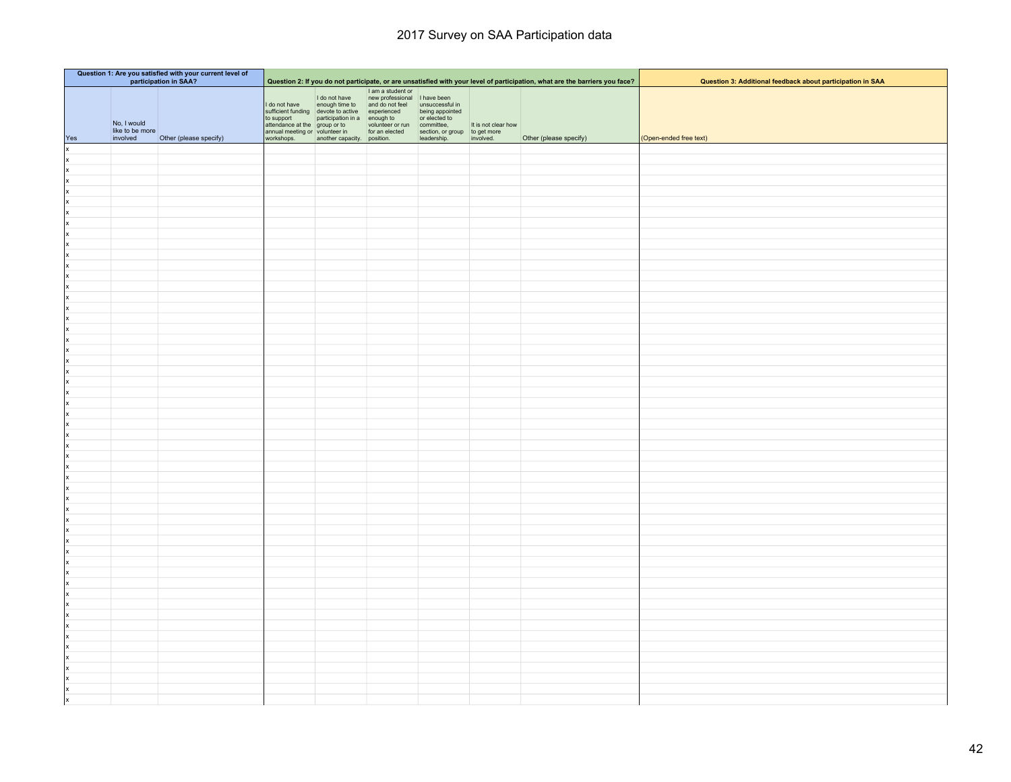| Question 1: Are you satisfied with your current level of<br>participation in SAA? |                                            |                        |                                                                                             |                             |                                                                                                                                                                                                                                                                                                                          |                                                                                | Question 2: If you do not participate, or are unsatisfied with your level of participation, what are the barriers you face? | Question 3: Additional feedback about participation in SAA |                        |
|-----------------------------------------------------------------------------------|--------------------------------------------|------------------------|---------------------------------------------------------------------------------------------|-----------------------------|--------------------------------------------------------------------------------------------------------------------------------------------------------------------------------------------------------------------------------------------------------------------------------------------------------------------------|--------------------------------------------------------------------------------|-----------------------------------------------------------------------------------------------------------------------------|------------------------------------------------------------|------------------------|
| Yes                                                                               | No, I would<br>like to be more<br>involved | Other (please specify) | to support<br>attendance at the group or to<br>annual meeting or volunteer in<br>workshops. | another capacity. position. | I am a student or<br>I do not have<br>I do not have<br>a memory of the state of the state of the substitution of the state of the state<br>sufficient funding devote to active experienced<br>to support<br>to support<br>$\frac{1}{2}$ and $\frac{1}{2}$ control of th<br>volunteer or run committee,<br>for an elected | being appointed<br>or elected to<br>section, or group<br>leadership. involved. | It is not clear how                                                                                                         | Other (please specify)                                     | (Open-ended free text) |
| x                                                                                 |                                            |                        |                                                                                             |                             |                                                                                                                                                                                                                                                                                                                          |                                                                                |                                                                                                                             |                                                            |                        |
| x                                                                                 |                                            |                        |                                                                                             |                             |                                                                                                                                                                                                                                                                                                                          |                                                                                |                                                                                                                             |                                                            |                        |
| ×                                                                                 |                                            |                        |                                                                                             |                             |                                                                                                                                                                                                                                                                                                                          |                                                                                |                                                                                                                             |                                                            |                        |
| x                                                                                 |                                            |                        |                                                                                             |                             |                                                                                                                                                                                                                                                                                                                          |                                                                                |                                                                                                                             |                                                            |                        |
| x                                                                                 |                                            |                        |                                                                                             |                             |                                                                                                                                                                                                                                                                                                                          |                                                                                |                                                                                                                             |                                                            |                        |
| x                                                                                 |                                            |                        |                                                                                             |                             |                                                                                                                                                                                                                                                                                                                          |                                                                                |                                                                                                                             |                                                            |                        |
| x                                                                                 |                                            |                        |                                                                                             |                             |                                                                                                                                                                                                                                                                                                                          |                                                                                |                                                                                                                             |                                                            |                        |
| x                                                                                 |                                            |                        |                                                                                             |                             |                                                                                                                                                                                                                                                                                                                          |                                                                                |                                                                                                                             |                                                            |                        |
| x                                                                                 |                                            |                        |                                                                                             |                             |                                                                                                                                                                                                                                                                                                                          |                                                                                |                                                                                                                             |                                                            |                        |
| x                                                                                 |                                            |                        |                                                                                             |                             |                                                                                                                                                                                                                                                                                                                          |                                                                                |                                                                                                                             |                                                            |                        |
| x<br> x                                                                           |                                            |                        |                                                                                             |                             |                                                                                                                                                                                                                                                                                                                          |                                                                                |                                                                                                                             |                                                            |                        |
| x                                                                                 |                                            |                        |                                                                                             |                             |                                                                                                                                                                                                                                                                                                                          |                                                                                |                                                                                                                             |                                                            |                        |
| x                                                                                 |                                            |                        |                                                                                             |                             |                                                                                                                                                                                                                                                                                                                          |                                                                                |                                                                                                                             |                                                            |                        |
| x                                                                                 |                                            |                        |                                                                                             |                             |                                                                                                                                                                                                                                                                                                                          |                                                                                |                                                                                                                             |                                                            |                        |
| x                                                                                 |                                            |                        |                                                                                             |                             |                                                                                                                                                                                                                                                                                                                          |                                                                                |                                                                                                                             |                                                            |                        |
| x                                                                                 |                                            |                        |                                                                                             |                             |                                                                                                                                                                                                                                                                                                                          |                                                                                |                                                                                                                             |                                                            |                        |
| x                                                                                 |                                            |                        |                                                                                             |                             |                                                                                                                                                                                                                                                                                                                          |                                                                                |                                                                                                                             |                                                            |                        |
| x                                                                                 |                                            |                        |                                                                                             |                             |                                                                                                                                                                                                                                                                                                                          |                                                                                |                                                                                                                             |                                                            |                        |
| x                                                                                 |                                            |                        |                                                                                             |                             |                                                                                                                                                                                                                                                                                                                          |                                                                                |                                                                                                                             |                                                            |                        |
| x                                                                                 |                                            |                        |                                                                                             |                             |                                                                                                                                                                                                                                                                                                                          |                                                                                |                                                                                                                             |                                                            |                        |
| x                                                                                 |                                            |                        |                                                                                             |                             |                                                                                                                                                                                                                                                                                                                          |                                                                                |                                                                                                                             |                                                            |                        |
| x<br> x                                                                           |                                            |                        |                                                                                             |                             |                                                                                                                                                                                                                                                                                                                          |                                                                                |                                                                                                                             |                                                            |                        |
| x                                                                                 |                                            |                        |                                                                                             |                             |                                                                                                                                                                                                                                                                                                                          |                                                                                |                                                                                                                             |                                                            |                        |
| x                                                                                 |                                            |                        |                                                                                             |                             |                                                                                                                                                                                                                                                                                                                          |                                                                                |                                                                                                                             |                                                            |                        |
| x                                                                                 |                                            |                        |                                                                                             |                             |                                                                                                                                                                                                                                                                                                                          |                                                                                |                                                                                                                             |                                                            |                        |
| x                                                                                 |                                            |                        |                                                                                             |                             |                                                                                                                                                                                                                                                                                                                          |                                                                                |                                                                                                                             |                                                            |                        |
| x                                                                                 |                                            |                        |                                                                                             |                             |                                                                                                                                                                                                                                                                                                                          |                                                                                |                                                                                                                             |                                                            |                        |
| x                                                                                 |                                            |                        |                                                                                             |                             |                                                                                                                                                                                                                                                                                                                          |                                                                                |                                                                                                                             |                                                            |                        |
| x                                                                                 |                                            |                        |                                                                                             |                             |                                                                                                                                                                                                                                                                                                                          |                                                                                |                                                                                                                             |                                                            |                        |
| x                                                                                 |                                            |                        |                                                                                             |                             |                                                                                                                                                                                                                                                                                                                          |                                                                                |                                                                                                                             |                                                            |                        |
| x                                                                                 |                                            |                        |                                                                                             |                             |                                                                                                                                                                                                                                                                                                                          |                                                                                |                                                                                                                             |                                                            |                        |
| x                                                                                 |                                            |                        |                                                                                             |                             |                                                                                                                                                                                                                                                                                                                          |                                                                                |                                                                                                                             |                                                            |                        |
| x                                                                                 |                                            |                        |                                                                                             |                             |                                                                                                                                                                                                                                                                                                                          |                                                                                |                                                                                                                             |                                                            |                        |
| x<br> x                                                                           |                                            |                        |                                                                                             |                             |                                                                                                                                                                                                                                                                                                                          |                                                                                |                                                                                                                             |                                                            |                        |
| x                                                                                 |                                            |                        |                                                                                             |                             |                                                                                                                                                                                                                                                                                                                          |                                                                                |                                                                                                                             |                                                            |                        |
| x                                                                                 |                                            |                        |                                                                                             |                             |                                                                                                                                                                                                                                                                                                                          |                                                                                |                                                                                                                             |                                                            |                        |
| x                                                                                 |                                            |                        |                                                                                             |                             |                                                                                                                                                                                                                                                                                                                          |                                                                                |                                                                                                                             |                                                            |                        |
| x                                                                                 |                                            |                        |                                                                                             |                             |                                                                                                                                                                                                                                                                                                                          |                                                                                |                                                                                                                             |                                                            |                        |
| x                                                                                 |                                            |                        |                                                                                             |                             |                                                                                                                                                                                                                                                                                                                          |                                                                                |                                                                                                                             |                                                            |                        |
| x                                                                                 |                                            |                        |                                                                                             |                             |                                                                                                                                                                                                                                                                                                                          |                                                                                |                                                                                                                             |                                                            |                        |
| x                                                                                 |                                            |                        |                                                                                             |                             |                                                                                                                                                                                                                                                                                                                          |                                                                                |                                                                                                                             |                                                            |                        |
| x                                                                                 |                                            |                        |                                                                                             |                             |                                                                                                                                                                                                                                                                                                                          |                                                                                |                                                                                                                             |                                                            |                        |
| x                                                                                 |                                            |                        |                                                                                             |                             |                                                                                                                                                                                                                                                                                                                          |                                                                                |                                                                                                                             |                                                            |                        |
| x                                                                                 |                                            |                        |                                                                                             |                             |                                                                                                                                                                                                                                                                                                                          |                                                                                |                                                                                                                             |                                                            |                        |
| Ιx                                                                                |                                            |                        |                                                                                             |                             |                                                                                                                                                                                                                                                                                                                          |                                                                                |                                                                                                                             |                                                            |                        |
| x                                                                                 |                                            |                        |                                                                                             |                             |                                                                                                                                                                                                                                                                                                                          |                                                                                |                                                                                                                             |                                                            |                        |
| Ιx<br>X                                                                           |                                            |                        |                                                                                             |                             |                                                                                                                                                                                                                                                                                                                          |                                                                                |                                                                                                                             |                                                            |                        |
| Ιx                                                                                |                                            |                        |                                                                                             |                             |                                                                                                                                                                                                                                                                                                                          |                                                                                |                                                                                                                             |                                                            |                        |
|                                                                                   |                                            |                        |                                                                                             |                             |                                                                                                                                                                                                                                                                                                                          |                                                                                |                                                                                                                             |                                                            |                        |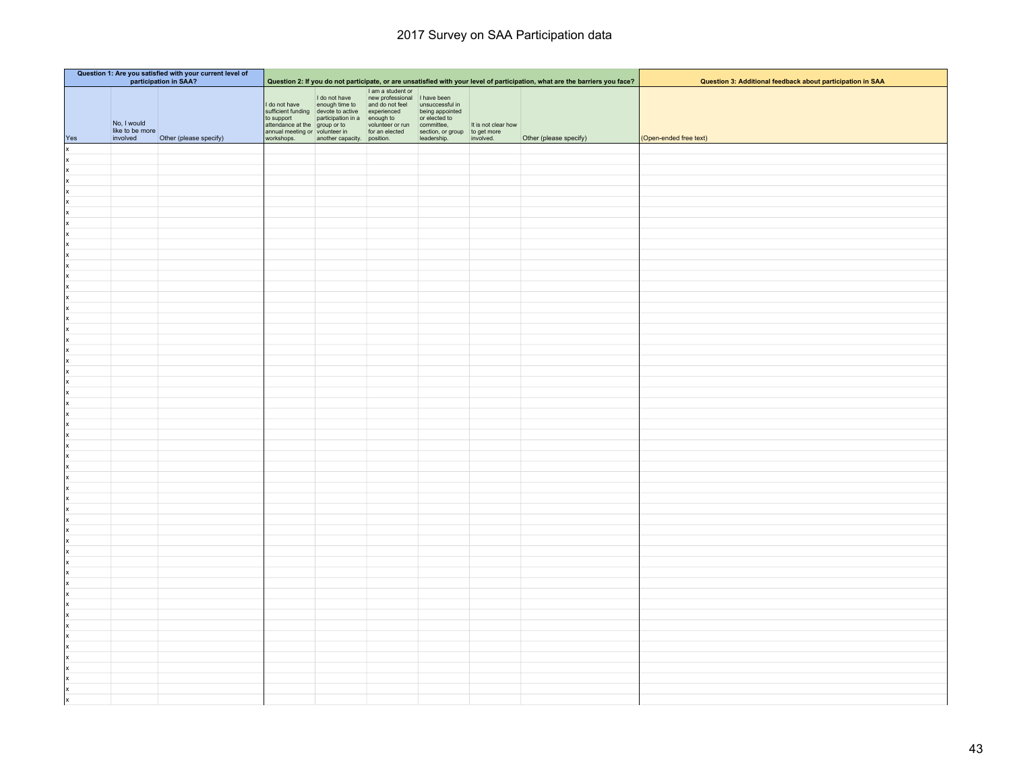| Question 1: Are you satisfied with your current level of<br>participation in SAA? |                                            |                        |                                                                                             |                             |                                                                                                                                                                                                                                                                                                                          |                                                                                | Question 2: If you do not participate, or are unsatisfied with your level of participation, what are the barriers you face? | Question 3: Additional feedback about participation in SAA |                        |
|-----------------------------------------------------------------------------------|--------------------------------------------|------------------------|---------------------------------------------------------------------------------------------|-----------------------------|--------------------------------------------------------------------------------------------------------------------------------------------------------------------------------------------------------------------------------------------------------------------------------------------------------------------------|--------------------------------------------------------------------------------|-----------------------------------------------------------------------------------------------------------------------------|------------------------------------------------------------|------------------------|
| Yes                                                                               | No, I would<br>like to be more<br>involved | Other (please specify) | to support<br>attendance at the group or to<br>annual meeting or volunteer in<br>workshops. | another capacity. position. | I am a student or<br>I do not have<br>I do not have<br>a memory of the state of the state of the substitution of the state of the state<br>sufficient funding devote to active experienced<br>to support<br>to support<br>$\frac{1}{2}$ and $\frac{1}{2}$ control of th<br>volunteer or run committee,<br>for an elected | being appointed<br>or elected to<br>section, or group<br>leadership. involved. | It is not clear how                                                                                                         | Other (please specify)                                     | (Open-ended free text) |
| x                                                                                 |                                            |                        |                                                                                             |                             |                                                                                                                                                                                                                                                                                                                          |                                                                                |                                                                                                                             |                                                            |                        |
| x                                                                                 |                                            |                        |                                                                                             |                             |                                                                                                                                                                                                                                                                                                                          |                                                                                |                                                                                                                             |                                                            |                        |
| ×                                                                                 |                                            |                        |                                                                                             |                             |                                                                                                                                                                                                                                                                                                                          |                                                                                |                                                                                                                             |                                                            |                        |
| x                                                                                 |                                            |                        |                                                                                             |                             |                                                                                                                                                                                                                                                                                                                          |                                                                                |                                                                                                                             |                                                            |                        |
| x                                                                                 |                                            |                        |                                                                                             |                             |                                                                                                                                                                                                                                                                                                                          |                                                                                |                                                                                                                             |                                                            |                        |
| x                                                                                 |                                            |                        |                                                                                             |                             |                                                                                                                                                                                                                                                                                                                          |                                                                                |                                                                                                                             |                                                            |                        |
| x                                                                                 |                                            |                        |                                                                                             |                             |                                                                                                                                                                                                                                                                                                                          |                                                                                |                                                                                                                             |                                                            |                        |
| x                                                                                 |                                            |                        |                                                                                             |                             |                                                                                                                                                                                                                                                                                                                          |                                                                                |                                                                                                                             |                                                            |                        |
| x                                                                                 |                                            |                        |                                                                                             |                             |                                                                                                                                                                                                                                                                                                                          |                                                                                |                                                                                                                             |                                                            |                        |
| x                                                                                 |                                            |                        |                                                                                             |                             |                                                                                                                                                                                                                                                                                                                          |                                                                                |                                                                                                                             |                                                            |                        |
| x<br> x                                                                           |                                            |                        |                                                                                             |                             |                                                                                                                                                                                                                                                                                                                          |                                                                                |                                                                                                                             |                                                            |                        |
| x                                                                                 |                                            |                        |                                                                                             |                             |                                                                                                                                                                                                                                                                                                                          |                                                                                |                                                                                                                             |                                                            |                        |
| x                                                                                 |                                            |                        |                                                                                             |                             |                                                                                                                                                                                                                                                                                                                          |                                                                                |                                                                                                                             |                                                            |                        |
| x                                                                                 |                                            |                        |                                                                                             |                             |                                                                                                                                                                                                                                                                                                                          |                                                                                |                                                                                                                             |                                                            |                        |
| x                                                                                 |                                            |                        |                                                                                             |                             |                                                                                                                                                                                                                                                                                                                          |                                                                                |                                                                                                                             |                                                            |                        |
| x                                                                                 |                                            |                        |                                                                                             |                             |                                                                                                                                                                                                                                                                                                                          |                                                                                |                                                                                                                             |                                                            |                        |
| x                                                                                 |                                            |                        |                                                                                             |                             |                                                                                                                                                                                                                                                                                                                          |                                                                                |                                                                                                                             |                                                            |                        |
| x                                                                                 |                                            |                        |                                                                                             |                             |                                                                                                                                                                                                                                                                                                                          |                                                                                |                                                                                                                             |                                                            |                        |
| x                                                                                 |                                            |                        |                                                                                             |                             |                                                                                                                                                                                                                                                                                                                          |                                                                                |                                                                                                                             |                                                            |                        |
| x                                                                                 |                                            |                        |                                                                                             |                             |                                                                                                                                                                                                                                                                                                                          |                                                                                |                                                                                                                             |                                                            |                        |
| x                                                                                 |                                            |                        |                                                                                             |                             |                                                                                                                                                                                                                                                                                                                          |                                                                                |                                                                                                                             |                                                            |                        |
| x<br> x                                                                           |                                            |                        |                                                                                             |                             |                                                                                                                                                                                                                                                                                                                          |                                                                                |                                                                                                                             |                                                            |                        |
| x                                                                                 |                                            |                        |                                                                                             |                             |                                                                                                                                                                                                                                                                                                                          |                                                                                |                                                                                                                             |                                                            |                        |
| x                                                                                 |                                            |                        |                                                                                             |                             |                                                                                                                                                                                                                                                                                                                          |                                                                                |                                                                                                                             |                                                            |                        |
| x                                                                                 |                                            |                        |                                                                                             |                             |                                                                                                                                                                                                                                                                                                                          |                                                                                |                                                                                                                             |                                                            |                        |
| x                                                                                 |                                            |                        |                                                                                             |                             |                                                                                                                                                                                                                                                                                                                          |                                                                                |                                                                                                                             |                                                            |                        |
| x                                                                                 |                                            |                        |                                                                                             |                             |                                                                                                                                                                                                                                                                                                                          |                                                                                |                                                                                                                             |                                                            |                        |
| x                                                                                 |                                            |                        |                                                                                             |                             |                                                                                                                                                                                                                                                                                                                          |                                                                                |                                                                                                                             |                                                            |                        |
| x                                                                                 |                                            |                        |                                                                                             |                             |                                                                                                                                                                                                                                                                                                                          |                                                                                |                                                                                                                             |                                                            |                        |
| x                                                                                 |                                            |                        |                                                                                             |                             |                                                                                                                                                                                                                                                                                                                          |                                                                                |                                                                                                                             |                                                            |                        |
| x                                                                                 |                                            |                        |                                                                                             |                             |                                                                                                                                                                                                                                                                                                                          |                                                                                |                                                                                                                             |                                                            |                        |
| x                                                                                 |                                            |                        |                                                                                             |                             |                                                                                                                                                                                                                                                                                                                          |                                                                                |                                                                                                                             |                                                            |                        |
| x                                                                                 |                                            |                        |                                                                                             |                             |                                                                                                                                                                                                                                                                                                                          |                                                                                |                                                                                                                             |                                                            |                        |
| x<br> x                                                                           |                                            |                        |                                                                                             |                             |                                                                                                                                                                                                                                                                                                                          |                                                                                |                                                                                                                             |                                                            |                        |
| x                                                                                 |                                            |                        |                                                                                             |                             |                                                                                                                                                                                                                                                                                                                          |                                                                                |                                                                                                                             |                                                            |                        |
| x                                                                                 |                                            |                        |                                                                                             |                             |                                                                                                                                                                                                                                                                                                                          |                                                                                |                                                                                                                             |                                                            |                        |
| x                                                                                 |                                            |                        |                                                                                             |                             |                                                                                                                                                                                                                                                                                                                          |                                                                                |                                                                                                                             |                                                            |                        |
| x                                                                                 |                                            |                        |                                                                                             |                             |                                                                                                                                                                                                                                                                                                                          |                                                                                |                                                                                                                             |                                                            |                        |
| x                                                                                 |                                            |                        |                                                                                             |                             |                                                                                                                                                                                                                                                                                                                          |                                                                                |                                                                                                                             |                                                            |                        |
| x                                                                                 |                                            |                        |                                                                                             |                             |                                                                                                                                                                                                                                                                                                                          |                                                                                |                                                                                                                             |                                                            |                        |
| x                                                                                 |                                            |                        |                                                                                             |                             |                                                                                                                                                                                                                                                                                                                          |                                                                                |                                                                                                                             |                                                            |                        |
| x                                                                                 |                                            |                        |                                                                                             |                             |                                                                                                                                                                                                                                                                                                                          |                                                                                |                                                                                                                             |                                                            |                        |
| x                                                                                 |                                            |                        |                                                                                             |                             |                                                                                                                                                                                                                                                                                                                          |                                                                                |                                                                                                                             |                                                            |                        |
| x                                                                                 |                                            |                        |                                                                                             |                             |                                                                                                                                                                                                                                                                                                                          |                                                                                |                                                                                                                             |                                                            |                        |
| Ιx                                                                                |                                            |                        |                                                                                             |                             |                                                                                                                                                                                                                                                                                                                          |                                                                                |                                                                                                                             |                                                            |                        |
| x                                                                                 |                                            |                        |                                                                                             |                             |                                                                                                                                                                                                                                                                                                                          |                                                                                |                                                                                                                             |                                                            |                        |
| Ιx                                                                                |                                            |                        |                                                                                             |                             |                                                                                                                                                                                                                                                                                                                          |                                                                                |                                                                                                                             |                                                            |                        |
| Ιx                                                                                |                                            |                        |                                                                                             |                             |                                                                                                                                                                                                                                                                                                                          |                                                                                |                                                                                                                             |                                                            |                        |
|                                                                                   |                                            |                        |                                                                                             |                             |                                                                                                                                                                                                                                                                                                                          |                                                                                |                                                                                                                             |                                                            |                        |